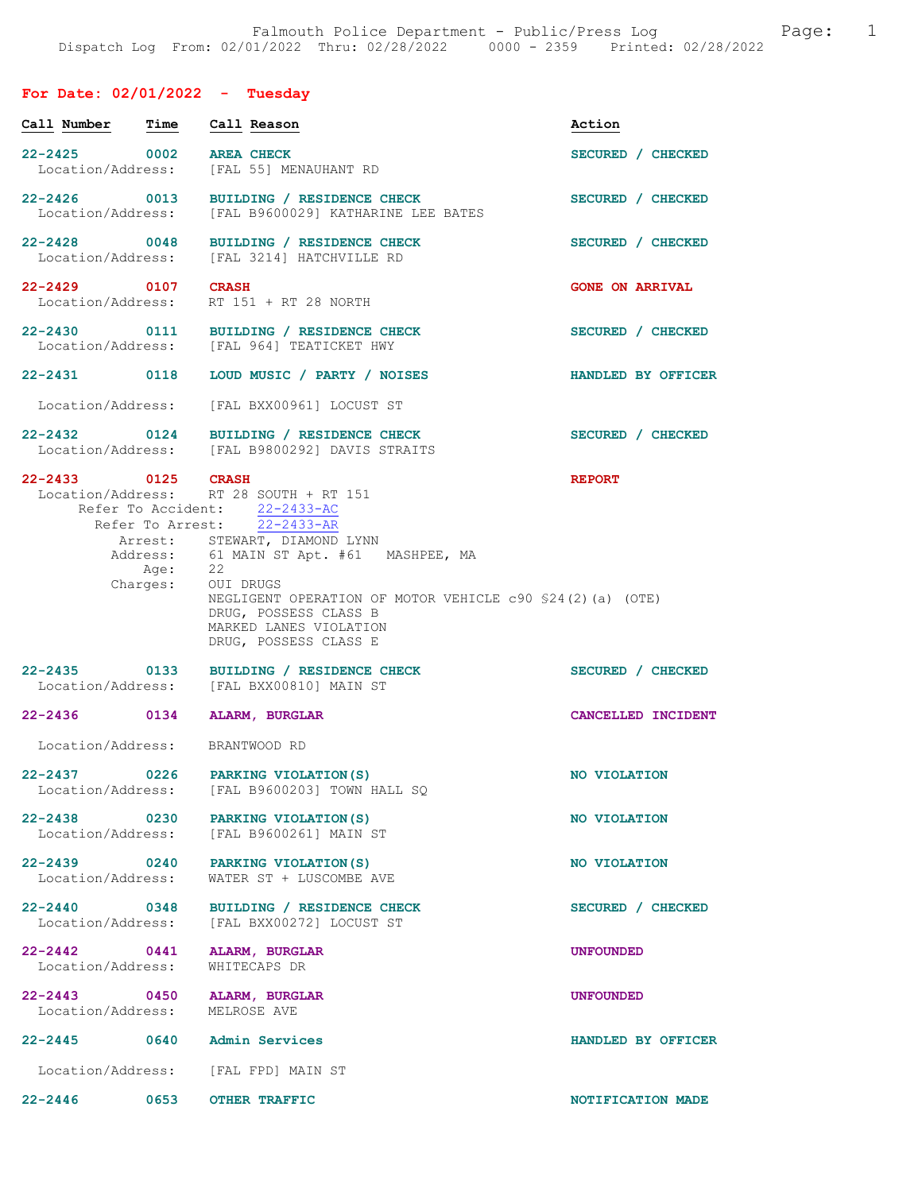# For Date: 02/01/2022 - Tuesday

| Call Number                           | Time              | Call Reason                                                                                                                                                                                                                                                                                                                                                                | Action                 |
|---------------------------------------|-------------------|----------------------------------------------------------------------------------------------------------------------------------------------------------------------------------------------------------------------------------------------------------------------------------------------------------------------------------------------------------------------------|------------------------|
| 22-2425 0002<br>Location/Address:     |                   | <b>AREA CHECK</b><br>[FAL 55] MENAUHANT RD                                                                                                                                                                                                                                                                                                                                 | SECURED / CHECKED      |
| 22-2426 0013                          |                   | BUILDING / RESIDENCE CHECK<br>Location/Address: [FAL B9600029] KATHARINE LEE BATES                                                                                                                                                                                                                                                                                         | SECURED / CHECKED      |
|                                       |                   | 22-2428 0048 BUILDING / RESIDENCE CHECK<br>Location/Address: [FAL 3214] HATCHVILLE RD                                                                                                                                                                                                                                                                                      | SECURED / CHECKED      |
| 22-2429 0107<br>Location/Address:     |                   | <b>CRASH</b><br>RT 151 + RT 28 NORTH                                                                                                                                                                                                                                                                                                                                       | <b>GONE ON ARRIVAL</b> |
|                                       |                   | 22-2430 0111 BUILDING / RESIDENCE CHECK<br>Location/Address: [FAL 964] TEATICKET HWY                                                                                                                                                                                                                                                                                       | SECURED / CHECKED      |
|                                       |                   | 22-2431 0118 LOUD MUSIC / PARTY / NOISES                                                                                                                                                                                                                                                                                                                                   | HANDLED BY OFFICER     |
|                                       |                   | Location/Address: [FAL BXX00961] LOCUST ST                                                                                                                                                                                                                                                                                                                                 |                        |
|                                       |                   | 22-2432 0124 BUILDING / RESIDENCE CHECK<br>Location/Address: [FAL B9800292] DAVIS STRAITS                                                                                                                                                                                                                                                                                  | SECURED / CHECKED      |
| 22-2433 0125 CRASH                    | Age:              | Location/Address: RT 28 SOUTH + RT 151<br>Refer To Accident: 22-2433-AC<br>Refer To Arrest: $\overline{22-2433-AR}$<br>Arrest: STEWART, DIAMOND LYNN<br>Address: 61 MAIN ST Apt. #61 MASHPEE, MA<br>Age: 22<br>Charges: OUI DRUGS<br>NEGLIGENT OPERATION OF MOTOR VEHICLE c90 \$24(2)(a) (OTE)<br>DRUG, POSSESS CLASS B<br>MARKED LANES VIOLATION<br>DRUG, POSSESS CLASS E | <b>REPORT</b>          |
|                                       |                   | 22-2435 0133 BUILDING / RESIDENCE CHECK<br>Location/Address: [FAL BXX00810] MAIN ST                                                                                                                                                                                                                                                                                        | SECURED / CHECKED      |
| 22-2436 0134                          |                   | ALARM, BURGLAR                                                                                                                                                                                                                                                                                                                                                             | CANCELLED INCIDENT     |
| Location/Address:                     |                   | BRANTWOOD RD                                                                                                                                                                                                                                                                                                                                                               |                        |
| $22 - 2437$<br>Location/Address:      | $\overline{0226}$ | PARKING VIOLATION (S)<br>[FAL B9600203] TOWN HALL SQ                                                                                                                                                                                                                                                                                                                       | NO VIOLATION           |
|                                       |                   | 22-2438 0230 PARKING VIOLATION (S)<br>Location/Address: [FAL B9600261] MAIN ST                                                                                                                                                                                                                                                                                             | NO VIOLATION           |
| Location/Address:                     |                   | 22-2439 0240 PARKING VIOLATION (S)<br>WATER ST + LUSCOMBE AVE                                                                                                                                                                                                                                                                                                              | NO VIOLATION           |
| 22-2440 0348                          |                   | BUILDING / RESIDENCE CHECK<br>Location/Address: [FAL BXX00272] LOCUST ST                                                                                                                                                                                                                                                                                                   | SECURED / CHECKED      |
| $22 - 2442$ 0441<br>Location/Address: |                   | ALARM, BURGLAR<br>WHITECAPS DR                                                                                                                                                                                                                                                                                                                                             | <b>UNFOUNDED</b>       |
| 22-2443 0450<br>Location/Address:     |                   | ALARM, BURGLAR<br>MELROSE AVE                                                                                                                                                                                                                                                                                                                                              | <b>UNFOUNDED</b>       |
|                                       |                   | 22-2445 0640 Admin Services                                                                                                                                                                                                                                                                                                                                                | HANDLED BY OFFICER     |
|                                       |                   | Location/Address: [FAL FPD] MAIN ST                                                                                                                                                                                                                                                                                                                                        |                        |
| $22 - 2446$                           | 0653              | <b>OTHER TRAFFIC</b>                                                                                                                                                                                                                                                                                                                                                       | NOTIFICATION MADE      |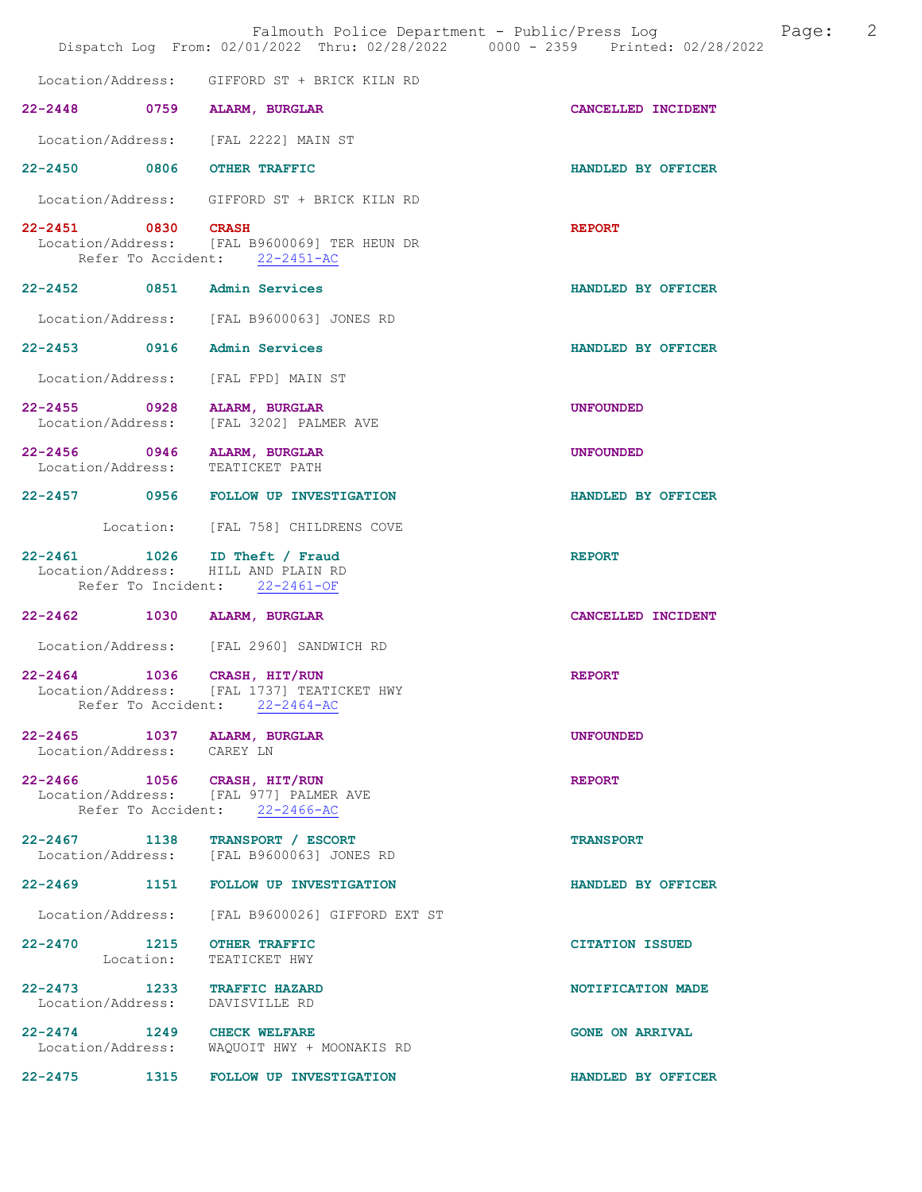|                                                                 |           | Falmouth Police Department - Public/Press Log<br>Dispatch Log From: 02/01/2022 Thru: 02/28/2022 0000 - 2359 Printed: 02/28/2022 |                        | Page: | 2 |
|-----------------------------------------------------------------|-----------|---------------------------------------------------------------------------------------------------------------------------------|------------------------|-------|---|
|                                                                 |           | Location/Address: GIFFORD ST + BRICK KILN RD                                                                                    |                        |       |   |
|                                                                 |           | 22-2448 0759 ALARM, BURGLAR                                                                                                     | CANCELLED INCIDENT     |       |   |
|                                                                 |           | Location/Address: [FAL 2222] MAIN ST                                                                                            |                        |       |   |
| 22-2450 0806 OTHER TRAFFIC                                      |           |                                                                                                                                 | HANDLED BY OFFICER     |       |   |
|                                                                 |           | Location/Address: GIFFORD ST + BRICK KILN RD                                                                                    |                        |       |   |
| 22-2451 0830 CRASH                                              |           | Location/Address: [FAL B9600069] TER HEUN DR<br>Refer To Accident: 22-2451-AC                                                   | <b>REPORT</b>          |       |   |
| 22-2452 0851 Admin Services                                     |           |                                                                                                                                 | HANDLED BY OFFICER     |       |   |
|                                                                 |           | Location/Address: [FAL B9600063] JONES RD                                                                                       |                        |       |   |
| 22-2453 0916                                                    |           | Admin Services                                                                                                                  | HANDLED BY OFFICER     |       |   |
|                                                                 |           | Location/Address: [FAL FPD] MAIN ST                                                                                             |                        |       |   |
| 22-2455 0928<br>Location/Address:                               |           | ALARM, BURGLAR<br>[FAL 3202] PALMER AVE                                                                                         | <b>UNFOUNDED</b>       |       |   |
| 22-2456 0946 ALARM, BURGLAR<br>Location/Address: TEATICKET PATH |           |                                                                                                                                 | <b>UNFOUNDED</b>       |       |   |
|                                                                 |           | 22-2457 0956 FOLLOW UP INVESTIGATION                                                                                            | HANDLED BY OFFICER     |       |   |
|                                                                 |           | Location: [FAL 758] CHILDRENS COVE                                                                                              |                        |       |   |
| $22 - 2461$                                                     |           | 1026 ID Theft / Fraud<br>Location/Address: HILL AND PLAIN RD<br>Refer To Incident: 22-2461-OF                                   | <b>REPORT</b>          |       |   |
| 22-2462 1030                                                    |           | ALARM, BURGLAR                                                                                                                  | CANCELLED INCIDENT     |       |   |
|                                                                 |           | Location/Address: [FAL 2960] SANDWICH RD                                                                                        |                        |       |   |
| Location/Address:                                               |           | 22-2464 1036 CRASH, HIT/RUN<br>[FAL 1737] TEATICKET HWY<br>Refer To Accident: 22-2464-AC                                        | <b>REPORT</b>          |       |   |
| Location/Address: CAREY LN                                      |           | 22-2465 1037 ALARM, BURGLAR                                                                                                     | <b>UNFOUNDED</b>       |       |   |
|                                                                 |           | 22-2466 1056 CRASH, HIT/RUN<br>Location/Address: [FAL 977] PALMER AVE<br>Refer To Accident: 22-2466-AC                          | <b>REPORT</b>          |       |   |
|                                                                 |           | 22-2467 1138 TRANSPORT / ESCORT<br>Location/Address: [FAL B9600063] JONES RD                                                    | <b>TRANSPORT</b>       |       |   |
|                                                                 |           | 22-2469 1151 FOLLOW UP INVESTIGATION                                                                                            | HANDLED BY OFFICER     |       |   |
|                                                                 |           | Location/Address: [FAL B9600026] GIFFORD EXT ST                                                                                 |                        |       |   |
| 22-2470 1215 OTHER TRAFFIC                                      | Location: | TEATICKET HWY                                                                                                                   | <b>CITATION ISSUED</b> |       |   |
| Location/Address: DAVISVILLE RD                                 |           | 22-2473 1233 TRAFFIC HAZARD                                                                                                     | NOTIFICATION MADE      |       |   |
| 22-2474 1249 CHECK WELFARE                                      |           | Location/Address: WAQUOIT HWY + MOONAKIS RD                                                                                     | <b>GONE ON ARRIVAL</b> |       |   |
|                                                                 |           | 22-2475 1315 FOLLOW UP INVESTIGATION                                                                                            | HANDLED BY OFFICER     |       |   |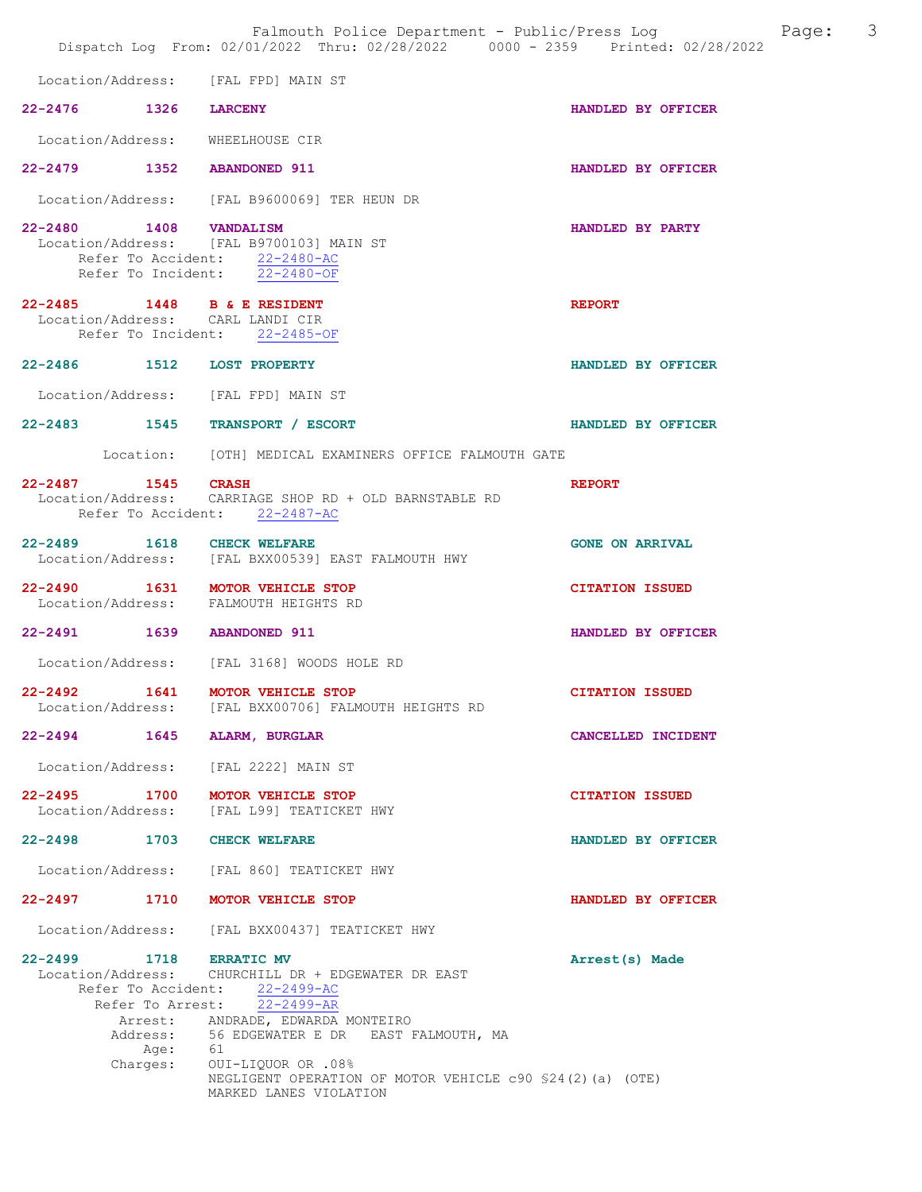|                                                                          | Falmouth Police Department - Public/Press Log<br>Dispatch Log From: 02/01/2022 Thru: 02/28/2022 0000 - 2359 Printed: 02/28/2022                                                                                 | Page:                  | $\overline{\mathbf{3}}$ |
|--------------------------------------------------------------------------|-----------------------------------------------------------------------------------------------------------------------------------------------------------------------------------------------------------------|------------------------|-------------------------|
| Location/Address: [FAL FPD] MAIN ST                                      |                                                                                                                                                                                                                 |                        |                         |
| 22-2476 1326 LARCENY                                                     |                                                                                                                                                                                                                 | HANDLED BY OFFICER     |                         |
| Location/Address:                                                        | WHEELHOUSE CIR                                                                                                                                                                                                  |                        |                         |
| 22-2479 1352 ABANDONED 911                                               |                                                                                                                                                                                                                 | HANDLED BY OFFICER     |                         |
|                                                                          | Location/Address: [FAL B9600069] TER HEUN DR                                                                                                                                                                    |                        |                         |
| 22-2480 1408 VANDALISM                                                   | Location/Address: [FAL B9700103] MAIN ST<br>Refer To Accident: 22-2480-AC<br>Refer To Incident: 22-2480-OF                                                                                                      | HANDLED BY PARTY       |                         |
| 22-2485 1448 B & E RESIDENT<br>Location/Address: CARL LANDI CIR          | Refer To Incident: 22-2485-OF                                                                                                                                                                                   | <b>REPORT</b>          |                         |
| 22-2486 1512 LOST PROPERTY                                               |                                                                                                                                                                                                                 | HANDLED BY OFFICER     |                         |
| Location/Address: [FAL FPD] MAIN ST                                      |                                                                                                                                                                                                                 |                        |                         |
| 22-2483 1545 TRANSPORT / ESCORT                                          |                                                                                                                                                                                                                 | HANDLED BY OFFICER     |                         |
|                                                                          | Location: [OTH] MEDICAL EXAMINERS OFFICE FALMOUTH GATE                                                                                                                                                          |                        |                         |
| 22-2487 1545 CRASH                                                       | Location/Address: CARRIAGE SHOP RD + OLD BARNSTABLE RD<br>Refer To Accident: 22-2487-AC                                                                                                                         | <b>REPORT</b>          |                         |
| 22-2489 1618 CHECK WELFARE                                               | Location/Address: [FAL BXX00539] EAST FALMOUTH HWY                                                                                                                                                              | <b>GONE ON ARRIVAL</b> |                         |
| 22-2490 1631 MOTOR VEHICLE STOP<br>Location/Address: FALMOUTH HEIGHTS RD |                                                                                                                                                                                                                 | <b>CITATION ISSUED</b> |                         |
| 22-2491 1639 ABANDONED 911                                               |                                                                                                                                                                                                                 | HANDLED BY OFFICER     |                         |
|                                                                          | Location/Address: [FAL 3168] WOODS HOLE RD                                                                                                                                                                      |                        |                         |
| 22-2492<br>1641                                                          | MOTOR VEHICLE STOP<br>Location/Address: [FAL BXX00706] FALMOUTH HEIGHTS RD                                                                                                                                      | <b>CITATION ISSUED</b> |                         |
| 22-2494 1645 ALARM, BURGLAR                                              |                                                                                                                                                                                                                 | CANCELLED INCIDENT     |                         |
| Location/Address: [FAL 2222] MAIN ST                                     |                                                                                                                                                                                                                 |                        |                         |
| 22-2495 1700 MOTOR VEHICLE STOP                                          | Location/Address: [FAL L99] TEATICKET HWY                                                                                                                                                                       | <b>CITATION ISSUED</b> |                         |
| 22-2498 1703 CHECK WELFARE                                               |                                                                                                                                                                                                                 | HANDLED BY OFFICER     |                         |
|                                                                          | Location/Address: [FAL 860] TEATICKET HWY                                                                                                                                                                       |                        |                         |
| 22-2497 1710 MOTOR VEHICLE STOP                                          |                                                                                                                                                                                                                 | HANDLED BY OFFICER     |                         |
|                                                                          | Location/Address: [FAL BXX00437] TEATICKET HWY                                                                                                                                                                  |                        |                         |
| 22-2499 1718 ERRATIC MV                                                  | Location/Address: CHURCHILL DR + EDGEWATER DR EAST<br>Refer To Accident: 22-2499-AC<br>Refer To Arrest: 22-2499-AR                                                                                              | Arrest(s) Made         |                         |
| Age:                                                                     | Arrest: ANDRADE, EDWARDA MONTEIRO<br>Address: 56 EDGEWATER E DR EAST FALMOUTH, MA<br>- 61<br>Charges: OUI-LIQUOR OR .08%<br>NEGLIGENT OPERATION OF MOTOR VEHICLE c90 \$24(2)(a) (OTE)<br>MARKED LANES VIOLATION |                        |                         |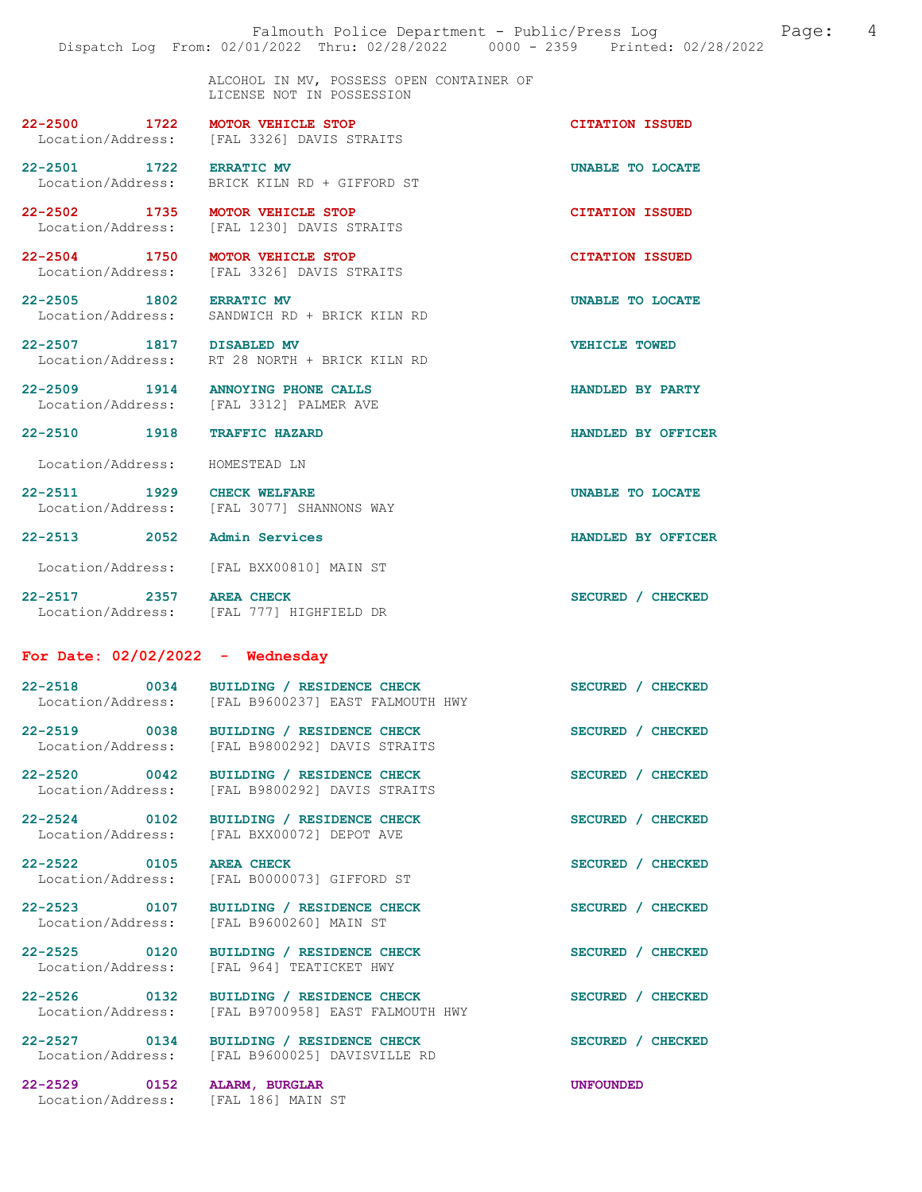ALCOHOL IN MV, POSSESS OPEN CONTAINER OF LICENSE NOT IN POSSESSION

22-2500 1722 MOTOR VEHICLE STOP CITATION ISSUED Location/Address: [FAL 3326] DAVIS STRAITS

22-2501 1722 ERRATIC MV UNABLE TO LOCATE

Location/Address: BRICK KILN RD + GIFFORD ST

Location/Address: [FAL 3326] DAVIS STRAITS

22-2502 1735 MOTOR VEHICLE STOP<br>
Location/Address: [FAL 1230] DAVIS STRAITS Location/Address: [FAL 1230] DAVIS STRAITS

22-2504 1750 MOTOR VEHICLE STOP CITATION ISSUED<br>
Location/Address: [FAL 3326] DAVIS STRAITS

22-2505 1802 ERRATIC MV UNABLE TO LOCATE Location/Address: SANDWICH RD + BRICK KILN RD

22-2507 1817 DISABLED MV VEHICLE TOWED Location/Address: RT 28 NORTH + BRICK KILN RD

22-2509 1914 ANNOYING PHONE CALLS HANDLED BY PARTY Location/Address: [FAL 3312] PALMER AVE

22-2510 1918 TRAFFIC HAZARD HANDLED BY OFFICER

Location/Address: HOMESTEAD LN

22-2511 1929 CHECK WELFARE **In the UNABLE TO LOCATE** Location/Address: [FAL 3077] SHANNONS WAY

Location/Address: [FAL BXX00810] MAIN ST

Location/Address: [FAL 777] HIGHFIELD DR

#### For Date: 02/02/2022 - Wednesday

| $22 - 2518$       | 0034 | BUILDING / RESIDENCE CHECK       | SECURED / CHECKED |
|-------------------|------|----------------------------------|-------------------|
| Location/Address: |      | [FAL B9600237] EAST FALMOUTH HWY |                   |
| $22 - 2519$       | 0038 | BUILDING / RESIDENCE CHECK       | SECURED / CHECKED |
| Location/Address: |      | [FAL B9800292] DAVIS STRAITS     |                   |

22-2520 0042 BUILDING / RESIDENCE CHECK SECURED / CHECKED Location/Address: [FAL B9800292] DAVIS STRAITS

22-2524 0102 BUILDING / RESIDENCE CHECK SECURED / CHECKED Location/Address: [FAL BXX00072] DEPOT AVE

22-2522 0105 AREA CHECK SECURED / CHECKED<br>
Location/Address: [FAL B0000073] GIFFORD ST [FAL B0000073] GIFFORD ST

22-2523 0107 BUILDING / RESIDENCE CHECK SECURED / CHECKED<br>
Location/Address: [FAL B9600260] MAIN ST [FAL B9600260] MAIN ST

22-2525 0120 BUILDING / RESIDENCE CHECK SECURED / CHECKED Location/Address: [FAL 964] TEATICKET HWY

22-2526 0132 BUILDING / RESIDENCE CHECK SECURED / CHECKED Location/Address: [FAL B9700958] EAST FALMOUTH HWY

22-2527 0134 BUILDING / RESIDENCE CHECK SECURED / CHECKED Location/Address: [FAL B9600025] DAVISVILLE RD

22-2529 0152 ALARM, BURGLAR UNFOUNDED<br>
Location/Address: [FAL 186] MAIN ST Location/Address:

22-2513 2052 Admin Services HANDLED BY OFFICER

22-2517 2357 AREA CHECK SECURED / CHECKED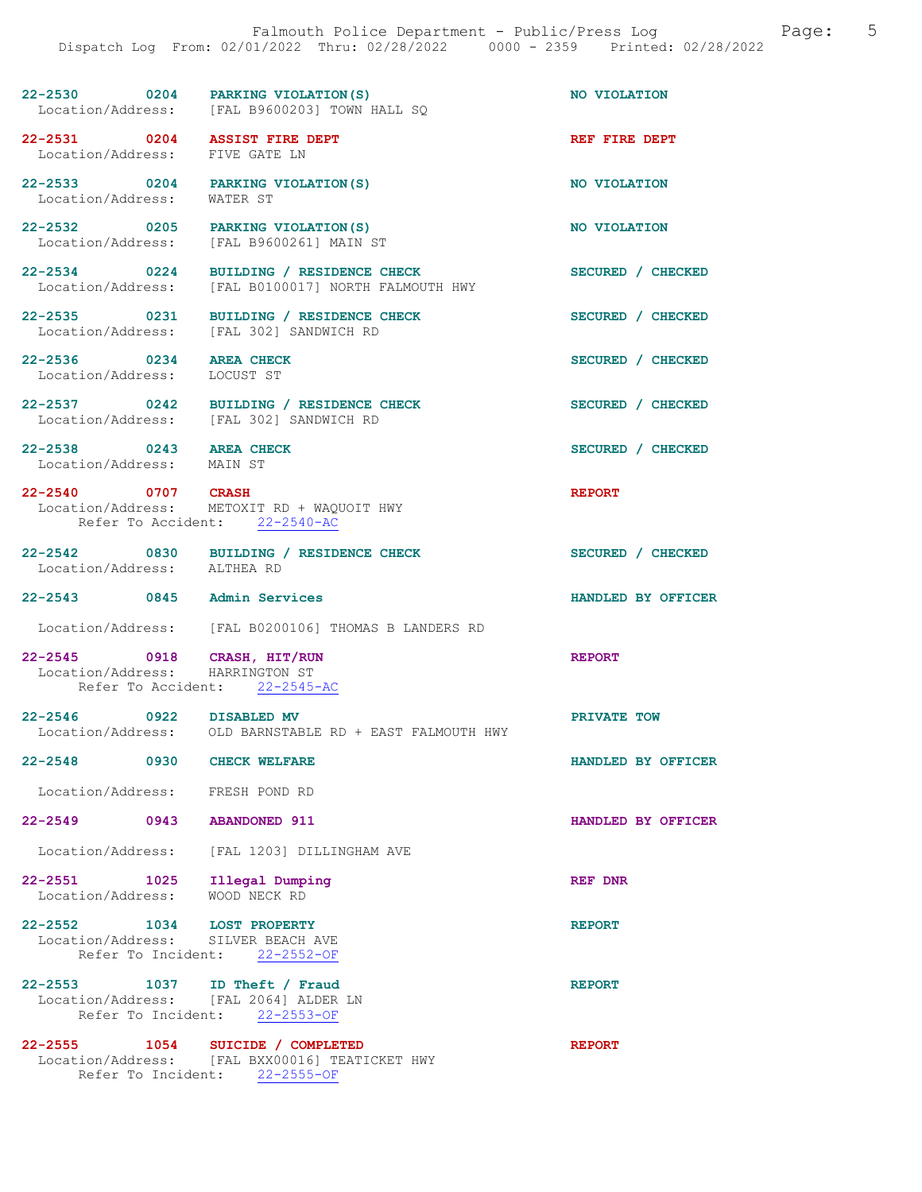| 22-2530           | 0204 | PARKING VIOLATION (S)       | NO VIOLATION |
|-------------------|------|-----------------------------|--------------|
| Location/Address: |      | [FAL B9600203] TOWN HALL SO |              |

[FAL B0100017] NORTH FALMOUTH HWY

22-2531 0204 ASSIST FIRE DEPT REF FIRE DEPT Location/Address: FIVE GATE LN

22-2533 0204 PARKING VIOLATION(S) NO VIOLATION<br>
Location/Address: WATER ST Location/Address:

22-2532 0205 PARKING VIOLATION(S) NO VIOLATION Location/Address: [FAL B9600261] MAIN ST

22-2534 0224 BUILDING / RESIDENCE CHECK<br>
Location/Address: [FAL B0100017] NORTH FALMOUTH HWY

22-2535 0231 BUILDING / RESIDENCE CHECK SECURED / CHECKED Location/Address: [FAL 302] SANDWICH RD

22-2536 0234 AREA CHECK SECURED / CHECKED SECURED / CHECKED Location/Address: LOCUST ST Location/Address:

- 22-2537 0242 BUILDING / RESIDENCE CHECK SECURED / CHECKED
- 
- 22-2538 0243 AREA CHECK SECURED / CHECKED

Location/Address: [FAL 302] SANDWICH RD

[FAL 302] SANDWICH RD

Location/Address: MAIN ST

22-2540 0707 CRASH REPORT Location/Address: METOXIT RD + WAQUOIT HWY Refer To Accident: 22-2540-AC

- 22-2542 0830 BUILDING / RESIDENCE CHECK SECURED / CHECKED Location/Address: ALTHEA RD Location/Address:
- 22-2543 0845 Admin Services HANDLED BY OFFICER
	- Location/Address: [FAL B0200106] THOMAS B LANDERS RD

22-2545 0918 CRASH, HIT/RUN REPORT REPORT Location/Address: HARRINGTON ST Location/Address: HARRINGTON ST<br>Refer To Accident: 22-2545-AC Refer To Accident:

22-2546 0922 DISABLED MV PRIVATE TOW PRIVATE TOW OLD BARNSTABLE RD + EAST FALMOUTH HWY

22-2548 0930 CHECK WELFARE HANDLED BY OFFICER

Location/Address: FRESH POND RD

22-2549 0943 ABANDONED 911 HANDLED BY OFFICER

Location/Address: [FAL 1203] DILLINGHAM AVE

| 22-2551           | 1025 Illegal Dumping | <b>REF DNR</b> |
|-------------------|----------------------|----------------|
| Location/Address: | WOOD NECK RD         |                |

22-2552 1034 LOST PROPERTY<br>
Location/Address: SILVER BEACH AVE Location/Address: Refer To Incident: 22-2552-OF

22-2553 1037 ID Theft / Fraud REPORT Location/Address: [FAL 2064] ALDER LN Refer To Incident: 22-2553-OF

### 22-2555 1054 SUICIDE / COMPLETED REPORT Location/Address: [FAL BXX00016] TEATICKET HWY Refer To Incident: 22-2555-OF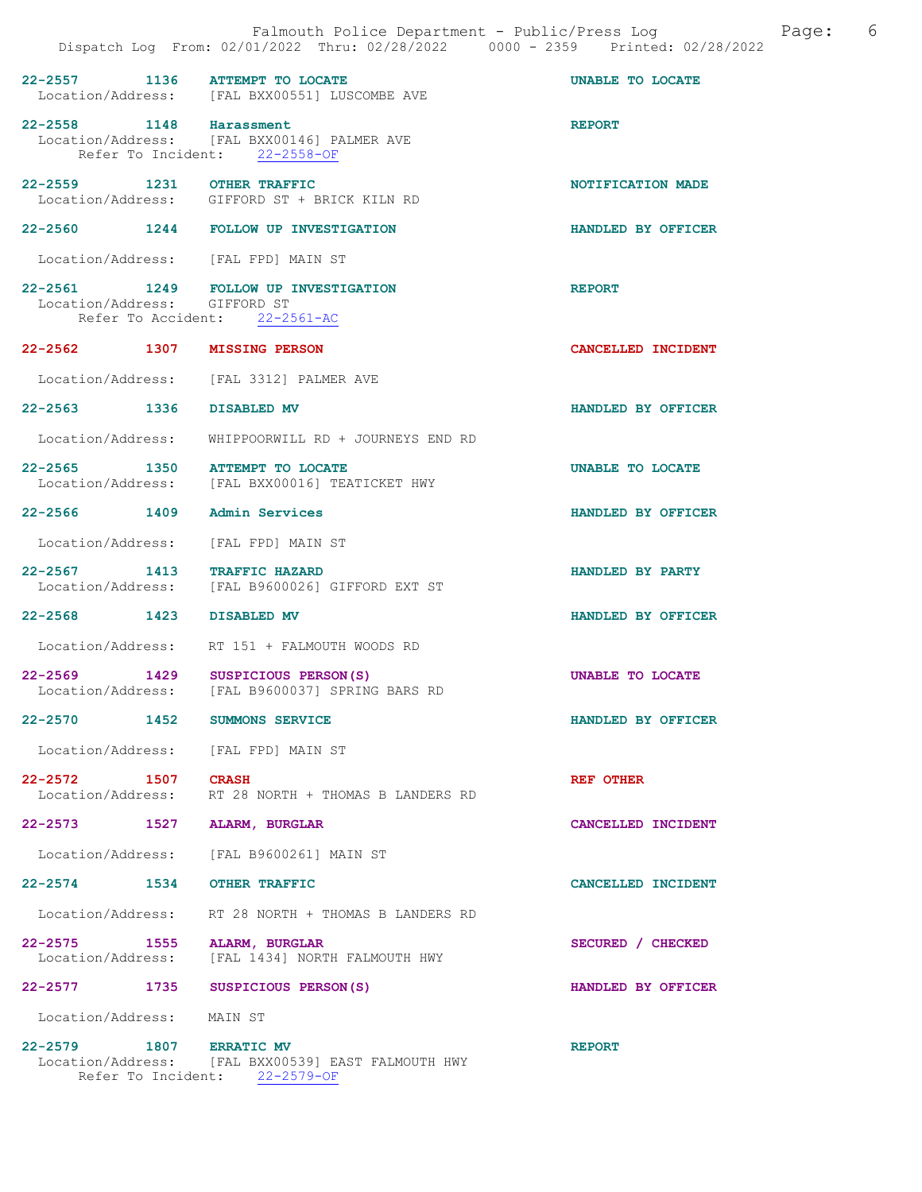|                                     | 22-2557 1136 ATTEMPT TO LOCATE<br>Location/Address: [FAL BXX00551] LUSCOMBE AVE                       | UNABLE TO LOCATE          |
|-------------------------------------|-------------------------------------------------------------------------------------------------------|---------------------------|
| 22-2558 1148 Harassment             | Location/Address: [FAL BXX00146] PALMER AVE<br>Refer To Incident: 22-2558-OF                          | <b>REPORT</b>             |
| 22-2559 1231 OTHER TRAFFIC          | Location/Address: GIFFORD ST + BRICK KILN RD                                                          | NOTIFICATION MADE         |
|                                     | 22-2560 1244 FOLLOW UP INVESTIGATION                                                                  | HANDLED BY OFFICER        |
| Location/Address: [FAL FPD] MAIN ST |                                                                                                       |                           |
|                                     | 22-2561 1249 FOLLOW UP INVESTIGATION<br>Location/Address: GIFFORD ST<br>Refer To Accident: 22-2561-AC | <b>REPORT</b>             |
| 22-2562 1307 MISSING PERSON         |                                                                                                       | CANCELLED INCIDENT        |
|                                     | Location/Address: [FAL 3312] PALMER AVE                                                               |                           |
| 22-2563 1336 DISABLED MV            |                                                                                                       | HANDLED BY OFFICER        |
|                                     | Location/Address: WHIPPOORWILL RD + JOURNEYS END RD                                                   |                           |
|                                     | 22-2565 1350 ATTEMPT TO LOCATE<br>Location/Address: [FAL BXX00016] TEATICKET HWY                      | UNABLE TO LOCATE          |
| 22-2566 1409 Admin Services         |                                                                                                       | HANDLED BY OFFICER        |
|                                     | Location/Address: [FAL FPD] MAIN ST                                                                   |                           |
| 22-2567 1413 TRAFFIC HAZARD         | Location/Address: [FAL B9600026] GIFFORD EXT ST                                                       | HANDLED BY PARTY          |
| 22-2568 1423 DISABLED MV            |                                                                                                       | HANDLED BY OFFICER        |
|                                     | Location/Address: RT 151 + FALMOUTH WOODS RD                                                          |                           |
|                                     | 22-2569 1429 SUSPICIOUS PERSON(S)<br>Location/Address: [FAL B9600037] SPRING BARS RD                  | UNABLE TO LOCATE          |
| 22-2570 1452 SUMMONS SERVICE        |                                                                                                       | HANDLED BY OFFICER        |
|                                     | Location/Address: [FAL FPD] MAIN ST                                                                   |                           |
| 22-2572 1507 CRASH                  | Location/Address: RT 28 NORTH + THOMAS B LANDERS RD                                                   | REF OTHER                 |
| 22-2573 1527 ALARM, BURGLAR         |                                                                                                       | <b>CANCELLED INCIDENT</b> |
|                                     | Location/Address: [FAL B9600261] MAIN ST                                                              |                           |
| 22-2574 1534 OTHER TRAFFIC          |                                                                                                       | CANCELLED INCIDENT        |
|                                     | Location/Address: RT 28 NORTH + THOMAS B LANDERS RD                                                   |                           |
| 22-2575                             | 1555 ALARM, BURGLAR<br>Location/Address: [FAL 1434] NORTH FALMOUTH HWY                                | SECURED / CHECKED         |
|                                     | 22-2577 1735 SUSPICIOUS PERSON(S)                                                                     | HANDLED BY OFFICER        |
| Location/Address: MAIN ST           |                                                                                                       |                           |

22-2579 1807 ERRATIC MV **REPORT**  Location/Address: [FAL BXX00539] EAST FALMOUTH HWY Refer To Incident: 22-2579-OF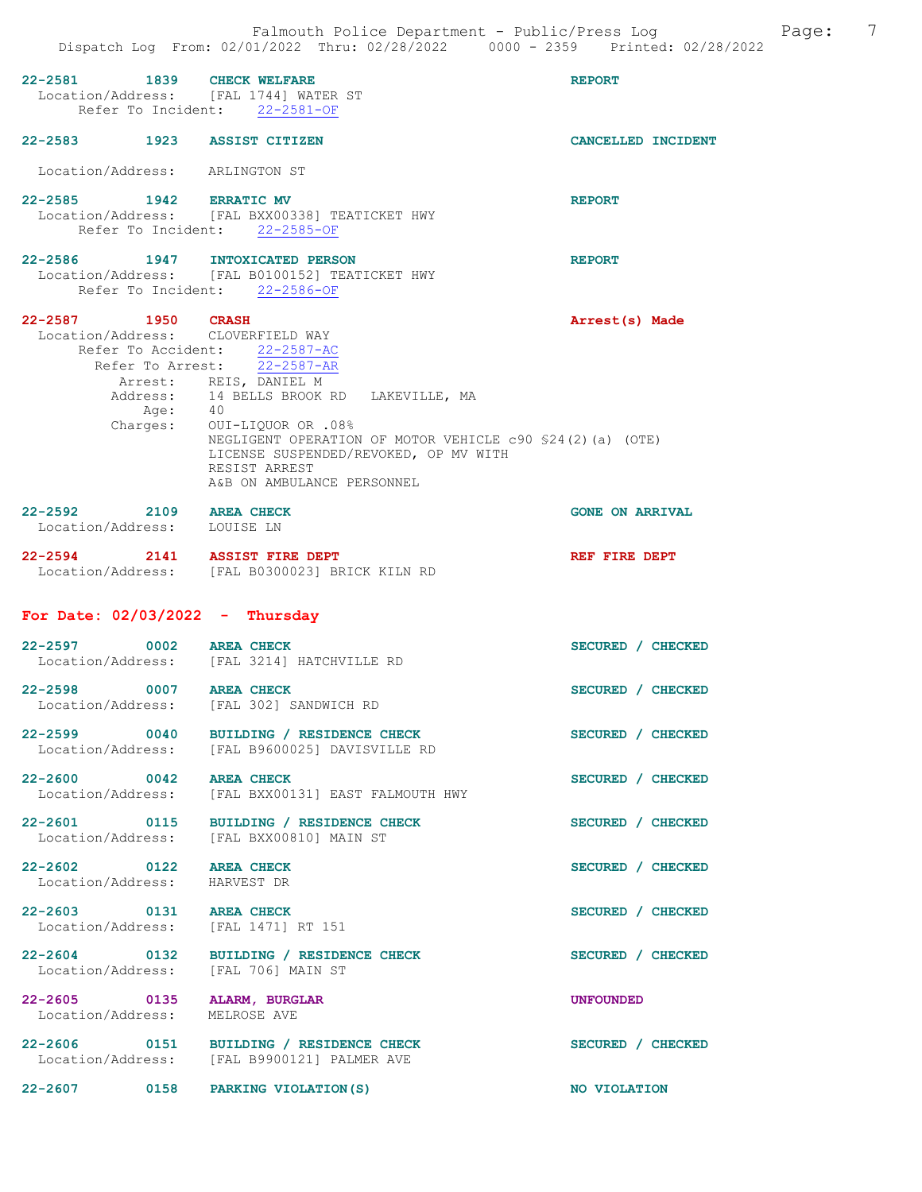| 22-2581 1839 CHECK WELFARE                              | Location/Address: [FAL 1744] WATER ST<br>Refer To Incident: 22-2581-OF                                                                                                                                                                                                                                                                         | <b>REPORT</b>          |
|---------------------------------------------------------|------------------------------------------------------------------------------------------------------------------------------------------------------------------------------------------------------------------------------------------------------------------------------------------------------------------------------------------------|------------------------|
| 22-2583 1923 ASSIST CITIZEN                             |                                                                                                                                                                                                                                                                                                                                                | CANCELLED INCIDENT     |
| Location/Address: ARLINGTON ST                          |                                                                                                                                                                                                                                                                                                                                                |                        |
| 22-2585 1942 ERRATIC MV                                 | Location/Address: [FAL BXX00338] TEATICKET HWY<br>Refer To Incident: 22-2585-OF                                                                                                                                                                                                                                                                | <b>REPORT</b>          |
|                                                         | 22-2586 1947 INTOXICATED PERSON<br>Location/Address: [FAL B0100152] TEATICKET HWY<br>Refer To Incident: 22-2586-OF                                                                                                                                                                                                                             | <b>REPORT</b>          |
| 22-2587 1950 CRASH<br>Location/Address: CLOVERFIELD WAY | Refer To Accident: 22-2587-AC<br>Refer To Arrest: $\overline{22-2587-AR}$<br>Arrest: REIS, DANIEL M<br>Address: 14 BELLS BROOK RD LAKEVILLE, MA<br>Age: 40<br>Charges: OUI-LIQUOR OR .08%<br>NEGLIGENT OPERATION OF MOTOR VEHICLE c90 \$24(2)(a) (OTE)<br>LICENSE SUSPENDED/REVOKED, OP MV WITH<br>RESIST ARREST<br>A&B ON AMBULANCE PERSONNEL | Arrest(s) Made         |
| 22-2592 2109 AREA CHECK<br>Location/Address: LOUISE LN  |                                                                                                                                                                                                                                                                                                                                                | <b>GONE ON ARRIVAL</b> |
| 22-2594 2141 ASSIST FIRE DEPT                           | Location/Address: [FAL B0300023] BRICK KILN RD                                                                                                                                                                                                                                                                                                 | REF FIRE DEPT          |
| For Date: $02/03/2022 -$ Thursday                       |                                                                                                                                                                                                                                                                                                                                                |                        |
| 22-2597 0002 AREA CHECK                                 | Location/Address: [FAL 3214] HATCHVILLE RD                                                                                                                                                                                                                                                                                                     | SECURED / CHECKED      |
| 22-2598 0007 AREA CHECK                                 | Location/Address: [FAL 302] SANDWICH RD                                                                                                                                                                                                                                                                                                        | SECURED / CHECKED      |
| $22 - 2599$<br>$\sim$ 0040                              | BUILDING / RESIDENCE CHECK<br>Location/Address: [FAL B9600025] DAVISVILLE RD                                                                                                                                                                                                                                                                   | SECURED / CHECKED      |
| 22-2600 0042 AREA CHECK                                 | Location/Address: [FAL BXX00131] EAST FALMOUTH HWY                                                                                                                                                                                                                                                                                             | SECURED / CHECKED      |
| Location/Address:                                       | 22-2601 0115 BUILDING / RESIDENCE CHECK<br>[FAL BXX00810] MAIN ST                                                                                                                                                                                                                                                                              | SECURED / CHECKED      |
| 22-2602 0122 AREA CHECK<br>Location/Address: HARVEST DR |                                                                                                                                                                                                                                                                                                                                                | SECURED / CHECKED      |
| 22-2603 0131 AREA CHECK                                 | Location/Address: [FAL 1471] RT 151                                                                                                                                                                                                                                                                                                            | SECURED / CHECKED      |
| $22 - 2604$ 0132                                        | BUILDING / RESIDENCE CHECK<br>Location/Address: [FAL 706] MAIN ST                                                                                                                                                                                                                                                                              | SECURED / CHECKED      |
| 22-2605 0135<br>Location/Address:                       | ALARM, BURGLAR<br>MELROSE AVE                                                                                                                                                                                                                                                                                                                  | UNFOUNDED              |
|                                                         | 22-2606 0151 BUILDING / RESIDENCE CHECK<br>Location/Address: [FAL B9900121] PALMER AVE                                                                                                                                                                                                                                                         | SECURED / CHECKED      |
| $22 - 2607$<br>0158                                     | PARKING VIOLATION (S)                                                                                                                                                                                                                                                                                                                          | NO VIOLATION           |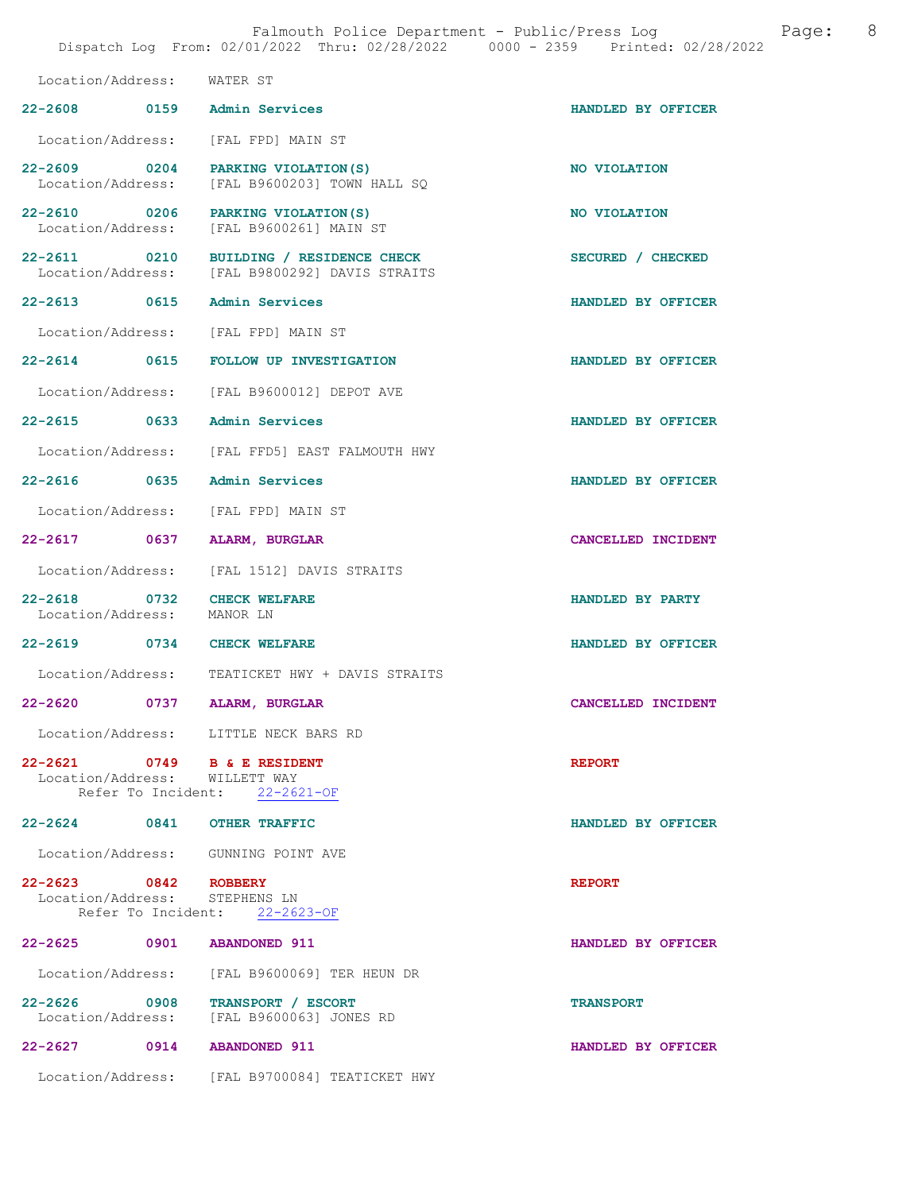|                                                              | Falmouth Police Department - Public/Press Log<br>Dispatch Log From: 02/01/2022 Thru: 02/28/2022 0000 - 2359 Printed: 02/28/2022 | 8<br>Page:         |
|--------------------------------------------------------------|---------------------------------------------------------------------------------------------------------------------------------|--------------------|
| Location/Address:                                            | WATER ST                                                                                                                        |                    |
| 22-2608 0159 Admin Services                                  |                                                                                                                                 | HANDLED BY OFFICER |
| Location/Address:                                            | [FAL FPD] MAIN ST                                                                                                               |                    |
| Location/Address:                                            | 22-2609 0204 PARKING VIOLATION (S)<br>[FAL B9600203] TOWN HALL SQ                                                               | NO VIOLATION       |
| Location/Address:                                            | 22-2610 0206 PARKING VIOLATION (S)<br>[FAL B9600261] MAIN ST                                                                    | NO VIOLATION       |
|                                                              | 22-2611 0210 BUILDING / RESIDENCE CHECK<br>Location/Address: [FAL B9800292] DAVIS STRAITS                                       | SECURED / CHECKED  |
| 22-2613 0615                                                 | <b>Admin Services</b>                                                                                                           | HANDLED BY OFFICER |
| Location/Address:                                            | [FAL FPD] MAIN ST                                                                                                               |                    |
|                                                              | 22-2614 0615 FOLLOW UP INVESTIGATION                                                                                            | HANDLED BY OFFICER |
|                                                              | Location/Address: [FAL B9600012] DEPOT AVE                                                                                      |                    |
| 22-2615 0633                                                 | <b>Admin Services</b>                                                                                                           | HANDLED BY OFFICER |
|                                                              | Location/Address: [FAL FFD5] EAST FALMOUTH HWY                                                                                  |                    |
| 22-2616 0635                                                 | Admin Services                                                                                                                  | HANDLED BY OFFICER |
| Location/Address:                                            | [FAL FPD] MAIN ST                                                                                                               |                    |
| 22-2617 0637                                                 | ALARM, BURGLAR                                                                                                                  | CANCELLED INCIDENT |
| Location/Address:                                            | [FAL 1512] DAVIS STRAITS                                                                                                        |                    |
| 22-2618 0732 CHECK WELFARE<br>Location/Address: MANOR LN     |                                                                                                                                 | HANDLED BY PARTY   |
| 22-2619 0734 CHECK WELFARE                                   |                                                                                                                                 | HANDLED BY OFFICER |
|                                                              | Location/Address: TEATICKET HWY + DAVIS STRAITS                                                                                 |                    |
| 22-2620                                                      | 0737 ALARM, BURGLAR                                                                                                             | CANCELLED INCIDENT |
|                                                              | Location/Address: LITTLE NECK BARS RD                                                                                           |                    |
| 22-2621 0749 B & E RESIDENT<br>Location/Address: WILLETT WAY | Refer To Incident: 22-2621-OF                                                                                                   | <b>REPORT</b>      |
| 22-2624 0841 OTHER TRAFFIC                                   |                                                                                                                                 | HANDLED BY OFFICER |
|                                                              | Location/Address: GUNNING POINT AVE                                                                                             |                    |
| 22-2623 0842 ROBBERY<br>Location/Address: STEPHENS LN        | Refer To Incident: 22-2623-OF                                                                                                   | <b>REPORT</b>      |
| 22-2625 0901 ABANDONED 911                                   |                                                                                                                                 | HANDLED BY OFFICER |
|                                                              | Location/Address: [FAL B9600069] TER HEUN DR                                                                                    |                    |
| 22-2626 0908                                                 | TRANSPORT / ESCORT<br>Location/Address: [FAL B9600063] JONES RD                                                                 | <b>TRANSPORT</b>   |
| 22-2627 0914 ABANDONED 911                                   |                                                                                                                                 | HANDLED BY OFFICER |
|                                                              | Location/Address: [FAL B9700084] TEATICKET HWY                                                                                  |                    |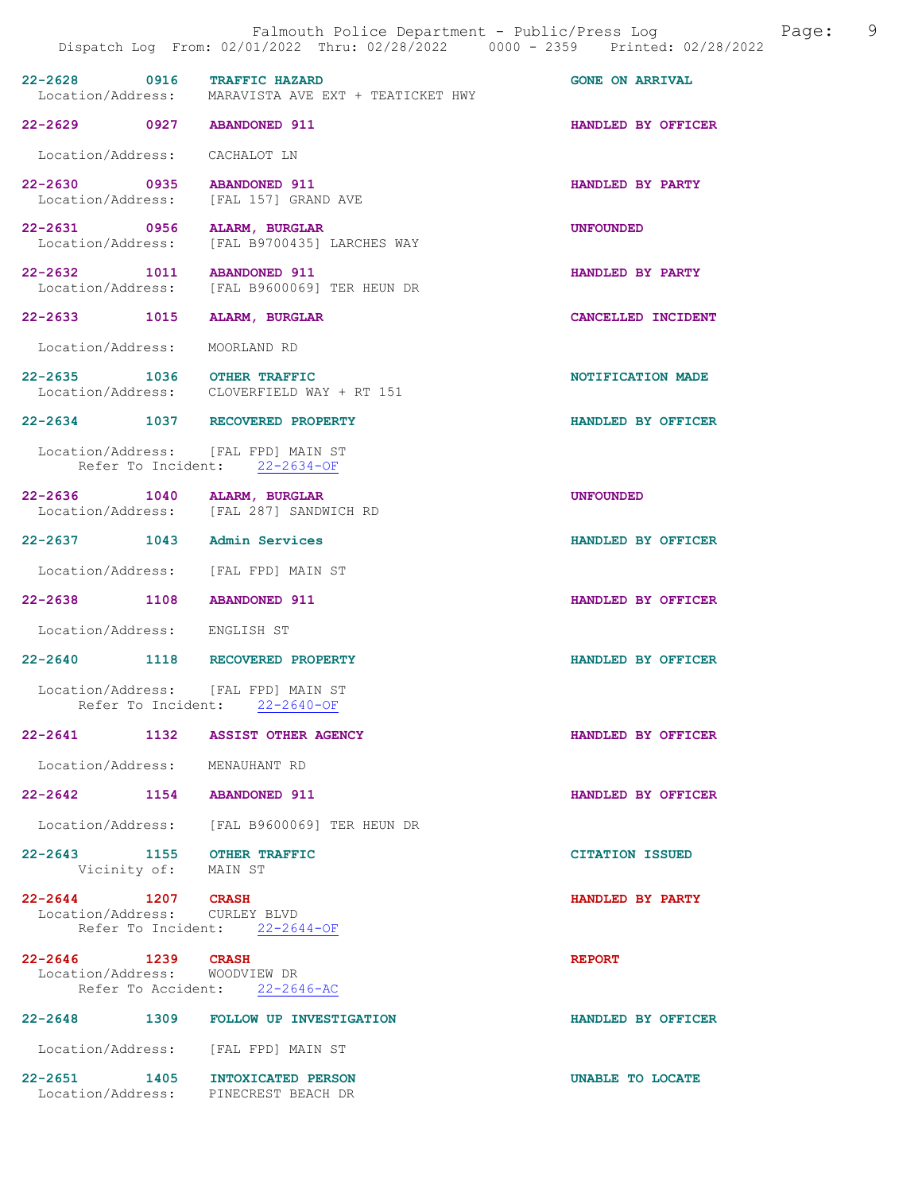| 22-2628 0916                                        |      | <b>TRAFFIC HAZARD</b><br>Location/Address: MARAVISTA AVE EXT + TEATICKET HWY | <b>GONE ON ARRIVAL</b> |
|-----------------------------------------------------|------|------------------------------------------------------------------------------|------------------------|
| 22-2629 0927 ABANDONED 911                          |      |                                                                              | HANDLED BY OFFICER     |
| Location/Address: CACHALOT LN                       |      |                                                                              |                        |
|                                                     |      | 22-2630 0935 ABANDONED 911<br>Location/Address: [FAL 157] GRAND AVE          | HANDLED BY PARTY       |
|                                                     |      | 22-2631 0956 ALARM, BURGLAR<br>Location/Address: [FAL B9700435] LARCHES WAY  | <b>UNFOUNDED</b>       |
|                                                     |      | 22-2632 1011 ABANDONED 911<br>Location/Address: [FAL B9600069] TER HEUN DR   | HANDLED BY PARTY       |
|                                                     |      | 22-2633 1015 ALARM, BURGLAR                                                  | CANCELLED INCIDENT     |
| Location/Address: MOORLAND RD                       |      |                                                                              |                        |
| 22-2635 1036 OTHER TRAFFIC                          |      | Location/Address: CLOVERFIELD WAY + RT 151                                   | NOTIFICATION MADE      |
|                                                     |      | 22-2634 1037 RECOVERED PROPERTY                                              | HANDLED BY OFFICER     |
|                                                     |      | Location/Address: [FAL FPD] MAIN ST<br>Refer To Incident: 22-2634-OF         |                        |
|                                                     |      | 22-2636 1040 ALARM, BURGLAR<br>Location/Address: [FAL 287] SANDWICH RD       | <b>UNFOUNDED</b>       |
|                                                     |      | 22-2637 1043 Admin Services                                                  | HANDLED BY OFFICER     |
|                                                     |      | Location/Address: [FAL FPD] MAIN ST                                          |                        |
| 22-2638 1108 ABANDONED 911                          |      |                                                                              | HANDLED BY OFFICER     |
| Location/Address: ENGLISH ST                        |      |                                                                              |                        |
|                                                     |      | 22-2640 1118 RECOVERED PROPERTY                                              | HANDLED BY OFFICER     |
|                                                     |      | Location/Address: [FAL FPD] MAIN ST<br>Refer To Incident: 22-2640-OF         |                        |
| $22 - 2641$                                         | 1132 | <b>ASSIST OTHER AGENCY</b>                                                   | HANDLED BY OFFICER     |
| Location/Address: MENAUHANT RD                      |      |                                                                              |                        |
| 22-2642 1154 ABANDONED 911                          |      |                                                                              | HANDLED BY OFFICER     |
|                                                     |      | Location/Address: [FAL B9600069] TER HEUN DR                                 |                        |
| 22-2643 1155 OTHER TRAFFIC<br>Vicinity of: MAIN ST  |      |                                                                              | <b>CITATION ISSUED</b> |
| 22-2644 1207 CRASH<br>Location/Address: CURLEY BLVD |      | Refer To Incident: 22-2644-OF                                                | HANDLED BY PARTY       |
| 22-2646 1239 CRASH<br>Location/Address: WOODVIEW DR |      | Refer To Accident: 22-2646-AC                                                | <b>REPORT</b>          |
|                                                     |      | 22-2648 1309 FOLLOW UP INVESTIGATION                                         | HANDLED BY OFFICER     |
|                                                     |      | Location/Address: [FAL FPD] MAIN ST                                          |                        |
|                                                     |      | 22-2651 1405 INTOXICATED PERSON                                              | UNABLE TO LOCATE       |

Location/Address: PINECREST BEACH DR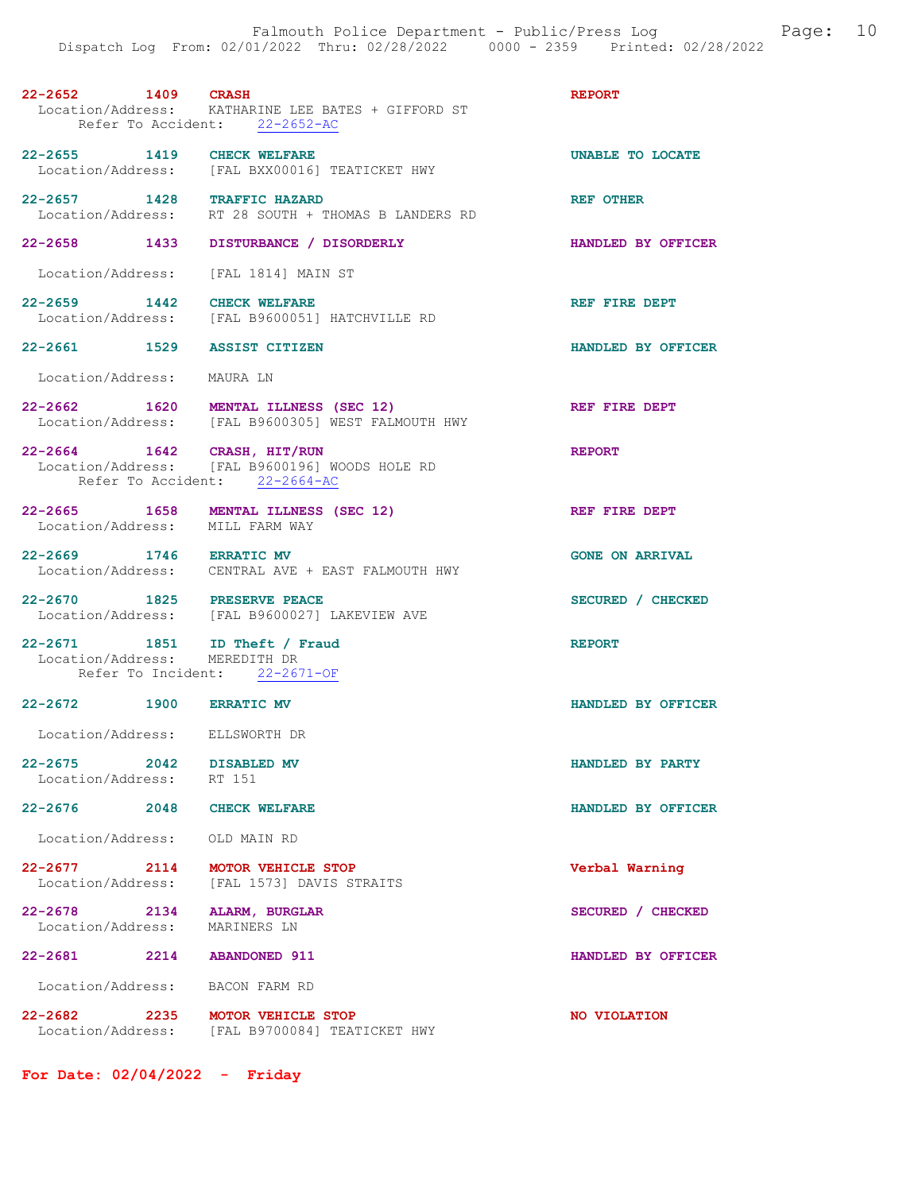| 22-2652 | 1409                                               | <b>CRASH</b> |  |  |  | <b>REPORT</b> |
|---------|----------------------------------------------------|--------------|--|--|--|---------------|
|         | Location/Address: KATHARINE LEE BATES + GIFFORD ST |              |  |  |  |               |
|         | Refer To Accident: 22-2652-AC                      |              |  |  |  |               |

- 22-2655 1419 CHECK WELFARE 22-2655 1419 Location/Address: [FAL BXX00016] TEATICKET HWY
- 22-2657 1428 TRAFFIC HAZARD REF OTHER Location/Address: RT 28 SOUTH + THOMAS B LANDERS RD RT 28 SOUTH + THOMAS B LANDERS RD
- 22-2658 1433 DISTURBANCE / DISORDERLY HANDLED BY OFFICER
- Location/Address: [FAL 1814] MAIN ST
- 22-2659 1442 CHECK WELFARE REF REF FIRE DEPT Location/Address: [FAL B9600051] HATCHVILLE RD
- 22-2661 1529 ASSIST CITIZEN HANDLED BY OFFICER

Location/Address: MAURA LN

- 22-2662 1620 MENTAL ILLNESS (SEC 12) REF FIRE DEPT Location/Address: [FAL B9600305] WEST FALMOUTH HWY
- 22-2664 1642 CRASH, HIT/RUN REPORT Location/Address: [FAL B9600196] WOODS HOLE RD Refer To Accident: 22-2664-AC
- 22-2665 1658 MENTAL ILLNESS (SEC 12) REF FIRE DEPT Location/Address: MILL FARM WAY
- 22-2669 1746 ERRATIC MV GONE ON ARRIVAL Location/Address: CENTRAL AVE + EAST FALMOUTH HWY
- 22-2670 1825 PRESERVE PEACE SECURED / CHECKED Location/Address: [FAL B9600027] LAKEVIEW AVE
- 22-2671 1851 ID Theft / Fraud REPORT Location/Address: MEREDITH DR Refer To Incident: 22-2671-OF
- 22-2672 1900 ERRATIC MV HANDLED BY OFFICER
- Location/Address: ELLSWORTH DR
- 22-2675 2042 DISABLED MV HANDLED BY PARTY Location/Address: RT 151 Location/Address:
- 22-2676 2048 CHECK WELFARE **HANDLED BY OFFICER**
- Location/Address: OLD MAIN RD
- 22-2677 2114 MOTOR VEHICLE STOP Verbal Warning Location/Address: [FAL 1573] DAVIS STRAITS
- 22-2678 2134 ALARM, BURGLAR SECURED / CHECKED<br>
Location/Address: MARINERS LN Location/Address:
	-
- Location/Address: BACON FARM RD
- 22-2682 2235 MOTOR VEHICLE STOP<br>
Location/Address: [FAL B9700084] TEATICKET HWY [FAL B9700084] TEATICKET HWY
- For Date: 02/04/2022 Friday
- 
- -
- 
- 
- 
- 
- 
- 
- 
- 
- 
- 22-2681 2214 ABANDONED 911 HANDLED BY OFFICER
	-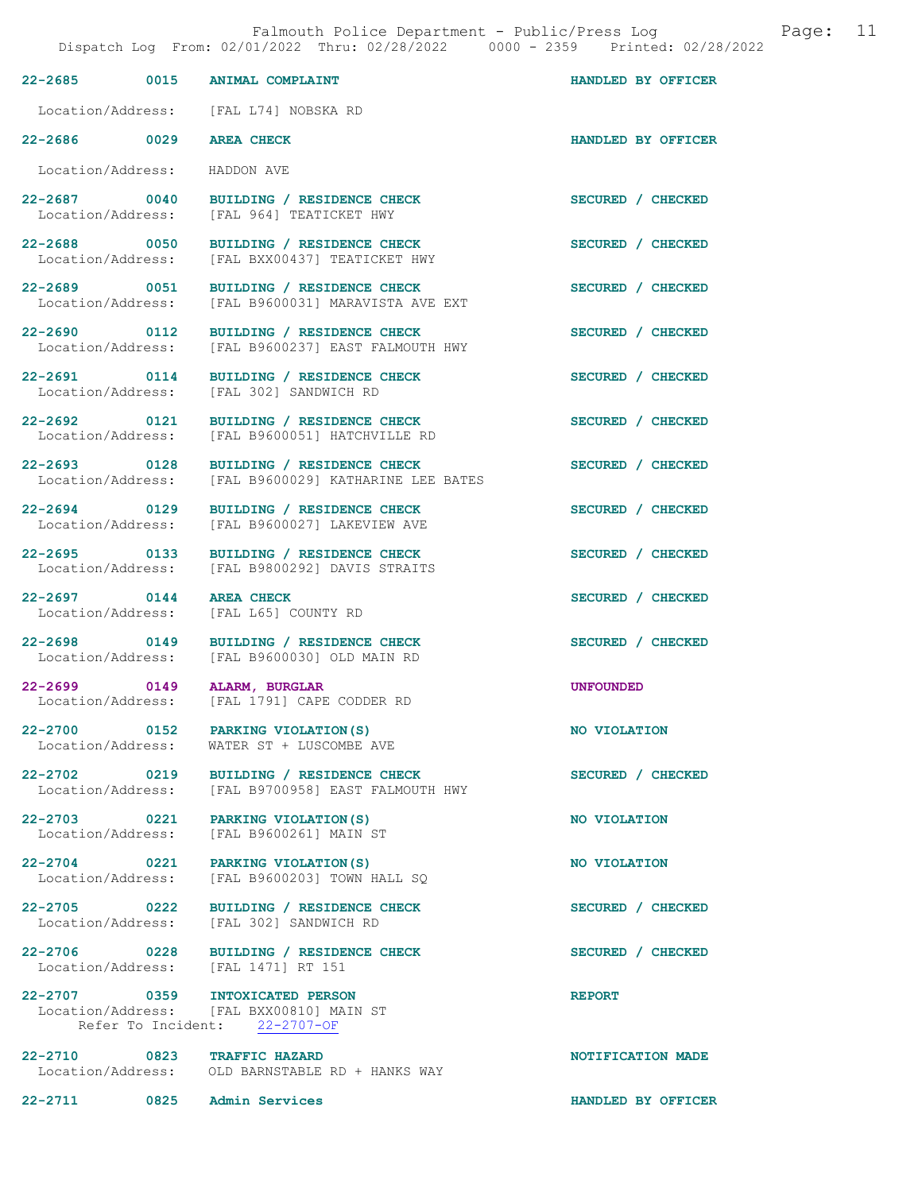|                                                     | Dispatch Log From: 02/01/2022 Thru: 02/28/2022 0000 - 2359 Printed: 02/28/2022 |                    |
|-----------------------------------------------------|--------------------------------------------------------------------------------|--------------------|
| 0015<br>22-2685                                     | <b>ANIMAL COMPLAINT</b>                                                        | HANDLED BY OFFICER |
| Location/Address:                                   | [FAL L74] NOBSKA RD                                                            |                    |
| 22-2686 0029                                        | <b>AREA CHECK</b>                                                              | HANDLED BY OFFICER |
| Location/Address:                                   | HADDON AVE                                                                     |                    |
| 22-2687 0040<br>Location/Address:                   | BUILDING / RESIDENCE CHECK<br>[FAL 964] TEATICKET HWY                          | SECURED / CHECKED  |
| 22-2688 0050<br>Location/Address:                   | BUILDING / RESIDENCE CHECK<br>[FAL BXX00437] TEATICKET HWY                     | SECURED / CHECKED  |
| 22-2689 0051<br>Location/Address:                   | BUILDING / RESIDENCE CHECK<br>[FAL B9600031] MARAVISTA AVE EXT                 | SECURED / CHECKED  |
| 22-2690 0112<br>Location/Address:                   | BUILDING / RESIDENCE CHECK<br>[FAL B9600237] EAST FALMOUTH HWY                 | SECURED / CHECKED  |
| 22-2691 0114<br>Location/Address:                   | BUILDING / RESIDENCE CHECK<br>[FAL 302] SANDWICH RD                            | SECURED / CHECKED  |
| 22-2692 0121<br>Location/Address:                   | BUILDING / RESIDENCE CHECK<br>[FAL B9600051] HATCHVILLE RD                     | SECURED / CHECKED  |
| 22-2693 0128<br>Location/Address:                   | BUILDING / RESIDENCE CHECK<br>[FAL B9600029] KATHARINE LEE BATES               | SECURED / CHECKED  |
| 22-2694 0129<br>Location/Address:                   | BUILDING / RESIDENCE CHECK<br>[FAL B9600027] LAKEVIEW AVE                      | SECURED / CHECKED  |
| 22-2695 0133<br>Location/Address:                   | BUILDING / RESIDENCE CHECK<br>[FAL B9800292] DAVIS STRAITS                     | SECURED / CHECKED  |
| 22-2697 0144<br>Location/Address:                   | <b>AREA CHECK</b><br>[FAL L65] COUNTY RD                                       | SECURED / CHECKED  |
| 22-2698 0149<br>Location/Address:                   | BUILDING / RESIDENCE CHECK<br>[FAL B9600030] OLD MAIN RD                       | SECURED / CHECKED  |
| 22-2699 0149<br>Location/Address:                   | ALARM, BURGLAR<br>[FAL 1791] CAPE CODDER RD                                    | <b>UNFOUNDED</b>   |
| 22-2700 0152<br>Location/Address:                   | PARKING VIOLATION (S)<br>WATER ST + LUSCOMBE AVE                               | NO VIOLATION       |
| 22-2702 0219<br>Location/Address:                   | BUILDING / RESIDENCE CHECK<br>[FAL B9700958] EAST FALMOUTH HWY                 | SECURED / CHECKED  |
| 22-2703 0221                                        | PARKING VIOLATION (S)<br>Location/Address: [FAL B9600261] MAIN ST              | NO VIOLATION       |
| 22-2704 0221                                        | PARKING VIOLATION (S)<br>Location/Address: [FAL B9600203] TOWN HALL SQ         | NO VIOLATION       |
| $22 - 2705$ 0222                                    | BUILDING / RESIDENCE CHECK<br>Location/Address: [FAL 302] SANDWICH RD          | SECURED / CHECKED  |
| 22-2706 0228<br>Location/Address: [FAL 1471] RT 151 | BUILDING / RESIDENCE CHECK                                                     | SECURED / CHECKED  |
| 22-2707 0359 INTOXICATED PERSON                     | Location/Address: [FAL BXX00810] MAIN ST<br>Refer To Incident: 22-2707-OF      | <b>REPORT</b>      |
| 22-2710 0823 TRAFFIC HAZARD                         | Location/Address: OLD BARNSTABLE RD + HANKS WAY                                | NOTIFICATION MADE  |
| 22-2711 0825 Admin Services                         |                                                                                | HANDLED BY OFFICER |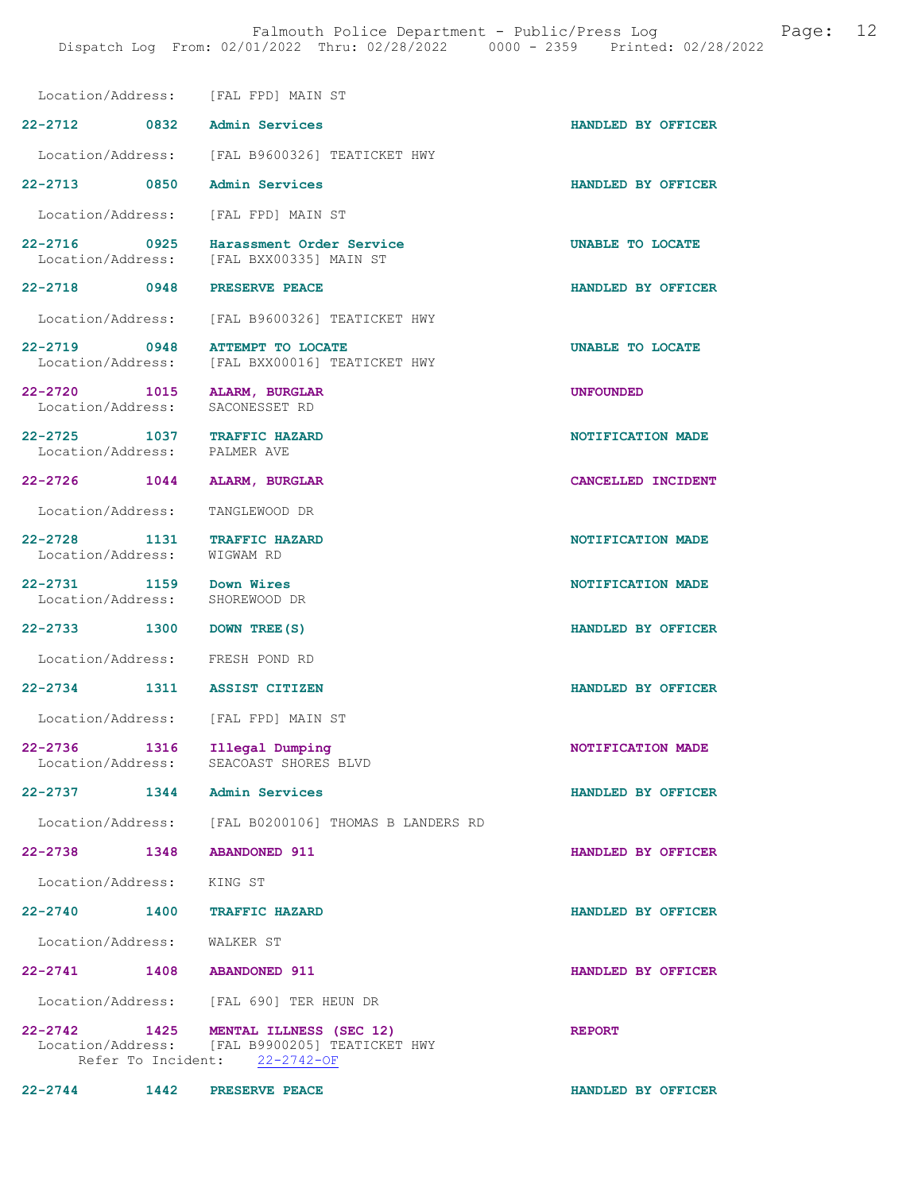Location/Address: [FAL FPD] MAIN ST

- 22-2712 0832 Admin Services HANDLED BY OFFICER Location/Address: [FAL B9600326] TEATICKET HWY
- 22-2713 0850 Admin Services HANDLED BY OFFICER

Location/Address: [FAL FPD] MAIN ST

22-2716 0925 Harassment Order Service **UNABLE TO LOCATE** Location/Address: [FAL BXX00335] MAIN ST [FAL BXX00335] MAIN ST

22-2718 0948 PRESERVE PEACE HANDLED BY OFFICER

Location/Address: [FAL B9600326] TEATICKET HWY

- 22-2719 0948 ATTEMPT TO LOCATE 1994 22-2719 0948 ATTEMPT TO LOCATE Location/Address: [FAL BXX00016] TEATICKET HWY
- 
- Location/Address:
- 22-2725 1037 TRAFFIC HAZARD NOTIFICATION MADE Location/Address: PALMER AVE
- Location/Address:
- 22-2726 1044 ALARM, BURGLAR CANCELLED INCIDENT
	- Location/Address: TANGLEWOOD DR
- 22-2728 1131 TRAFFIC HAZARD NOTIFICATION MADE Location/Address: WIGWAM RD
- 22-2731 1159 Down Wires NOTIFICATION MADE
	-
	-
	-
- 
- 
- 
- 
- 
- 
- 
- 
- Location/Address: KING ST
- 22-2740 1400 TRAFFIC HAZARD HANDLED BY OFFICER
- 
- 
- 22-2741 1408 ABANDONED 911 HANDLED BY OFFICER
- Location/Address: [FAL 690] TER HEUN DR
- 22-2742 1425 MENTAL ILLNESS (SEC 12) REPORT Location/Address: [FAL B9900205] TEATICKET HWY<br>Refer To Incident: 22-2742-OF Refer To Incident:
- 22-2744 1442 PRESERVE PEACE HANDLED BY OFFICER
- 
- [FAL BXX00016] TEATICKET HWY
- 22-2720 1015 ALARM, BURGLAR UNFOUNDED<br>
Location/Address: SACONESSET RD
	-
	-
	- -
		-
		-
	- Location/Address: SHOREWOOD DR
- 22-2733 1300 DOWN TREE(S) HANDLED BY OFFICER
	- Location/Address: FRESH POND RD
- 22-2734 1311 ASSIST CITIZEN HANDLED BY OFFICER
	- Location/Address: [FAL FPD] MAIN ST
- 22-2736 1316 Illegal Dumping 12-2736 1316 NOTIFICATION MADE SEACOAST SHORES BLVD
- 22-2737 1344 Admin Services HANDLED BY OFFICER
	- Location/Address: [FAL B0200106] THOMAS B LANDERS RD
- 22-2738 1348 ABANDONED 911 HANDLED BY OFFICER
	-
	-
	-
	- Location/Address: WALKER ST
		- -
		-
	- - - -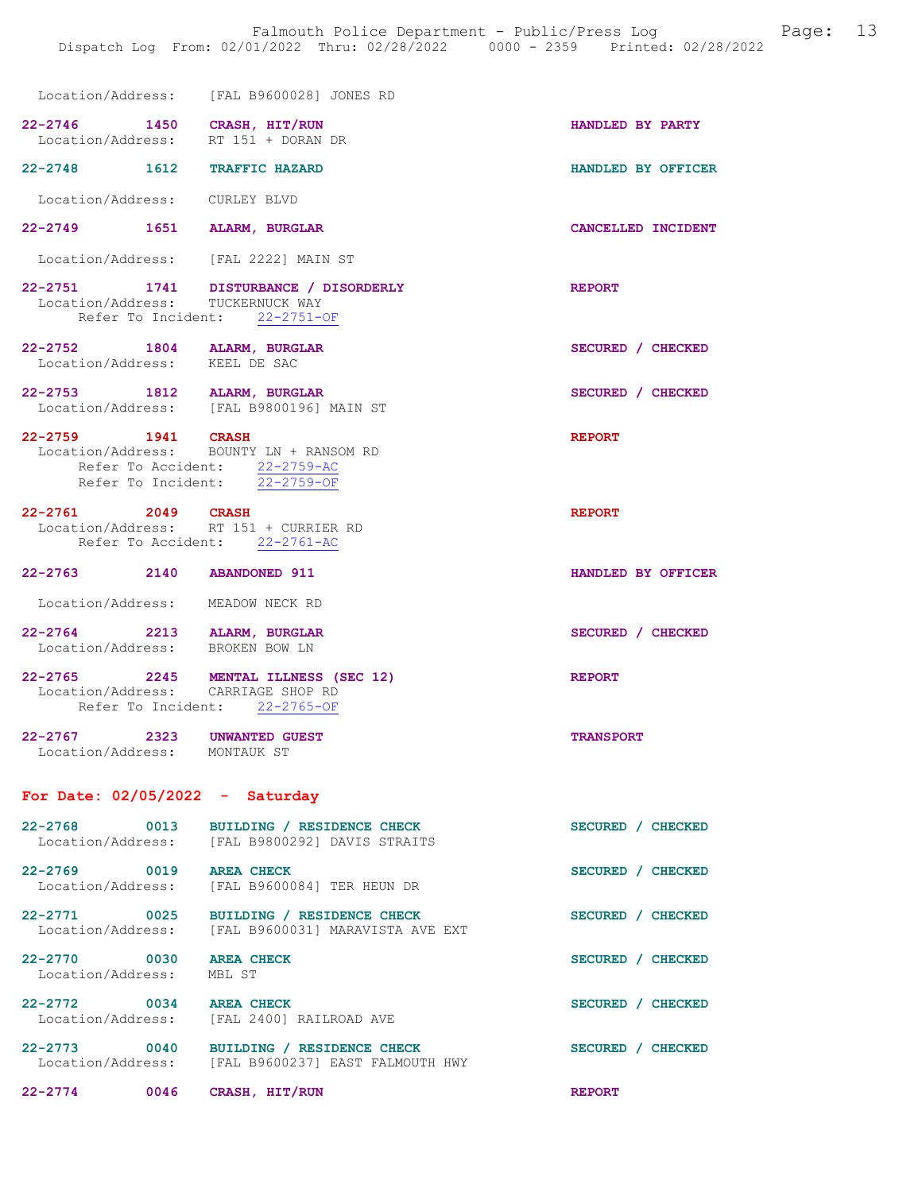|                                                                    | Location/Address: [FAL B9600028] JONES RD                                                                 |                    |
|--------------------------------------------------------------------|-----------------------------------------------------------------------------------------------------------|--------------------|
| 22-2746 1450 CRASH, HIT/RUN<br>Location/Address: RT 151 + DORAN DR |                                                                                                           | HANDLED BY PARTY   |
| 22-2748 1612 TRAFFIC HAZARD                                        |                                                                                                           | HANDLED BY OFFICER |
| Location/Address: CURLEY BLVD                                      |                                                                                                           |                    |
| 22-2749 1651 ALARM, BURGLAR                                        |                                                                                                           | CANCELLED INCIDENT |
| Location/Address: [FAL 2222] MAIN ST                               |                                                                                                           |                    |
| Location/Address: TUCKERNUCK WAY                                   | 22-2751 1741 DISTURBANCE / DISORDERLY<br>Refer To Incident: 22-2751-OF                                    | <b>REPORT</b>      |
| 22-2752 1804 ALARM, BURGLAR<br>Location/Address: KEEL DE SAC       |                                                                                                           | SECURED / CHECKED  |
| 22-2753 1812 ALARM, BURGLAR                                        | Location/Address: [FAL B9800196] MAIN ST                                                                  | SECURED / CHECKED  |
| 22-2759 1941 CRASH                                                 | Location/Address: BOUNTY LN + RANSOM RD<br>Refer To Accident: 22-2759-AC<br>Refer To Incident: 22-2759-OF | <b>REPORT</b>      |
| 22-2761 2049 CRASH<br>Location/Address: RT 151 + CURRIER RD        | Refer To Accident: 22-2761-AC                                                                             | <b>REPORT</b>      |
| 22-2763 2140 ABANDONED 911                                         |                                                                                                           | HANDLED BY OFFICER |
| Location/Address: MEADOW NECK RD                                   |                                                                                                           |                    |
| 22-2764 2213 ALARM, BURGLAR<br>Location/Address: BROKEN BOW LN     |                                                                                                           | SECURED / CHECKED  |
| Refer To Incident: 22-2765-OF                                      | 22-2765 2245 MENTAL ILLNESS (SEC 12)<br>Location/Address: CARRIAGE SHOP RD                                | <b>REPORT</b>      |
| 22-2767 2323 UNWANTED GUEST<br>Location/Address: MONTAUK ST        |                                                                                                           | <b>TRANSPORT</b>   |
| For Date: $02/05/2022 -$ Saturday                                  |                                                                                                           |                    |
| 22-2768 0013<br>Location/Address:                                  | BUILDING / RESIDENCE CHECK<br>[FAL B9800292] DAVIS STRAITS                                                | SECURED / CHECKED  |
| 22-2769 0019<br>Location/Address:                                  | <b>AREA CHECK</b><br>[FAL B9600084] TER HEUN DR                                                           | SECURED / CHECKED  |
| 22-2771 0025                                                       | BUILDING / RESIDENCE CHECK<br>Location/Address: [FAL B9600031] MARAVISTA AVE EXT                          | SECURED / CHECKED  |
| 22-2770 0030<br>Location/Address:                                  | <b>AREA CHECK</b><br>MBL ST                                                                               | SECURED / CHECKED  |
| 22-2772 0034                                                       | <b>AREA CHECK</b><br>Location/Address: [FAL 2400] RAILROAD AVE                                            | SECURED / CHECKED  |
| 22-2773 0040<br>Location/Address:                                  | BUILDING / RESIDENCE CHECK<br>[FAL B9600237] EAST FALMOUTH HWY                                            | SECURED / CHECKED  |

22-2774 0046 CRASH, HIT/RUN REPORT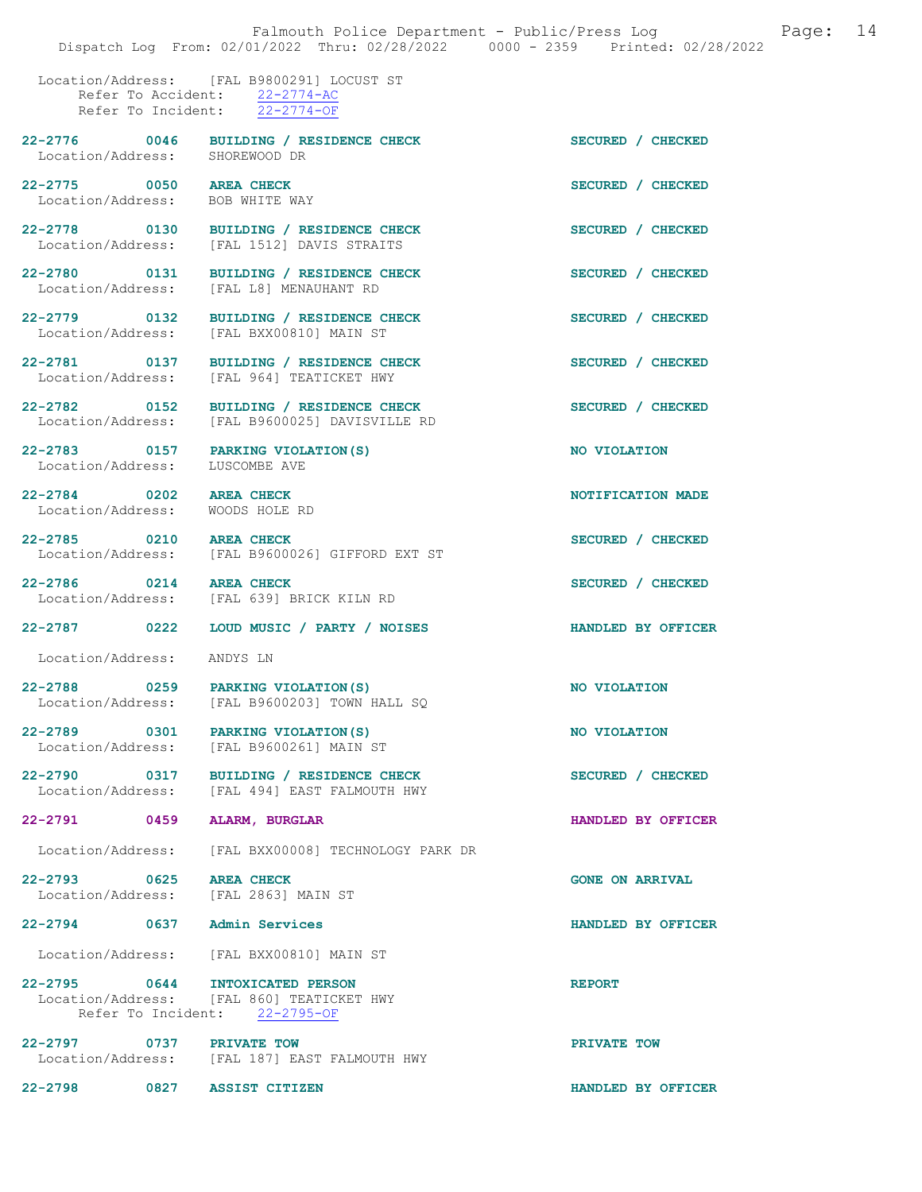Location/Address: [FAL B9800291] LOCUST ST Refer To Accident: 22-2774-AC Refer To Incident: 22-2774-OF

Location/Address:

Location/Address:

Location/Address: [FAL L8] MENAUHANT RD

Location/Address: [FAL BXX00810] MAIN ST

Location/Address: [FAL 964] TEATICKET HWY

Location/Address:

Location/Address: WOODS HOLE RD

Location/Address: [FAL 639] BRICK KILN RD

[FAL 494] EAST FALMOUTH HWY

Location/Address: ANDYS LN

Location/Address: [FAL B9600203] TOWN HALL SQ

22-2790 0317 BUILDING / RESIDENCE CHECK SECURED / CHECKED Location/Address: [FAL 494] EAST FALMOUTH HWY

22-2791 0459 ALARM, BURGLAR HANDLED BY OFFICER

Location/Address: [FAL BXX00008] TECHNOLOGY PARK DR

22-2793 0625 AREA CHECK (GONE ON ARRIVAL Location/Address: [FAL 2863] MAIN ST Location/Address:

22-2794 0637 Admin Services HANDLED BY OFFICER

Location/Address: [FAL BXX00810] MAIN ST

22-2795 0644 INTOXICATED PERSON REPORT<br>
Location/Address: [FAL 860] TEATICKET HWY [FAL 860] TEATICKET HWY<br>ent: 22-2795-OF Refer To Incident:

22-2797 0737 PRIVATE TOW PRIVATE TOW Location/Address: [FAL 187] EAST FALMOUTH HWY

22-2798 0827 ASSIST CITIZEN HANDLED BY OFFICER

22-2776 0046 BUILDING / RESIDENCE CHECK SECURED / CHECKED Location/Address: SHOREWOOD DR 22-2775 0050 AREA CHECK SECURED / CHECKED<br>
Location/Address: BOB WHITE WAY 22-2778 0130 BUILDING / RESIDENCE CHECK SECURED / CHECKED Location/Address: [FAL 1512] DAVIS STRAITS [FAL 1512] DAVIS STRAITS 22-2780 0131 BUILDING / RESIDENCE CHECK SECURED / CHECKED 22-2779 0132 BUILDING / RESIDENCE CHECK SECURED / CHECKED 22-2781 0137 BUILDING / RESIDENCE CHECK SECURED / CHECKED 22-2782 0152 BUILDING / RESIDENCE CHECK SECURED / CHECKED Location/Address: [FAL B9600025] DAVISVILLE RD 22-2783 0157 PARKING VIOLATION(S) NO VIOLATION<br>
Location/Address: LUSCOMBE AVE 22-2784 0202 AREA CHECK NOTIFICATION MADE 22-2785 0210 AREA CHECK SECURED / CHECKED Location/Address: [FAL B9600026] GIFFORD EXT ST 22-2786 0214 AREA CHECK SECURED / CHECKED 22-2787 0222 LOUD MUSIC / PARTY / NOISES HANDLED BY OFFICER 22-2788 0259 PARKING VIOLATION(S) NO VIOLATION 22-2789 0301 PARKING VIOLATION(S) NO VIOLATION<br>
Location/Address: [FAL B9600261] MAIN ST [FAL B9600261] MAIN ST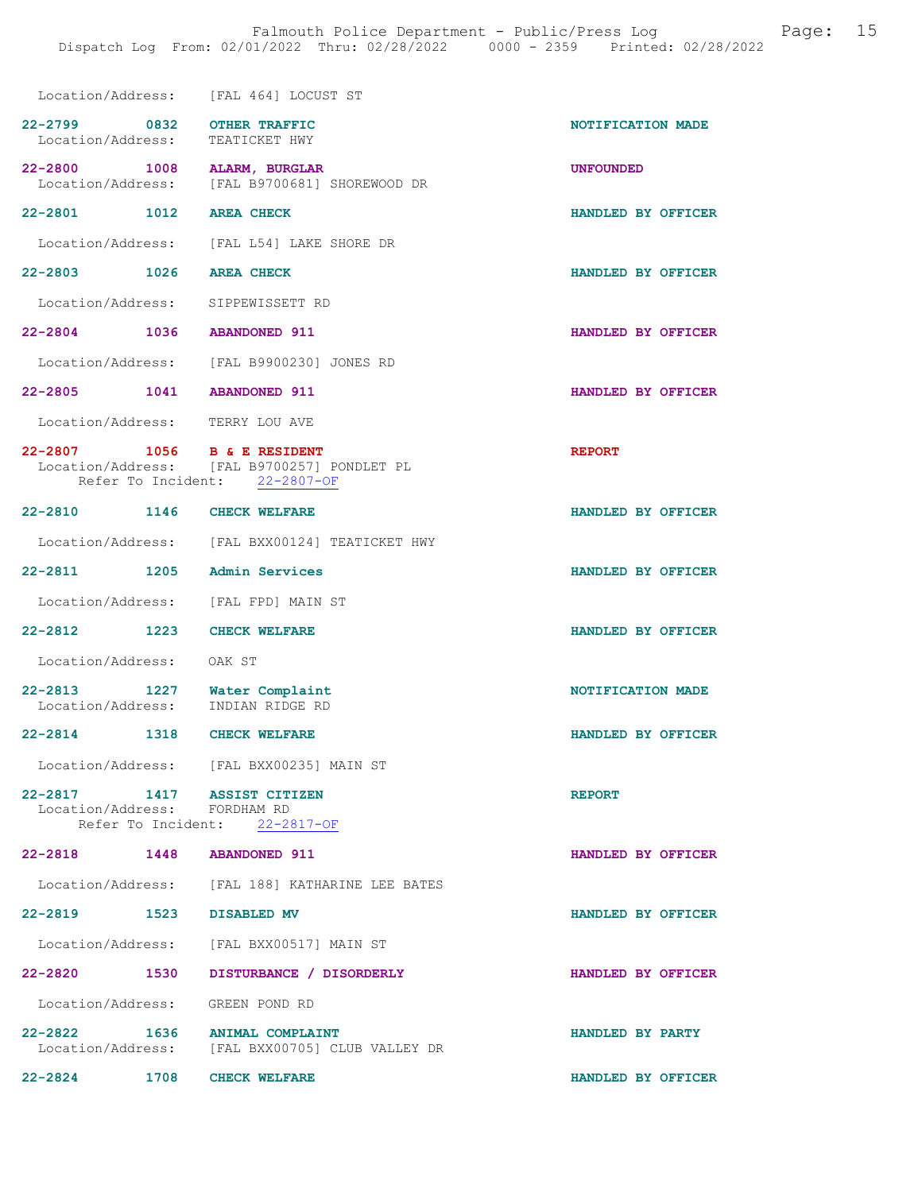|                                                               |      | Location/Address: [FAL 464] LOCUST ST                                                                       |                    |
|---------------------------------------------------------------|------|-------------------------------------------------------------------------------------------------------------|--------------------|
| 22-2799 0832 OTHER TRAFFIC<br>Location/Address: TEATICKET HWY |      |                                                                                                             | NOTIFICATION MADE  |
|                                                               |      | 22-2800 1008 ALARM, BURGLAR<br>Location/Address: [FAL B9700681] SHOREWOOD DR                                | <b>UNFOUNDED</b>   |
| 22-2801 1012 AREA CHECK                                       |      |                                                                                                             | HANDLED BY OFFICER |
|                                                               |      | Location/Address: [FAL L54] LAKE SHORE DR                                                                   |                    |
| 22-2803 1026 AREA CHECK                                       |      |                                                                                                             | HANDLED BY OFFICER |
|                                                               |      | Location/Address: SIPPEWISSETT RD                                                                           |                    |
| 22-2804 1036 ABANDONED 911                                    |      |                                                                                                             | HANDLED BY OFFICER |
|                                                               |      | Location/Address: [FAL B9900230] JONES RD                                                                   |                    |
| 22-2805 1041 ABANDONED 911                                    |      |                                                                                                             | HANDLED BY OFFICER |
|                                                               |      | Location/Address: TERRY LOU AVE                                                                             |                    |
|                                                               |      | 22-2807 1056 B & E RESIDENT<br>Location/Address: [FAL B9700257] PONDLET PL<br>Refer To Incident: 22-2807-OF | <b>REPORT</b>      |
| 22-2810 1146 CHECK WELFARE                                    |      |                                                                                                             | HANDLED BY OFFICER |
|                                                               |      | Location/Address: [FAL BXX00124] TEATICKET HWY                                                              |                    |
|                                                               |      | 22-2811 1205 Admin Services                                                                                 | HANDLED BY OFFICER |
|                                                               |      | Location/Address: [FAL FPD] MAIN ST                                                                         |                    |
| 22-2812 1223                                                  |      | <b>CHECK WELFARE</b>                                                                                        | HANDLED BY OFFICER |
| Location/Address: OAK ST                                      |      |                                                                                                             |                    |
| 22-2813 1227                                                  |      | Water Complaint<br>Location/Address: INDIAN RIDGE RD                                                        | NOTIFICATION MADE  |
| 22-2814 1318 CHECK WELFARE                                    |      |                                                                                                             | HANDLED BY OFFICER |
|                                                               |      | Location/Address: [FAL BXX00235] MAIN ST                                                                    |                    |
| Location/Address: FORDHAM RD                                  |      | 22-2817 1417 ASSIST CITIZEN<br>Refer To Incident: 22-2817-OF                                                | <b>REPORT</b>      |
| 22-2818  1448  ABANDONED  911                                 |      |                                                                                                             | HANDLED BY OFFICER |
|                                                               |      | Location/Address: [FAL 188] KATHARINE LEE BATES                                                             |                    |
| 22-2819 1523 DISABLED MV                                      |      |                                                                                                             | HANDLED BY OFFICER |
|                                                               |      | Location/Address: [FAL BXX00517] MAIN ST                                                                    |                    |
| 22-2820 1530                                                  |      | DISTURBANCE / DISORDERLY                                                                                    | HANDLED BY OFFICER |
|                                                               |      | Location/Address: GREEN POND RD                                                                             |                    |
|                                                               |      | 22-2822 1636 ANIMAL COMPLAINT<br>Location/Address: [FAL BXX00705] CLUB VALLEY DR                            | HANDLED BY PARTY   |
| 22-2824                                                       | 1708 | <b>CHECK WELFARE</b>                                                                                        | HANDLED BY OFFICER |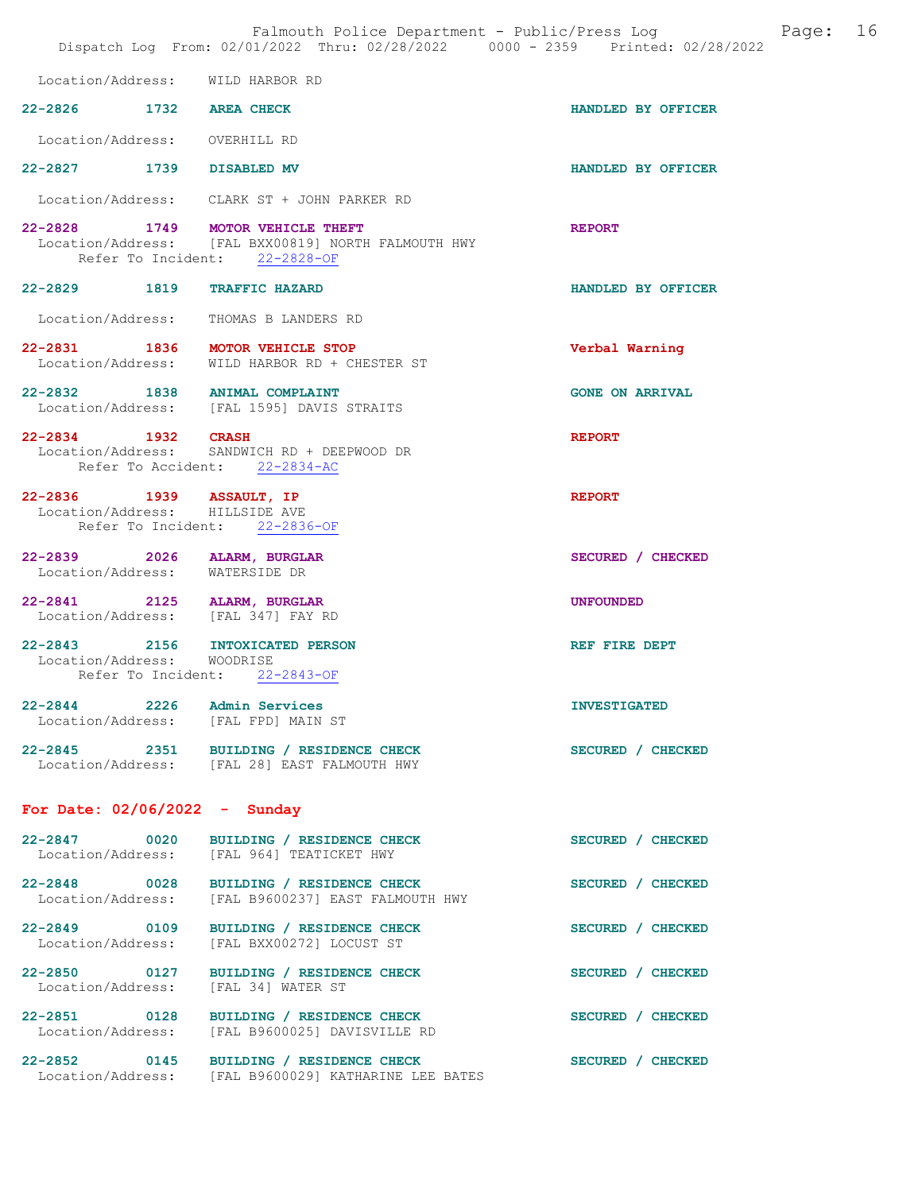|                                                                   | Dispatch Log From: 02/01/2022 Thru: 02/28/2022 0000 - 2359 Printed: 02/28/2022                                           | Falmouth Police Department - Public/Press Log Mage: 16 |  |
|-------------------------------------------------------------------|--------------------------------------------------------------------------------------------------------------------------|--------------------------------------------------------|--|
| Location/Address: WILD HARBOR RD                                  |                                                                                                                          |                                                        |  |
| 22-2826 1732 AREA CHECK                                           |                                                                                                                          | HANDLED BY OFFICER                                     |  |
| Location/Address: OVERHILL RD                                     |                                                                                                                          |                                                        |  |
| 22-2827 1739 DISABLED MV                                          |                                                                                                                          | HANDLED BY OFFICER                                     |  |
|                                                                   | Location/Address: CLARK ST + JOHN PARKER RD                                                                              |                                                        |  |
|                                                                   | 22-2828 1749 MOTOR VEHICLE THEFT<br>Location/Address: [FAL BXX00819] NORTH FALMOUTH HWY<br>Refer To Incident: 22-2828-OF | <b>REPORT</b>                                          |  |
| 22-2829 1819 TRAFFIC HAZARD                                       |                                                                                                                          | HANDLED BY OFFICER                                     |  |
|                                                                   | Location/Address: THOMAS B LANDERS RD                                                                                    |                                                        |  |
|                                                                   | 22-2831 1836 MOTOR VEHICLE STOP<br>Location/Address: WILD HARBOR RD + CHESTER ST                                         | Verbal Warning                                         |  |
| 22-2832 1838 ANIMAL COMPLAINT                                     | Location/Address: [FAL 1595] DAVIS STRAITS                                                                               | <b>GONE ON ARRIVAL</b>                                 |  |
| 22-2834 1932 CRASH                                                | Location/Address: SANDWICH RD + DEEPWOOD DR<br>Refer To Accident: 22-2834-AC                                             | <b>REPORT</b>                                          |  |
| 22-2836 1939 ASSAULT, IP<br>Location/Address: HILLSIDE AVE        | Refer To Incident: 22-2836-OF                                                                                            | <b>REPORT</b>                                          |  |
| 22-2839 2026 ALARM, BURGLAR<br>Location/Address: WATERSIDE DR     |                                                                                                                          | SECURED / CHECKED                                      |  |
| 22-2841 2125 ALARM, BURGLAR<br>Location/Address: [FAL 347] FAY RD |                                                                                                                          | <b>UNFOUNDED</b>                                       |  |
| Location/Address: WOODRISE                                        | 22-2843 2156 INTOXICATED PERSON<br>Refer To Incident: 22-2843-OF                                                         | REF FIRE DEPT                                          |  |
| 22-2844 2226 Admin Services                                       | Location/Address: [FAL FPD] MAIN ST                                                                                      | <b>INVESTIGATED</b>                                    |  |
|                                                                   | 22-2845 2351 BUILDING / RESIDENCE CHECK<br>Location/Address: [FAL 28] EAST FALMOUTH HWY                                  | SECURED / CHECKED                                      |  |
| For Date: $02/06/2022 -$ Sunday                                   |                                                                                                                          |                                                        |  |
| 22-2847 0020                                                      | BUILDING / RESIDENCE CHECK<br>Location/Address: [FAL 964] TEATICKET HWY                                                  | SECURED / CHECKED                                      |  |
|                                                                   | 22-2848 0028 BUILDING / RESIDENCE CHECK<br>Location/Address: [FAL B9600237] EAST FALMOUTH HWY                            | SECURED / CHECKED                                      |  |
| 22-2849 0109<br>Location/Address:                                 | BUILDING / RESIDENCE CHECK<br>[FAL BXX00272] LOCUST ST                                                                   | SECURED / CHECKED                                      |  |
| Location/Address:                                                 | 22-2850 0127 BUILDING / RESIDENCE CHECK<br>[FAL 34] WATER ST                                                             | SECURED / CHECKED                                      |  |
|                                                                   | 22-2851 0128 BUILDING / RESIDENCE CHECK<br>Location/Address: [FAL B9600025] DAVISVILLE RD                                | SECURED / CHECKED                                      |  |
|                                                                   | 22-2852 0145 BUILDING / RESIDENCE CHECK<br>Location/Address: [FAL B9600029] KATHARINE LEE BATES                          | SECURED / CHECKED                                      |  |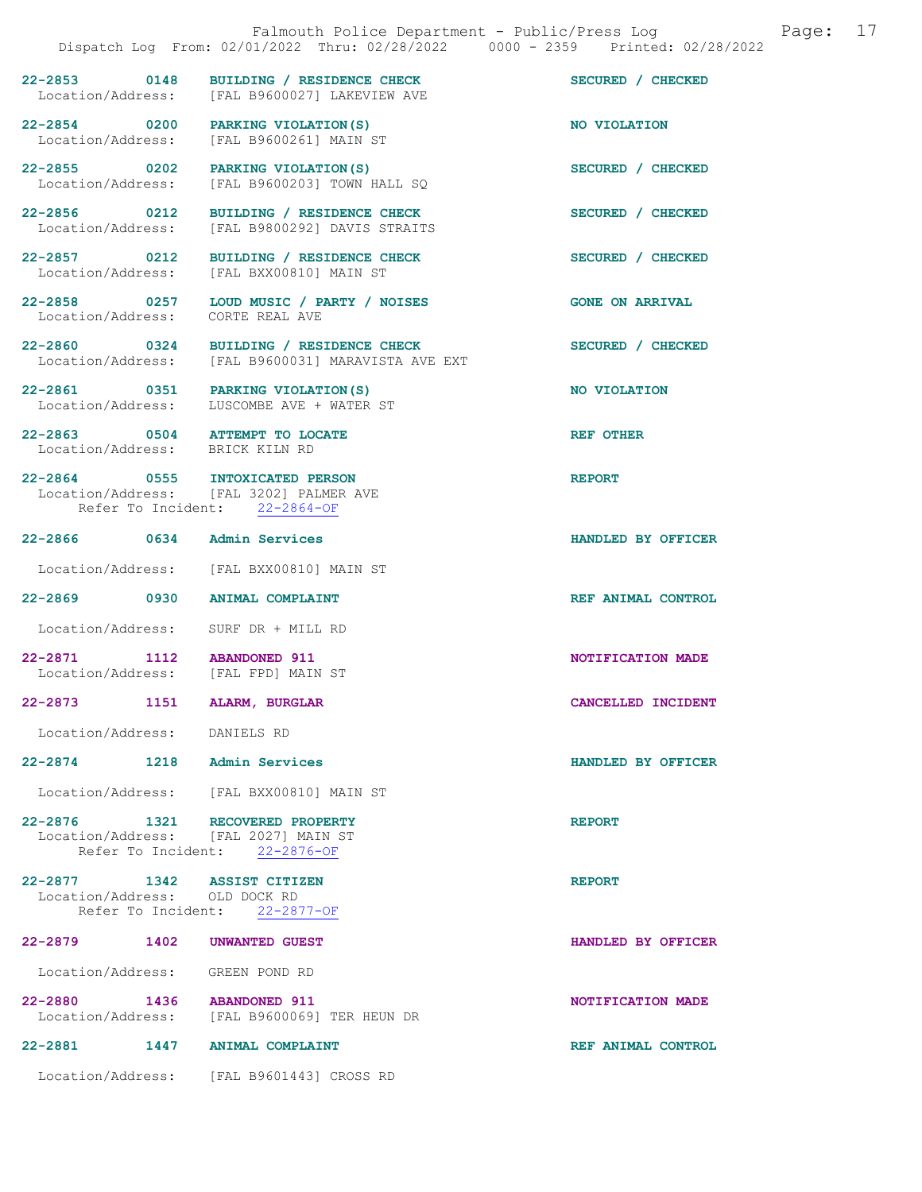|                                   |      | Falmouth Police Department - Public/Press Log<br>Dispatch Log From: 02/01/2022 Thru: 02/28/2022 0000 - 2359 Printed: 02/28/2022 | 17<br>Page:            |
|-----------------------------------|------|---------------------------------------------------------------------------------------------------------------------------------|------------------------|
|                                   |      | 22-2853 0148 BUILDING / RESIDENCE CHECK<br>Location/Address: [FAL B9600027] LAKEVIEW AVE                                        | SECURED / CHECKED      |
|                                   |      | 22-2854 0200 PARKING VIOLATION (S)<br>Location/Address: [FAL B9600261] MAIN ST                                                  | NO VIOLATION           |
|                                   |      | 22-2855 0202 PARKING VIOLATION (S)<br>Location/Address: [FAL B9600203] TOWN HALL SQ                                             | SECURED / CHECKED      |
|                                   |      | 22-2856 0212 BUILDING / RESIDENCE CHECK<br>Location/Address: [FAL B9800292] DAVIS STRAITS                                       | SECURED / CHECKED      |
| 22-2857 0212                      |      | BUILDING / RESIDENCE CHECK<br>Location/Address: [FAL BXX00810] MAIN ST                                                          | SECURED / CHECKED      |
| Location/Address:                 |      | 22-2858 0257 LOUD MUSIC / PARTY / NOISES<br>CORTE REAL AVE                                                                      | <b>GONE ON ARRIVAL</b> |
|                                   |      | 22-2860 0324 BUILDING / RESIDENCE CHECK<br>Location/Address: [FAL B9600031] MARAVISTA AVE EXT                                   | SECURED / CHECKED      |
| Location/Address:                 |      | 22-2861 0351 PARKING VIOLATION (S)<br>LUSCOMBE AVE + WATER ST                                                                   | NO VIOLATION           |
|                                   |      | 22-2863 0504 ATTEMPT TO LOCATE<br>Location/Address: BRICK KILN RD                                                               | <b>REF OTHER</b>       |
|                                   |      | 22-2864 0555 INTOXICATED PERSON<br>Location/Address: [FAL 3202] PALMER AVE<br>Refer To Incident: 22-2864-OF                     | <b>REPORT</b>          |
|                                   |      | 22-2866 0634 Admin Services                                                                                                     | HANDLED BY OFFICER     |
|                                   |      | Location/Address: [FAL BXX00810] MAIN ST                                                                                        |                        |
|                                   |      | 22-2869 0930 ANIMAL COMPLAINT                                                                                                   | REF ANIMAL CONTROL     |
|                                   |      | Location/Address: SURF DR + MILL RD                                                                                             |                        |
| 22-2871 1112 ABANDONED 911        |      | Location/Address: [FAL FPD] MAIN ST                                                                                             | NOTIFICATION MADE      |
| $22 - 2873$                       | 1151 | <b>ALARM, BURGLAR</b>                                                                                                           | CANCELLED INCIDENT     |
| Location/Address: DANIELS RD      |      |                                                                                                                                 |                        |
|                                   |      | 22-2874 1218 Admin Services                                                                                                     | HANDLED BY OFFICER     |
|                                   |      | Location/Address: [FAL BXX00810] MAIN ST                                                                                        |                        |
|                                   |      | 22-2876 1321 RECOVERED PROPERTY<br>Location/Address: [FAL 2027] MAIN ST<br>Refer To Incident: 22-2876-OF                        | <b>REPORT</b>          |
| Location/Address: OLD DOCK RD     |      | 22-2877 1342 ASSIST CITIZEN<br>Refer To Incident: 22-2877-OF                                                                    | <b>REPORT</b>          |
| 22-2879 1402                      |      | <b>UNWANTED GUEST</b>                                                                                                           | HANDLED BY OFFICER     |
| Location/Address:                 |      | GREEN POND RD                                                                                                                   |                        |
| 22-2880 1436<br>Location/Address: |      | <b>ABANDONED 911</b><br>[FAL B9600069] TER HEUN DR                                                                              | NOTIFICATION MADE      |
| 22-2881                           | 1447 | ANIMAL COMPLAINT                                                                                                                | REF ANIMAL CONTROL     |
|                                   |      | Location/Address: [FAL B9601443] CROSS RD                                                                                       |                        |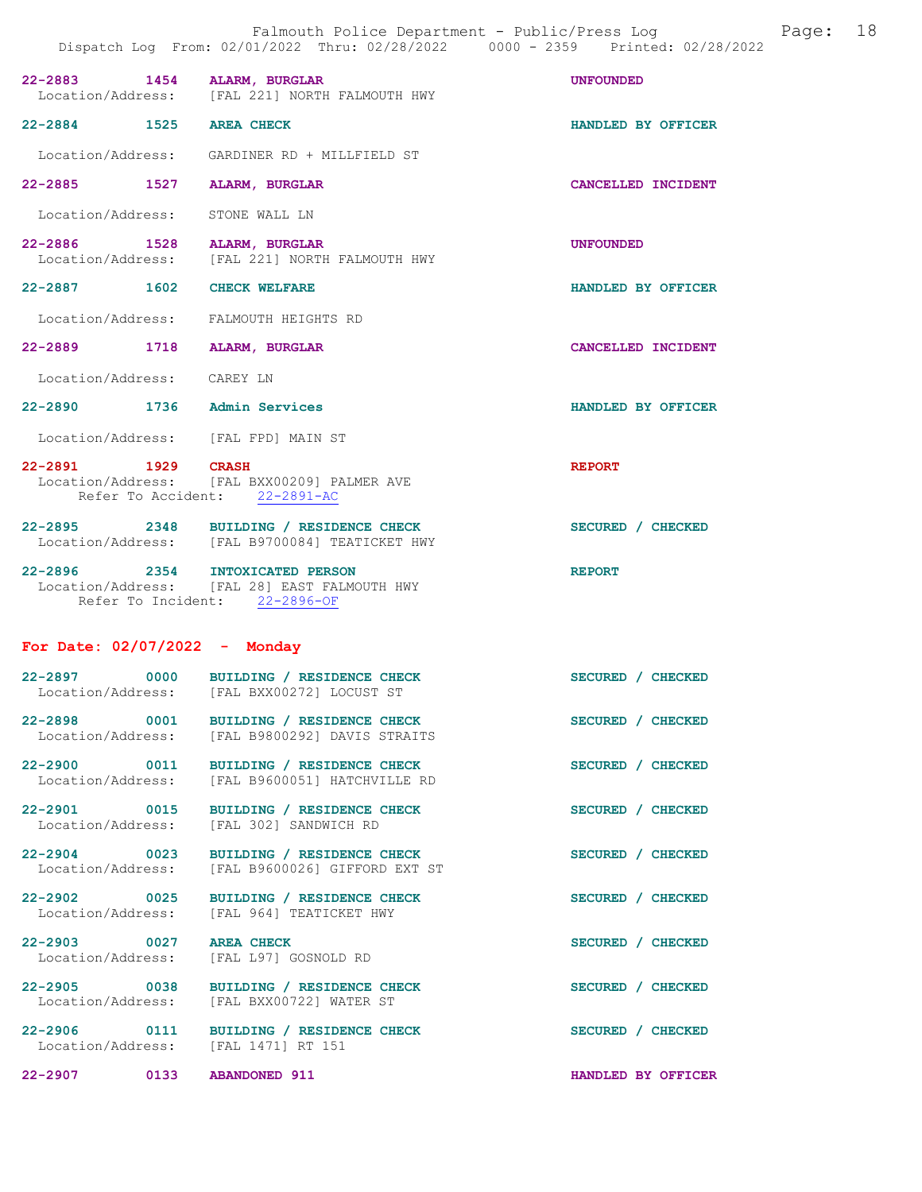| DISPUTCH HOW                                    | ILUM, VZ/VI/ZVZZ INIU, VZ/ZV/ZVZZ<br>vvvv                                                 | ر ں بے ک<br>LLLIILU. VL/LU |
|-------------------------------------------------|-------------------------------------------------------------------------------------------|----------------------------|
| 22-2883 1454 ALARM, BURGLAR                     | Location/Address: [FAL 221] NORTH FALMOUTH HWY                                            | <b>UNFOUNDED</b>           |
| 22-2884 1525 AREA CHECK                         |                                                                                           | HANDLED BY OFFICER         |
|                                                 | Location/Address: GARDINER RD + MILLFIELD ST                                              |                            |
| 22-2885 1527 ALARM, BURGLAR                     |                                                                                           | CANCELLED INCIDENT         |
| Location/Address: STONE WALL LN                 |                                                                                           |                            |
| 22-2886 1528 ALARM, BURGLAR                     | Location/Address: [FAL 221] NORTH FALMOUTH HWY                                            | UNFOUNDED                  |
| 22-2887 1602 CHECK WELFARE                      |                                                                                           | HANDLED BY OFFICER         |
| Location/Address: FALMOUTH HEIGHTS RD           |                                                                                           |                            |
| 22-2889 1718 ALARM, BURGLAR                     |                                                                                           | CANCELLED INCIDENT         |
| Location/Address: CAREY LN                      |                                                                                           |                            |
| 22-2890 1736 Admin Services                     |                                                                                           | HANDLED BY OFFICER         |
| Location/Address: [FAL FPD] MAIN ST             |                                                                                           |                            |
| 22-2891 1929 CRASH                              | Location/Address: [FAL BXX00209] PALMER AVE<br>Refer To Accident: 22-2891-AC              | <b>REPORT</b>              |
|                                                 | 22-2895 2348 BUILDING / RESIDENCE CHECK<br>Location/Address: [FAL B9700084] TEATICKET HWY | SECURED / CHECKED          |
| 22-2896 2354 INTOXICATED PERSON                 | Location/Address: [FAL 28] EAST FALMOUTH HWY<br>Refer To Incident: 22-2896-OF             | <b>REPORT</b>              |
| For Date: $02/07/2022 -$ Monday                 |                                                                                           |                            |
|                                                 | 22-2897 0000 BUILDING / RESIDENCE CHECK<br>Location/Address: [FAL BXX00272] LOCUST ST     | SECURED / CHECKED          |
| $22 - 2898$<br>0001<br>Location/Address:        | BUILDING / RESIDENCE CHECK<br>[FAL B9800292] DAVIS STRAITS                                | SECURED / CHECKED          |
| 22-2900<br>0011<br>Location/Address:            | BUILDING / RESIDENCE CHECK<br>[FAL B9600051] HATCHVILLE RD                                | SECURED / CHECKED          |
| 22-2901 0015<br>Location/Address:               | BUILDING / RESIDENCE CHECK<br>[FAL 302] SANDWICH RD                                       | SECURED / CHECKED          |
| $22 - 2904$<br>$\sim$ 0023<br>Location/Address: | BUILDING / RESIDENCE CHECK<br>[FAL B9600026] GIFFORD EXT ST                               | SECURED / CHECKED          |
| $22 - 2902$<br>0025<br>Location/Address:        | BUILDING / RESIDENCE CHECK<br>[FAL 964] TEATICKET HWY                                     | SECURED / CHECKED          |

- 22-2903 0027 AREA CHECK SECURED / CHECKED Location/Address: [FAL L97] GOSNOLD RD
- 22-2905 0038 BUILDING / RESIDENCE CHECK SECURED / CHECKED
- Location/Address: [FAL BXX00722] WATER ST

22-2906 0111 BUILDING / RESIDENCE CHECK SECURED / CHECKED Location/Address: [FAL 1471] RT 151

22-2907 0133 ABANDONED 911 HANDLED BY OFFICER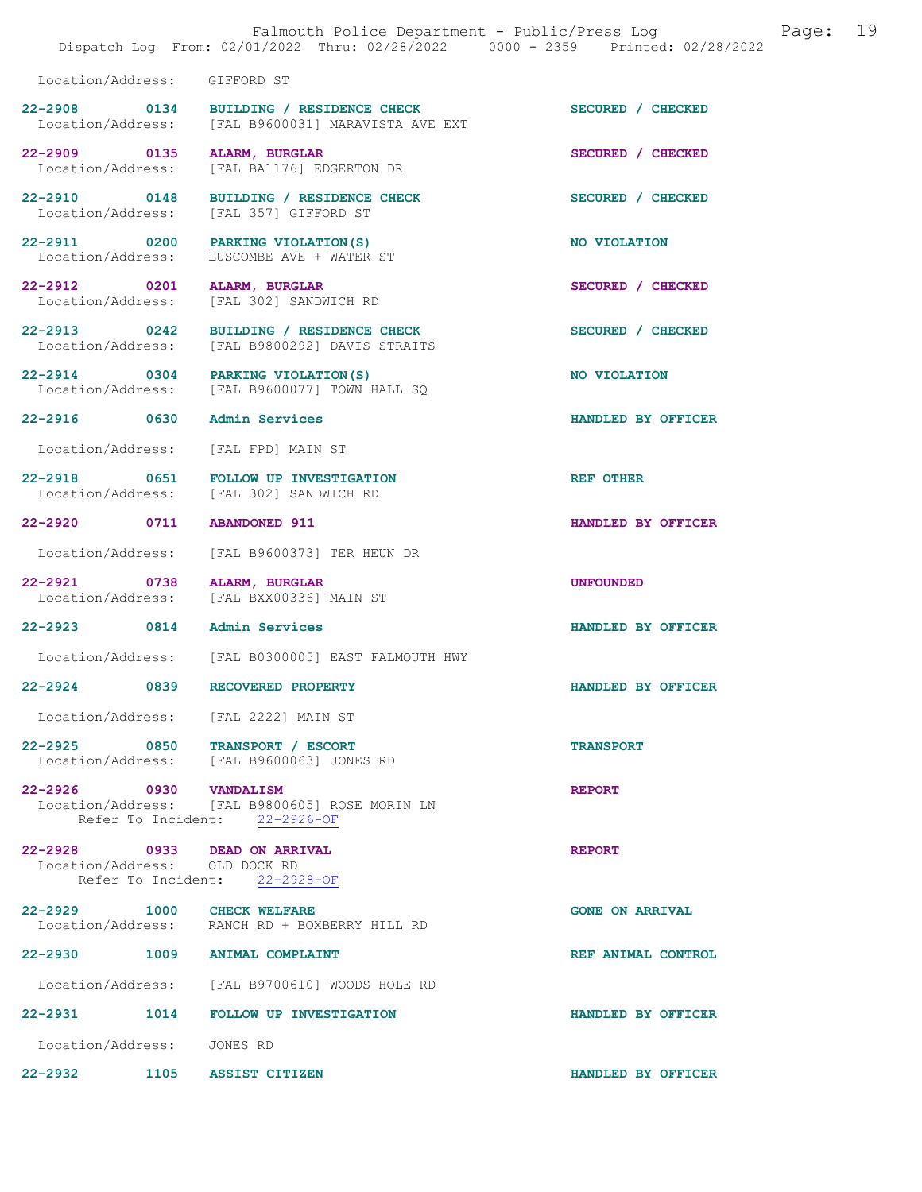|                                                               |      | Falmouth Police Department - Public/Press Log<br>Dispatch Log From: 02/01/2022 Thru: 02/28/2022 0000 - 2359 Printed: 02/28/2022 | 19<br>Page:            |
|---------------------------------------------------------------|------|---------------------------------------------------------------------------------------------------------------------------------|------------------------|
| Location/Address:                                             |      | GIFFORD ST                                                                                                                      |                        |
| Location/Address:                                             |      | 22-2908 0134 BUILDING / RESIDENCE CHECK<br>[FAL B9600031] MARAVISTA AVE EXT                                                     | SECURED / CHECKED      |
| 22-2909 0135<br>Location/Address:                             |      | ALARM, BURGLAR<br>[FAL BA1176] EDGERTON DR                                                                                      | SECURED / CHECKED      |
| 22-2910 0148<br>Location/Address:                             |      | BUILDING / RESIDENCE CHECK<br>[FAL 357] GIFFORD ST                                                                              | SECURED / CHECKED      |
| 22-2911 0200<br>Location/Address:                             |      | PARKING VIOLATION (S)<br>LUSCOMBE AVE + WATER ST                                                                                | NO VIOLATION           |
| 22-2912 0201<br>Location/Address:                             |      | <b>ALARM, BURGLAR</b><br>[FAL 302] SANDWICH RD                                                                                  | SECURED / CHECKED      |
| 22-2913 0242<br>Location/Address:                             |      | BUILDING / RESIDENCE CHECK<br>[FAL B9800292] DAVIS STRAITS                                                                      | SECURED / CHECKED      |
| 22-2914 0304<br>Location/Address:                             |      | PARKING VIOLATION (S)<br>[FAL B9600077] TOWN HALL SO                                                                            | NO VIOLATION           |
| 22-2916 0630                                                  |      | Admin Services                                                                                                                  | HANDLED BY OFFICER     |
| Location/Address:                                             |      | [FAL FPD] MAIN ST                                                                                                               |                        |
| 22-2918 0651<br>Location/Address:                             |      | FOLLOW UP INVESTIGATION<br>[FAL 302] SANDWICH RD                                                                                | <b>REF OTHER</b>       |
| 22-2920 0711                                                  |      | <b>ABANDONED 911</b>                                                                                                            | HANDLED BY OFFICER     |
| Location/Address:                                             |      | [FAL B9600373] TER HEUN DR                                                                                                      |                        |
| 22-2921 0738<br>Location/Address:                             |      | ALARM, BURGLAR<br>[FAL BXX00336] MAIN ST                                                                                        | <b>UNFOUNDED</b>       |
| 22-2923 0814 Admin Services                                   |      |                                                                                                                                 | HANDLED BY OFFICER     |
| Location/Address:                                             |      | [FAL B0300005] EAST FALMOUTH HWY                                                                                                |                        |
| $22 - 2924$                                                   | 0839 | RECOVERED PROPERTY                                                                                                              | HANDLED BY OFFICER     |
|                                                               |      | Location/Address: [FAL 2222] MAIN ST                                                                                            |                        |
|                                                               |      | 22-2925 0850 TRANSPORT / ESCORT<br>Location/Address: [FAL B9600063] JONES RD                                                    | <b>TRANSPORT</b>       |
| 22-2926 0930 VANDALISM                                        |      | Location/Address: [FAL B9800605] ROSE MORIN LN<br>Refer To Incident: 22-2926-OF                                                 | <b>REPORT</b>          |
| 22-2928 0933 DEAD ON ARRIVAL<br>Location/Address: OLD DOCK RD |      | Refer To Incident: 22-2928-OF                                                                                                   | <b>REPORT</b>          |
| 22-2929 1000 CHECK WELFARE                                    |      | Location/Address: RANCH RD + BOXBERRY HILL RD                                                                                   | <b>GONE ON ARRIVAL</b> |
|                                                               |      | 22-2930 1009 ANIMAL COMPLAINT                                                                                                   | REF ANIMAL CONTROL     |
|                                                               |      | Location/Address: [FAL B9700610] WOODS HOLE RD                                                                                  |                        |
|                                                               |      | 22-2931 1014 FOLLOW UP INVESTIGATION                                                                                            | HANDLED BY OFFICER     |
| Location/Address: JONES RD                                    |      |                                                                                                                                 |                        |
| 22-2932                                                       |      | 1105 ASSIST CITIZEN                                                                                                             | HANDLED BY OFFICER     |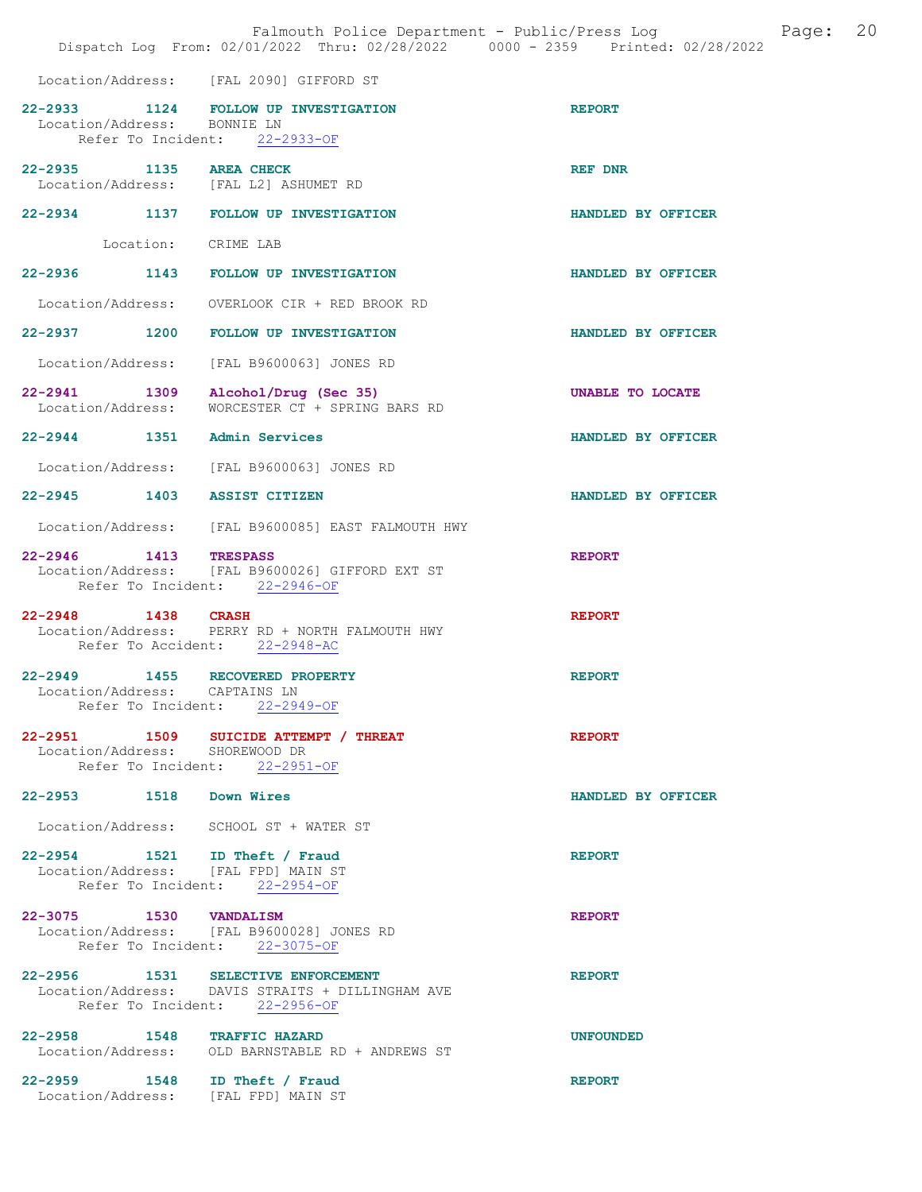|                                | Falmouth Police Department - Public/Press Log bage:<br>Dispatch Log From: 02/01/2022 Thru: 02/28/2022 0000 - 2359 Printed: 02/28/2022 |                         | 20 |
|--------------------------------|---------------------------------------------------------------------------------------------------------------------------------------|-------------------------|----|
|                                | Location/Address: [FAL 2090] GIFFORD ST                                                                                               |                         |    |
| Location/Address: BONNIE LN    | 22-2933 1124 FOLLOW UP INVESTIGATION<br>Refer To Incident: 22-2933-OF                                                                 | <b>REPORT</b>           |    |
|                                | 22-2935 1135 AREA CHECK<br>Location/Address: [FAL L2] ASHUMET RD                                                                      | <b>REF DNR</b>          |    |
|                                | 22-2934 1137 FOLLOW UP INVESTIGATION                                                                                                  | HANDLED BY OFFICER      |    |
|                                | Location: CRIME LAB                                                                                                                   |                         |    |
|                                | 22-2936 1143 FOLLOW UP INVESTIGATION                                                                                                  | HANDLED BY OFFICER      |    |
|                                | Location/Address: OVERLOOK CIR + RED BROOK RD                                                                                         |                         |    |
|                                | 22-2937 1200 FOLLOW UP INVESTIGATION                                                                                                  | HANDLED BY OFFICER      |    |
|                                | Location/Address: [FAL B9600063] JONES RD                                                                                             |                         |    |
| Location/Address:              | 22-2941 1309 Alcohol/Drug (Sec 35)<br>WORCESTER CT + SPRING BARS RD                                                                   | <b>UNABLE TO LOCATE</b> |    |
|                                | 22-2944 1351 Admin Services                                                                                                           | HANDLED BY OFFICER      |    |
|                                | Location/Address: [FAL B9600063] JONES RD                                                                                             |                         |    |
|                                | 22-2945 1403 ASSIST CITIZEN                                                                                                           | HANDLED BY OFFICER      |    |
|                                | Location/Address: [FAL B9600085] EAST FALMOUTH HWY                                                                                    |                         |    |
| 22-2946 1413 TRESPASS          | Location/Address: [FAL B9600026] GIFFORD EXT ST<br>Refer To Incident: 22-2946-OF                                                      | <b>REPORT</b>           |    |
| 22-2948 1438 CRASH             | Location/Address: PERRY RD + NORTH FALMOUTH HWY<br>Refer To Accident: 22-2948-AC                                                      | <b>REPORT</b>           |    |
| Location/Address: CAPTAINS LN  | 22-2949 1455 RECOVERED PROPERTY<br>Refer To Incident: 22-2949-OF                                                                      | <b>REPORT</b>           |    |
| Location/Address: SHOREWOOD DR | 22-2951  1509 SUICIDE ATTEMPT / THREAT<br>Refer To Incident: 22-2951-OF                                                               | <b>REPORT</b>           |    |
| 22-2953 1518 Down Wires        |                                                                                                                                       | HANDLED BY OFFICER      |    |
|                                | Location/Address: SCHOOL ST + WATER ST                                                                                                |                         |    |
|                                | 22-2954 1521 ID Theft / Fraud<br>Location/Address: [FAL FPD] MAIN ST<br>Refer To Incident: 22-2954-OF                                 | <b>REPORT</b>           |    |
| 22-3075 1530 VANDALISM         | Location/Address: [FAL B9600028] JONES RD<br>Refer To Incident: 22-3075-OF                                                            | <b>REPORT</b>           |    |
|                                | 22-2956 1531 SELECTIVE ENFORCEMENT<br>Location/Address: DAVIS STRAITS + DILLINGHAM AVE<br>Refer To Incident: 22-2956-OF               | <b>REPORT</b>           |    |
|                                | 22-2958 1548 TRAFFIC HAZARD<br>Location/Address: OLD BARNSTABLE RD + ANDREWS ST                                                       | <b>UNFOUNDED</b>        |    |
|                                | 22-2959 1548 ID Theft / Fraud<br>Location/Address: [FAL FPD] MAIN ST                                                                  | <b>REPORT</b>           |    |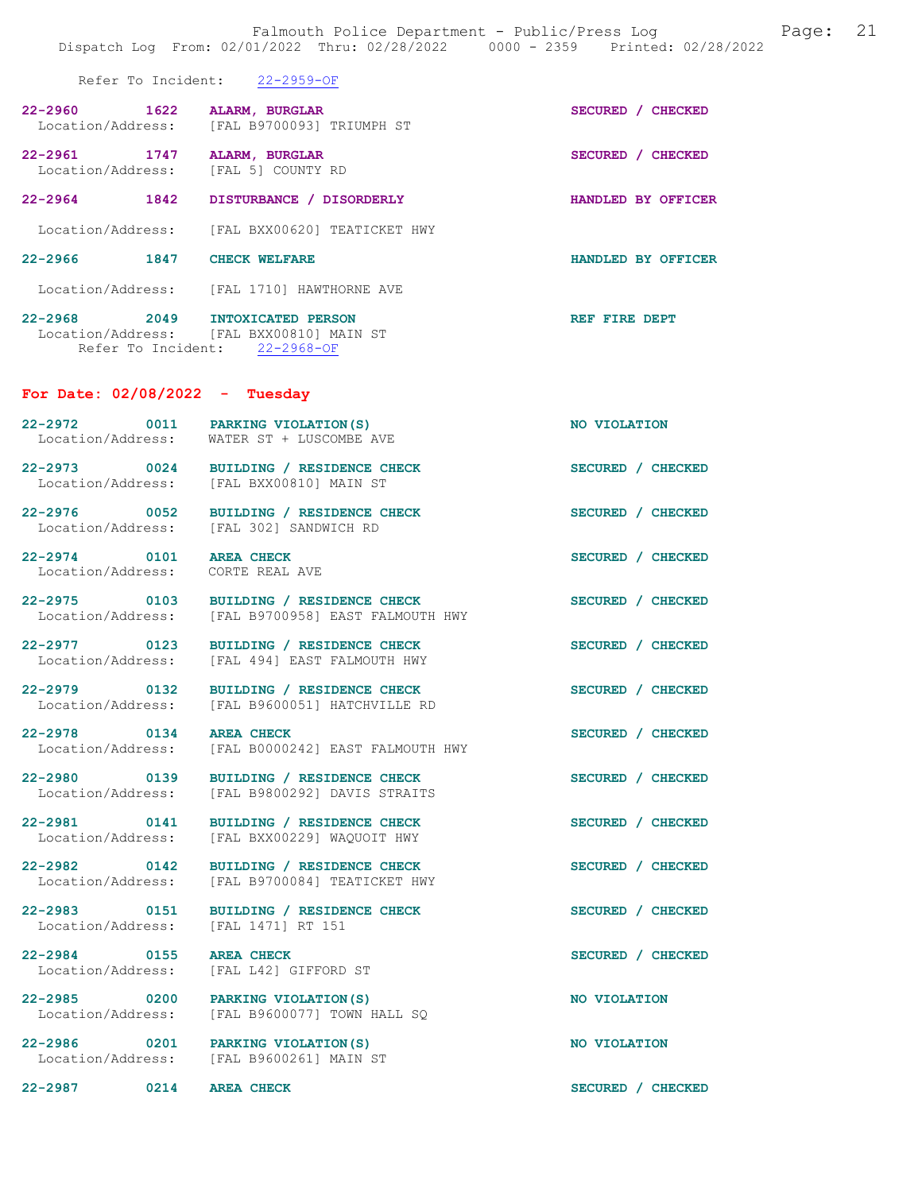|                                                             | Dispatch Log From: 02/01/2022 Thru: 02/28/2022 0000 - 2359 Printed: 02/28/2022                               |                            |
|-------------------------------------------------------------|--------------------------------------------------------------------------------------------------------------|----------------------------|
|                                                             | Refer To Incident: 22-2959-OF                                                                                |                            |
| 22-2960 1622 ALARM, BURGLAR                                 | Location/Address: [FAL B9700093] TRIUMPH ST                                                                  | SECURED / CHECKED          |
|                                                             | 22-2961 1747 ALARM, BURGLAR<br>Location/Address: [FAL 5] COUNTY RD                                           | SECURED / CHECKED          |
|                                                             | 22-2964 1842 DISTURBANCE / DISORDERLY                                                                        | HANDLED BY OFFICER         |
|                                                             | Location/Address: [FAL BXX00620] TEATICKET HWY                                                               |                            |
| 22-2966 1847 CHECK WELFARE                                  |                                                                                                              | HANDLED BY OFFICER         |
|                                                             | Location/Address: [FAL 1710] HAWTHORNE AVE                                                                   |                            |
|                                                             | 22-2968 2049 INTOXICATED PERSON<br>Location/Address: [FAL BXX00810] MAIN ST<br>Refer To Incident: 22-2968-OF | <b>EXAMPLE PRINCE DEPT</b> |
| For Date: $02/08/2022 - Tuesday$                            |                                                                                                              |                            |
|                                                             | 22-2972 0011 PARKING VIOLATION (S)<br>Location/Address: WATER ST + LUSCOMBE AVE                              | NO VIOLATION               |
|                                                             | 22-2973 0024 BUILDING / RESIDENCE CHECK<br>Location/Address: [FAL BXX00810] MAIN ST                          | SECURED / CHECKED          |
|                                                             | 22-2976 0052 BUILDING / RESIDENCE CHECK<br>Location/Address: [FAL 302] SANDWICH RD                           | SECURED / CHECKED          |
| 22-2974 0101 AREA CHECK<br>Location/Address: CORTE REAL AVE |                                                                                                              | SECURED / CHECKED          |
|                                                             | 22-2975 0103 BUILDING / RESIDENCE CHECK<br>Location/Address: [FAL B9700958] EAST FALMOUTH HWY                | SECURED / CHECKED          |
|                                                             | 22-2977 0123 BUILDING / RESIDENCE CHECK<br>Location/Address: [FAL 494] EAST FALMOUTH HWY                     | SECURED / CHECKED          |
|                                                             | 22-2979 0132 BUILDING / RESIDENCE CHECK<br>Location/Address: [FAL B9600051] HATCHVILLE RD                    | SECURED / CHECKED          |
| 22-2978 0134 AREA CHECK                                     | Location/Address: [FAL B0000242] EAST FALMOUTH HWY                                                           | SECURED / CHECKED          |
|                                                             | 22-2980 0139 BUILDING / RESIDENCE CHECK<br>Location/Address: [FAL B9800292] DAVIS STRAITS                    | SECURED / CHECKED          |
| Location/Address:                                           | 22-2981 0141 BUILDING / RESIDENCE CHECK<br>[FAL BXX00229] WAOUOIT HWY                                        | SECURED / CHECKED          |
|                                                             | 22-2982 0142 BUILDING / RESIDENCE CHECK<br>Location/Address: [FAL B9700084] TEATICKET HWY                    | SECURED / CHECKED          |
| Location/Address: [FAL 1471] RT 151                         | 22-2983 0151 BUILDING / RESIDENCE CHECK                                                                      | SECURED / CHECKED          |
| 22-2984 0155 AREA CHECK                                     | Location/Address: [FAL L42] GIFFORD ST                                                                       | SECURED / CHECKED          |
| 22-2985 0200                                                | PARKING VIOLATION(S)<br>Location/Address: [FAL B9600077] TOWN HALL SQ                                        | NO VIOLATION               |
|                                                             | 22-2986 0201 PARKING VIOLATION (S)<br>Location/Address: [FAL B9600261] MAIN ST                               | NO VIOLATION               |
| 22-2987 0214 AREA CHECK                                     |                                                                                                              | SECURED / CHECKED          |

Falmouth Police Department - Public/Press Log and Page: 21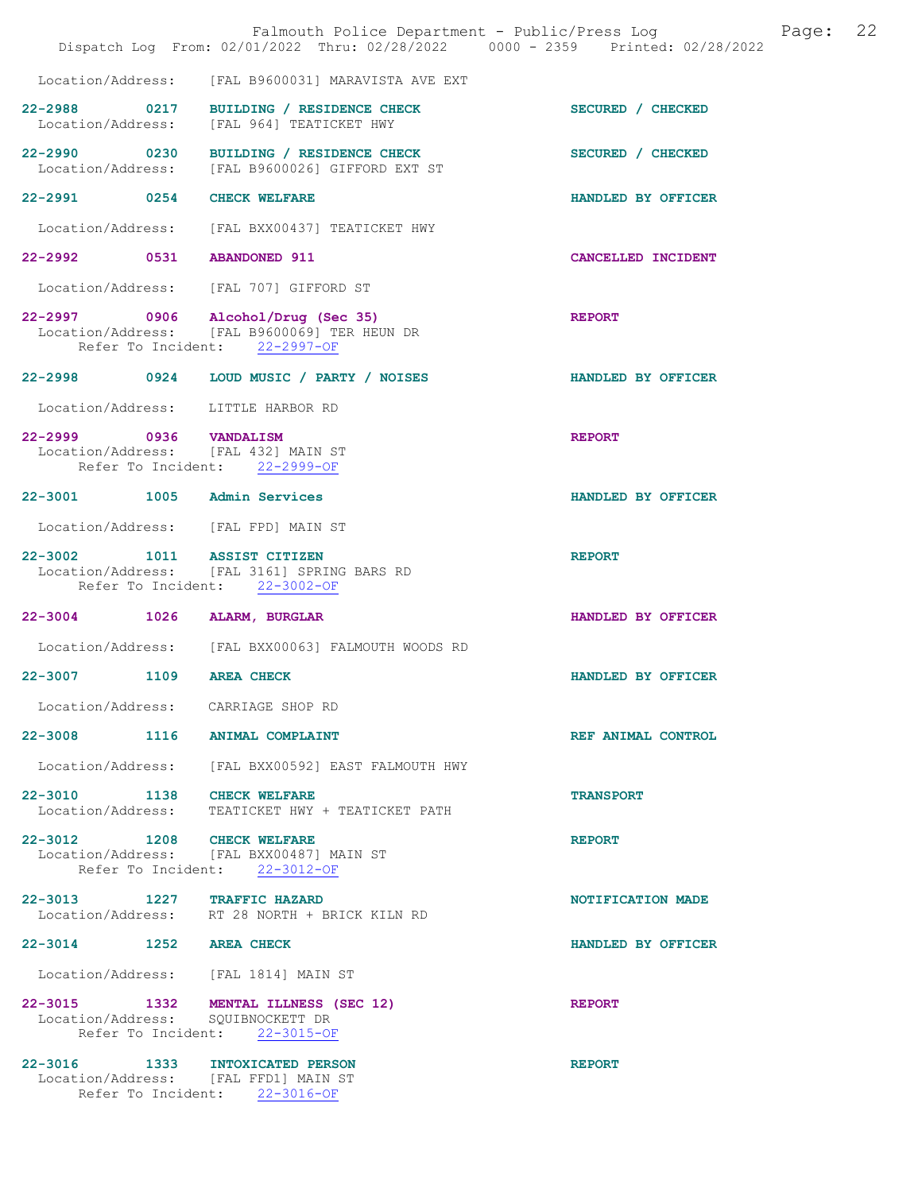|                             | Falmouth Police Department - Public/Press Log Fage:<br>Dispatch Log From: 02/01/2022 Thru: 02/28/2022 0000 - 2359 Printed: 02/28/2022 |                    | 22 |
|-----------------------------|---------------------------------------------------------------------------------------------------------------------------------------|--------------------|----|
|                             | Location/Address: [FAL B9600031] MARAVISTA AVE EXT                                                                                    |                    |    |
|                             | 22-2988 0217 BUILDING / RESIDENCE CHECK<br>Location/Address: [FAL 964] TEATICKET HWY                                                  | SECURED / CHECKED  |    |
|                             | 22-2990 0230 BUILDING / RESIDENCE CHECK<br>Location/Address: [FAL B9600026] GIFFORD EXT ST                                            | SECURED / CHECKED  |    |
| 22-2991 0254 CHECK WELFARE  |                                                                                                                                       | HANDLED BY OFFICER |    |
|                             | Location/Address: [FAL BXX00437] TEATICKET HWY                                                                                        |                    |    |
| 22-2992 0531 ABANDONED 911  |                                                                                                                                       | CANCELLED INCIDENT |    |
|                             | Location/Address: [FAL 707] GIFFORD ST                                                                                                |                    |    |
|                             | 22-2997 0906 Alcohol/Drug (Sec 35)<br>Location/Address: [FAL B9600069] TER HEUN DR<br>Refer To Incident: 22-2997-OF                   | <b>REPORT</b>      |    |
|                             | 22-2998 0924 LOUD MUSIC / PARTY / NOISES                                                                                              | HANDLED BY OFFICER |    |
|                             | Location/Address: LITTLE HARBOR RD                                                                                                    |                    |    |
|                             | 22-2999 0936 VANDALISM<br>Location/Address: [FAL 432] MAIN ST<br>Refer To Incident: 22-2999-OF                                        | <b>REPORT</b>      |    |
| 22-3001 1005 Admin Services |                                                                                                                                       | HANDLED BY OFFICER |    |
|                             | Location/Address: [FAL FPD] MAIN ST                                                                                                   |                    |    |
| 22-3002 1011 ASSIST CITIZEN | Location/Address: [FAL 3161] SPRING BARS RD<br>Refer To Incident: 22-3002-OF                                                          | <b>REPORT</b>      |    |
| 22-3004 1026 ALARM, BURGLAR |                                                                                                                                       | HANDLED BY OFFICER |    |
|                             | Location/Address: [FAL BXX00063] FALMOUTH WOODS RD                                                                                    |                    |    |
| 22-3007 1109 AREA CHECK     |                                                                                                                                       | HANDLED BY OFFICER |    |
|                             | Location/Address: CARRIAGE SHOP RD                                                                                                    |                    |    |
|                             | 22-3008 1116 ANIMAL COMPLAINT                                                                                                         | REF ANIMAL CONTROL |    |
|                             | Location/Address: [FAL BXX00592] EAST FALMOUTH HWY                                                                                    |                    |    |
| 22-3010 1138 CHECK WELFARE  | Location/Address: TEATICKET HWY + TEATICKET PATH                                                                                      | <b>TRANSPORT</b>   |    |
| 22-3012 1208 CHECK WELFARE  | Location/Address: [FAL BXX00487] MAIN ST<br>Refer To Incident: 22-3012-OF                                                             | <b>REPORT</b>      |    |
| 22-3013 1227 TRAFFIC HAZARD | Location/Address: RT 28 NORTH + BRICK KILN RD                                                                                         | NOTIFICATION MADE  |    |
| 22-3014 1252 AREA CHECK     |                                                                                                                                       | HANDLED BY OFFICER |    |
|                             | Location/Address: [FAL 1814] MAIN ST                                                                                                  |                    |    |
|                             | 22-3015 1332 MENTAL ILLNESS (SEC 12)<br>Location/Address: SQUIBNOCKETT DR<br>Refer To Incident: 22-3015-OF                            | <b>REPORT</b>      |    |
|                             | 22-3016 1333 INTOXICATED PERSON<br>Location/Address: [FAL FFD1] MAIN ST<br>Refer To Incident: 22-3016-OF                              | <b>REPORT</b>      |    |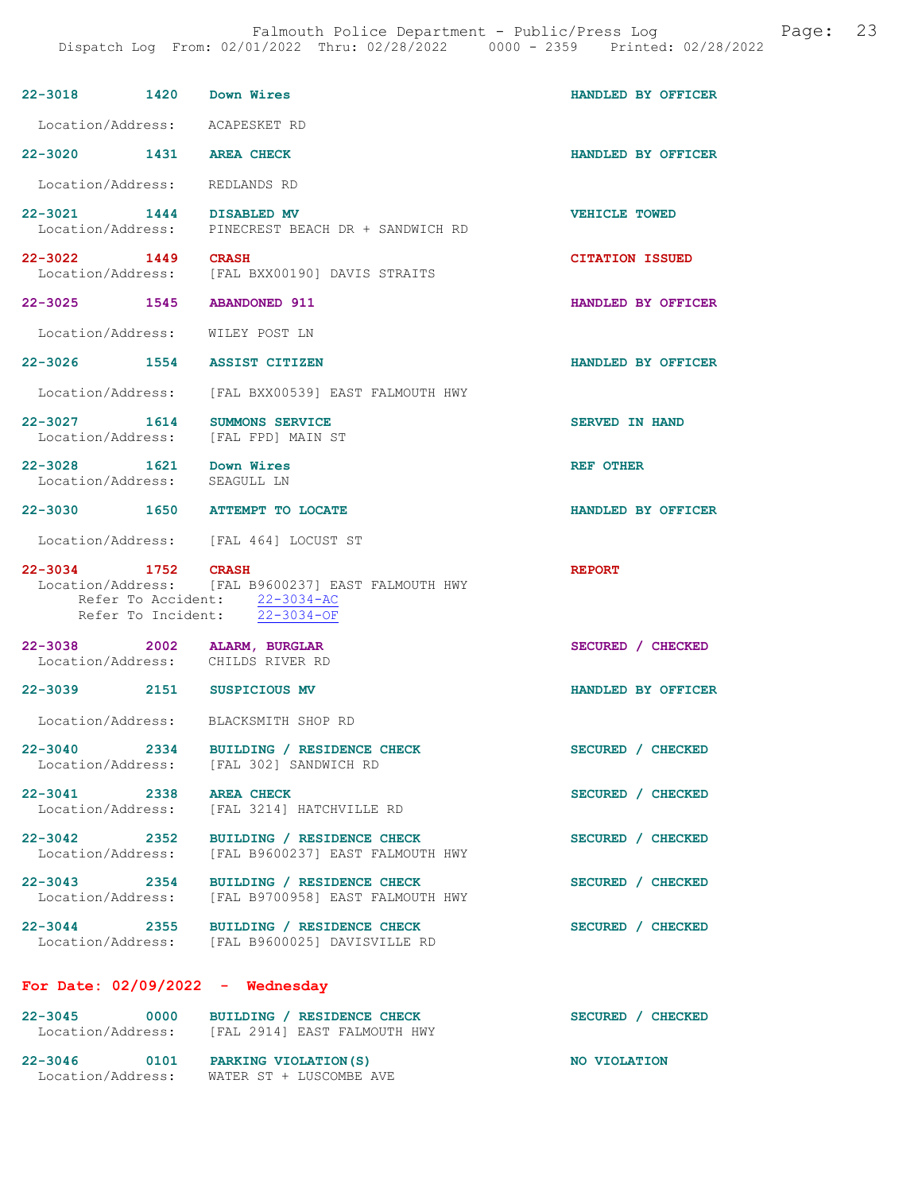| 22-3018 1420 Down Wires                           |      |                                                                                                                      | HANDLED BY OFFICER     |
|---------------------------------------------------|------|----------------------------------------------------------------------------------------------------------------------|------------------------|
| Location/Address: ACAPESKET RD                    |      |                                                                                                                      |                        |
| 22-3020 1431 AREA CHECK                           |      |                                                                                                                      | HANDLED BY OFFICER     |
| Location/Address: REDLANDS RD                     |      |                                                                                                                      |                        |
| 22-3021 1444 DISABLED MV                          |      | Location/Address: PINECREST BEACH DR + SANDWICH RD                                                                   | <b>VEHICLE TOWED</b>   |
| 22-3022 1449 CRASH                                |      | Location/Address: [FAL BXX00190] DAVIS STRAITS                                                                       | <b>CITATION ISSUED</b> |
| 22-3025 1545 ABANDONED 911                        |      |                                                                                                                      | HANDLED BY OFFICER     |
| Location/Address: WILEY POST LN                   |      |                                                                                                                      |                        |
| 22-3026 1554 ASSIST CITIZEN                       |      |                                                                                                                      | HANDLED BY OFFICER     |
|                                                   |      | Location/Address: [FAL BXX00539] EAST FALMOUTH HWY                                                                   |                        |
| 22-3027 1614 SUMMONS SERVICE<br>Location/Address: |      | [FAL FPD] MAIN ST                                                                                                    | <b>SERVED IN HAND</b>  |
| 22-3028 1621 Down Wires<br>Location/Address:      |      | SEAGULL LN                                                                                                           | REF OTHER              |
|                                                   |      | 22-3030 1650 ATTEMPT TO LOCATE                                                                                       | HANDLED BY OFFICER     |
|                                                   |      | Location/Address: [FAL 464] LOCUST ST                                                                                |                        |
| 22-3034 1752 CRASH                                |      | Location/Address: [FAL B9600237] EAST FALMOUTH HWY<br>Refer To Accident: 22-3034-AC<br>Refer To Incident: 22-3034-OF | <b>REPORT</b>          |
| 22-3038 2002 ALARM, BURGLAR                       |      |                                                                                                                      |                        |
|                                                   |      | Location/Address: CHILDS RIVER RD                                                                                    | SECURED / CHECKED      |
| 22-3039 2151 SUSPICIOUS MV                        |      |                                                                                                                      | HANDLED BY OFFICER     |
|                                                   |      | Location/Address: BLACKSMITH SHOP RD                                                                                 |                        |
|                                                   |      | 22-3040 2334 BUILDING / RESIDENCE CHECK<br>Location/Address: [FAL 302] SANDWICH RD                                   | SECURED / CHECKED      |
| 22-3041 2338 AREA CHECK                           |      | Location/Address: [FAL 3214] HATCHVILLE RD                                                                           | SECURED / CHECKED      |
| 22-3042 2352                                      |      | BUILDING / RESIDENCE CHECK<br>Location/Address: [FAL B9600237] EAST FALMOUTH HWY                                     | SECURED / CHECKED      |
|                                                   |      | 22-3043 2354 BUILDING / RESIDENCE CHECK<br>Location/Address: [FAL B9700958] EAST FALMOUTH HWY                        | SECURED / CHECKED      |
|                                                   |      | 22-3044 2355 BUILDING / RESIDENCE CHECK<br>Location/Address: [FAL B9600025] DAVISVILLE RD                            | SECURED / CHECKED      |
| For Date: $02/09/2022 -$ Wednesday                |      |                                                                                                                      |                        |
| $22 - 3045$                                       | 0000 | BUILDING / RESIDENCE CHECK<br>Location/Address: [FAL 2914] EAST FALMOUTH HWY                                         | SECURED / CHECKED      |

Location/Address: WATER ST + LUSCOMBE AVE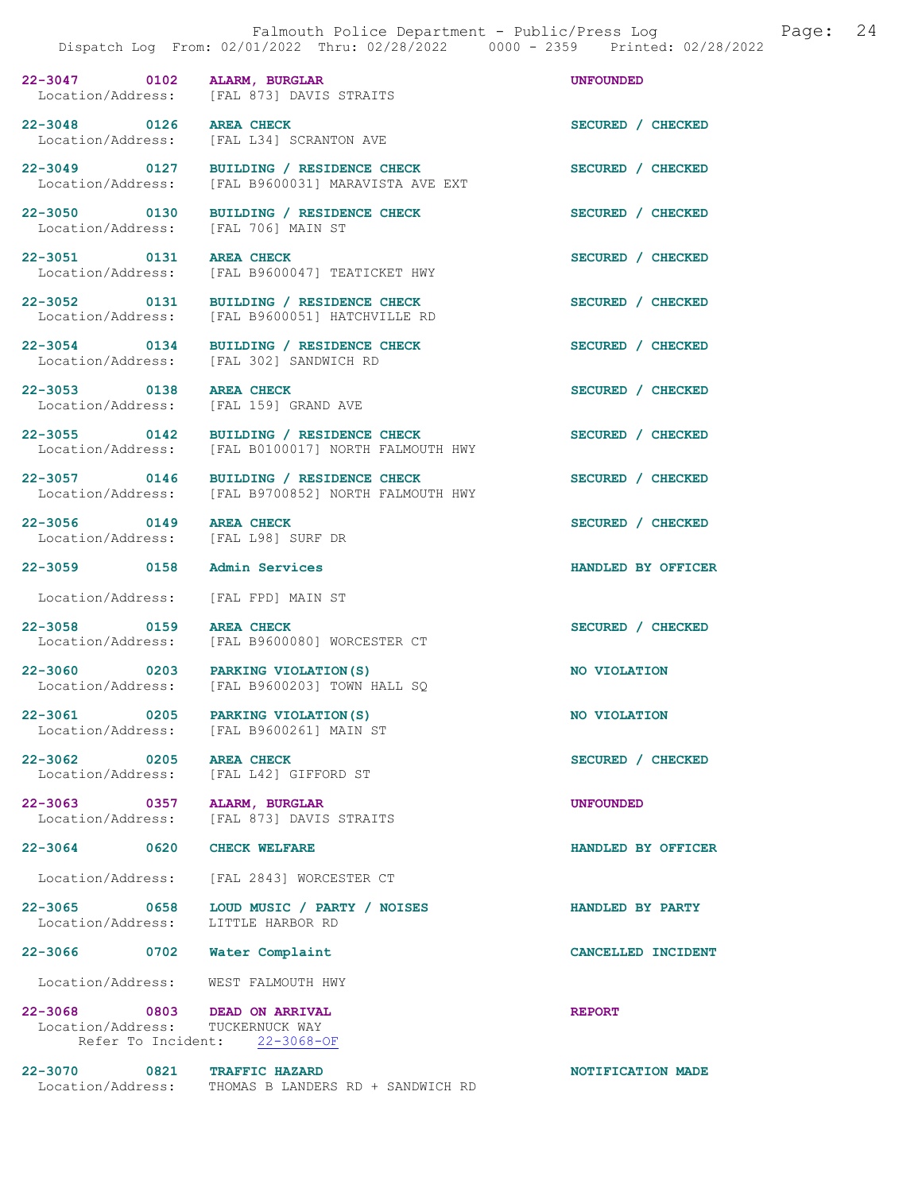22-3047 0102 ALARM, BURGLAR<br>Location/Address: [FAL 873] DAVIS STRAITS [FAL 873] DAVIS STRAITS 22-3048 0126 AREA CHECK SECURED / CHECKED Location/Address: [FAL L34] SCRANTON AVE [FAL L34] SCRANTON AVE 22-3049 0127 BUILDING / RESIDENCE CHECK SECURED / CHECKED Location/Address: [FAL B9600031] MARAVISTA AVE EXT 22-3050 0130 BUILDING / RESIDENCE CHECK SECURED / CHECKED Location/Address: [FAL 706] MAIN ST 22-3051 0131 AREA CHECK 3ECURED / CHECKED<br>
Location/Address: [FAL B9600047] TEATICKET HWY [FAL B9600047] TEATICKET HWY 22-3052 0131 BUILDING / RESIDENCE CHECK SECURED / CHECKED<br>
Location/Address: [FAL B9600051] HATCHVILLE RD [FAL B9600051] HATCHVILLE RD 22-3054 0134 BUILDING / RESIDENCE CHECK SECURED / CHECKED Location/Address: [FAL 302] SANDWICH RD 22-3053 0138 AREA CHECK SECURED / CHECKED Location/Address: [FAL 159] GRAND AVE 22-3055 0142 BUILDING / RESIDENCE CHECK SECURED / CHECKED Location/Address: [FAL B0100017] NORTH FALMOUTH HWY 22-3057 0146 BUILDING / RESIDENCE CHECK<br>
Location/Address: [FAL B9700852] NORTH FALMOUTH HWY [FAL B9700852] NORTH FALMOUTH HWY 22-3056 0149 AREA CHECK SECURED / CHECKED<br>
Location/Address: [FAL L98] SURF DR [FAL L98] SURF DR 22-3059 0158 Admin Services HANDLED BY OFFICER Location/Address: [FAL FPD] MAIN ST 22-3058 0159 AREA CHECK 22-3058 0159 AREA CHECKED AREA CHECKED SECURED / CHECKED [FAL B9600080] WORCESTER CT 22-3060 0203 PARKING VIOLATION(S) NO VIOLATION Location/Address: [FAL B9600203] TOWN HALL SQ 22-3061 0205 PARKING VIOLATION(S) NO VIOLATION<br>
Location/Address: [FAL B9600261] MAIN ST [FAL B9600261] MAIN ST 22-3062 0205 AREA CHECK SECURED / CHECKED Location/Address: [FAL L42] GIFFORD ST 22-3063 0357 ALARM, BURGLAR UNFOUNDED<br>
Location/Address: [FAL 873] DAVIS STRAITS [FAL 873] DAVIS STRAITS 22-3064 0620 CHECK WELFARE **HANDLED BY OFFICER**  Location/Address: [FAL 2843] WORCESTER CT 22-3065 0658 LOUD MUSIC / PARTY / NOISES HANDLED BY PARTY<br>
Location/Address: LITTLE HARBOR RD Location/Address: 22-3066 0702 Water Complaint CANCELLED INCIDENT Location/Address: WEST FALMOUTH HWY 22-3068 0803 DEAD ON ARRIVAL CONSIDERED REPORT Location/Address: TUCKERNUCK WAY Location/Address: TUCKERNUCK WAY<br>Refer To Incident: 22-3068-OF Refer To Incident:

22-3070 0821 TRAFFIC HAZARD 1000 00821 TRAFFIC HAZARD NOTIFICATION MADE THOMAS B LANDERS RD + SANDWICH RD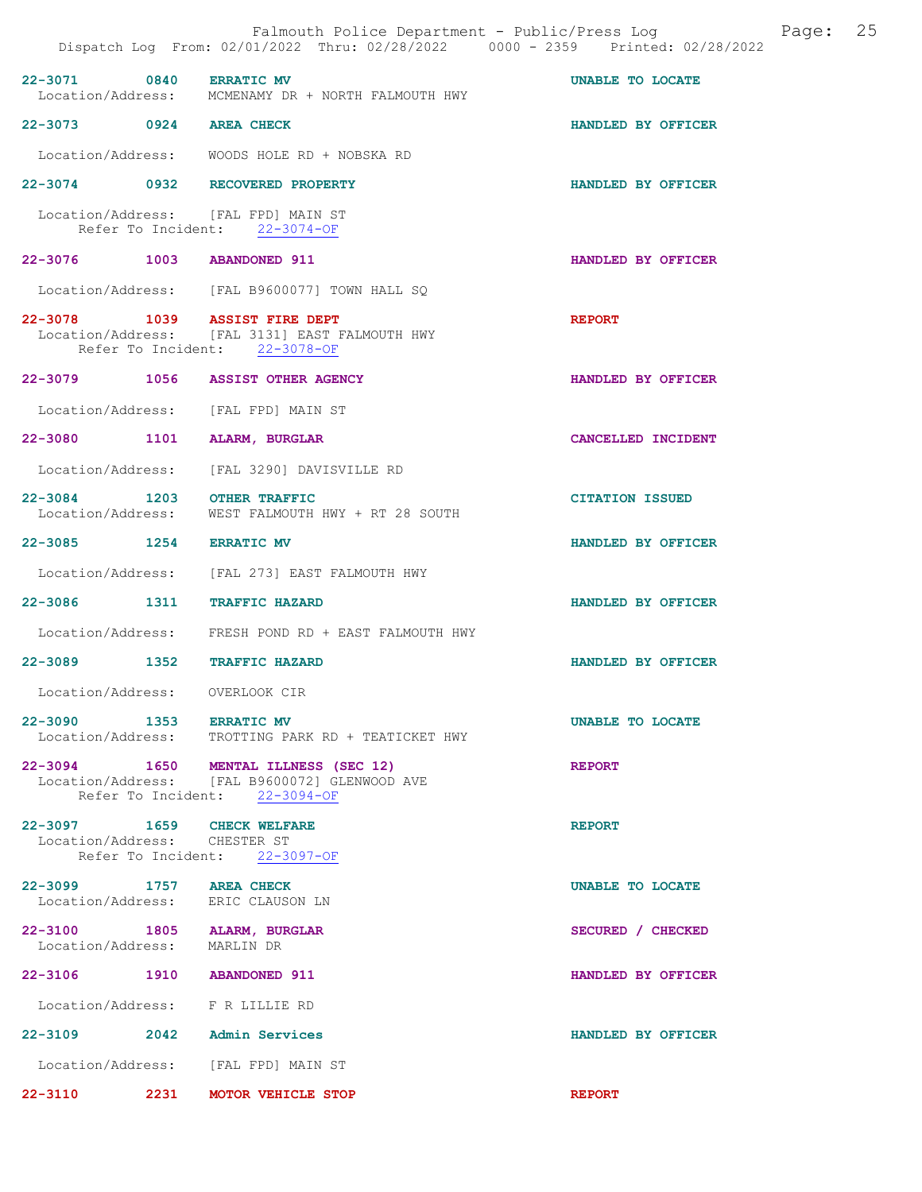|                                                            | Falmouth Police Department - Public/Press Log<br>Dispatch Log From: 02/01/2022 Thru: 02/28/2022 0000 - 2359 Printed: 02/28/2022 |                        | Page: | 25 |
|------------------------------------------------------------|---------------------------------------------------------------------------------------------------------------------------------|------------------------|-------|----|
| 22-3071 0840 ERRATIC MV                                    | Location/Address: MCMENAMY DR + NORTH FALMOUTH HWY                                                                              | UNABLE TO LOCATE       |       |    |
| 22-3073 0924 AREA CHECK                                    |                                                                                                                                 | HANDLED BY OFFICER     |       |    |
|                                                            | Location/Address: WOODS HOLE RD + NOBSKA RD                                                                                     |                        |       |    |
|                                                            | 22-3074 0932 RECOVERED PROPERTY                                                                                                 | HANDLED BY OFFICER     |       |    |
|                                                            | Location/Address: [FAL FPD] MAIN ST<br>Refer To Incident: 22-3074-OF                                                            |                        |       |    |
| 22-3076 1003 ABANDONED 911                                 |                                                                                                                                 | HANDLED BY OFFICER     |       |    |
|                                                            | Location/Address: [FAL B9600077] TOWN HALL SQ                                                                                   |                        |       |    |
|                                                            | 22-3078 1039 ASSIST FIRE DEPT<br>Location/Address: [FAL 3131] EAST FALMOUTH HWY<br>Refer To Incident: 22-3078-OF                | <b>REPORT</b>          |       |    |
|                                                            | 22-3079 1056 ASSIST OTHER AGENCY                                                                                                | HANDLED BY OFFICER     |       |    |
|                                                            | Location/Address: [FAL FPD] MAIN ST                                                                                             |                        |       |    |
| 22-3080 1101                                               | ALARM, BURGLAR                                                                                                                  | CANCELLED INCIDENT     |       |    |
|                                                            | Location/Address: [FAL 3290] DAVISVILLE RD                                                                                      |                        |       |    |
| 22-3084 1203 OTHER TRAFFIC<br>Location/Address:            | WEST FALMOUTH HWY + RT 28 SOUTH                                                                                                 | <b>CITATION ISSUED</b> |       |    |
| 22-3085 1254 ERRATIC MV                                    |                                                                                                                                 | HANDLED BY OFFICER     |       |    |
|                                                            | Location/Address: [FAL 273] EAST FALMOUTH HWY                                                                                   |                        |       |    |
| 22-3086 1311                                               | <b>TRAFFIC HAZARD</b>                                                                                                           | HANDLED BY OFFICER     |       |    |
|                                                            | Location/Address: FRESH POND RD + EAST FALMOUTH HWY                                                                             |                        |       |    |
|                                                            | 22-3089 1352 TRAFFIC HAZARD                                                                                                     | HANDLED BY OFFICER     |       |    |
| Location/Address:                                          | OVERLOOK CIR                                                                                                                    |                        |       |    |
| 22-3090 1353 ERRATIC MV                                    | Location/Address: TROTTING PARK RD + TEATICKET HWY                                                                              | UNABLE TO LOCATE       |       |    |
|                                                            | 22-3094 1650 MENTAL ILLNESS (SEC 12)<br>Location/Address: [FAL B9600072] GLENWOOD AVE<br>Refer To Incident: 22-3094-OF          | <b>REPORT</b>          |       |    |
| 22-3097 1659 CHECK WELFARE<br>Location/Address: CHESTER ST | Refer To Incident: 22-3097-OF                                                                                                   | <b>REPORT</b>          |       |    |
| 22-3099 1757 AREA CHECK                                    | Location/Address: ERIC CLAUSON LN                                                                                               | UNABLE TO LOCATE       |       |    |
| Location/Address: MARLIN DR                                | 22-3100 1805 ALARM, BURGLAR                                                                                                     | SECURED / CHECKED      |       |    |
| 22-3106 1910 ABANDONED 911                                 |                                                                                                                                 | HANDLED BY OFFICER     |       |    |
|                                                            | Location/Address: F R LILLIE RD                                                                                                 |                        |       |    |
|                                                            | 22-3109 2042 Admin Services                                                                                                     | HANDLED BY OFFICER     |       |    |
|                                                            | Location/Address: [FAL FPD] MAIN ST                                                                                             |                        |       |    |
|                                                            | 22-3110 2231 MOTOR VEHICLE STOP                                                                                                 | <b>REPORT</b>          |       |    |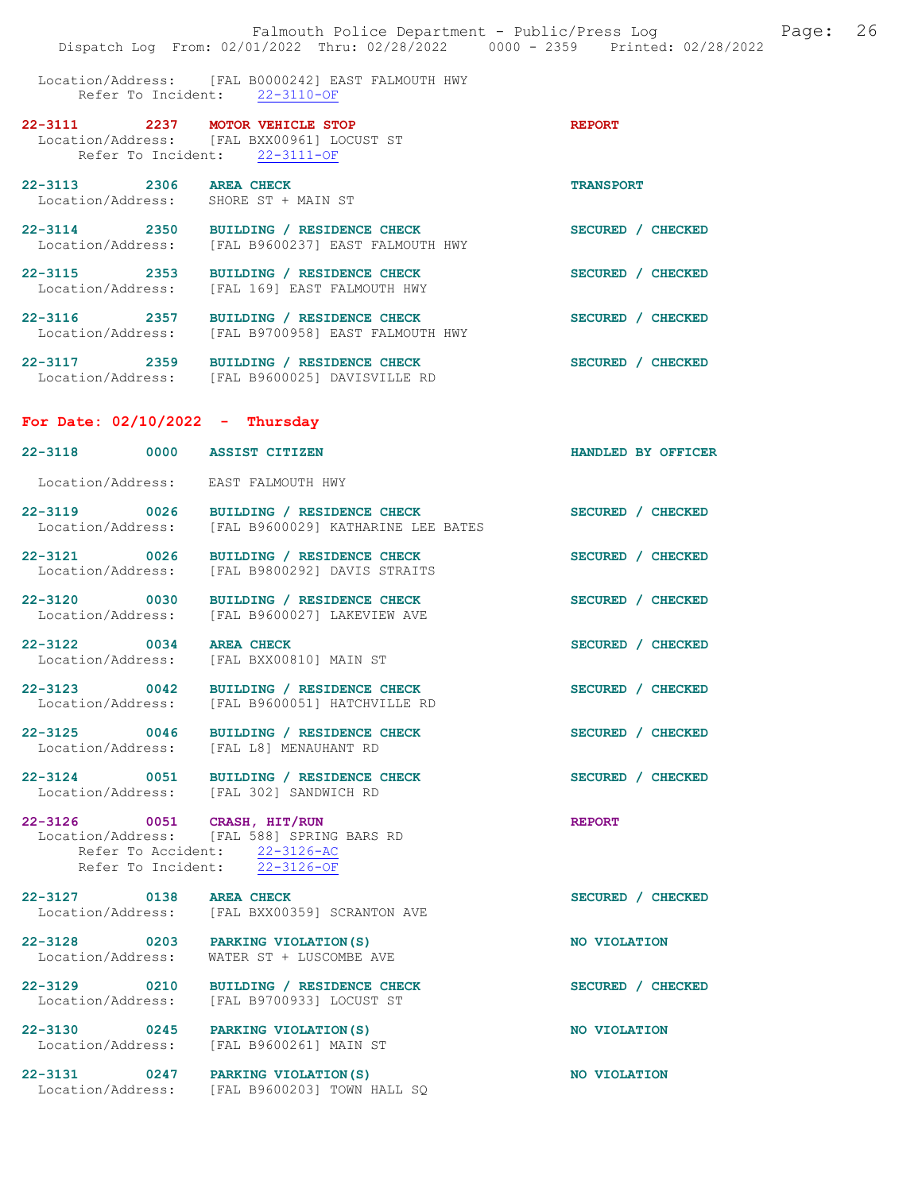Location/Address: [FAL B0000242] EAST FALMOUTH HWY Refer To Incident: 22-3110-OF

| 22-3111     | 2237 | MOTOR VEHICLE STOP                         | <b>REPORT</b>    |
|-------------|------|--------------------------------------------|------------------|
|             |      | Location/Address: [FAL BXX00961] LOCUST ST |                  |
|             |      | Refer To Incident: 22-3111-OF              |                  |
| $22 - 3113$ | 2306 | AREA CHECK                                 | <b>TRANSPORT</b> |
|             |      | Location/Address: SHORE ST + MAIN ST       |                  |

| $22 - 3114$       | 2350 | BUILDING / RESIDENCE CHECK       | SECURED / CHECKED |
|-------------------|------|----------------------------------|-------------------|
| Location/Address: |      | [FAL B9600237] EAST FALMOUTH HWY |                   |

22-3115 2353 BUILDING / RESIDENCE CHECK SECURED / CHECKED Location/Address: [FAL 169] EAST FALMOUTH HWY

22-3116 2357 BUILDING / RESIDENCE CHECK SECURED / CHECKED Location/Address: [FAL B9700958] EAST FALMOUTH HWY

22-3117 2359 BUILDING / RESIDENCE CHECK SECURED / CHECKED Location/Address: [FAL B9600025] DAVISVILLE RD

#### For Date: 02/10/2022 - Thursday

22-3118 0000 ASSIST CITIZEN HANDLED BY OFFICER Location/Address: EAST FALMOUTH HWY 22-3119 0026 BUILDING / RESIDENCE CHECK<br>Location/Address: [FAL B9600029] KATHARINE LEE BATES [FAL B9600029] KATHARINE LEE BATES 22-3121 0026 BUILDING / RESIDENCE CHECK SECURED / CHECKED Location/Address: [FAL B9800292] DAVIS STRAITS [FAL B9800292] DAVIS STRAITS 22-3120 0030 BUILDING / RESIDENCE CHECK SECURED / CHECKED Location/Address: [FAL B9600027] LAKEVIEW AVE 22-3122 0034 AREA CHECK SECURED / CHECKED Location/Address: [FAL BXX00810] MAIN ST 22-3123 0042 BUILDING / RESIDENCE CHECK SECURED / CHECKED Location/Address: [FAL B9600051] HATCHVILLE RD 22-3125 0046 BUILDING / RESIDENCE CHECK SECURED / CHECKED Location/Address: [FAL L8] MENAUHANT RD Location/Address: [FAL L8] MENAUHANT RD 22-3124 0051 BUILDING / RESIDENCE CHECK SECURED / CHECKED Location/Address: [FAL 302] SANDWICH RD [FAL 302] SANDWICH RD

22-3126 0051 CRASH, HIT/RUN REPORT Location/Address: [FAL 588] SPRING BARS RD Refer To Accident: 22-3126-AC Refer To Incident: 22-3126-OF

22-3127 0138 AREA CHECK SECURED / CHECKED Location/Address: [FAL BXX00359] SCRANTON AVE

22-3128 0203 PARKING VIOLATION(S) NO VIOLATION Location/Address: WATER ST + LUSCOMBE AVE

Location/Address: [FAL B9700933] LOCUST ST

22-3129 0210 BUILDING / RESIDENCE CHECK SECURED / CHECKED

22-3130 0245 PARKING VIOLATION(S) NO VIOLATION Location/Address: [FAL B9600261] MAIN ST

22-3131 0247 PARKING VIOLATION(S) NO VIOLATION Location/Address: [FAL B9600203] TOWN HALL SQ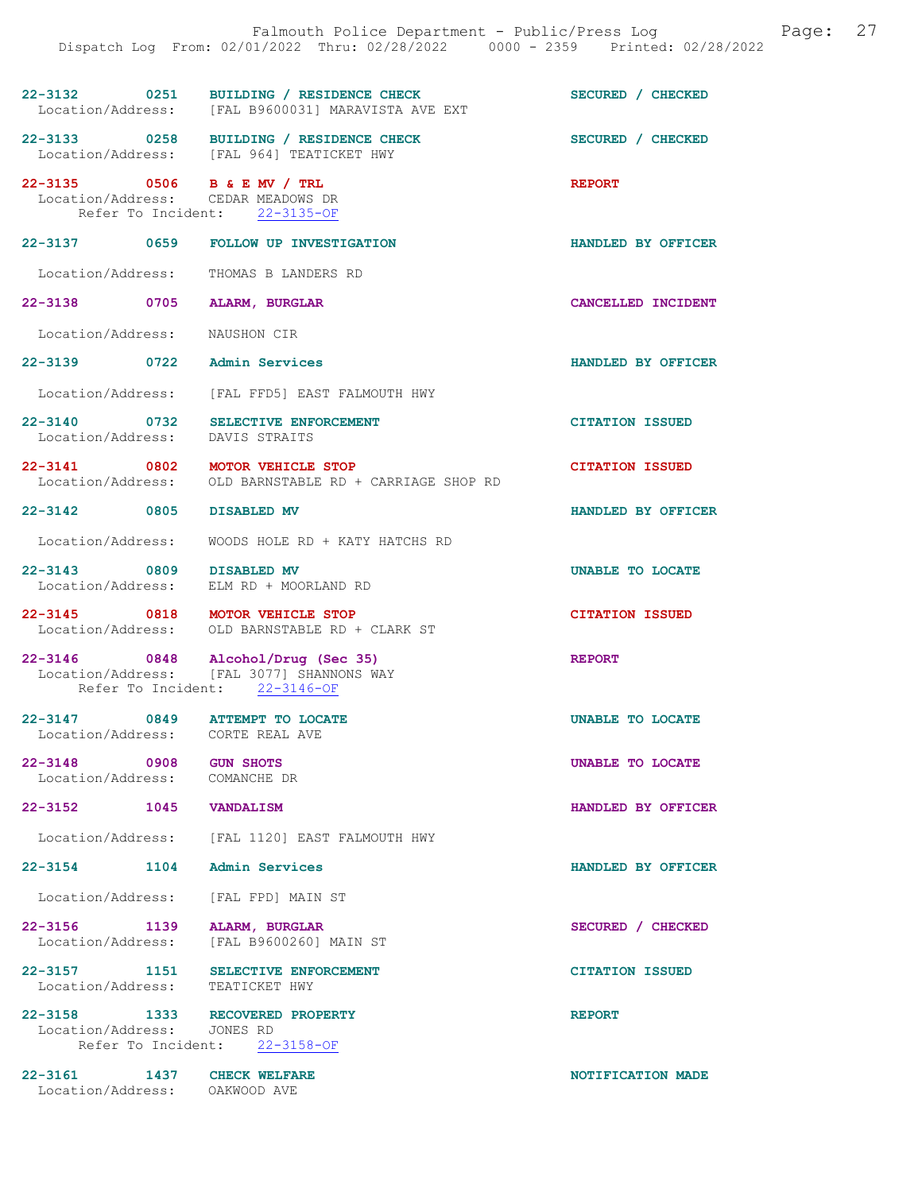|                                                                       | 22-3132 0251 BUILDING / RESIDENCE CHECK<br>Location/Address: [FAL B9600031] MARAVISTA AVE EXT | SECURED / CHECKED      |
|-----------------------------------------------------------------------|-----------------------------------------------------------------------------------------------|------------------------|
|                                                                       | 22-3133 0258 BUILDING / RESIDENCE CHECK<br>Location/Address: [FAL 964] TEATICKET HWY          | SECURED / CHECKED      |
| 22-3135 0506 B & E MV / TRL<br>Location/Address: CEDAR MEADOWS DR     | Refer To Incident: 22-3135-OF                                                                 | <b>REPORT</b>          |
|                                                                       | 22-3137 0659 FOLLOW UP INVESTIGATION                                                          | HANDLED BY OFFICER     |
| Location/Address: THOMAS B LANDERS RD                                 |                                                                                               |                        |
| 22-3138 0705                                                          | ALARM, BURGLAR                                                                                | CANCELLED INCIDENT     |
| Location/Address: NAUSHON CIR                                         |                                                                                               |                        |
| 22-3139 0722 Admin Services                                           |                                                                                               | HANDLED BY OFFICER     |
|                                                                       | Location/Address: [FAL FFD5] EAST FALMOUTH HWY                                                |                        |
| 22-3140 0732 SELECTIVE ENFORCEMENT<br>Location/Address: DAVIS STRAITS |                                                                                               | <b>CITATION ISSUED</b> |
|                                                                       | 22-3141 0802 MOTOR VEHICLE STOP<br>Location/Address: OLD BARNSTABLE RD + CARRIAGE SHOP RD     | <b>CITATION ISSUED</b> |
| 22-3142 0805 DISABLED MV                                              |                                                                                               | HANDLED BY OFFICER     |
|                                                                       | Location/Address: WOODS HOLE RD + KATY HATCHS RD                                              |                        |
| 22-3143 0809 DISABLED MV                                              | Location/Address: ELM RD + MOORLAND RD                                                        | UNABLE TO LOCATE       |
| 22-3145 0818 MOTOR VEHICLE STOP                                       | Location/Address: OLD BARNSTABLE RD + CLARK ST                                                | <b>CITATION ISSUED</b> |
| 22-3146 0848 Alcohol/Drug (Sec 35)                                    | Location/Address: [FAL 3077] SHANNONS WAY<br>Refer To Incident: 22-3146-OF                    | <b>REPORT</b>          |
| 22-3147 0849 ATTEMPT TO LOCATE<br>Location/Address: CORTE REAL AVE    |                                                                                               | UNABLE TO LOCATE       |
| 22-3148 0908<br>Location/Address: COMANCHE DR                         | <b>GUN SHOTS</b>                                                                              | UNABLE TO LOCATE       |
| 22-3152 1045 VANDALISM                                                |                                                                                               | HANDLED BY OFFICER     |
|                                                                       | Location/Address: [FAL 1120] EAST FALMOUTH HWY                                                |                        |
| $22 - 3154$<br>1104                                                   | <b>Admin Services</b>                                                                         | HANDLED BY OFFICER     |
| Location/Address: [FAL FPD] MAIN ST                                   |                                                                                               |                        |
| 22-3156 1139 ALARM, BURGLAR                                           | Location/Address: [FAL B9600260] MAIN ST                                                      | SECURED / CHECKED      |
| 22-3157 1151<br>Location/Address: TEATICKET HWY                       | SELECTIVE ENFORCEMENT                                                                         | <b>CITATION ISSUED</b> |
| 22-3158 1333 RECOVERED PROPERTY<br>Location/Address:                  | JONES RD<br>Refer To Incident: 22-3158-OF                                                     | <b>REPORT</b>          |
| 22-3161 1437 CHECK WELFARE                                            |                                                                                               | NOTIFICATION MADE      |

Location/Address: OAKWOOD AVE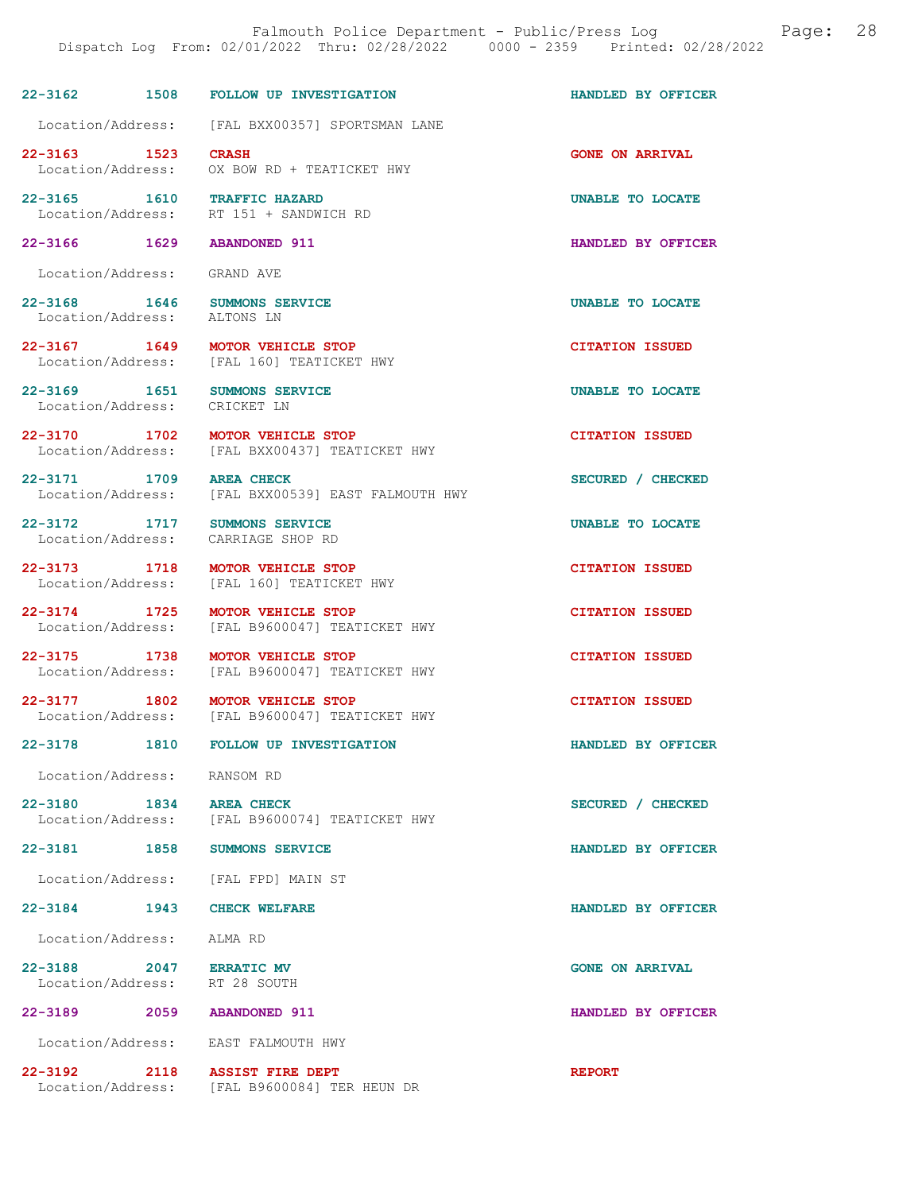|                                                                 | DISPACCH DOG TIOM, VZ/VI/ZVZZ THIQ, VZ/ZV/ZVZZ                                    |                         |
|-----------------------------------------------------------------|-----------------------------------------------------------------------------------|-------------------------|
|                                                                 | 22-3162 1508 FOLLOW UP INVESTIGATION                                              | HANDLED BY OFFICER      |
|                                                                 | Location/Address: [FAL BXX00357] SPORTSMAN LANE                                   |                         |
| 22-3163 1523 CRASH                                              | Location/Address: OX BOW RD + TEATICKET HWY                                       | <b>GONE ON ARRIVAL</b>  |
| 22-3165 1610 TRAFFIC HAZARD                                     | Location/Address: RT 151 + SANDWICH RD                                            | UNABLE TO LOCATE        |
| 22-3166 1629 ABANDONED 911                                      |                                                                                   | HANDLED BY OFFICER      |
| Location/Address: GRAND AVE                                     |                                                                                   |                         |
| 22-3168   1646   SUMMONS SERVICE<br>Location/Address: ALTONS LN |                                                                                   | UNABLE TO LOCATE        |
|                                                                 | 22-3167 1649 MOTOR VEHICLE STOP<br>Location/Address: [FAL 160] TEATICKET HWY      | <b>CITATION ISSUED</b>  |
| 22-3169 1651 SUMMONS SERVICE<br>Location/Address: CRICKET LN    |                                                                                   | UNABLE TO LOCATE        |
|                                                                 | 22-3170 1702 MOTOR VEHICLE STOP<br>Location/Address: [FAL BXX00437] TEATICKET HWY | <b>CITATION ISSUED</b>  |
| 22-3171 1709 AREA CHECK                                         | Location/Address: [FAL BXX00539] EAST FALMOUTH HWY                                | SECURED / CHECKED       |
| 22-3172 1717 SUMMONS SERVICE                                    | Location/Address: CARRIAGE SHOP RD                                                | <b>UNABLE TO LOCATE</b> |
|                                                                 | 22-3173 1718 MOTOR VEHICLE STOP<br>Location/Address: [FAL 160] TEATICKET HWY      | <b>CITATION ISSUED</b>  |
| Location/Address:                                               | 22-3174 1725 MOTOR VEHICLE STOP<br>[FAL B9600047] TEATICKET HWY                   | <b>CITATION ISSUED</b>  |
|                                                                 | 22-3175 1738 MOTOR VEHICLE STOP<br>Location/Address: [FAL B9600047] TEATICKET HWY | <b>CITATION ISSUED</b>  |
|                                                                 | 22-3177 1802 MOTOR VEHICLE STOP<br>Location/Address: [FAL B9600047] TEATICKET HWY | <b>CITATION ISSUED</b>  |
|                                                                 | 22-3178 1810 FOLLOW UP INVESTIGATION                                              | HANDLED BY OFFICER      |
| Location/Address: RANSOM RD                                     |                                                                                   |                         |
| 22-3180 1834 AREA CHECK                                         | Location/Address: [FAL B9600074] TEATICKET HWY                                    | SECURED / CHECKED       |
| 22-3181 1858 SUMMONS SERVICE                                    |                                                                                   | HANDLED BY OFFICER      |
|                                                                 | Location/Address: [FAL FPD] MAIN ST                                               |                         |
| 22-3184 1943 CHECK WELFARE                                      |                                                                                   | HANDLED BY OFFICER      |
| Location/Address: ALMA RD                                       |                                                                                   |                         |
| 22-3188 2047 ERRATIC MV<br>Location/Address: RT 28 SOUTH        |                                                                                   | <b>GONE ON ARRIVAL</b>  |
| 22-3189 2059 ABANDONED 911                                      |                                                                                   | HANDLED BY OFFICER      |
| Location/Address: EAST FALMOUTH HWY                             |                                                                                   |                         |

22-3192 2118 ASSIST FIRE DEPT REPORT Location/Address: [FAL B9600084] TER HEUN DR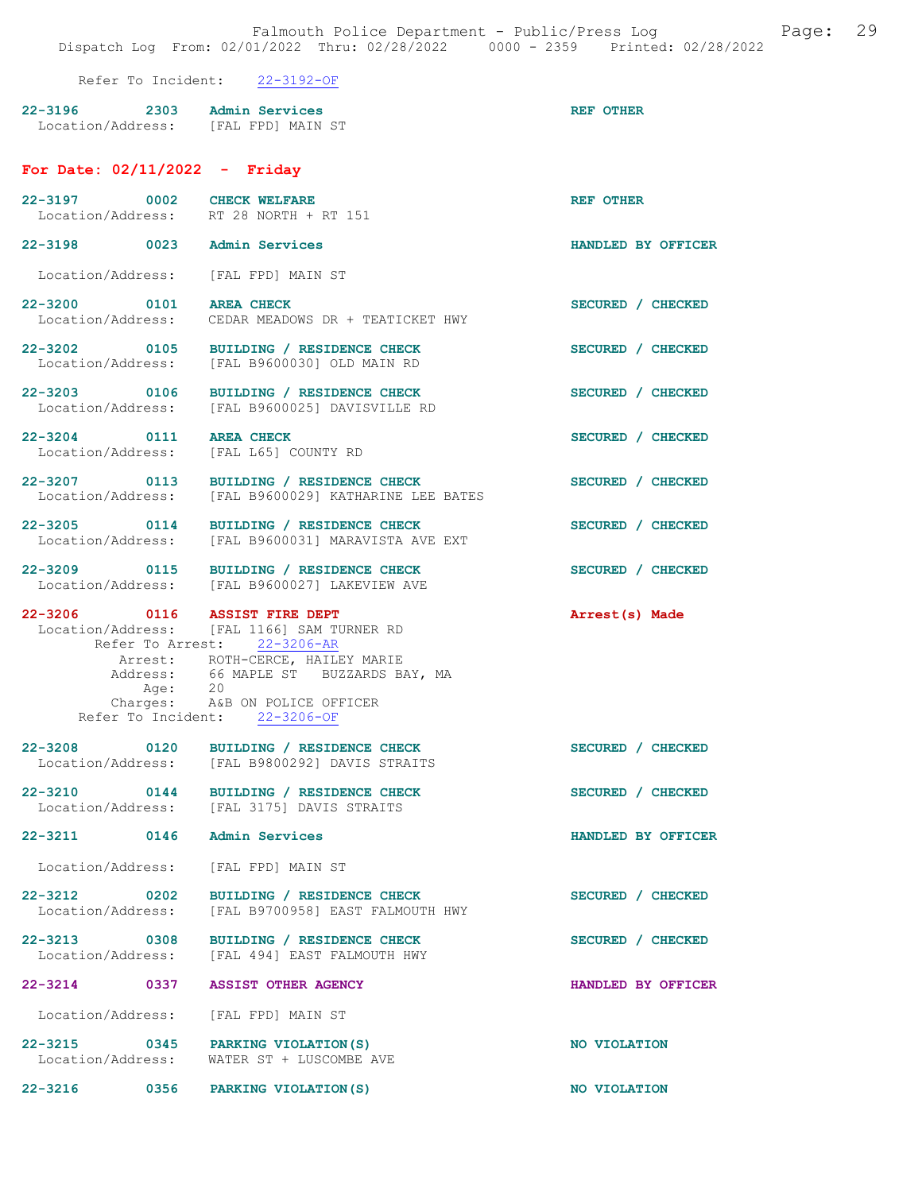Falmouth Police Department - Public/Press Log and Page: 29 Dispatch Log From: 02/01/2022 Thru: 02/28/2022 0000 - 2359 Printed: 02/28/2022

Refer To Incident: 22-3192-OF

| $22 - 3196$       | 2303 | Admin Services    | <b>REF OTHER</b> |
|-------------------|------|-------------------|------------------|
| Location/Address: |      | [FAL FPD] MAIN ST |                  |

## For Date: 02/11/2022 - Friday

| 22-3197 0002 CHECK WELFARE          | Location/Address: RT 28 NORTH + RT 151                                                                                                                                                                                               | <b>REF OTHER</b>   |
|-------------------------------------|--------------------------------------------------------------------------------------------------------------------------------------------------------------------------------------------------------------------------------------|--------------------|
| 22-3198 0023                        | Admin Services                                                                                                                                                                                                                       | HANDLED BY OFFICER |
| Location/Address: [FAL FPD] MAIN ST |                                                                                                                                                                                                                                      |                    |
| 22-3200 0101<br>Location/Address:   | <b>AREA CHECK</b><br>CEDAR MEADOWS DR + TEATICKET HWY                                                                                                                                                                                | SECURED / CHECKED  |
| 22-3202 0105<br>Location/Address:   | BUILDING / RESIDENCE CHECK<br>[FAL B9600030] OLD MAIN RD                                                                                                                                                                             | SECURED / CHECKED  |
| 22-3203 0106<br>Location/Address:   | BUILDING / RESIDENCE CHECK<br>[FAL B9600025] DAVISVILLE RD                                                                                                                                                                           | SECURED / CHECKED  |
| 22-3204 0111<br>Location/Address:   | <b>AREA CHECK</b><br>[FAL L65] COUNTY RD                                                                                                                                                                                             | SECURED / CHECKED  |
| 22-3207 0113<br>Location/Address:   | BUILDING / RESIDENCE CHECK<br>[FAL B9600029] KATHARINE LEE BATES                                                                                                                                                                     | SECURED / CHECKED  |
| 22-3205 0114                        | BUILDING / RESIDENCE CHECK<br>Location/Address: [FAL B9600031] MARAVISTA AVE EXT                                                                                                                                                     | SECURED / CHECKED  |
|                                     | 22-3209 0115 BUILDING / RESIDENCE CHECK<br>Location/Address: [FAL B9600027] LAKEVIEW AVE                                                                                                                                             | SECURED / CHECKED  |
| 22-3206 0116 ASSIST FIRE DEPT       | Location/Address: [FAL 1166] SAM TURNER RD<br>Refer To Arrest: 22-3206-AR<br>Arrest: ROTH-CERCE, HAILEY MARIE<br>Address: 66 MAPLE ST BUZZARDS BAY, MA<br>Age: 20<br>Charges: A&B ON POLICE OFFICER<br>Refer To Incident: 22-3206-OF | Arrest(s) Made     |
| 22-3208 0120                        | BUILDING / RESIDENCE CHECK<br>Location/Address: [FAL B9800292] DAVIS STRAITS                                                                                                                                                         | SECURED / CHECKED  |
|                                     | 22-3210 0144 BUILDING / RESIDENCE CHECK<br>Location/Address: [FAL 3175] DAVIS STRAITS                                                                                                                                                | SECURED / CHECKED  |
| 22-3211 0146 Admin Services         |                                                                                                                                                                                                                                      | HANDLED BY OFFICER |
| Location/Address: [FAL FPD] MAIN ST |                                                                                                                                                                                                                                      |                    |
|                                     | 22-3212 0202 BUILDING / RESIDENCE CHECK<br>Location/Address: [FAL B9700958] EAST FALMOUTH HWY                                                                                                                                        | SECURED / CHECKED  |
|                                     | 22-3213 0308 BUILDING / RESIDENCE CHECK<br>Location/Address: [FAL 494] EAST FALMOUTH HWY                                                                                                                                             | SECURED / CHECKED  |
| 22-3214 0337 ASSIST OTHER AGENCY    |                                                                                                                                                                                                                                      | HANDLED BY OFFICER |
| Location/Address: [FAL FPD] MAIN ST |                                                                                                                                                                                                                                      |                    |
| 22-3215 0345 PARKING VIOLATION (S)  | Location/Address: WATER ST + LUSCOMBE AVE                                                                                                                                                                                            | NO VIOLATION       |
|                                     |                                                                                                                                                                                                                                      |                    |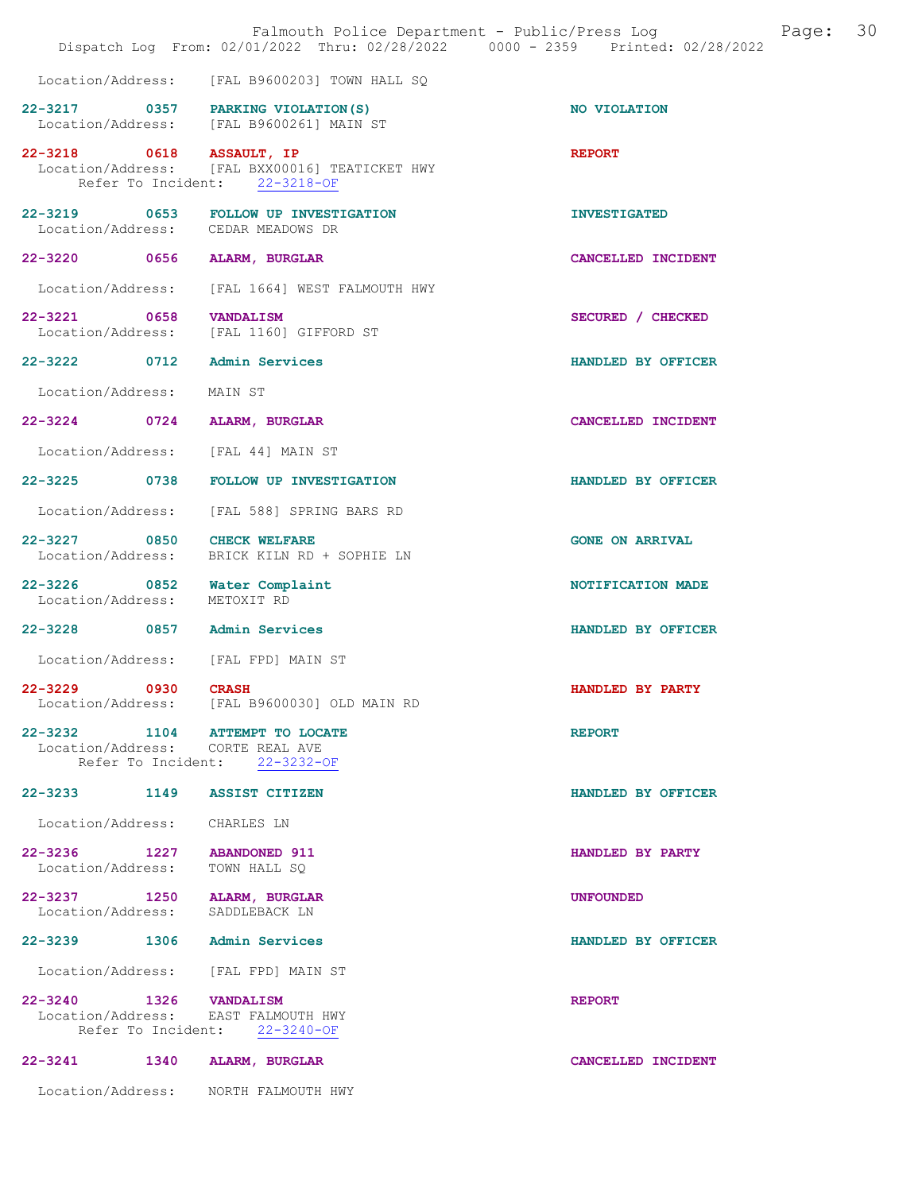|                                                                    | Falmouth Police Department - Public/Press Log<br>Dispatch Log From: 02/01/2022 Thru: 02/28/2022 0000 - 2359 Printed: 02/28/2022 | 30<br>Page:            |
|--------------------------------------------------------------------|---------------------------------------------------------------------------------------------------------------------------------|------------------------|
|                                                                    | Location/Address: [FAL B9600203] TOWN HALL SQ                                                                                   |                        |
| 22-3217 0357 PARKING VIOLATION (S)                                 | Location/Address: [FAL B9600261] MAIN ST                                                                                        | NO VIOLATION           |
| 22-3218 0618                                                       | ASSAULT, IP<br>Location/Address: [FAL BXX00016] TEATICKET HWY<br>Refer To Incident: 22-3218-OF                                  | <b>REPORT</b>          |
| 22-3219 0653<br>Location/Address: CEDAR MEADOWS DR                 | FOLLOW UP INVESTIGATION                                                                                                         | <b>INVESTIGATED</b>    |
| 22-3220 0656                                                       | ALARM, BURGLAR                                                                                                                  | CANCELLED INCIDENT     |
|                                                                    | Location/Address: [FAL 1664] WEST FALMOUTH HWY                                                                                  |                        |
| 22-3221 0658 VANDALISM<br>Location/Address:                        | [FAL 1160] GIFFORD ST                                                                                                           | SECURED / CHECKED      |
| 22-3222 0712 Admin Services                                        |                                                                                                                                 | HANDLED BY OFFICER     |
| Location/Address:                                                  | MAIN ST                                                                                                                         |                        |
| 22-3224 0724                                                       | ALARM, BURGLAR                                                                                                                  | CANCELLED INCIDENT     |
| Location/Address: [FAL 44] MAIN ST                                 |                                                                                                                                 |                        |
|                                                                    | 22-3225 0738 FOLLOW UP INVESTIGATION                                                                                            | HANDLED BY OFFICER     |
| Location/Address:                                                  | [FAL 588] SPRING BARS RD                                                                                                        |                        |
| 0850<br>22-3227<br>Location/Address:                               | <b>CHECK WELFARE</b><br>BRICK KILN RD + SOPHIE LN                                                                               | <b>GONE ON ARRIVAL</b> |
| 22-3226 0852<br>Location/Address:                                  | Water Complaint<br>METOXIT RD                                                                                                   | NOTIFICATION MADE      |
| 22-3228 0857 Admin Services                                        |                                                                                                                                 | HANDLED BY OFFICER     |
| Location/Address: [FAL FPD] MAIN ST                                |                                                                                                                                 |                        |
| $22 - 3229$<br>0930                                                | <b>CRASH</b><br>Location/Address: [FAL B9600030] OLD MAIN RD                                                                    | HANDLED BY PARTY       |
| 22-3232 1104 ATTEMPT TO LOCATE<br>Location/Address: CORTE REAL AVE | Refer To Incident: 22-3232-OF                                                                                                   | <b>REPORT</b>          |
| 22–3233 1149                                                       | <b>ASSIST CITIZEN</b>                                                                                                           | HANDLED BY OFFICER     |
| Location/Address:                                                  | CHARLES LN                                                                                                                      |                        |
| 22-3236 1227 ABANDONED 911<br>Location/Address:                    | TOWN HALL SO                                                                                                                    | HANDLED BY PARTY       |
| 22-3237 1250 ALARM, BURGLAR<br>Location/Address: SADDLEBACK LN     |                                                                                                                                 | <b>UNFOUNDED</b>       |
| 22-3239 1306 Admin Services                                        |                                                                                                                                 | HANDLED BY OFFICER     |
| Location/Address: [FAL FPD] MAIN ST                                |                                                                                                                                 |                        |
| 22-3240 1326 VANDALISM<br>Location/Address:                        | EAST FALMOUTH HWY<br>Refer To Incident: 22-3240-OF                                                                              | <b>REPORT</b>          |
| 22-3241<br>1340                                                    | ALARM, BURGLAR                                                                                                                  | CANCELLED INCIDENT     |
| Location/Address: NORTH FALMOUTH HWY                               |                                                                                                                                 |                        |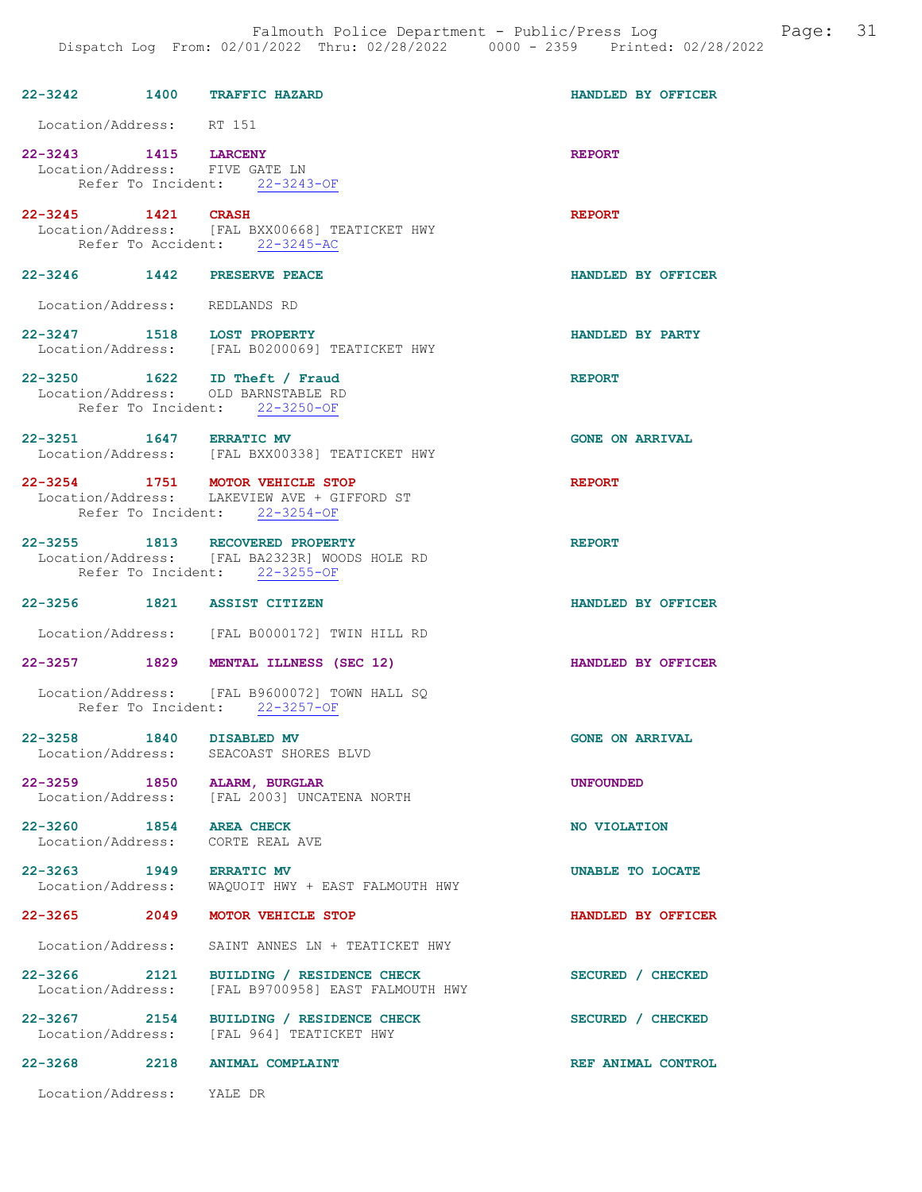| 22-3242 1400 TRAFFIC HAZARD                            |                                                                                                                   | HANDLED BY OFFICER     |
|--------------------------------------------------------|-------------------------------------------------------------------------------------------------------------------|------------------------|
| Location/Address: RT 151                               |                                                                                                                   |                        |
| 22-3243 1415 LARCENY<br>Location/Address: FIVE GATE LN | Refer To Incident: 22-3243-OF                                                                                     | <b>REPORT</b>          |
| 22-3245 1421 CRASH                                     | Location/Address: [FAL BXX00668] TEATICKET HWY<br>Refer To Accident: 22-3245-AC                                   | <b>REPORT</b>          |
| 22-3246 1442 PRESERVE PEACE                            |                                                                                                                   | HANDLED BY OFFICER     |
| Location/Address: REDLANDS RD                          |                                                                                                                   |                        |
| 22-3247 1518 LOST PROPERTY                             | Location/Address: [FAL B0200069] TEATICKET HWY                                                                    | HANDLED BY PARTY       |
|                                                        | 22-3250 1622 ID Theft / Fraud<br>Location/Address: OLD BARNSTABLE RD<br>Refer To Incident: 22-3250-OF             | <b>REPORT</b>          |
| 22-3251 1647 ERRATIC MV                                | Location/Address: [FAL BXX00338] TEATICKET HWY                                                                    | <b>GONE ON ARRIVAL</b> |
|                                                        | 22-3254 1751 MOTOR VEHICLE STOP<br>Location/Address: LAKEVIEW AVE + GIFFORD ST<br>Refer To Incident: 22-3254-OF   | <b>REPORT</b>          |
|                                                        | 22-3255 1813 RECOVERED PROPERTY<br>Location/Address: [FAL BA2323R] WOODS HOLE RD<br>Refer To Incident: 22-3255-OF | <b>REPORT</b>          |
| 22-3256 1821 ASSIST CITIZEN                            |                                                                                                                   | HANDLED BY OFFICER     |
|                                                        | Location/Address: [FAL B0000172] TWIN HILL RD                                                                     |                        |
|                                                        | 22-3257 1829 MENTAL ILLNESS (SEC 12)                                                                              | HANDLED BY OFFICER     |
|                                                        | Location/Address: [FAL B9600072] TOWN HALL SQ<br>Refer To Incident: 22-3257-OF                                    |                        |
| 22-3258 1840 DISABLED MV<br>Location/Address:          | SEACOAST SHORES BLVD                                                                                              | <b>GONE ON ARRIVAL</b> |
| $22 - 3259$                                            | 1850 ALARM, BURGLAR<br>Location/Address: [FAL 2003] UNCATENA NORTH                                                | <b>UNFOUNDED</b>       |
| 22-3260 1854 AREA CHECK                                | Location/Address: CORTE REAL AVE                                                                                  | NO VIOLATION           |
| 22-3263 1949 ERRATIC MV                                | Location/Address: WAQUOIT HWY + EAST FALMOUTH HWY                                                                 | UNABLE TO LOCATE       |
|                                                        | 22-3265 2049 MOTOR VEHICLE STOP                                                                                   | HANDLED BY OFFICER     |
| Location/Address:                                      | SAINT ANNES LN + TEATICKET HWY                                                                                    |                        |
| 22-3266 2121<br>Location/Address:                      | BUILDING / RESIDENCE CHECK<br>[FAL B9700958] EAST FALMOUTH HWY                                                    | SECURED / CHECKED      |
|                                                        | 22-3267 2154 BUILDING / RESIDENCE CHECK<br>Location/Address: [FAL 964] TEATICKET HWY                              | SECURED / CHECKED      |
|                                                        | 22-3268 2218 ANIMAL COMPLAINT                                                                                     | REF ANIMAL CONTROL     |
| Location/Address: YALE DR                              |                                                                                                                   |                        |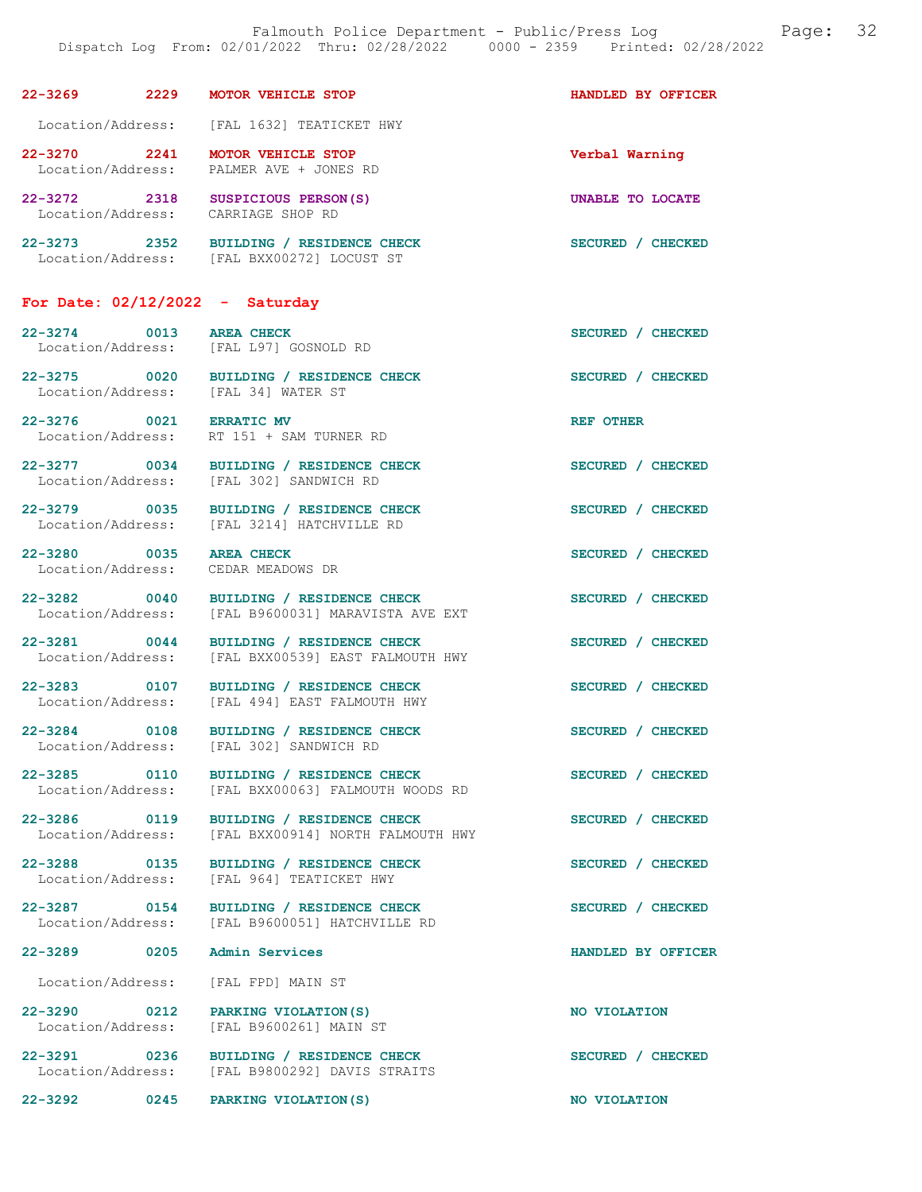| $22 - 3269$                      | 2229 | <b>MOTOR VEHICLE STOP</b>                          | HANDLED BY OFFICER |
|----------------------------------|------|----------------------------------------------------|--------------------|
| Location/Address:                |      | [FAL 1632] TEATICKET HWY                           |                    |
| $22 - 3270$<br>Location/Address: | 2241 | <b>MOTOR VEHICLE STOP</b><br>PALMER AVE + JONES RD | Verbal Warning     |
| $22 - 3272$<br>Location/Address: | 2318 | SUSPICIOUS PERSON (S)<br>CARRIAGE SHOP RD          | UNABLE TO LOCATE   |

22-3273 2352 BUILDING / RESIDENCE CHECK SECURED / CHECKED Location/Address: [FAL BXX00272] LOCUST ST

## For Date: 02/12/2022 - Saturday

22-3274 0013 AREA CHECK SECURED / CHECKED Location/Address: [FAL L97] GOSNOLD RD 22-3275 0020 BUILDING / RESIDENCE CHECK SECURED / CHECKED Location/Address: [FAL 34] WATER ST 22-3276 0021 ERRATIC MV<br>
Location/Address: RT 151 + SAM TURNER RD RT 151 + SAM TURNER RD

22-3277 0034 BUILDING / RESIDENCE CHECK SECURED / CHECKED<br>
Location/Address: [FAL 302] SANDWICH RD

22-3280 0035 AREA CHECK SECURED / CHECKED<br>Location/Address: CEDAR MEADOWS DR Location/Address:

22-3279 0035 BUILDING / RESIDENCE CHECK SECURED / CHECKED<br>Location/Address: [FAL 3214] HATCHVILLE RD [FAL 3214] HATCHVILLE RD

[FAL 302] SANDWICH RD

22-3282 0040 BUILDING / RESIDENCE CHECK SECURED / CHECKED Location/Address: [FAL B9600031] MARAVISTA AVE EXT

22-3281 0044 BUILDING / RESIDENCE CHECK SECURED / CHECKED Location/Address: [FAL BXX00539] EAST FALMOUTH HWY [FAL BXX00539] EAST FALMOUTH HWY

22-3283 0107 BUILDING / RESIDENCE CHECK SECURED / CHECKED<br>
Location/Address: [FAL 494] EAST FALMOUTH HWY [FAL 494] EAST FALMOUTH HWY

22-3284 0108 BUILDING / RESIDENCE CHECK SECURED / CHECKED Location/Address: [FAL 302] SANDWICH RD

22-3285 0110 BUILDING / RESIDENCE CHECK SECURED / CHECKED Location/Address: [FAL BXX00063] FALMOUTH WOODS RD

22-3286 0119 BUILDING / RESIDENCE CHECK<br>Location/Address: [FAL BXX00914] NORTH FALMOUTH HWY [FAL BXX00914] NORTH FALMOUTH HWY

22-3288 0135 BUILDING / RESIDENCE CHECK SECURED / CHECKED Location/Address: [FAL 964] TEATICKET HWY [FAL 964] TEATICKET HWY

22-3287 0154 BUILDING / RESIDENCE CHECK<br>
Location/Address: [FAL B9600051] HATCHVILLE RD Location/Address: [FAL B9600051] HATCHVILLE RD

22-3289 0205 Admin Services HANDLED BY OFFICER

Location/Address: [FAL FPD] MAIN ST

22-3290 0212 PARKING VIOLATION(S) NO VIOLATION<br>
Location/Address: [FAL B9600261] MAIN ST [FAL B9600261] MAIN ST

22-3291 0236 BUILDING / RESIDENCE CHECK SECURED / CHECKED Location/Address: [FAL B9800292] DAVIS STRAITS

22-3292 0245 PARKING VIOLATION(S) NO VIOLATION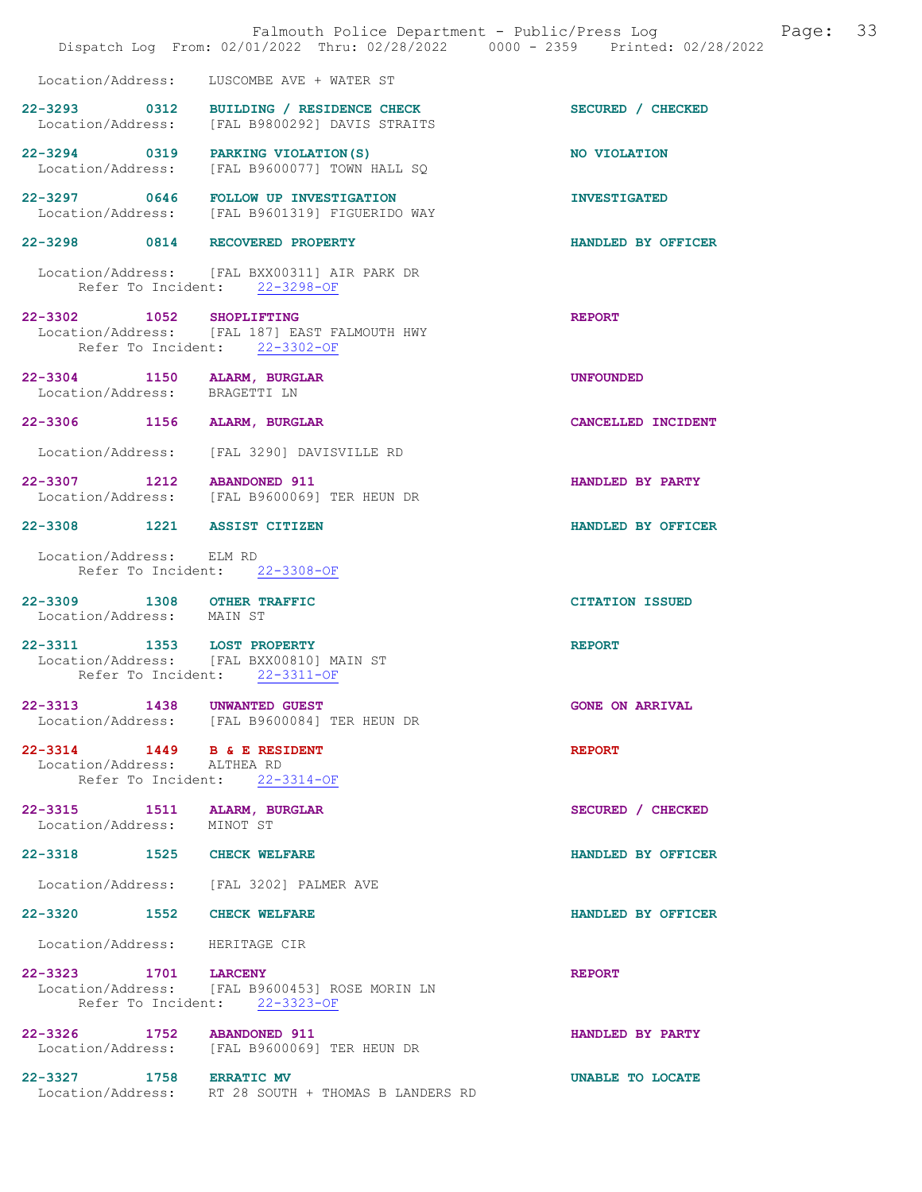|                                                              | Falmouth Police Department - Public/Press Log<br>Dispatch Log From: 02/01/2022 Thru: 02/28/2022 0000 - 2359 Printed: 02/28/2022 | Page:                  | 33 |
|--------------------------------------------------------------|---------------------------------------------------------------------------------------------------------------------------------|------------------------|----|
| Location/Address:                                            | LUSCOMBE AVE + WATER ST                                                                                                         |                        |    |
| Location/Address:                                            | 22-3293 0312 BUILDING / RESIDENCE CHECK<br>[FAL B9800292] DAVIS STRAITS                                                         | SECURED / CHECKED      |    |
| Location/Address:                                            | 22-3294 0319 PARKING VIOLATION(S)<br>[FAL B9600077] TOWN HALL SQ                                                                | NO VIOLATION           |    |
|                                                              | 22-3297 0646 FOLLOW UP INVESTIGATION<br>Location/Address: [FAL B9601319] FIGUERIDO WAY                                          | <b>INVESTIGATED</b>    |    |
|                                                              | 22-3298 0814 RECOVERED PROPERTY                                                                                                 | HANDLED BY OFFICER     |    |
|                                                              | Location/Address: [FAL BXX00311] AIR PARK DR<br>Refer To Incident: 22-3298-OF                                                   |                        |    |
| 22-3302 1052 SHOPLIFTING                                     | Location/Address: [FAL 187] EAST FALMOUTH HWY<br>Refer To Incident: 22-3302-OF                                                  | <b>REPORT</b>          |    |
| 22-3304 1150 ALARM, BURGLAR<br>Location/Address: BRAGETTI LN |                                                                                                                                 | <b>UNFOUNDED</b>       |    |
| 22-3306 1156                                                 | ALARM, BURGLAR                                                                                                                  | CANCELLED INCIDENT     |    |
|                                                              | Location/Address: [FAL 3290] DAVISVILLE RD                                                                                      |                        |    |
| 22-3307 1212 ABANDONED 911                                   | Location/Address: [FAL B9600069] TER HEUN DR                                                                                    | HANDLED BY PARTY       |    |
| 22-3308 1221 ASSIST CITIZEN                                  |                                                                                                                                 | HANDLED BY OFFICER     |    |
| Location/Address: ELM RD                                     | Refer To Incident: 22-3308-OF                                                                                                   |                        |    |
| 22-3309 1308 OTHER TRAFFIC<br>Location/Address: MAIN ST      |                                                                                                                                 | <b>CITATION ISSUED</b> |    |
| 22-3311 1353 LOST PROPERTY                                   | Location/Address: [FAL BXX00810] MAIN ST<br>Refer To Incident: 22-3311-OF                                                       | <b>REPORT</b>          |    |
| 22-3313 1438 UNWANTED GUEST                                  | Location/Address: [FAL B9600084] TER HEUN DR                                                                                    | <b>GONE ON ARRIVAL</b> |    |
| 22-3314 1449 B & E RESIDENT<br>Location/Address: ALTHEA RD   | Refer To Incident: 22-3314-OF                                                                                                   | <b>REPORT</b>          |    |
| 22-3315 1511 ALARM, BURGLAR<br>Location/Address: MINOT ST    |                                                                                                                                 | SECURED / CHECKED      |    |
| 22-3318 1525 CHECK WELFARE                                   |                                                                                                                                 | HANDLED BY OFFICER     |    |
|                                                              | Location/Address: [FAL 3202] PALMER AVE                                                                                         |                        |    |
| 22-3320 1552 CHECK WELFARE                                   |                                                                                                                                 | HANDLED BY OFFICER     |    |
| Location/Address: HERITAGE CIR                               |                                                                                                                                 |                        |    |
| 22-3323 1701 LARCENY                                         | Location/Address: [FAL B9600453] ROSE MORIN LN<br>Refer To Incident: 22-3323-OF                                                 | <b>REPORT</b>          |    |
| 22-3326 1752 ABANDONED 911                                   | Location/Address: [FAL B9600069] TER HEUN DR                                                                                    | HANDLED BY PARTY       |    |
| 22-3327 1758 ERRATIC MV                                      | Location/Address: RT 28 SOUTH + THOMAS B LANDERS RD                                                                             | UNABLE TO LOCATE       |    |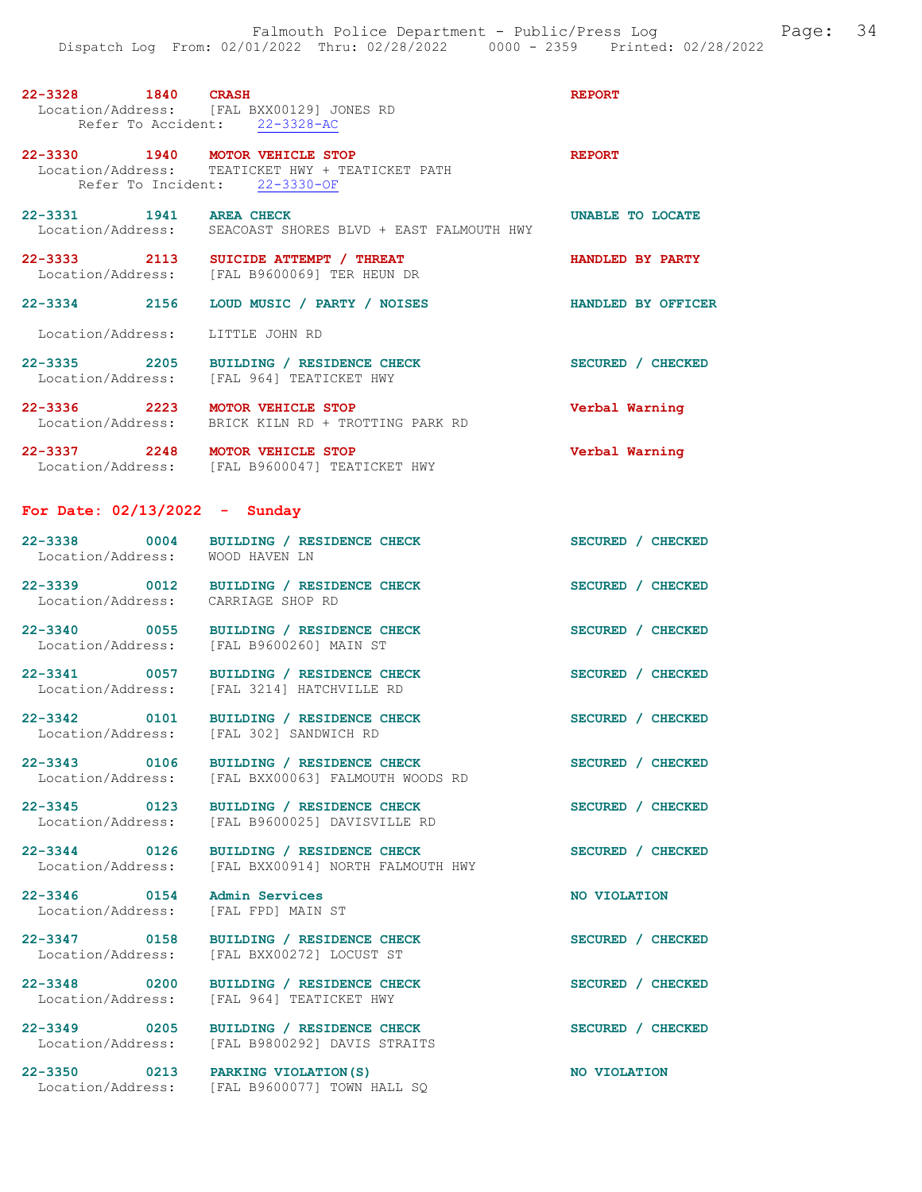| 22-3328 1840 CRASH                                   | Location/Address: [FAL BXX00129] JONES RD                                            | <b>REPORT</b>           |
|------------------------------------------------------|--------------------------------------------------------------------------------------|-------------------------|
|                                                      | Refer To Accident: 22-3328-AC                                                        |                         |
| 22-3330 1940 MOTOR VEHICLE STOP                      | Location/Address: TEATICKET HWY + TEATICKET PATH<br>Refer To Incident: 22-3330-OF    | <b>REPORT</b>           |
| 22-3331 1941 AREA CHECK                              | Location/Address: SEACOAST SHORES BLVD + EAST FALMOUTH HWY                           | <b>UNABLE TO LOCATE</b> |
| 22-3333 2113                                         | SUICIDE ATTEMPT / THREAT<br>Location/Address: [FAL B9600069] TER HEUN DR             | HANDLED BY PARTY        |
| 22-3334 2156                                         | LOUD MUSIC / PARTY / NOISES                                                          | HANDLED BY OFFICER      |
| Location/Address:                                    | LITTLE JOHN RD                                                                       |                         |
|                                                      | 22-3335 2205 BUILDING / RESIDENCE CHECK<br>Location/Address: [FAL 964] TEATICKET HWY | SECURED / CHECKED       |
| 22-3336 2223 MOTOR VEHICLE STOP<br>Location/Address: | BRICK KILN RD + TROTTING PARK RD                                                     | Verbal Warning          |
| 22-3337 2248 MOTOR VEHICLE STOP                      | Location/Address: [FAL B9600047] TEATICKET HWY                                       | Verbal Warning          |
| For Date: $02/13/2022 -$ Sunday                      |                                                                                      |                         |
| Location/Address: WOOD HAVEN LN                      | 22-3338 0004 BUILDING / RESIDENCE CHECK                                              | SECURED / CHECKED       |
| Location/Address: CARRIAGE SHOP RD                   | 22-3339 0012 BUILDING / RESIDENCE CHECK                                              | SECURED / CHECKED       |
|                                                      | 22-3340 0055 BUILDING / RESIDENCE CHECK<br>Location/Address: [FAL B9600260] MAIN ST  | SECURED / CHECKED       |

22-3341 0057 BUILDING / RESIDENCE CHECK SECURED / CHECKED Location/Address: [FAL 3214] HATCHVILLE RD

22-3342 0101 BUILDING / RESIDENCE CHECK SECURED / CHECKED Location/Address: [FAL 302] SANDWICH RD

22-3343 0106 BUILDING / RESIDENCE CHECK SECURED / CHECKED

22-3345 0123 BUILDING / RESIDENCE CHECK SECURED / CHECKED

22-3346 0154 Admin Services NO VIOLATION<br>
Location/Address: [FAL FPD] MAIN ST

Location/Address: [FAL BXX00063] FALMOUTH WOODS RD

Location/Address: [FAL B9600025] DAVISVILLE RD

22-3344 0126 BUILDING / RESIDENCE CHECK SECURED / CHECKED Location/Address: [FAL BXX00914] NORTH FALMOUTH HWY

Location/Address: [FAL FPD] MAIN ST

22-3347 0158 BUILDING / RESIDENCE CHECK SECURED / CHECKED Location/Address: [FAL BXX00272] LOCUST ST

22-3348 0200 BUILDING / RESIDENCE CHECK SECURED / CHECKED Location/Address: [FAL 964] TEATICKET HWY

22-3349 0205 BUILDING / RESIDENCE CHECK SECURED / CHECKED Location/Address: [FAL B9800292] DAVIS STRAITS

22-3350 0213 PARKING VIOLATION(S) NO VIOLATION Location/Address: [FAL B9600077] TOWN HALL SQ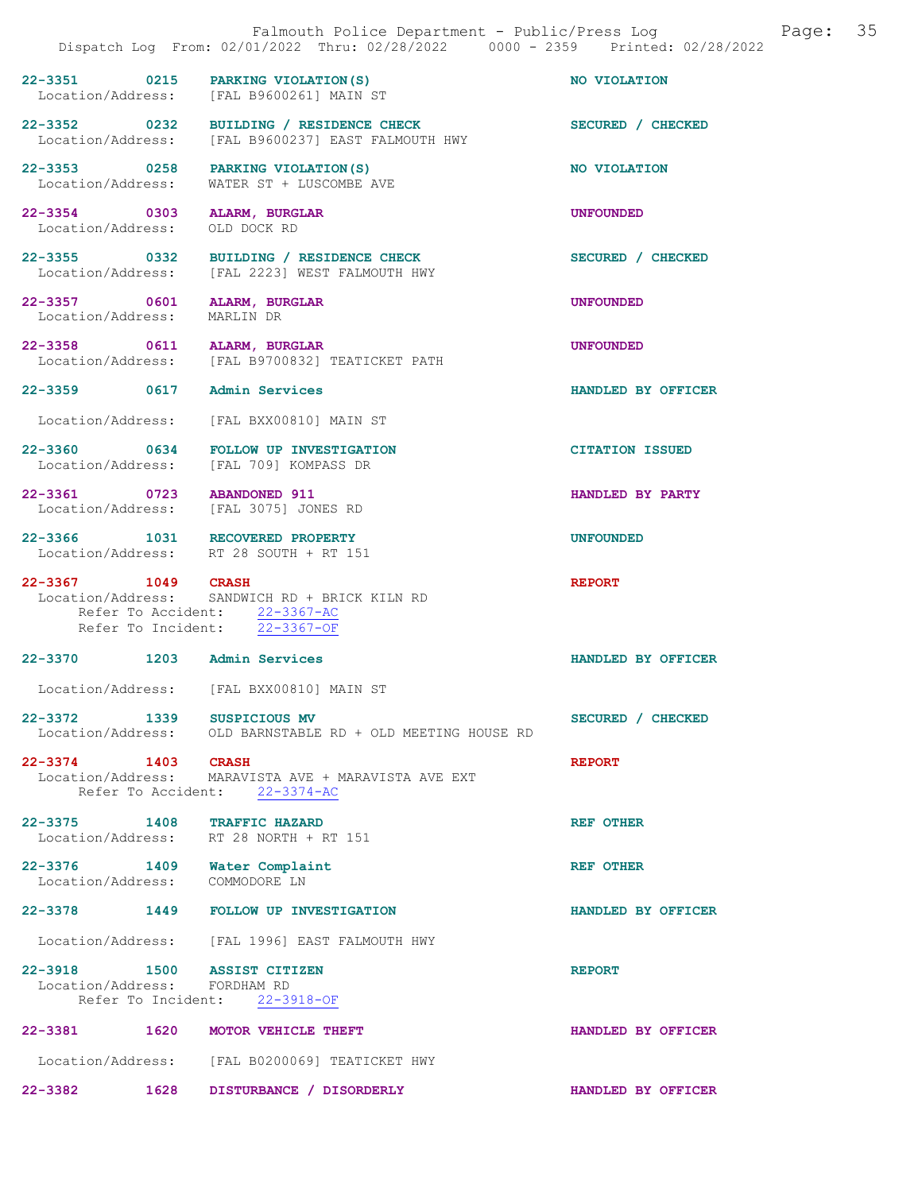|                                                                |      | Falmouth Police Department - Public/Press Log Falmouth Page: 35<br>Dispatch Log From: 02/01/2022 Thru: 02/28/2022 0000 - 2359 Printed: 02/28/2022 |                        |
|----------------------------------------------------------------|------|---------------------------------------------------------------------------------------------------------------------------------------------------|------------------------|
|                                                                |      | 22-3351 0215 PARKING VIOLATION (S)<br>Location/Address: [FAL B9600261] MAIN ST                                                                    | NO VIOLATION           |
|                                                                |      | 22-3352 0232 BUILDING / RESIDENCE CHECK<br>Location/Address: [FAL B9600237] EAST FALMOUTH HWY                                                     | SECURED / CHECKED      |
|                                                                |      | 22-3353 0258 PARKING VIOLATION (S)<br>Location/Address: WATER ST + LUSCOMBE AVE                                                                   | NO VIOLATION           |
| 22-3354 0303 ALARM, BURGLAR<br>Location/Address: OLD DOCK RD   |      |                                                                                                                                                   | <b>UNFOUNDED</b>       |
|                                                                |      | 22-3355 0332 BUILDING / RESIDENCE CHECK<br>Location/Address: [FAL 2223] WEST FALMOUTH HWY                                                         | SECURED / CHECKED      |
| Location/Address: MARLIN DR                                    |      | 22-3357 0601 ALARM, BURGLAR                                                                                                                       | <b>UNFOUNDED</b>       |
| 22-3358 0611 ALARM, BURGLAR                                    |      | Location/Address: [FAL B9700832] TEATICKET PATH                                                                                                   | <b>UNFOUNDED</b>       |
| 22-3359 0617 Admin Services                                    |      |                                                                                                                                                   | HANDLED BY OFFICER     |
|                                                                |      | Location/Address: [FAL BXX00810] MAIN ST                                                                                                          |                        |
|                                                                |      | 22-3360 0634 FOLLOW UP INVESTIGATION<br>Location/Address: [FAL 709] KOMPASS DR                                                                    | <b>CITATION ISSUED</b> |
| 22-3361 0723 ABANDONED 911                                     |      | Location/Address: [FAL 3075] JONES RD                                                                                                             | HANDLED BY PARTY       |
|                                                                |      | 22-3366 1031 RECOVERED PROPERTY<br>Location/Address: RT 28 SOUTH + RT 151                                                                         | <b>UNFOUNDED</b>       |
| 22-3367 1049 CRASH                                             |      | Location/Address: SANDWICH RD + BRICK KILN RD<br>Refer To Accident: 22-3367-AC<br>Refer To Incident: 22-3367-OF                                   | <b>REPORT</b>          |
| 22-3370 1203 Admin Services                                    |      |                                                                                                                                                   | HANDLED BY OFFICER     |
|                                                                |      | Location/Address: [FAL BXX00810] MAIN ST                                                                                                          |                        |
| 22-3372 1339                                                   |      | SUSPICIOUS MV<br>Location/Address: OLD BARNSTABLE RD + OLD MEETING HOUSE RD                                                                       | SECURED / CHECKED      |
| 22-3374 1403 CRASH                                             |      | Location/Address: MARAVISTA AVE + MARAVISTA AVE EXT<br>Refer To Accident: 22-3374-AC                                                              | <b>REPORT</b>          |
| 22-3375 1408 TRAFFIC HAZARD                                    |      | Location/Address: RT 28 NORTH + RT 151                                                                                                            | <b>REF OTHER</b>       |
| 22-3376 1409 Water Complaint<br>Location/Address: COMMODORE LN |      |                                                                                                                                                   | <b>REF OTHER</b>       |
|                                                                |      | 22-3378 1449 FOLLOW UP INVESTIGATION                                                                                                              | HANDLED BY OFFICER     |
|                                                                |      | Location/Address: [FAL 1996] EAST FALMOUTH HWY                                                                                                    |                        |
| 22-3918 1500 ASSIST CITIZEN<br>Location/Address: FORDHAM RD    |      | Refer To Incident: 22-3918-OF                                                                                                                     | <b>REPORT</b>          |
|                                                                |      | 22-3381 1620 MOTOR VEHICLE THEFT                                                                                                                  | HANDLED BY OFFICER     |
|                                                                |      | Location/Address: [FAL B0200069] TEATICKET HWY                                                                                                    |                        |
| $22 - 3382$                                                    | 1628 | DISTURBANCE / DISORDERLY                                                                                                                          | HANDLED BY OFFICER     |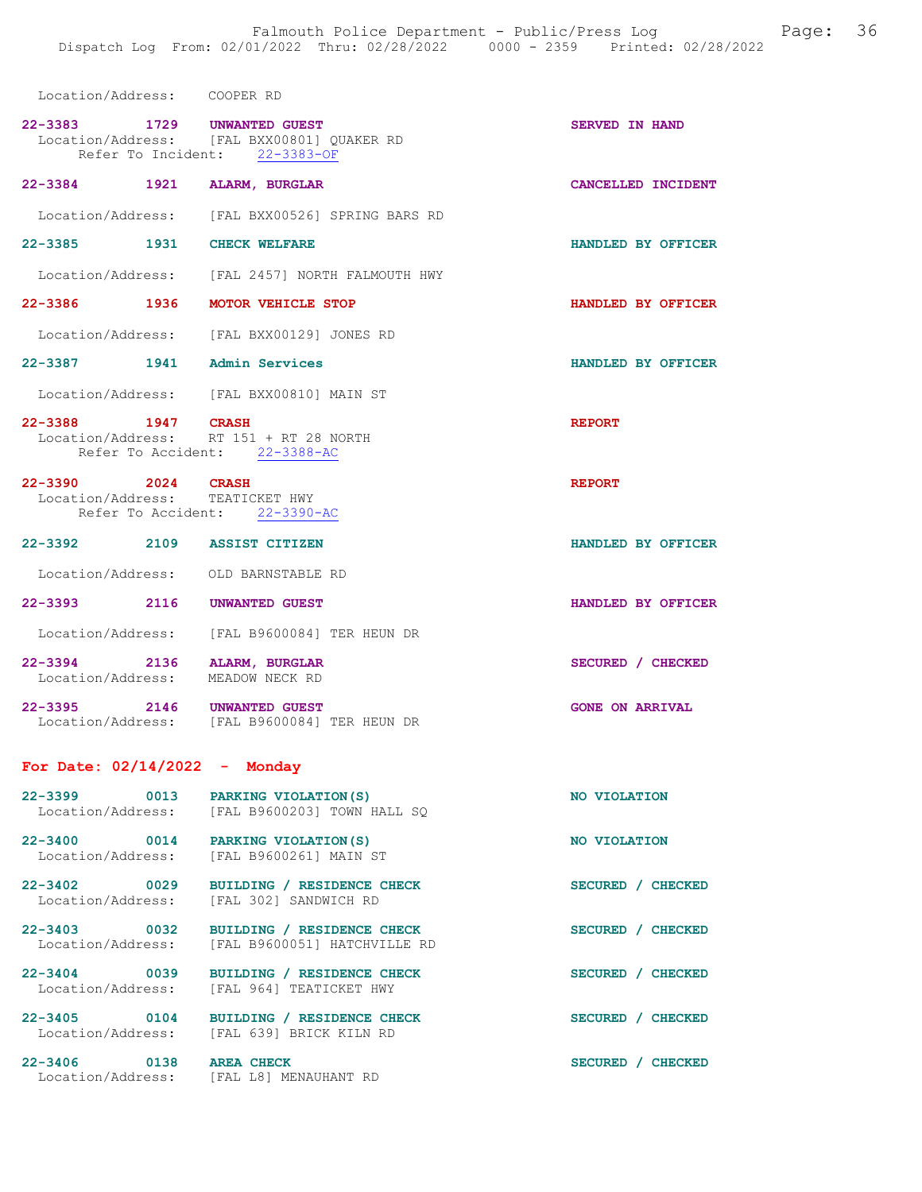| Location/Address: COOPER RD                                     |                                                                                                            |                        |
|-----------------------------------------------------------------|------------------------------------------------------------------------------------------------------------|------------------------|
|                                                                 | 22-3383 1729 UNWANTED GUEST<br>Location/Address: [FAL BXX00801] QUAKER RD<br>Refer To Incident: 22-3383-OF | <b>SERVED IN HAND</b>  |
| 22-3384 1921 ALARM, BURGLAR                                     |                                                                                                            | CANCELLED INCIDENT     |
|                                                                 | Location/Address: [FAL BXX00526] SPRING BARS RD                                                            |                        |
| 22-3385 1931 CHECK WELFARE                                      |                                                                                                            | HANDLED BY OFFICER     |
|                                                                 | Location/Address: [FAL 2457] NORTH FALMOUTH HWY                                                            |                        |
| 22-3386 1936 MOTOR VEHICLE STOP                                 |                                                                                                            | HANDLED BY OFFICER     |
|                                                                 | Location/Address: [FAL BXX00129] JONES RD                                                                  |                        |
| 22-3387 1941 Admin Services                                     |                                                                                                            | HANDLED BY OFFICER     |
|                                                                 | Location/Address: [FAL BXX00810] MAIN ST                                                                   |                        |
|                                                                 | 22-3388 1947 CRASH<br>Location/Address: RT 151 + RT 28 NORTH<br>Refer To Accident: 22-3388-AC              | <b>REPORT</b>          |
| 22-3390 2024 CRASH<br>Location/Address: TEATICKET HWY           | Refer To Accident: 22-3390-AC                                                                              | <b>REPORT</b>          |
| 22-3392 2109 ASSIST CITIZEN                                     |                                                                                                            | HANDLED BY OFFICER     |
| Location/Address: OLD BARNSTABLE RD                             |                                                                                                            |                        |
| 22-3393 2116 UNWANTED GUEST                                     |                                                                                                            | HANDLED BY OFFICER     |
|                                                                 | Location/Address: [FAL B9600084] TER HEUN DR                                                               |                        |
| 22-3394 2136 ALARM, BURGLAR<br>Location/Address: MEADOW NECK RD |                                                                                                            | SECURED / CHECKED      |
| 22-3395 2146 UNWANTED GUEST                                     | Location/Address: [FAL B9600084] TER HEUN DR                                                               | <b>GONE ON ARRIVAL</b> |
| For Date: $02/14/2022 -$ Monday                                 |                                                                                                            |                        |
| 22-3399 0013                                                    | PARKING VIOLATION (S)<br>Location/Address: [FAL B9600203] TOWN HALL SQ                                     | NO VIOLATION           |
| 22-3400                                                         | 0014 PARKING VIOLATION (S)<br>Location/Address: [FAL B9600261] MAIN ST                                     | NO VIOLATION           |
| 22-3402 0029<br>Location/Address:                               | BUILDING / RESIDENCE CHECK<br>[FAL 302] SANDWICH RD                                                        | SECURED / CHECKED      |
| 22-3403 0032                                                    | BUILDING / RESIDENCE CHECK<br>Location/Address: [FAL B9600051] HATCHVILLE RD                               | SECURED / CHECKED      |

Location/Address: [FAL 964] TEATICKET HWY

22-3405 0104 BUILDING / RESIDENCE CHECK SECURED / CHECKED

22-3406 0138 AREA CHECK SECURED / CHECKED

22-3404 0039 BUILDING / RESIDENCE CHECK SECURED / CHECKED

Location/Address: [FAL 639] BRICK KILN RD

Location/Address: [FAL L8] MENAUHANT RD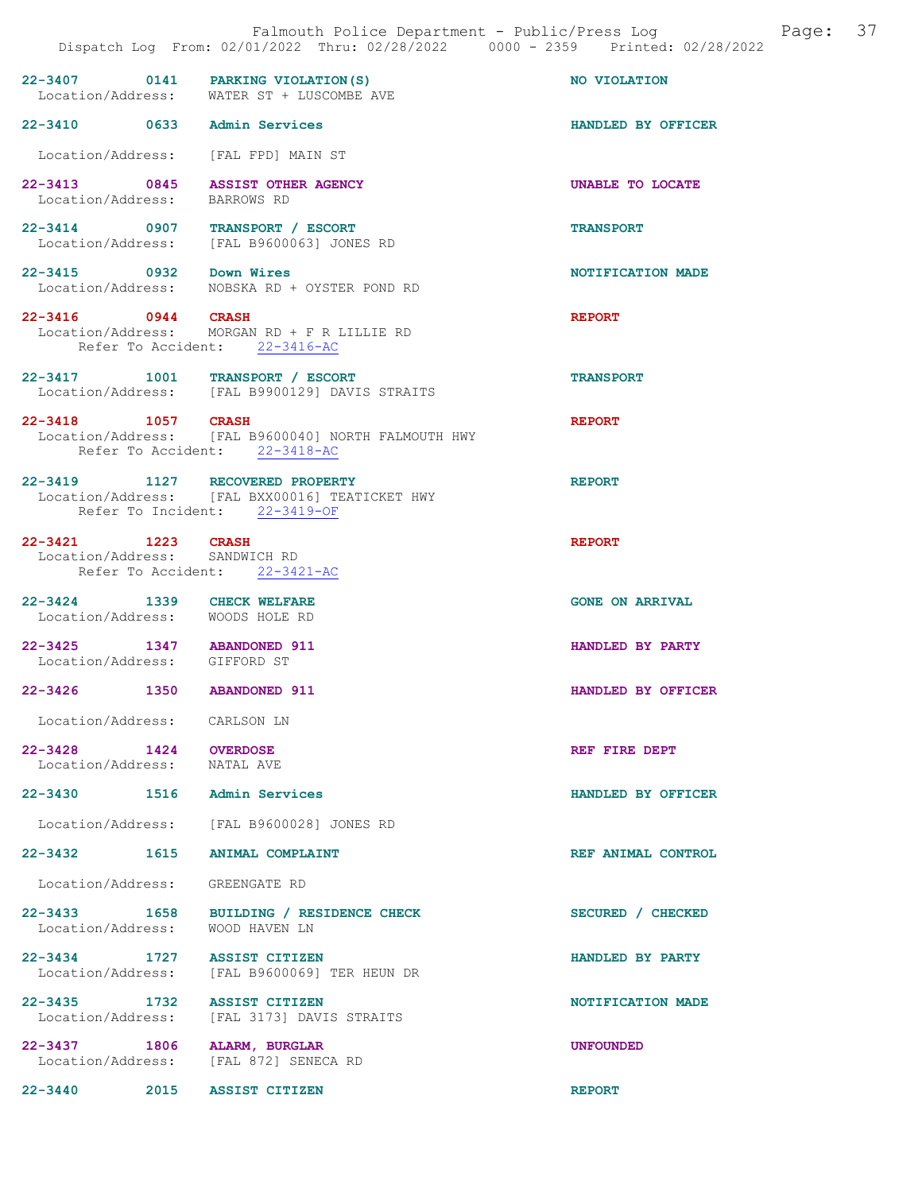|                                                               | 22-3407 0141 PARKING VIOLATION(S)<br>Location/Address: WATER ST + LUSCOMBE AVE                                     | NO VIOLATION           |
|---------------------------------------------------------------|--------------------------------------------------------------------------------------------------------------------|------------------------|
| 22-3410 0633 Admin Services                                   |                                                                                                                    | HANDLED BY OFFICER     |
|                                                               | Location/Address: [FAL FPD] MAIN ST                                                                                |                        |
| Location/Address: BARROWS RD                                  | 22-3413 0845 ASSIST OTHER AGENCY                                                                                   | UNABLE TO LOCATE       |
|                                                               | 22-3414 0907 TRANSPORT / ESCORT<br>Location/Address: [FAL B9600063] JONES RD                                       | <b>TRANSPORT</b>       |
| 22-3415 0932 Down Wires                                       | Location/Address: NOBSKA RD + OYSTER POND RD                                                                       | NOTIFICATION MADE      |
| 22-3416 0944 CRASH                                            | Location/Address: MORGAN RD + F R LILLIE RD<br>Refer To Accident: 22-3416-AC                                       | <b>REPORT</b>          |
|                                                               | 22-3417 1001 TRANSPORT / ESCORT<br>Location/Address: [FAL B9900129] DAVIS STRAITS                                  | <b>TRANSPORT</b>       |
| 22-3418 1057 CRASH                                            | Location/Address: [FAL B9600040] NORTH FALMOUTH HWY<br>Refer To Accident: 22-3418-AC                               | <b>REPORT</b>          |
|                                                               | 22-3419 1127 RECOVERED PROPERTY<br>Location/Address: [FAL BXX00016] TEATICKET HWY<br>Refer To Incident: 22-3419-OF | <b>REPORT</b>          |
| 22-3421 1223 CRASH<br>Location/Address: SANDWICH RD           | Refer To Accident: 22-3421-AC                                                                                      | <b>REPORT</b>          |
| 22-3424 1339 CHECK WELFARE<br>Location/Address: WOODS HOLE RD |                                                                                                                    | <b>GONE ON ARRIVAL</b> |
| 22-3425 1347 ABANDONED 911<br>Location/Address: GIFFORD ST    |                                                                                                                    | HANDLED BY PARTY       |
| 22-3426 1350 ABANDONED 911                                    |                                                                                                                    | HANDLED BY OFFICER     |
| Location/Address: CARLSON LN                                  |                                                                                                                    |                        |
| 22-3428 1424 OVERDOSE<br>Location/Address:                    | NATAL AVE                                                                                                          | REF FIRE DEPT          |
| 22-3430 1516 Admin Services                                   |                                                                                                                    | HANDLED BY OFFICER     |
|                                                               | Location/Address: [FAL B9600028] JONES RD                                                                          |                        |
| 22-3432 1615 ANIMAL COMPLAINT                                 |                                                                                                                    | REF ANIMAL CONTROL     |
| Location/Address: GREENGATE RD                                |                                                                                                                    |                        |
| Location/Address:                                             | 22-3433 1658 BUILDING / RESIDENCE CHECK<br>WOOD HAVEN LN                                                           | SECURED / CHECKED      |
| 22-3434 1727 ASSIST CITIZEN<br>Location/Address:              | [FAL B9600069] TER HEUN DR                                                                                         | HANDLED BY PARTY       |
| 22-3435 1732 ASSIST CITIZEN<br>Location/Address:              | [FAL 3173] DAVIS STRAITS                                                                                           | NOTIFICATION MADE      |
| 22-3437 1806<br>Location/Address:                             | ALARM, BURGLAR<br>[FAL 872] SENECA RD                                                                              | <b>UNFOUNDED</b>       |

22-3440 2015 ASSIST CITIZEN REPORT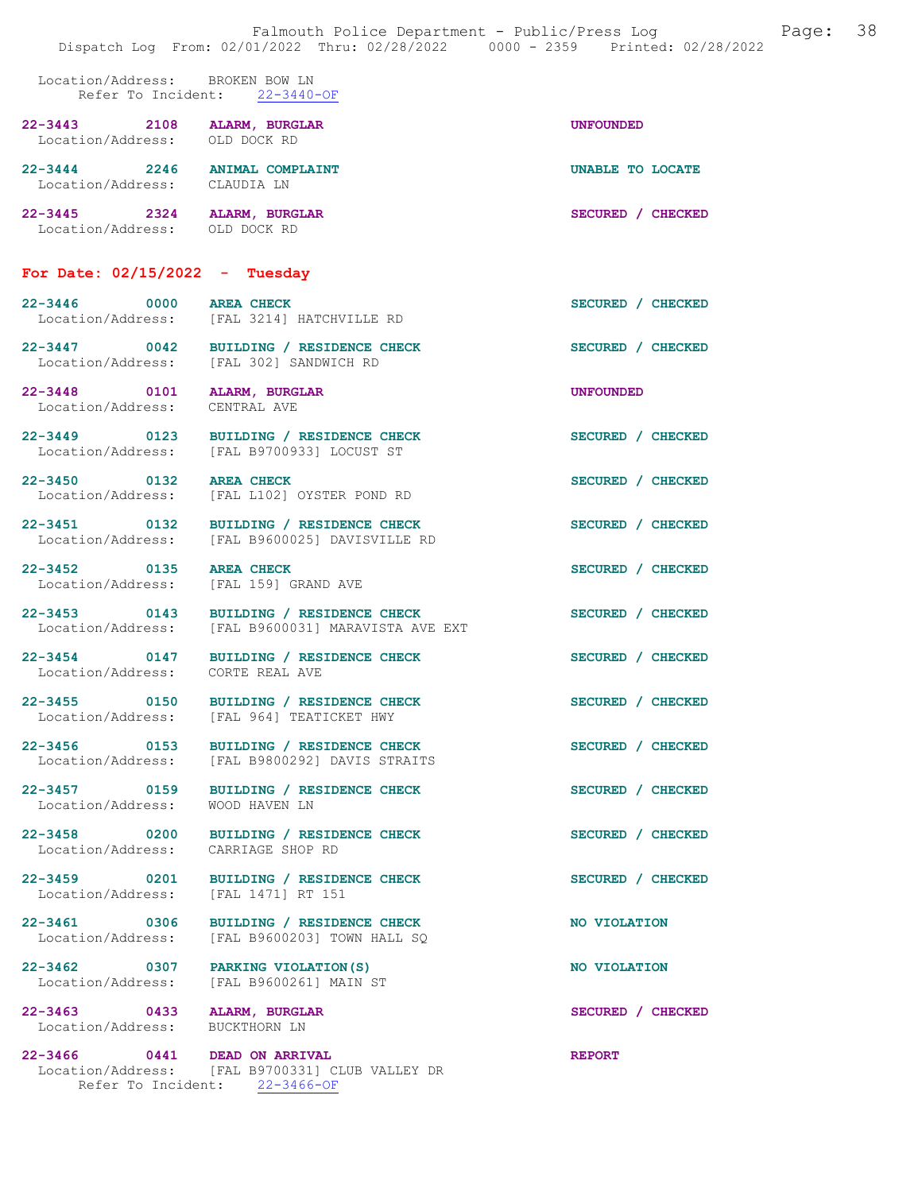|                                                                  | Falmouth Police Department - Public/Press Log Falmouth Page: 38<br>Dispatch Log From: 02/01/2022 Thru: 02/28/2022 0000 - 2359 Printed: 02/28/2022 |                   |  |
|------------------------------------------------------------------|---------------------------------------------------------------------------------------------------------------------------------------------------|-------------------|--|
| Location/Address: BROKEN BOW LN                                  | Refer To Incident: 22-3440-OF                                                                                                                     |                   |  |
| 22-3443 2108 ALARM, BURGLAR<br>Location/Address: OLD DOCK RD     |                                                                                                                                                   | <b>UNFOUNDED</b>  |  |
| 22-3444 2246 ANIMAL COMPLAINT<br>Location/Address: CLAUDIA LN    |                                                                                                                                                   | UNABLE TO LOCATE  |  |
| 22-3445 2324 ALARM, BURGLAR<br>Location/Address: OLD DOCK RD     |                                                                                                                                                   | SECURED / CHECKED |  |
| For Date: $02/15/2022 -$ Tuesday                                 |                                                                                                                                                   |                   |  |
| 22-3446 0000 AREA CHECK                                          | Location/Address: [FAL 3214] HATCHVILLE RD                                                                                                        | SECURED / CHECKED |  |
|                                                                  | 22-3447 0042 BUILDING / RESIDENCE CHECK<br>Location/Address: [FAL 302] SANDWICH RD                                                                | SECURED / CHECKED |  |
| 22-3448 0101 ALARM, BURGLAR<br>Location/Address: CENTRAL AVE     |                                                                                                                                                   | UNFOUNDED         |  |
|                                                                  | 22-3449 0123 BUILDING / RESIDENCE CHECK<br>Location/Address: [FAL B9700933] LOCUST ST                                                             | SECURED / CHECKED |  |
| 22-3450 0132 AREA CHECK                                          | Location/Address: [FAL L102] OYSTER POND RD                                                                                                       | SECURED / CHECKED |  |
|                                                                  | 22-3451 0132 BUILDING / RESIDENCE CHECK<br>Location/Address: [FAL B9600025] DAVISVILLE RD                                                         | SECURED / CHECKED |  |
| 22-3452 0135 AREA CHECK<br>Location/Address: [FAL 159] GRAND AVE |                                                                                                                                                   | SECURED / CHECKED |  |
|                                                                  | 22-3453 0143 BUILDING / RESIDENCE CHECK<br>Location/Address: [FAL B9600031] MARAVISTA AVE EXT                                                     | SECURED / CHECKED |  |
| Location/Address: CORTE REAL AVE                                 | 22-3454 0147 BUILDING / RESIDENCE CHECK                                                                                                           | SECURED / CHECKED |  |
| 22-3455 0150                                                     | BUILDING / RESIDENCE CHECK<br>Location/Address: [FAL 964] TEATICKET HWY                                                                           | SECURED / CHECKED |  |
|                                                                  | 22-3456 0153 BUILDING / RESIDENCE CHECK<br>Location/Address: [FAL B9800292] DAVIS STRAITS                                                         | SECURED / CHECKED |  |
| 22-3457 0159<br>Location/Address:                                | BUILDING / RESIDENCE CHECK<br>WOOD HAVEN LN                                                                                                       | SECURED / CHECKED |  |
| Location/Address: CARRIAGE SHOP RD                               | 22-3458 0200 BUILDING / RESIDENCE CHECK                                                                                                           | SECURED / CHECKED |  |
| Location/Address:                                                | 22-3459 0201 BUILDING / RESIDENCE CHECK<br>[FAL 1471] RT 151                                                                                      | SECURED / CHECKED |  |
| 22-3461 0306<br>Location/Address:                                | BUILDING / RESIDENCE CHECK<br>[FAL B9600203] TOWN HALL SQ                                                                                         | NO VIOLATION      |  |
| 22-3462 0307 PARKING VIOLATION(S)<br>Location/Address:           | [FAL B9600261] MAIN ST                                                                                                                            | NO VIOLATION      |  |
| 22-3463 0433<br>Location/Address: BUCKTHORN LN                   | ALARM, BURGLAR                                                                                                                                    | SECURED / CHECKED |  |
| 22-3466 0441 DEAD ON ARRIVAL                                     | Location/Address: [FAL B9700331] CLUB VALLEY DR<br>Refer To Incident: 22-3466-OF                                                                  | <b>REPORT</b>     |  |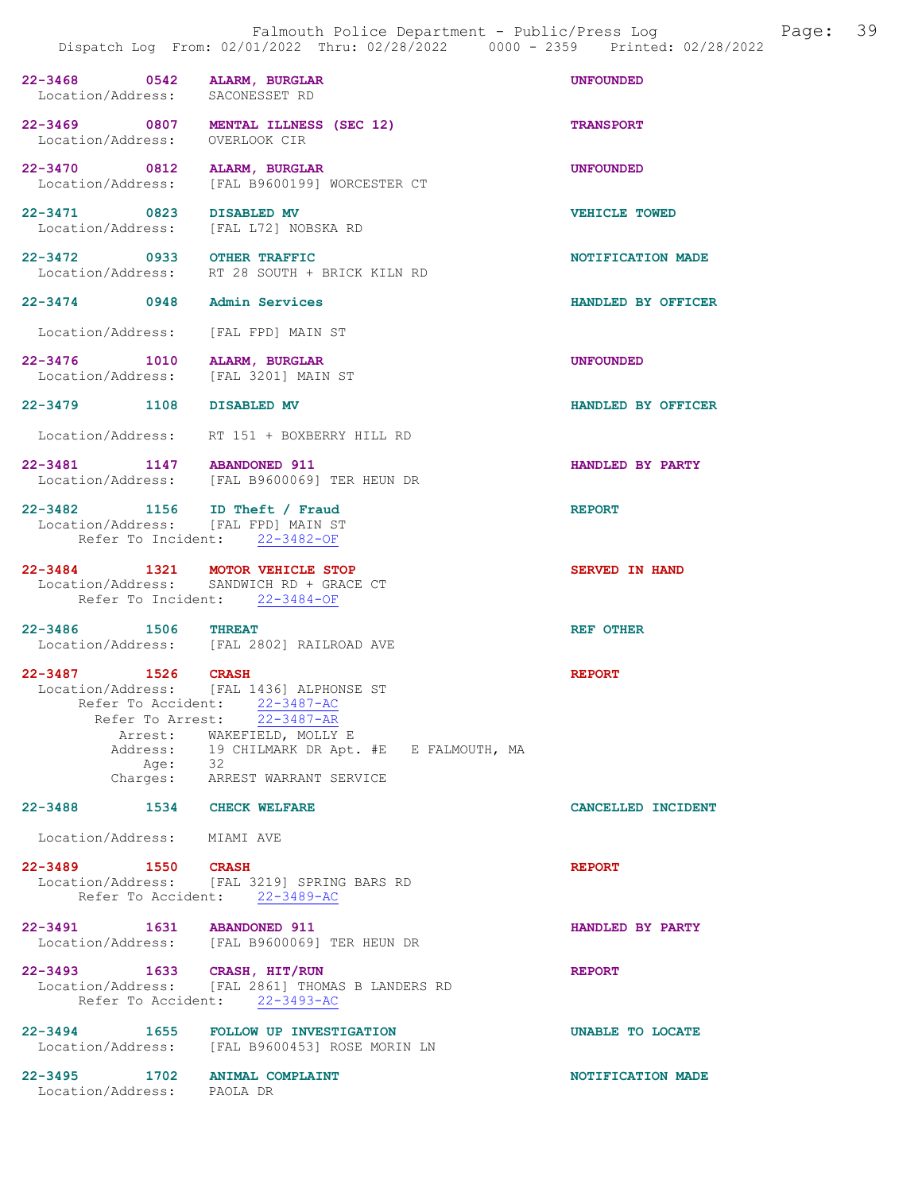|                                                                      | Falmouth Police Department - Public/Press Log<br>Dispatch Log From: 02/01/2022 Thru: 02/28/2022 0000 - 2359 Printed: 02/28/2022 | Page: 39           |
|----------------------------------------------------------------------|---------------------------------------------------------------------------------------------------------------------------------|--------------------|
| 22-3468 0542<br>Location/Address: SACONESSET RD                      | ALARM, BURGLAR                                                                                                                  | <b>UNFOUNDED</b>   |
| 22-3469 0807<br>Location/Address: OVERLOOK CIR                       | MENTAL ILLNESS (SEC 12)                                                                                                         | <b>TRANSPORT</b>   |
| 22-3470 0812                                                         | ALARM, BURGLAR<br>Location/Address: [FAL B9600199] WORCESTER CT                                                                 | <b>UNFOUNDED</b>   |
| 22-3471 0823<br>Location/Address: [FAL L72] NOBSKA RD                | <b>DISABLED MV</b>                                                                                                              | VEHICLE TOWED      |
| 22-3472 0933 OTHER TRAFFIC                                           | Location/Address: RT 28 SOUTH + BRICK KILN RD                                                                                   | NOTIFICATION MADE  |
| 22-3474 0948 Admin Services                                          |                                                                                                                                 | HANDLED BY OFFICER |
| Location/Address: [FAL FPD] MAIN ST                                  |                                                                                                                                 |                    |
| 22-3476 1010<br>Location/Address: [FAL 3201] MAIN ST                 | ALARM, BURGLAR                                                                                                                  | <b>UNFOUNDED</b>   |
| 22-3479 1108 DISABLED MV                                             |                                                                                                                                 | HANDLED BY OFFICER |
|                                                                      | Location/Address: RT 151 + BOXBERRY HILL RD                                                                                     |                    |
| 22-3481 1147 ABANDONED 911                                           | Location/Address: [FAL B9600069] TER HEUN DR                                                                                    | HANDLED BY PARTY   |
| 22-3482 1156 ID Theft / Fraud<br>Location/Address: [FAL FPD] MAIN ST | Refer To Incident: 22-3482-OF                                                                                                   | <b>REPORT</b>      |

22-3484 1321 MOTOR VEHICLE STOP SERVED IN HAND Location/Address: SANDWICH RD + GRACE CT Refer To Incident: 22-3484-OF

22-3486 1506 THREAT REF OTHER Location/Address: [FAL 2802] RAILROAD AVE

22-3487 1526 CRASH REPORT Location/Address: [FAL 1436] ALPHONSE ST Refer To Accident: 22-3487-AC Refer To Arrest: 22-3487-AR Arrest: WAKEFIELD, MOLLY E Address: 19 CHILMARK DR Apt. #E E FALMOUTH, MA<br>Age: 32 Age:<br>Charges: ARREST WARRANT SERVICE

22-3488 1534 CHECK WELFARE CANCELLED INCIDENT

Location/Address: MIAMI AVE

22-3489 1550 CRASH REPORT Location/Address: [FAL 3219] SPRING BARS RD Refer To Accident: 22-3489-AC

22-3491 1631 ABANDONED 911 HANDLED BY PARTY Location/Address: [FAL B9600069] TER HEUN DR 22-3493 1633 CRASH, HIT/RUN REPORT

 Location/Address: [FAL 2861] THOMAS B LANDERS RD Refer To Accident: 22-3493-AC

22-3494 1655 FOLLOW UP INVESTIGATION UNABLE TO LOCATE Location/Address: [FAL B9600453] ROSE MORIN LN

22-3495 1702 ANIMAL COMPLAINT NOTIFICATION MADE Location/Address: PAOLA DR Location/Address: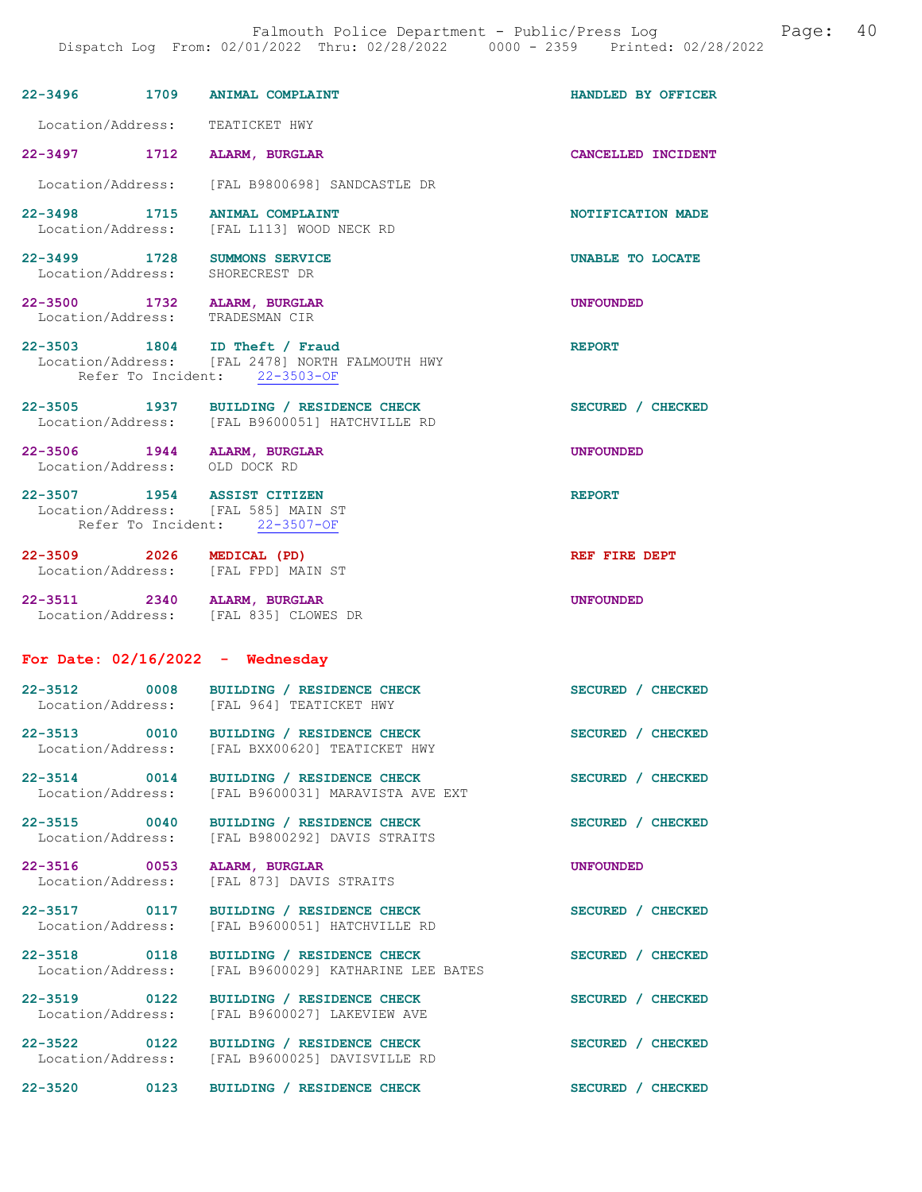|                                                                |      | 22-3496 1709 ANIMAL COMPLAINT                                                                                     | HANDLED BY OFFICER |
|----------------------------------------------------------------|------|-------------------------------------------------------------------------------------------------------------------|--------------------|
| Location/Address: TEATICKET HWY                                |      |                                                                                                                   |                    |
| 22-3497 1712 ALARM, BURGLAR                                    |      |                                                                                                                   | CANCELLED INCIDENT |
|                                                                |      | Location/Address: [FAL B9800698] SANDCASTLE DR                                                                    |                    |
| 22-3498 1715                                                   |      | ANIMAL COMPLAINT<br>Location/Address: [FAL L113] WOOD NECK RD                                                     | NOTIFICATION MADE  |
| 22-3499 1728 SUMMONS SERVICE<br>Location/Address:              |      | SHORECREST DR                                                                                                     | UNABLE TO LOCATE   |
| 22-3500 1732 ALARM, BURGLAR<br>Location/Address: TRADESMAN CIR |      |                                                                                                                   | <b>UNFOUNDED</b>   |
|                                                                |      | 22-3503 1804 ID Theft / Fraud<br>Location/Address: [FAL 2478] NORTH FALMOUTH HWY<br>Refer To Incident: 22-3503-OF | <b>REPORT</b>      |
|                                                                |      | 22-3505 1937 BUILDING / RESIDENCE CHECK<br>Location/Address: [FAL B9600051] HATCHVILLE RD                         | SECURED / CHECKED  |
| 22-3506 1944 ALARM, BURGLAR<br>Location/Address: OLD DOCK RD   |      |                                                                                                                   | <b>UNFOUNDED</b>   |
| 22-3507 1954 ASSIST CITIZEN                                    |      | Location/Address: [FAL 585] MAIN ST<br>Refer To Incident: 22-3507-OF                                              | <b>REPORT</b>      |
|                                                                |      | 22-3509 2026 MEDICAL (PD)<br>Location/Address: [FAL FPD] MAIN ST                                                  | REF FIRE DEPT      |
| 22-3511 2340 ALARM, BURGLAR                                    |      | Location/Address: [FAL 835] CLOWES DR                                                                             | <b>UNFOUNDED</b>   |
| For Date: $02/16/2022 -$ Wednesday                             |      |                                                                                                                   |                    |
|                                                                |      | 22-3512 0008 BUILDING / RESIDENCE CHECK<br>Location/Address: [FAL 964] TEATICKET HWY                              | SECURED / CHECKED  |
| $22 - 3513$<br>0010<br>Location/Address:                       |      | BUILDING / RESIDENCE CHECK<br>[FAL BXX00620] TEATICKET HWY                                                        | SECURED / CHECKED  |
| $22 - 3514$<br>Location/Address:                               | 0014 | BUILDING / RESIDENCE CHECK<br>[FAL B9600031] MARAVISTA AVE EXT                                                    | SECURED / CHECKED  |
| 22-3515 0040<br>Location/Address:                              |      | BUILDING / RESIDENCE CHECK<br>[FAL B9800292] DAVIS STRAITS                                                        | SECURED / CHECKED  |
| 22-3516 0053<br>Location/Address:                              |      | ALARM, BURGLAR<br>[FAL 873] DAVIS STRAITS                                                                         | UNFOUNDED          |
| 22-3517 0117<br>Location/Address:                              |      | BUILDING / RESIDENCE CHECK<br>[FAL B9600051] HATCHVILLE RD                                                        | SECURED / CHECKED  |
| 22-3518 0118                                                   |      |                                                                                                                   |                    |
| Location/Address:                                              |      | BUILDING / RESIDENCE CHECK<br>[FAL B9600029] KATHARINE LEE BATES                                                  | SECURED / CHECKED  |
| 22-3519 0122<br>Location/Address:                              |      | BUILDING / RESIDENCE CHECK<br>[FAL B9600027] LAKEVIEW AVE                                                         | SECURED / CHECKED  |
| 22-3522 0122<br>Location/Address:                              |      | BUILDING / RESIDENCE CHECK<br>[FAL B9600025] DAVISVILLE RD                                                        | SECURED / CHECKED  |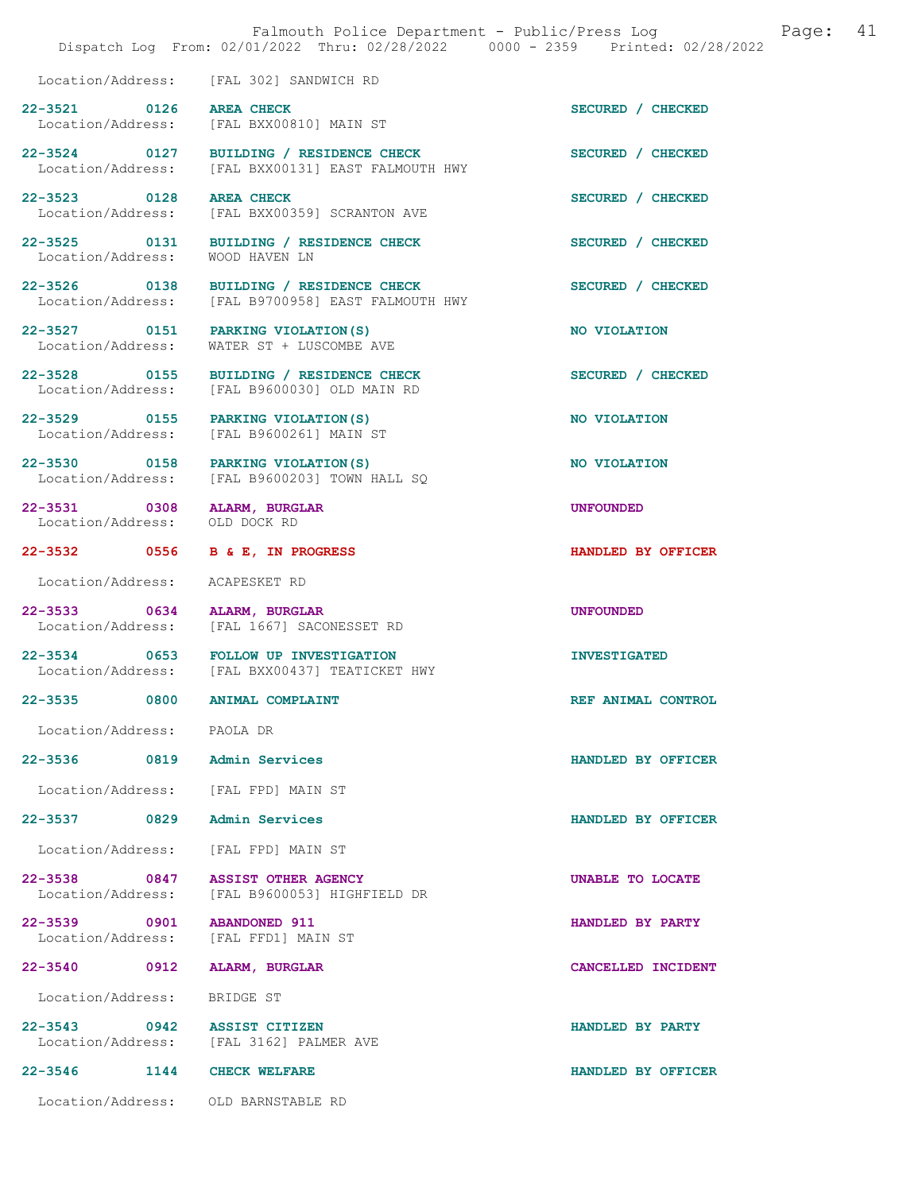|                                                              | Dispatch Log From: 02/01/2022 Thru: 02/28/2022 0000 - 2359 Printed: 02/28/2022                | Falmouth Police Department - Public/Press Log<br>Page: | 41 |
|--------------------------------------------------------------|-----------------------------------------------------------------------------------------------|--------------------------------------------------------|----|
|                                                              | Location/Address: [FAL 302] SANDWICH RD                                                       |                                                        |    |
| 22-3521 0126                                                 | <b>AREA CHECK</b><br>Location/Address: [FAL BXX00810] MAIN ST                                 | SECURED / CHECKED                                      |    |
|                                                              | 22-3524 0127 BUILDING / RESIDENCE CHECK<br>Location/Address: [FAL BXX00131] EAST FALMOUTH HWY | SECURED / CHECKED                                      |    |
| 22-3523 0128                                                 | <b>AREA CHECK</b><br>Location/Address: [FAL BXX00359] SCRANTON AVE                            | SECURED / CHECKED                                      |    |
| 22-3525 0131<br>Location/Address:                            | BUILDING / RESIDENCE CHECK<br>WOOD HAVEN LN                                                   | SECURED / CHECKED                                      |    |
| 22-3526 0138                                                 | BUILDING / RESIDENCE CHECK<br>Location/Address: [FAL B9700958] EAST FALMOUTH HWY              | SECURED / CHECKED                                      |    |
| Location/Address:                                            | 22-3527 0151 PARKING VIOLATION (S)<br>WATER ST + LUSCOMBE AVE                                 | NO VIOLATION                                           |    |
| 22-3528 0155                                                 | BUILDING / RESIDENCE CHECK<br>Location/Address: [FAL B9600030] OLD MAIN RD                    | SECURED / CHECKED                                      |    |
|                                                              | 22-3529 0155 PARKING VIOLATION (S)<br>Location/Address: [FAL B9600261] MAIN ST                | NO VIOLATION                                           |    |
| 22-3530 0158                                                 | PARKING VIOLATION (S)<br>Location/Address: [FAL B9600203] TOWN HALL SQ                        | NO VIOLATION                                           |    |
| 22-3531 0308 ALARM, BURGLAR<br>Location/Address: OLD DOCK RD |                                                                                               | <b>UNFOUNDED</b>                                       |    |
| 22-3532 0556                                                 | B & E, IN PROGRESS                                                                            | HANDLED BY OFFICER                                     |    |
| Location/Address:                                            | ACAPESKET RD                                                                                  |                                                        |    |
| 22-3533 0634                                                 | ALARM, BURGLAR<br>Location/Address: [FAL 1667] SACONESSET RD                                  | <b>UNFOUNDED</b>                                       |    |
|                                                              | 22-3534 0653 FOLLOW UP INVESTIGATION<br>Location/Address: [FAL BXX00437] TEATICKET HWY        | <b>INVESTIGATED</b>                                    |    |
| 22-3535 0800 ANIMAL COMPLAINT                                |                                                                                               | REF ANIMAL CONTROL                                     |    |
| Location/Address: PAOLA DR                                   |                                                                                               |                                                        |    |
| 22-3536 0819 Admin Services                                  |                                                                                               | HANDLED BY OFFICER                                     |    |
|                                                              | Location/Address: [FAL FPD] MAIN ST                                                           |                                                        |    |
| 22-3537 0829 Admin Services                                  |                                                                                               | HANDLED BY OFFICER                                     |    |
|                                                              | Location/Address: [FAL FPD] MAIN ST                                                           |                                                        |    |
|                                                              | 22-3538 0847 ASSIST OTHER AGENCY<br>Location/Address: [FAL B9600053] HIGHFIELD DR             | UNABLE TO LOCATE                                       |    |
| 22-3539 0901 ABANDONED 911                                   | Location/Address: [FAL FFD1] MAIN ST                                                          | HANDLED BY PARTY                                       |    |
| 22-3540 0912 ALARM, BURGLAR                                  |                                                                                               | CANCELLED INCIDENT                                     |    |
| Location/Address: BRIDGE ST                                  |                                                                                               |                                                        |    |
| 22-3543 0942 ASSIST CITIZEN                                  | Location/Address: [FAL 3162] PALMER AVE                                                       | HANDLED BY PARTY                                       |    |
| 22-3546 1144 CHECK WELFARE                                   |                                                                                               | HANDLED BY OFFICER                                     |    |
|                                                              | Location/Address: OLD BARNSTABLE RD                                                           |                                                        |    |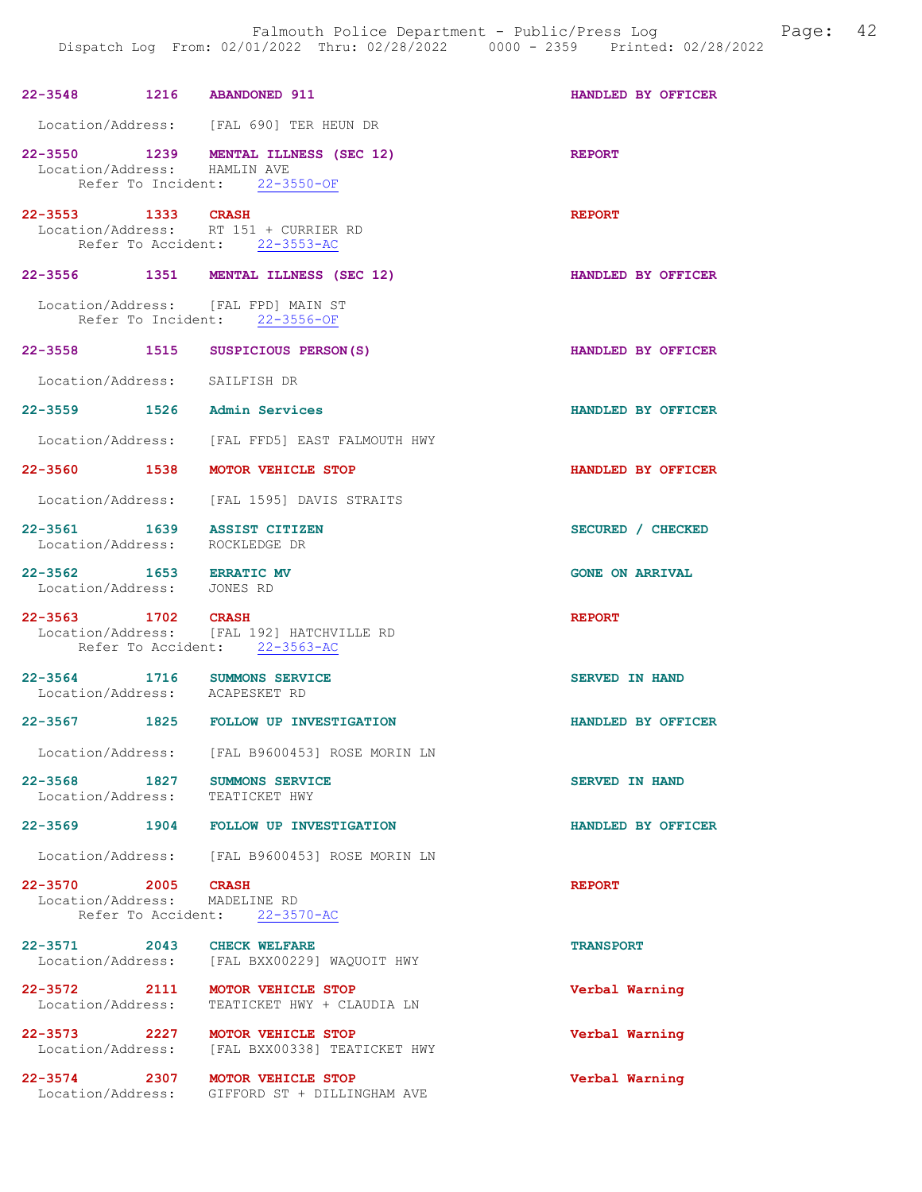| 22-3548 1216 ABANDONED 911                                    |                                                                                   | HANDLED BY OFFICER     |
|---------------------------------------------------------------|-----------------------------------------------------------------------------------|------------------------|
|                                                               | Location/Address: [FAL 690] TER HEUN DR                                           |                        |
| Location/Address: HAMLIN AVE                                  | 22-3550 1239 MENTAL ILLNESS (SEC 12)<br>Refer To Incident: 22-3550-OF             | <b>REPORT</b>          |
| 22-3553 1333 CRASH                                            | Location/Address: RT 151 + CURRIER RD<br>Refer To Accident: 22-3553-AC            | <b>REPORT</b>          |
|                                                               | 22-3556 1351 MENTAL ILLNESS (SEC 12)                                              | HANDLED BY OFFICER     |
|                                                               | Location/Address: [FAL FPD] MAIN ST<br>Refer To Incident: 22-3556-OF              |                        |
|                                                               | 22-3558 1515 SUSPICIOUS PERSON(S)                                                 | HANDLED BY OFFICER     |
| Location/Address: SAILFISH DR                                 |                                                                                   |                        |
| 22-3559 1526 Admin Services                                   |                                                                                   | HANDLED BY OFFICER     |
|                                                               | Location/Address: [FAL FFD5] EAST FALMOUTH HWY                                    |                        |
|                                                               | 22-3560 1538 MOTOR VEHICLE STOP                                                   | HANDLED BY OFFICER     |
|                                                               | Location/Address: [FAL 1595] DAVIS STRAITS                                        |                        |
| 22-3561 1639 ASSIST CITIZEN<br>Location/Address: ROCKLEDGE DR |                                                                                   | SECURED / CHECKED      |
| 22-3562 1653 ERRATIC MV<br>Location/Address: JONES RD         |                                                                                   | <b>GONE ON ARRIVAL</b> |
|                                                               |                                                                                   |                        |
| 22-3563 1702 CRASH                                            | Location/Address: [FAL 192] HATCHVILLE RD<br>Refer To Accident: 22-3563-AC        | <b>REPORT</b>          |
| Location/Address: ACAPESKET RD                                | 22-3564 1716 SUMMONS SERVICE                                                      | SERVED IN HAND         |
|                                                               | 22-3567 1825 FOLLOW UP INVESTIGATION                                              | HANDLED BY OFFICER     |
| Location/Address:                                             | [FAL B9600453] ROSE MORIN LN                                                      |                        |
|                                                               | 22-3568 1827 SUMMONS SERVICE<br>Location/Address: TEATICKET HWY                   | <b>SERVED IN HAND</b>  |
|                                                               | 22-3569 1904 FOLLOW UP INVESTIGATION                                              | HANDLED BY OFFICER     |
|                                                               | Location/Address: [FAL B9600453] ROSE MORIN LN                                    |                        |
| 22-3570 2005<br>Location/Address: MADELINE RD                 | <b>CRASH</b><br>Refer To Accident: 22-3570-AC                                     | <b>REPORT</b>          |
| 22-3571 2043 CHECK WELFARE                                    | Location/Address: [FAL BXX00229] WAQUOIT HWY                                      | <b>TRANSPORT</b>       |
| 22-3572 2111<br>Location/Address:                             | MOTOR VEHICLE STOP<br>TEATICKET HWY + CLAUDIA LN                                  | Verbal Warning         |
|                                                               | 22-3573 2227 MOTOR VEHICLE STOP<br>Location/Address: [FAL BXX00338] TEATICKET HWY | Verbal Warning         |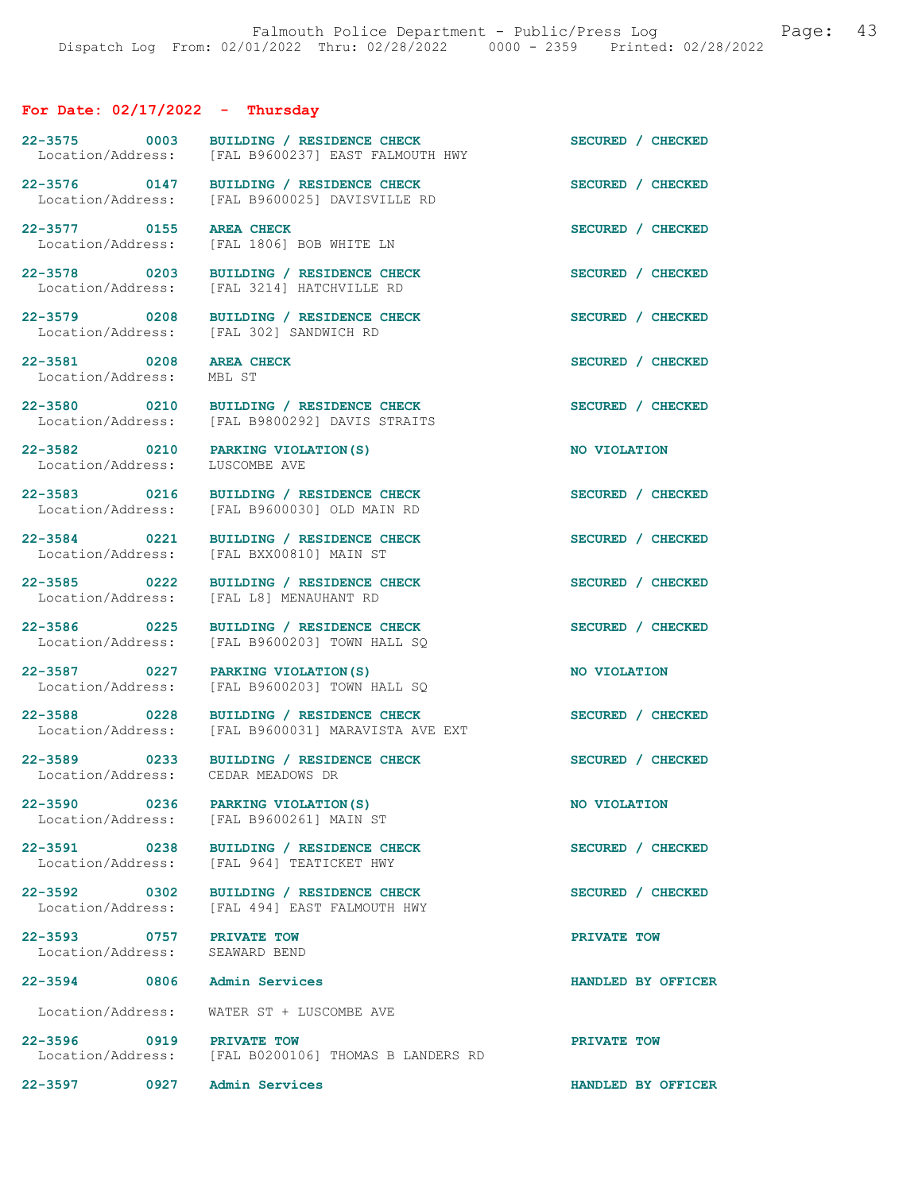# For Date: 02/17/2022 - Thursday

| 22-3575 0003<br>Location/Address:                          | BUILDING / RESIDENCE CHECK<br>[FAL B9600237] EAST FALMOUTH HWY                           | SECURED / CHECKED  |
|------------------------------------------------------------|------------------------------------------------------------------------------------------|--------------------|
| 22-3576 0147<br>Location/Address:                          | BUILDING / RESIDENCE CHECK<br>[FAL B9600025] DAVISVILLE RD                               | SECURED / CHECKED  |
| 22-3577 0155<br>Location/Address:                          | <b>AREA CHECK</b><br>[FAL 1806] BOB WHITE LN                                             | SECURED / CHECKED  |
| 22-3578 0203<br>Location/Address:                          | BUILDING / RESIDENCE CHECK<br>[FAL 3214] HATCHVILLE RD                                   | SECURED / CHECKED  |
| 22-3579 0208<br>Location/Address:                          | BUILDING / RESIDENCE CHECK<br>[FAL 302] SANDWICH RD                                      | SECURED / CHECKED  |
| 22-3581 0208<br>Location/Address:                          | <b>AREA CHECK</b><br>MBL ST                                                              | SECURED / CHECKED  |
| 22-3580 0210<br>Location/Address:                          | BUILDING / RESIDENCE CHECK<br>[FAL B9800292] DAVIS STRAITS                               | SECURED / CHECKED  |
| Location/Address:                                          | 22-3582 0210 PARKING VIOLATION (S)<br>LUSCOMBE AVE                                       | NO VIOLATION       |
| 22-3583 0216<br>Location/Address:                          | BUILDING / RESIDENCE CHECK<br>[FAL B9600030] OLD MAIN RD                                 | SECURED / CHECKED  |
| 22-3584 0221<br>Location/Address:                          | BUILDING / RESIDENCE CHECK<br>[FAL BXX00810] MAIN ST                                     | SECURED / CHECKED  |
| 22-3585 0222<br>Location/Address:                          | BUILDING / RESIDENCE CHECK<br>[FAL L8] MENAUHANT RD                                      | SECURED / CHECKED  |
| 22-3586 0225<br>Location/Address:                          | BUILDING / RESIDENCE CHECK<br>[FAL B9600203] TOWN HALL SQ                                | SECURED / CHECKED  |
| 22-3587 0227<br>Location/Address:                          | PARKING VIOLATION (S)<br>[FAL B9600203] TOWN HALL SQ                                     | NO VIOLATION       |
| 22-3588 0228<br>Location/Address:                          | BUILDING / RESIDENCE CHECK<br>[FAL B9600031] MARAVISTA AVE EXT                           | SECURED / CHECKED  |
| Location/Address: CEDAR MEADOWS DR                         | 22-3589 0233 BUILDING / RESIDENCE CHECK                                                  | SECURED / CHECKED  |
|                                                            | 22-3590 0236 PARKING VIOLATION (S)<br>Location/Address: [FAL B9600261] MAIN ST           | NO VIOLATION       |
|                                                            | 22-3591 0238 BUILDING / RESIDENCE CHECK<br>Location/Address: [FAL 964] TEATICKET HWY     | SECURED / CHECKED  |
|                                                            | 22-3592 0302 BUILDING / RESIDENCE CHECK<br>Location/Address: [FAL 494] EAST FALMOUTH HWY | SECURED / CHECKED  |
| 22-3593 0757 PRIVATE TOW<br>Location/Address: SEAWARD BEND |                                                                                          | PRIVATE TOW        |
| 22-3594 0806 Admin Services                                |                                                                                          | HANDLED BY OFFICER |
|                                                            | Location/Address: WATER ST + LUSCOMBE AVE                                                |                    |
| 22-3596 0919 PRIVATE TOW                                   | Location/Address: [FAL B0200106] THOMAS B LANDERS RD                                     | PRIVATE TOW        |
| 22-3597 0927 Admin Services                                |                                                                                          | HANDLED BY OFFICER |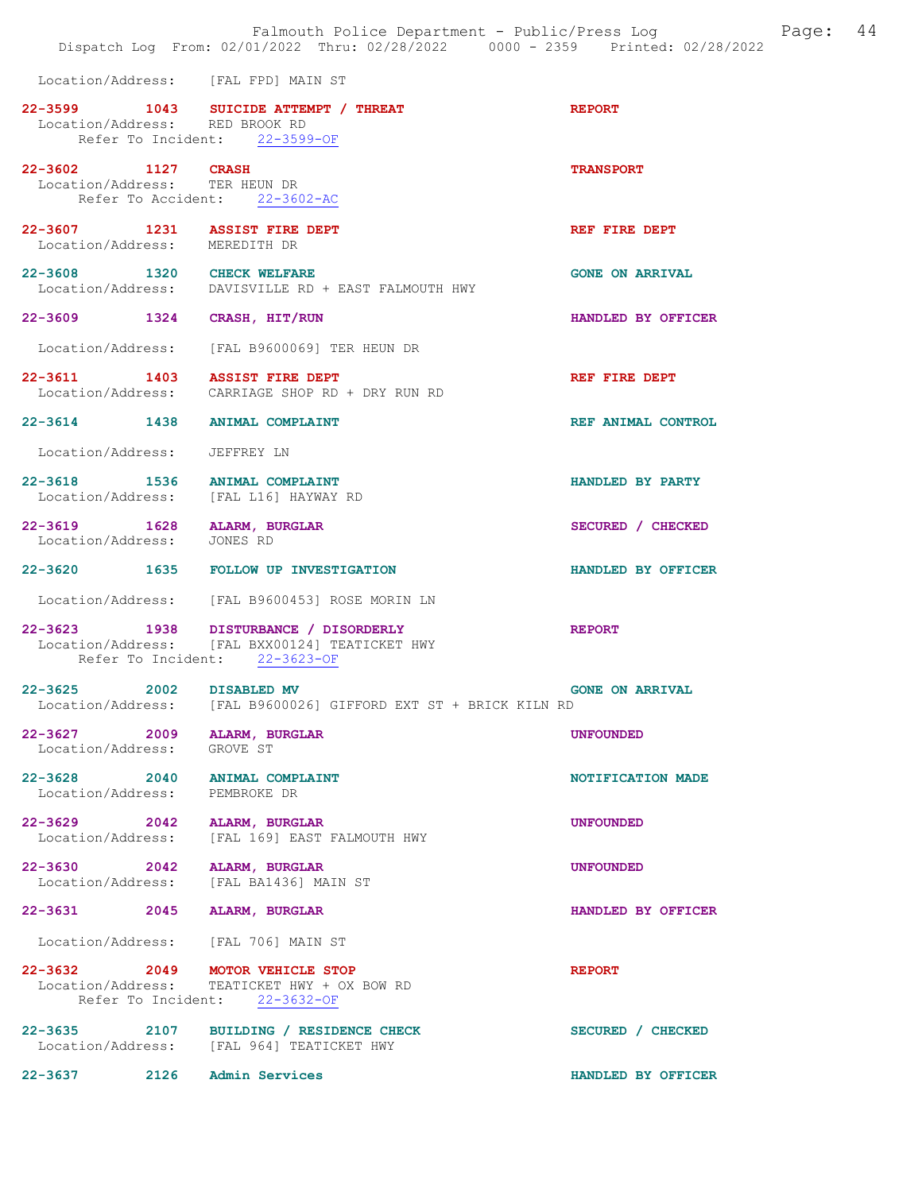|                                                           | Falmouth Police Department - Public/Press Log Fage: 44<br>Dispatch Log From: 02/01/2022 Thru: 02/28/2022 0000 - 2359 Printed: 02/28/2022 |                        |  |
|-----------------------------------------------------------|------------------------------------------------------------------------------------------------------------------------------------------|------------------------|--|
|                                                           | Location/Address: [FAL FPD] MAIN ST                                                                                                      |                        |  |
| Location/Address: RED BROOK RD                            | 22-3599 1043 SUICIDE ATTEMPT / THREAT<br>Refer To Incident: 22-3599-OF                                                                   | <b>REPORT</b>          |  |
| 22-3602 1127 CRASH                                        | Location/Address: TER HEUN DR<br>Refer To Accident: 22-3602-AC                                                                           | <b>TRANSPORT</b>       |  |
| Location/Address: MEREDITH DR                             | 22-3607 1231 ASSIST FIRE DEPT                                                                                                            | REF FIRE DEPT          |  |
|                                                           | 22-3608 1320 CHECK WELFARE<br>Location/Address: DAVISVILLE RD + EAST FALMOUTH HWY                                                        | <b>GONE ON ARRIVAL</b> |  |
| 22-3609 1324 CRASH, HIT/RUN                               |                                                                                                                                          | HANDLED BY OFFICER     |  |
|                                                           | Location/Address: [FAL B9600069] TER HEUN DR                                                                                             |                        |  |
|                                                           | 22-3611 1403 ASSIST FIRE DEPT<br>Location/Address: CARRIAGE SHOP RD + DRY RUN RD                                                         | REF FIRE DEPT          |  |
|                                                           | 22-3614 1438 ANIMAL COMPLAINT                                                                                                            | REF ANIMAL CONTROL     |  |
| Location/Address: JEFFREY LN                              |                                                                                                                                          |                        |  |
|                                                           | 22-3618 1536 ANIMAL COMPLAINT<br>Location/Address: [FAL L16] HAYWAY RD                                                                   | HANDLED BY PARTY       |  |
| 22-3619 1628 ALARM, BURGLAR<br>Location/Address:          | JONES RD                                                                                                                                 | SECURED / CHECKED      |  |
|                                                           | 22-3620 1635 FOLLOW UP INVESTIGATION                                                                                                     | HANDLED BY OFFICER     |  |
|                                                           | Location/Address: [FAL B9600453] ROSE MORIN LN                                                                                           |                        |  |
|                                                           | 22-3623 1938 DISTURBANCE / DISORDERLY<br>Location/Address: [FAL BXX00124] TEATICKET HWY<br>Refer To Incident: 22-3623-OF                 | <b>REPORT</b>          |  |
| 22-3625 2002 DISABLED MV<br>Location/Address:             | [FAL B9600026] GIFFORD EXT ST + BRICK KILN RD                                                                                            | <b>GONE ON ARRIVAL</b> |  |
| 22-3627 2009 ALARM, BURGLAR<br>Location/Address: GROVE ST |                                                                                                                                          | <b>UNFOUNDED</b>       |  |
| Location/Address: PEMBROKE DR                             | 22-3628 2040 ANIMAL COMPLAINT                                                                                                            | NOTIFICATION MADE      |  |
|                                                           | 22-3629 2042 ALARM, BURGLAR<br>Location/Address: [FAL 169] EAST FALMOUTH HWY                                                             | <b>UNFOUNDED</b>       |  |
| 22-3630 2042 ALARM, BURGLAR                               | Location/Address: [FAL BA1436] MAIN ST                                                                                                   | <b>UNFOUNDED</b>       |  |
| 22-3631 2045                                              | ALARM, BURGLAR                                                                                                                           | HANDLED BY OFFICER     |  |
|                                                           | Location/Address: [FAL 706] MAIN ST                                                                                                      |                        |  |
|                                                           | 22-3632 2049 MOTOR VEHICLE STOP<br>Location/Address: TEATICKET HWY + OX BOW RD<br>Refer To Incident: 22-3632-OF                          | <b>REPORT</b>          |  |
|                                                           | 22-3635 2107 BUILDING / RESIDENCE CHECK<br>Location/Address: [FAL 964] TEATICKET HWY                                                     | SECURED / CHECKED      |  |
| 22-3637 2126                                              | <b>Admin Services</b>                                                                                                                    | HANDLED BY OFFICER     |  |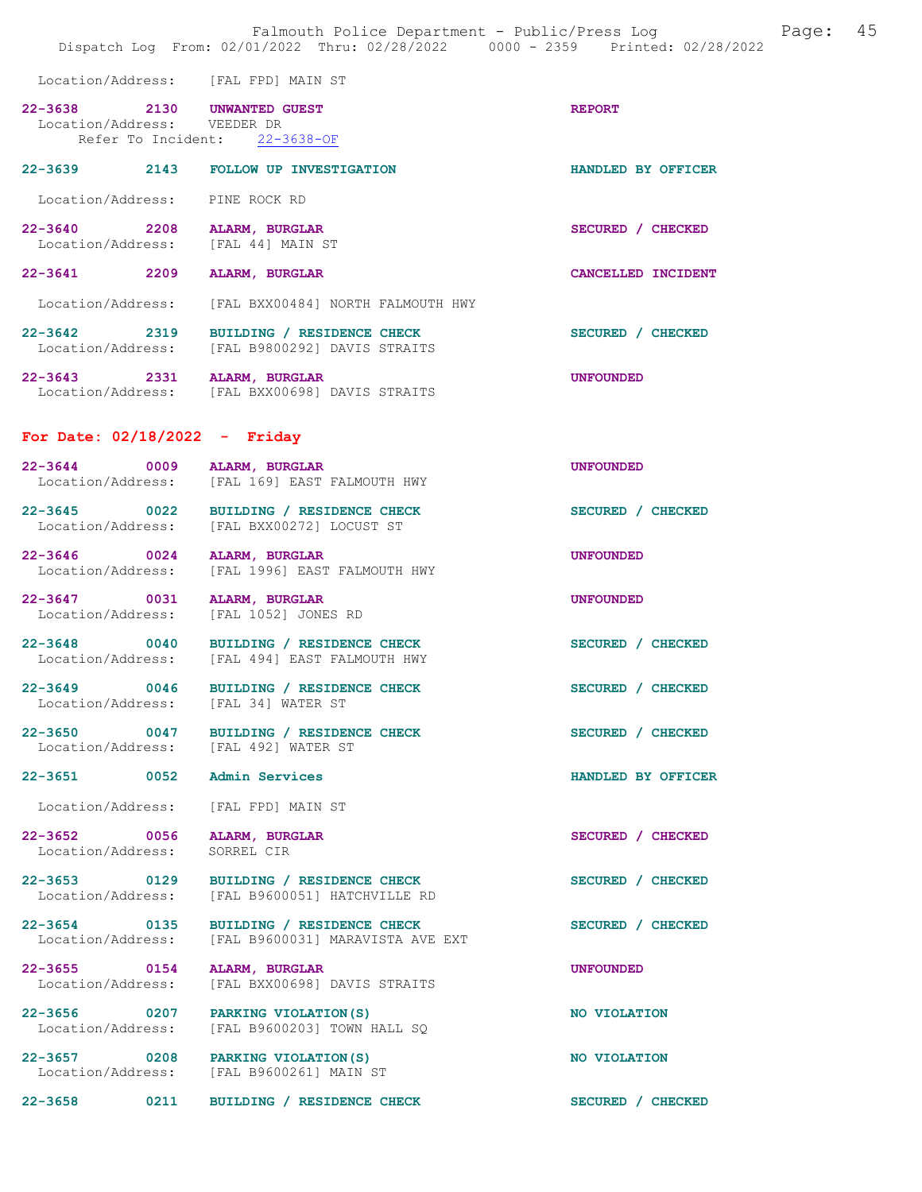Location/Address: [FAL FPD] MAIN ST

| 22-3638                     | -2130 | <b>UNWANTED GUEST</b> | <b>REPORT</b> |
|-----------------------------|-------|-----------------------|---------------|
| Location/Address: VEEDER DR |       |                       |               |
| Refer To Incident:          |       | 22-3638-0F            |               |

| $22 - 3639$                      | 2143 | <b>FOLLOW UP INVESTIGATION</b>                                      | HANDLED BY<br><b>OFFICER</b>        |
|----------------------------------|------|---------------------------------------------------------------------|-------------------------------------|
| Location/Address:                |      | PINE ROCK RD                                                        |                                     |
| $22 - 3640$<br>Location/Address: | 2208 | <b>ALARM, BURGLAR</b><br>[FAL 44] MAIN ST                           | <b>SECURED</b><br><b>CHECKED</b>    |
| $22 - 3641$                      | 2209 | <b>ALARM, BURGLAR</b>                                               | <b>CANCELLED</b><br><b>INCIDENT</b> |
| Location/Address:                |      | FAL BXX00484] NORTH FALMOUTH HWY                                    |                                     |
| $22 - 3642$<br>Location/Address: | 2319 | <b>RESIDENCE CHECK</b><br>BUILDING /<br>FAL B98002921 DAVIS STRAITS | <b>SECURED</b><br><b>CHECKED</b>    |

| 22-3643           | 2331 | ALARM, BURGLAR               | <b>UNFOUNDED</b> |
|-------------------|------|------------------------------|------------------|
| Location/Address: |      | [FAL BXX00698] DAVIS STRAITS |                  |

#### For Date: 02/18/2022 - Friday

| $22 - 3644$<br>0009<br>Location/Address: | ALARM, BURGLAR<br>[FAL 169] EAST FALMOUTH HWY                  | <b>UNFOUNDED</b>   |
|------------------------------------------|----------------------------------------------------------------|--------------------|
| 22-3645 0022<br>Location/Address:        | BUILDING / RESIDENCE CHECK<br>[FAL BXX00272] LOCUST ST         | SECURED / CHECKED  |
| 22-3646 0024<br>Location/Address:        | ALARM, BURGLAR<br>[FAL 1996] EAST FALMOUTH HWY                 | <b>UNFOUNDED</b>   |
| 22-3647 0031<br>Location/Address:        | <b>ALARM, BURGLAR</b><br>[FAL 1052] JONES RD                   | <b>UNFOUNDED</b>   |
| 22-3648 0040<br>Location/Address:        | BUILDING / RESIDENCE CHECK<br>[FAL 494] EAST FALMOUTH HWY      | SECURED / CHECKED  |
| 22-3649 0046<br>Location/Address:        | BUILDING / RESIDENCE CHECK<br>[FAL 34] WATER ST                | SECURED / CHECKED  |
| 22-3650 0047<br>Location/Address:        | BUILDING / RESIDENCE CHECK<br>[FAL 492] WATER ST               | SECURED / CHECKED  |
| $22 - 3651$<br>0052                      | Admin Services                                                 | HANDLED BY OFFICER |
| Location/Address:                        | [FAL FPD] MAIN ST                                              |                    |
| 22-3652 0056<br>Location/Address:        | ALARM, BURGLAR<br>SORREL CIR                                   | SECURED / CHECKED  |
| $22 - 3653$ 0129<br>Location/Address:    | BUILDING / RESIDENCE CHECK<br>[FAL B9600051] HATCHVILLE RD     | SECURED / CHECKED  |
| 22-3654 0135<br>Location/Address:        | BUILDING / RESIDENCE CHECK<br>[FAL B9600031] MARAVISTA AVE EXT | SECURED / CHECKED  |
| 22-3655 0154<br>Location/Address:        | ALARM, BURGLAR<br>[FAL BXX00698] DAVIS STRAITS                 | <b>UNFOUNDED</b>   |
| 22-3656 0207<br>Location/Address:        | PARKING VIOLATION (S)<br>[FAL B9600203] TOWN HALL SO           | NO VIOLATION       |
| 22-3657 0208<br>Location/Address:        | PARKING VIOLATION (S)<br>[FAL B9600261] MAIN ST                | NO VIOLATION       |

22-3658 0211 BUILDING / RESIDENCE CHECK SECURED / CHECKED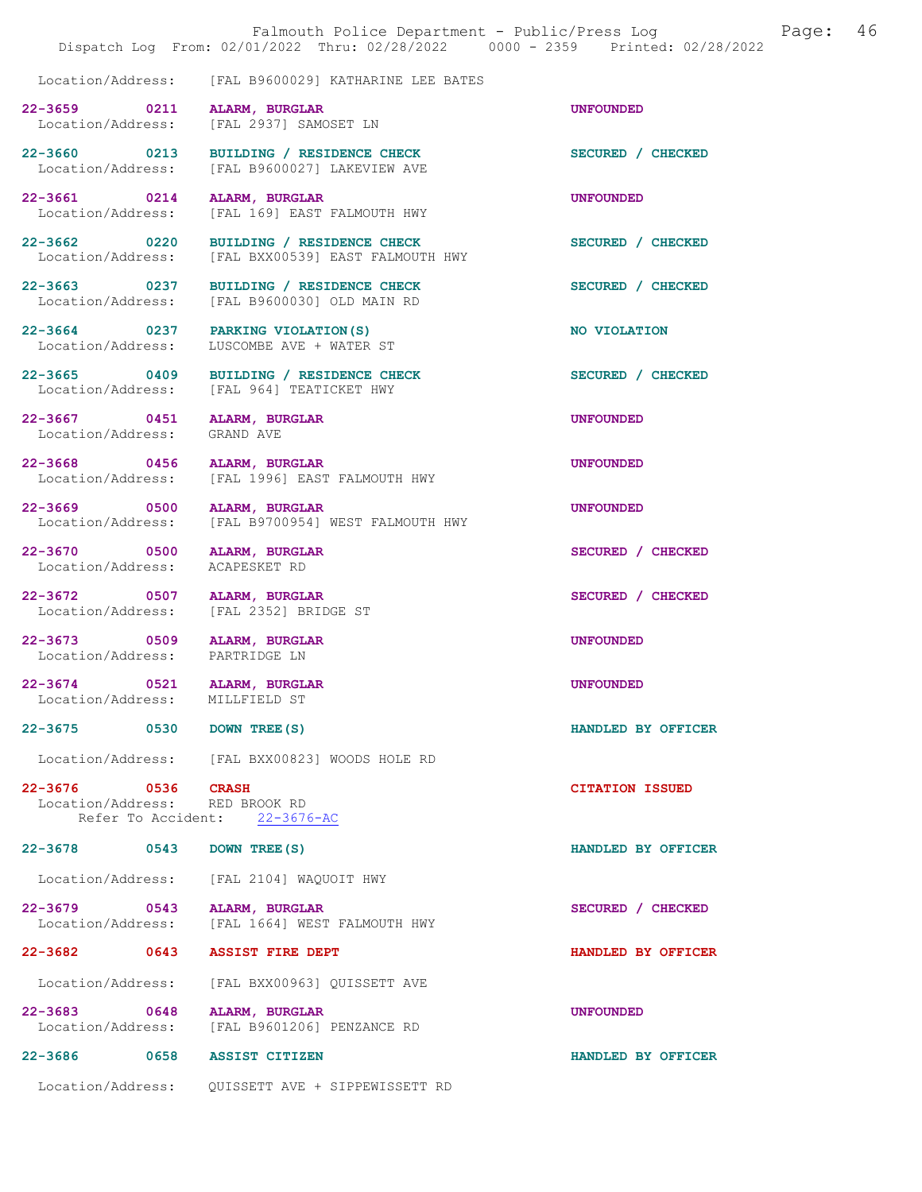|                                                               | Dispatch Log From: 02/01/2022 Thru: 02/28/2022 0000 - 2359 Printed: 02/28/2022                  | Falmouth Police Department - Public/Press Log<br>Page: | 46 |
|---------------------------------------------------------------|-------------------------------------------------------------------------------------------------|--------------------------------------------------------|----|
| Location/Address:                                             | [FAL B9600029] KATHARINE LEE BATES                                                              |                                                        |    |
| 22-3659 0211<br>Location/Address:                             | ALARM, BURGLAR<br>[FAL 2937] SAMOSET LN                                                         | <b>UNFOUNDED</b>                                       |    |
| 22-3660 0213<br>Location/Address:                             | BUILDING / RESIDENCE CHECK<br>[FAL B9600027] LAKEVIEW AVE                                       | SECURED / CHECKED                                      |    |
| 22-3661 0214<br>Location/Address:                             | ALARM, BURGLAR<br>[FAL 169] EAST FALMOUTH HWY                                                   | <b>UNFOUNDED</b>                                       |    |
| 22-3662 0220                                                  | BUILDING / RESIDENCE CHECK<br>Location/Address: [FAL BXX00539] EAST FALMOUTH HWY                | SECURED / CHECKED                                      |    |
|                                                               | 22-3663 0237 BUILDING / RESIDENCE CHECK<br>Location/Address: [FAL B9600030] OLD MAIN RD         | SECURED / CHECKED                                      |    |
|                                                               | 22-3664 0237 PARKING VIOLATION (S)<br>Location/Address: LUSCOMBE AVE + WATER ST                 | NO VIOLATION                                           |    |
| Location/Address:                                             | 22-3665 0409 BUILDING / RESIDENCE CHECK<br>[FAL 964] TEATICKET HWY                              | SECURED / CHECKED                                      |    |
| 22-3667 0451 ALARM, BURGLAR<br>Location/Address: GRAND AVE    |                                                                                                 | <b>UNFOUNDED</b>                                       |    |
| 22-3668 0456<br>Location/Address:                             | <b>ALARM, BURGLAR</b><br>[FAL 1996] EAST FALMOUTH HWY                                           | <b>UNFOUNDED</b>                                       |    |
| 22-3669 0500<br>Location/Address:                             | ALARM, BURGLAR<br>[FAL B9700954] WEST FALMOUTH HWY                                              | <b>UNFOUNDED</b>                                       |    |
| 22-3670 0500<br>Location/Address:                             | ALARM, BURGLAR<br>ACAPESKET RD                                                                  | SECURED / CHECKED                                      |    |
| 22-3672 0507 ALARM, BURGLAR<br>Location/Address:              | [FAL 2352] BRIDGE ST                                                                            | SECURED / CHECKED                                      |    |
| 22-3673 0509 ALARM, BURGLAR<br>Location/Address: PARTRIDGE LN |                                                                                                 | <b>UNFOUNDED</b>                                       |    |
| 22-3674 0521 ALARM, BURGLAR<br>Location/Address: MILLFIELD ST |                                                                                                 | <b>UNFOUNDED</b>                                       |    |
| 22-3675 0530                                                  | DOWN TREE (S)                                                                                   | HANDLED BY OFFICER                                     |    |
| 22-3676 0536<br>Location/Address: RED BROOK RD                | Location/Address: [FAL BXX00823] WOODS HOLE RD<br><b>CRASH</b><br>Refer To Accident: 22-3676-AC | <b>CITATION ISSUED</b>                                 |    |
| 22-3678 0543                                                  | DOWN TREE (S)                                                                                   | HANDLED BY OFFICER                                     |    |
|                                                               | Location/Address: [FAL 2104] WAQUOIT HWY                                                        |                                                        |    |
| 22-3679 0543<br>Location/Address:                             | ALARM, BURGLAR<br>[FAL 1664] WEST FALMOUTH HWY                                                  | SECURED / CHECKED                                      |    |
| 22-3682 0643                                                  | <b>ASSIST FIRE DEPT</b>                                                                         | HANDLED BY OFFICER                                     |    |
| Location/Address:                                             | [FAL BXX00963] QUISSETT AVE                                                                     |                                                        |    |
| 22-3683 0648<br>Location/Address:                             | ALARM, BURGLAR<br>[FAL B9601206] PENZANCE RD                                                    | <b>UNFOUNDED</b>                                       |    |
| 22-3686 0658 ASSIST CITIZEN                                   |                                                                                                 | HANDLED BY OFFICER                                     |    |
| Location/Address:                                             | QUISSETT AVE + SIPPEWISSETT RD                                                                  |                                                        |    |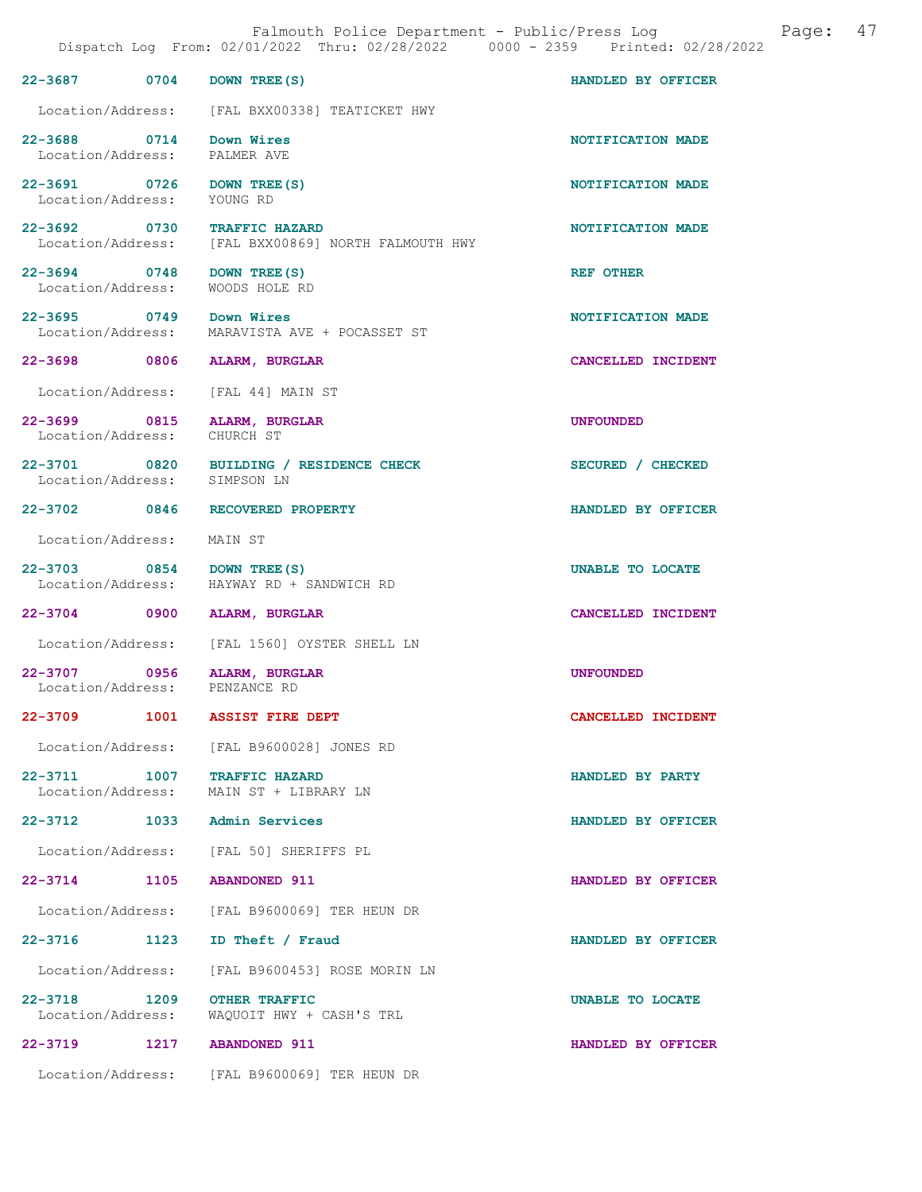| Falmouth Police Department - Public/Press Log<br>Page:<br>Dispatch Log From: 02/01/2022 Thru: 02/28/2022 0000 - 2359 Printed: 02/28/2022 |      |                                                                                    |                    | 47 |
|------------------------------------------------------------------------------------------------------------------------------------------|------|------------------------------------------------------------------------------------|--------------------|----|
| 22-3687 0704                                                                                                                             |      | DOWN TREE (S)                                                                      | HANDLED BY OFFICER |    |
|                                                                                                                                          |      | Location/Address: [FAL BXX00338] TEATICKET HWY                                     |                    |    |
| 22-3688 0714 Down Wires<br>Location/Address: PALMER AVE                                                                                  |      |                                                                                    | NOTIFICATION MADE  |    |
| 22-3691 0726 DOWN TREE (S)<br>Location/Address: YOUNG RD                                                                                 |      |                                                                                    | NOTIFICATION MADE  |    |
|                                                                                                                                          |      | 22-3692 0730 TRAFFIC HAZARD<br>Location/Address: [FAL BXX00869] NORTH FALMOUTH HWY | NOTIFICATION MADE  |    |
| 22-3694 0748 DOWN TREE (S)                                                                                                               |      | Location/Address: WOODS HOLE RD                                                    | REF OTHER          |    |
| 22-3695 0749 Down Wires                                                                                                                  |      | Location/Address: MARAVISTA AVE + POCASSET ST                                      | NOTIFICATION MADE  |    |
|                                                                                                                                          |      | 22-3698 0806 ALARM, BURGLAR                                                        | CANCELLED INCIDENT |    |
|                                                                                                                                          |      | Location/Address: [FAL 44] MAIN ST                                                 |                    |    |
| Location/Address: CHURCH ST                                                                                                              |      | 22-3699 0815 ALARM, BURGLAR                                                        | <b>UNFOUNDED</b>   |    |
| Location/Address: SIMPSON LN                                                                                                             |      | 22-3701 0820 BUILDING / RESIDENCE CHECK                                            | SECURED / CHECKED  |    |
| 22-3702 0846                                                                                                                             |      | RECOVERED PROPERTY                                                                 | HANDLED BY OFFICER |    |
| Location/Address:                                                                                                                        |      | MAIN ST                                                                            |                    |    |
| 22-3703 0854 DOWN TREE (S)<br>Location/Address:                                                                                          |      | HAYWAY RD + SANDWICH RD                                                            | UNABLE TO LOCATE   |    |
|                                                                                                                                          |      | 22-3704 0900 ALARM, BURGLAR                                                        | CANCELLED INCIDENT |    |
|                                                                                                                                          |      | Location/Address: [FAL 1560] OYSTER SHELL LN                                       |                    |    |
|                                                                                                                                          |      | 22-3707 0956 ALARM, BURGLAR<br>Location/Address: PENZANCE RD                       | <b>UNFOUNDED</b>   |    |
| 22-3709 22-                                                                                                                              | 1001 | <b>ASSIST FIRE DEPT</b>                                                            | CANCELLED INCIDENT |    |
| Location/Address:                                                                                                                        |      | [FAL B9600028] JONES RD                                                            |                    |    |
| 22-3711 1007<br>Location/Address:                                                                                                        |      | TRAFFIC HAZARD<br>MAIN ST + LIBRARY LN                                             | HANDLED BY PARTY   |    |
| 22–3712 1033                                                                                                                             |      | Admin Services                                                                     | HANDLED BY OFFICER |    |
| Location/Address:                                                                                                                        |      | [FAL 50] SHERIFFS PL                                                               |                    |    |
| $22 - 3714$                                                                                                                              | 1105 | <b>ABANDONED 911</b>                                                               | HANDLED BY OFFICER |    |
| Location/Address:                                                                                                                        |      | [FAL B9600069] TER HEUN DR                                                         |                    |    |
| 22-3716 1123                                                                                                                             |      | ID Theft / Fraud                                                                   | HANDLED BY OFFICER |    |
| Location/Address:                                                                                                                        |      | [FAL B9600453] ROSE MORIN LN                                                       |                    |    |
| 22-3718<br>Location/Address:                                                                                                             | 1209 | OTHER TRAFFIC<br>WAQUOIT HWY + CASH'S TRL                                          | UNABLE TO LOCATE   |    |
| 22-3719                                                                                                                                  | 1217 | <b>ABANDONED 911</b>                                                               | HANDLED BY OFFICER |    |
|                                                                                                                                          |      | Location/Address: [FAL B9600069] TER HEUN DR                                       |                    |    |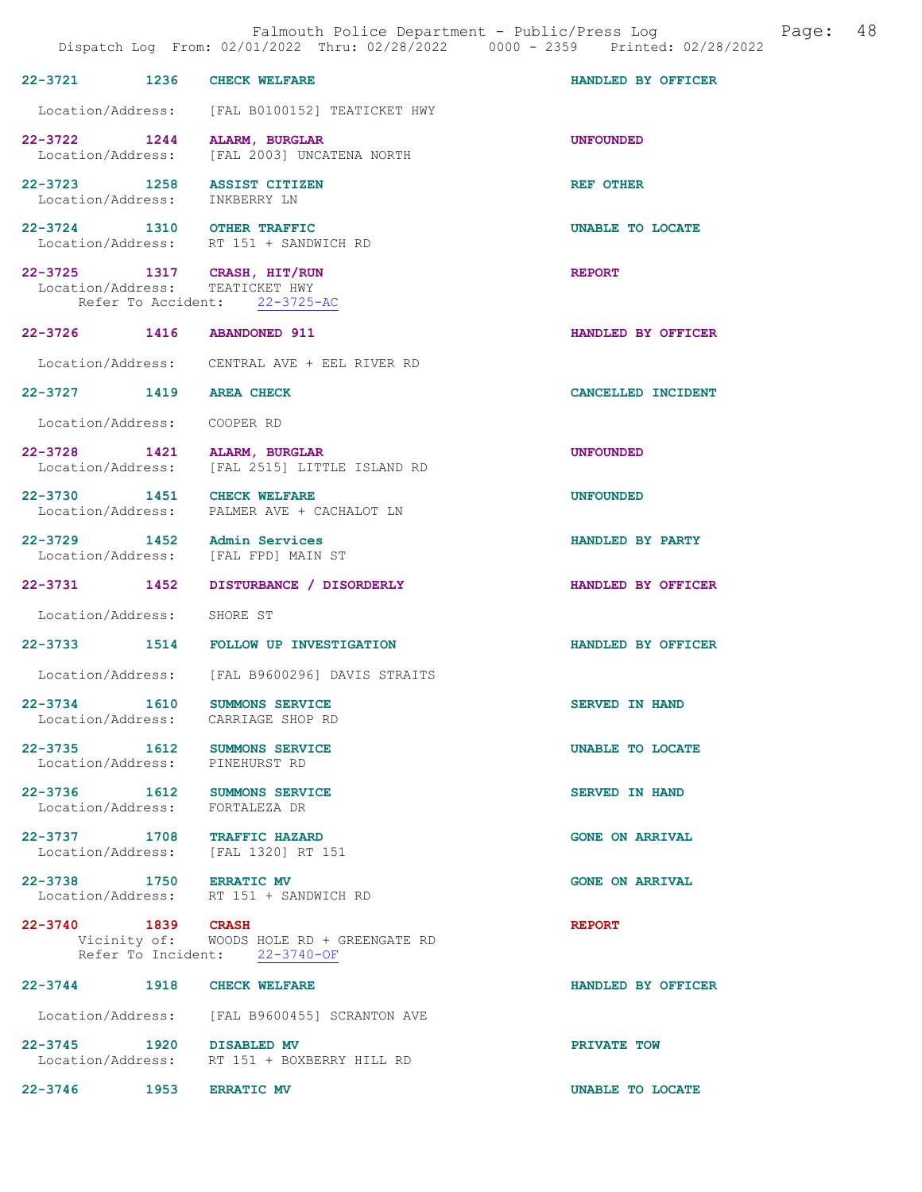|                               | 22-3721 1236 CHECK WELFARE                                                                      | HANDLED BY OFFICER      |
|-------------------------------|-------------------------------------------------------------------------------------------------|-------------------------|
|                               | Location/Address: [FAL B0100152] TEATICKET HWY                                                  |                         |
|                               | 22-3722 1244 ALARM, BURGLAR<br>Location/Address: [FAL 2003] UNCATENA NORTH                      | <b>UNFOUNDED</b>        |
| Location/Address: INKBERRY LN | 22-3723 1258 ASSIST CITIZEN                                                                     | <b>REF OTHER</b>        |
|                               | 22-3724 1310 OTHER TRAFFIC<br>Location/Address: RT 151 + SANDWICH RD                            | UNABLE TO LOCATE        |
|                               | 22-3725 1317 CRASH, HIT/RUN<br>Location/Address: TEATICKET HWY<br>Refer To Accident: 22-3725-AC | <b>REPORT</b>           |
|                               | 22-3726 1416 ABANDONED 911                                                                      | HANDLED BY OFFICER      |
|                               | Location/Address: CENTRAL AVE + EEL RIVER RD                                                    |                         |
| 22-3727 1419 AREA CHECK       |                                                                                                 | CANCELLED INCIDENT      |
| Location/Address: COOPER RD   |                                                                                                 |                         |
|                               | 22-3728 1421 ALARM, BURGLAR<br>Location/Address: [FAL 2515] LITTLE ISLAND RD                    | <b>UNFOUNDED</b>        |
|                               | 22-3730 1451 CHECK WELFARE<br>Location/Address: PALMER AVE + CACHALOT LN                        | <b>UNFOUNDED</b>        |
|                               | $22-3729$ 1452 Admin Services<br>Location/Address: [FAL FPD] MAIN ST                            | HANDLED BY PARTY        |
|                               | 22-3731 1452 DISTURBANCE / DISORDERLY                                                           | HANDLED BY OFFICER      |
| Location/Address: SHORE ST    |                                                                                                 |                         |
|                               | 22-3733 1514 FOLLOW UP INVESTIGATION                                                            | HANDLED BY OFFICER      |
|                               | Location/Address: [FAL B9600296] DAVIS STRAITS                                                  |                         |
|                               | 22-3734 1610 SUMMONS SERVICE<br>Location/Address: CARRIAGE SHOP RD                              | <b>SERVED IN HAND</b>   |
|                               | 22-3735 1612 SUMMONS SERVICE<br>Location/Address: PINEHURST RD                                  | <b>UNABLE TO LOCATE</b> |
|                               | 22-3736 1612 SUMMONS SERVICE<br>Location/Address: FORTALEZA DR                                  | <b>SERVED IN HAND</b>   |
|                               | 22-3737 1708 TRAFFIC HAZARD<br>Location/Address: [FAL 1320] RT 151                              | <b>GONE ON ARRIVAL</b>  |
| 22-3738 1750 ERRATIC MV       | Location/Address: RT 151 + SANDWICH RD                                                          | <b>GONE ON ARRIVAL</b>  |
| 22-3740 1839 CRASH            | Vicinity of: WOODS HOLE RD + GREENGATE RD<br>Refer To Incident: 22-3740-OF                      | <b>REPORT</b>           |
|                               | 22-3744 1918 CHECK WELFARE                                                                      | HANDLED BY OFFICER      |
|                               | Location/Address: [FAL B9600455] SCRANTON AVE                                                   |                         |
|                               | 22-3745 1920 DISABLED MV<br>Location/Address: RT 151 + BOXBERRY HILL RD                         | PRIVATE TOW             |

22-3746 1953 ERRATIC MV UNABLE TO LOCATE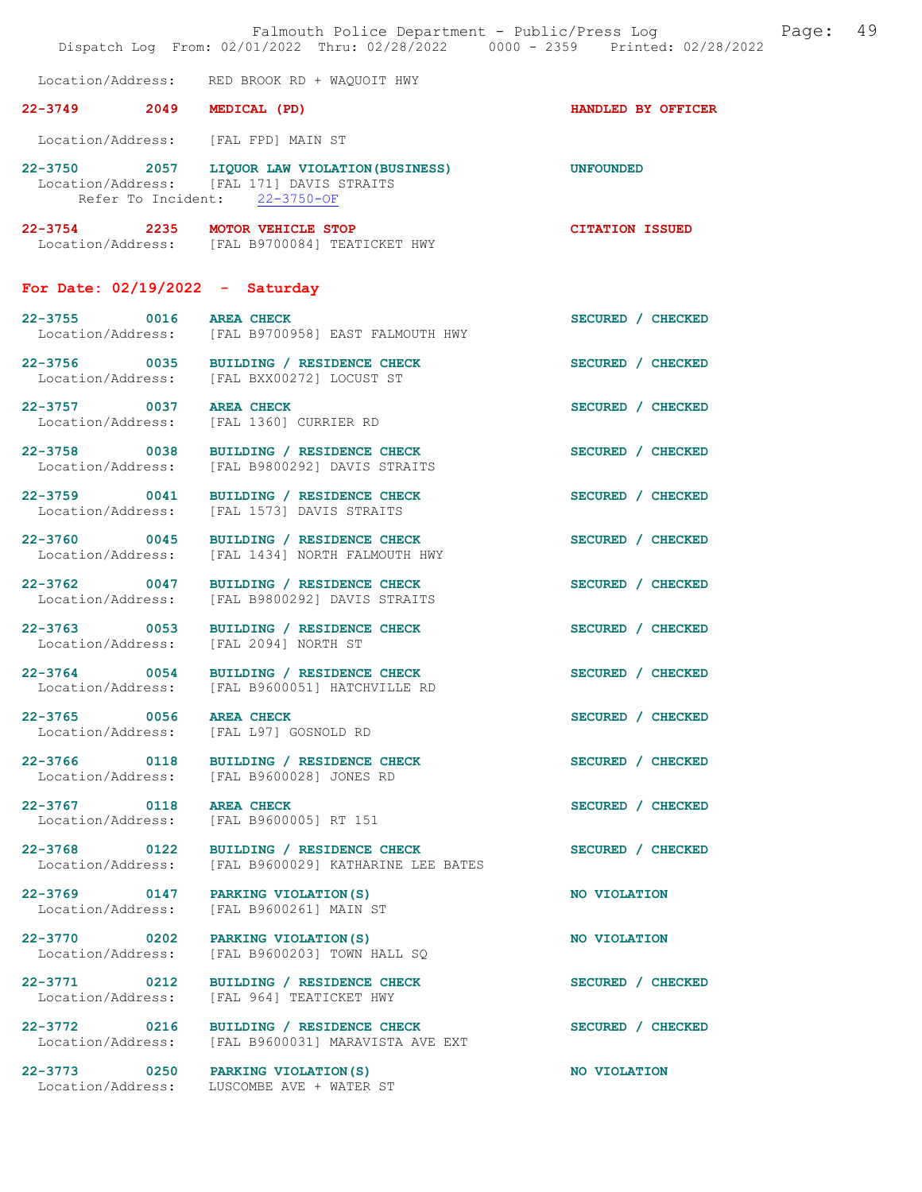|                                   | Falmouth Police Department - Public/Press Log Fage: 49<br>Dispatch Log From: 02/01/2022 Thru: 02/28/2022 0000 - 2359 Printed: 02/28/2022 |                        |  |
|-----------------------------------|------------------------------------------------------------------------------------------------------------------------------------------|------------------------|--|
|                                   | Location/Address: RED BROOK RD + WAQUOIT HWY                                                                                             |                        |  |
| 22-3749 2049                      | MEDICAL (PD)                                                                                                                             | HANDLED BY OFFICER     |  |
|                                   | Location/Address: [FAL FPD] MAIN ST                                                                                                      |                        |  |
|                                   | 22-3750 2057 LIQUOR LAW VIOLATION (BUSINESS)<br>Location/Address: [FAL 171] DAVIS STRAITS<br>Refer To Incident: 22-3750-OF               | <b>UNFOUNDED</b>       |  |
|                                   | 22-3754 2235 MOTOR VEHICLE STOP<br>Location/Address: [FAL B9700084] TEATICKET HWY                                                        | <b>CITATION ISSUED</b> |  |
|                                   | For Date: $02/19/2022 - Saturday$                                                                                                        |                        |  |
| 22-3755 0016 AREA CHECK           | Location/Address: [FAL B9700958] EAST FALMOUTH HWY                                                                                       | SECURED / CHECKED      |  |
| 22-3756 0035                      | BUILDING / RESIDENCE CHECK<br>Location/Address: [FAL BXX00272] LOCUST ST                                                                 | SECURED / CHECKED      |  |
|                                   | 22-3757 0037 AREA CHECK<br>Location/Address: [FAL 1360] CURRIER RD                                                                       | SECURED / CHECKED      |  |
| 22-3758 0038                      | BUILDING / RESIDENCE CHECK<br>Location/Address: [FAL B9800292] DAVIS STRAITS                                                             | SECURED / CHECKED      |  |
| 22-3759 0041                      | BUILDING / RESIDENCE CHECK<br>Location/Address: [FAL 1573] DAVIS STRAITS                                                                 | SECURED / CHECKED      |  |
| 22-3760 0045<br>Location/Address: | BUILDING / RESIDENCE CHECK<br>[FAL 1434] NORTH FALMOUTH HWY                                                                              | SECURED / CHECKED      |  |
| 22-3762 0047<br>Location/Address: | BUILDING / RESIDENCE CHECK<br>[FAL B9800292] DAVIS STRAITS                                                                               | SECURED / CHECKED      |  |
|                                   | 22-3763 0053 BUILDING / RESIDENCE CHECK<br>Location/Address: [FAL 2094] NORTH ST                                                         | SECURED / CHECKED      |  |
| 22-3764 0054                      | BUILDING / RESIDENCE CHECK<br>Location/Address: [FAL B9600051] HATCHVILLE RD                                                             | SECURED / CHECKED      |  |
| 22-3765 0056                      | <b>AREA CHECK</b><br>Location/Address: [FAL L97] GOSNOLD RD                                                                              | SECURED / CHECKED      |  |
|                                   | 22-3766 0118 BUILDING / RESIDENCE CHECK<br>Location/Address: [FAL B9600028] JONES RD                                                     | SECURED / CHECKED      |  |
| 22-3767 0118<br>Location/Address: | <b>AREA CHECK</b><br>[FAL B9600005] RT 151                                                                                               | SECURED / CHECKED      |  |
| 22-3768 0122<br>Location/Address: | BUILDING / RESIDENCE CHECK<br>[FAL B9600029] KATHARINE LEE BATES                                                                         | SECURED / CHECKED      |  |
| Location/Address:                 | 22-3769 0147 PARKING VIOLATION(S)<br>[FAL B9600261] MAIN ST                                                                              | NO VIOLATION           |  |
| 22-3770 0202<br>Location/Address: | PARKING VIOLATION (S)<br>[FAL B9600203] TOWN HALL SQ                                                                                     | NO VIOLATION           |  |
| 22-3771 0212<br>Location/Address: | BUILDING / RESIDENCE CHECK<br>[FAL 964] TEATICKET HWY                                                                                    | SECURED / CHECKED      |  |
| 22-3772 0216<br>Location/Address: | BUILDING / RESIDENCE CHECK<br>[FAL B9600031] MARAVISTA AVE EXT                                                                           | SECURED / CHECKED      |  |
|                                   | 22-3773 0250 PARKING VIOLATION (S)<br>Location/Address: LUSCOMBE AVE + WATER ST                                                          | NO VIOLATION           |  |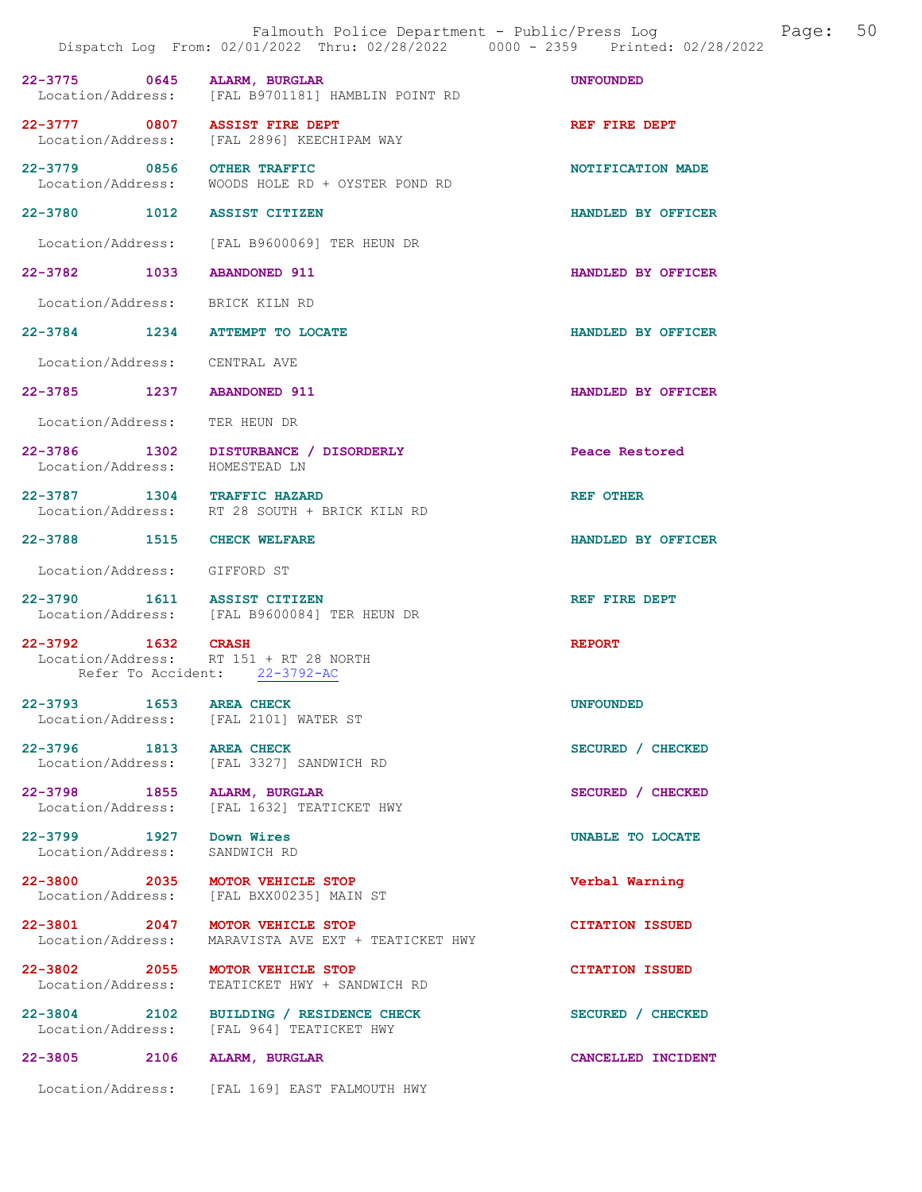|                                   | Falmouth Police Department - Public/Press Log<br>Dispatch Log From: 02/01/2022 Thru: 02/28/2022 0000 - 2359 Printed: 02/28/2022 | Page:                  | 50 |
|-----------------------------------|---------------------------------------------------------------------------------------------------------------------------------|------------------------|----|
| 22-3775 0645 ALARM, BURGLAR       | Location/Address: [FAL B9701181] HAMBLIN POINT RD                                                                               | <b>UNFOUNDED</b>       |    |
| 22-3777 0807 ASSIST FIRE DEPT     | Location/Address: [FAL 2896] KEECHIPAM WAY                                                                                      | REF FIRE DEPT          |    |
| 22-3779 0856 OTHER TRAFFIC        | Location/Address: WOODS HOLE RD + OYSTER POND RD                                                                                | NOTIFICATION MADE      |    |
| 22-3780 1012 ASSIST CITIZEN       |                                                                                                                                 | HANDLED BY OFFICER     |    |
|                                   | Location/Address: [FAL B9600069] TER HEUN DR                                                                                    |                        |    |
| 22-3782 1033 ABANDONED 911        |                                                                                                                                 | HANDLED BY OFFICER     |    |
| Location/Address: BRICK KILN RD   |                                                                                                                                 |                        |    |
|                                   | 22-3784 1234 ATTEMPT TO LOCATE                                                                                                  | HANDLED BY OFFICER     |    |
| Location/Address: CENTRAL AVE     |                                                                                                                                 |                        |    |
| 22-3785 1237 ABANDONED 911        |                                                                                                                                 | HANDLED BY OFFICER     |    |
| Location/Address: TER HEUN DR     |                                                                                                                                 |                        |    |
| Location/Address: HOMESTEAD LN    | 22-3786 1302 DISTURBANCE / DISORDERLY                                                                                           | Peace Restored         |    |
| 22-3787 1304 TRAFFIC HAZARD       | Location/Address: RT 28 SOUTH + BRICK KILN RD                                                                                   | <b>REF OTHER</b>       |    |
| 22-3788 1515 CHECK WELFARE        |                                                                                                                                 | HANDLED BY OFFICER     |    |
| Location/Address: GIFFORD ST      |                                                                                                                                 |                        |    |
| 22-3790 1611 ASSIST CITIZEN       | Location/Address: [FAL B9600084] TER HEUN DR                                                                                    | REF FIRE DEPT          |    |
| 22-3792 1632 CRASH                | Location/Address: RT 151 + RT 28 NORTH<br>Refer To Accident: 22-3792-AC                                                         | <b>REPORT</b>          |    |
| 22-3793 1653<br>Location/Address: | <b>AREA CHECK</b><br>[FAL 2101] WATER ST                                                                                        | <b>UNFOUNDED</b>       |    |
| 22-3796 1813<br>Location/Address: | <b>AREA CHECK</b><br>[FAL 3327] SANDWICH RD                                                                                     | SECURED / CHECKED      |    |
| 22-3798 1855<br>Location/Address: | ALARM, BURGLAR<br>[FAL 1632] TEATICKET HWY                                                                                      | SECURED / CHECKED      |    |
| 22-3799 1927<br>Location/Address: | Down Wires<br>SANDWICH RD                                                                                                       | UNABLE TO LOCATE       |    |
| Location/Address:                 | 22-3800 2035 MOTOR VEHICLE STOP<br>[FAL BXX00235] MAIN ST                                                                       | Verbal Warning         |    |
| 22-3801 2047<br>Location/Address: | MOTOR VEHICLE STOP<br>MARAVISTA AVE EXT + TEATICKET HWY                                                                         | <b>CITATION ISSUED</b> |    |
| 22-3802 2055<br>Location/Address: | <b>MOTOR VEHICLE STOP</b><br>TEATICKET HWY + SANDWICH RD                                                                        | <b>CITATION ISSUED</b> |    |
| Location/Address:                 | 22-3804 2102 BUILDING / RESIDENCE CHECK<br>[FAL 964] TEATICKET HWY                                                              | SECURED / CHECKED      |    |
| $22 - 3805$<br>2106               | ALARM, BURGLAR                                                                                                                  | CANCELLED INCIDENT     |    |
|                                   | Location/Address: [FAL 169] EAST FALMOUTH HWY                                                                                   |                        |    |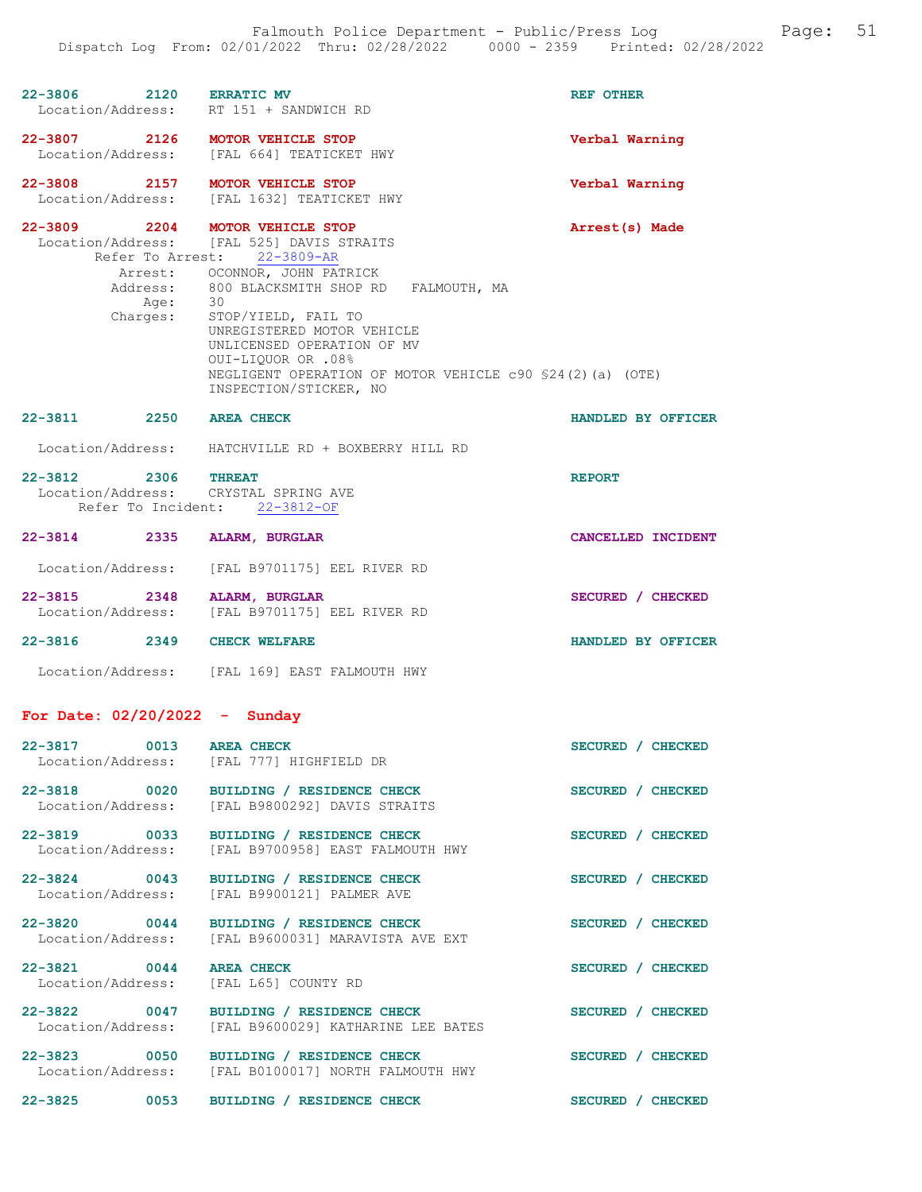| 22-3806 2120 ERRATIC MV           |                                                                       | REF OTHER          |
|-----------------------------------|-----------------------------------------------------------------------|--------------------|
|                                   | Location/Address: RT 151 + SANDWICH RD                                |                    |
|                                   | 22-3807 2126 MOTOR VEHICLE STOP                                       | Verbal Warning     |
|                                   | Location/Address: [FAL 664] TEATICKET HWY                             |                    |
|                                   | 22-3808 2157 MOTOR VEHICLE STOP                                       | Verbal Warning     |
|                                   | Location/Address: [FAL 1632] TEATICKET HWY                            |                    |
|                                   | 22-3809 2204 MOTOR VEHICLE STOP                                       | Arrest(s) Made     |
|                                   | Location/Address: [FAL 525] DAVIS STRAITS                             |                    |
|                                   | Refer To Arrest: 22-3809-AR<br>Arrest: OCONNOR, JOHN PATRICK          |                    |
|                                   | Address: 800 BLACKSMITH SHOP RD FALMOUTH, MA                          |                    |
| Age:                              | 30                                                                    |                    |
| Chargest:                         | STOP/YIELD, FAIL TO                                                   |                    |
|                                   | UNREGISTERED MOTOR VEHICLE<br>UNLICENSED OPERATION OF MV              |                    |
|                                   | 001-LIQUOR OR .08%                                                    |                    |
|                                   | NEGLIGENT OPERATION OF MOTOR VEHICLE c90 \$24(2)(a) (OTE)             |                    |
|                                   | INSPECTION/STICKER, NO                                                |                    |
| 22-3811 2250 AREA CHECK           |                                                                       | HANDLED BY OFFICER |
|                                   | Location/Address: HATCHVILLE RD + BOXBERRY HILL RD                    |                    |
|                                   |                                                                       |                    |
| 22-3812 2306 THREAT               |                                                                       | <b>REPORT</b>      |
|                                   | Location/Address: CRYSTAL SPRING AVE<br>Refer To Incident: 22-3812-OF |                    |
|                                   |                                                                       |                    |
| 22-3814 2335 ALARM, BURGLAR       |                                                                       | CANCELLED INCIDENT |
|                                   | Location/Address: [FAL B9701175] EEL RIVER RD                         |                    |
|                                   |                                                                       |                    |
| 22-3815 2348 ALARM, BURGLAR       | Location/Address: [FAL B9701175] EEL RIVER RD                         | SECURED / CHECKED  |
|                                   |                                                                       |                    |
| 22-3816 2349 CHECK WELFARE        |                                                                       | HANDLED BY OFFICER |
|                                   | Location/Address: [FAL 169] EAST FALMOUTH HWY                         |                    |
|                                   |                                                                       |                    |
| For Date: $02/20/2022 -$ Sunday   |                                                                       |                    |
|                                   |                                                                       |                    |
| 22-3817 0013 AREA CHECK           | Location/Address: [FAL 777] HIGHFIELD DR                              | SECURED / CHECKED  |
|                                   |                                                                       |                    |
|                                   | 22-3818 0020 BUILDING / RESIDENCE CHECK                               | SECURED / CHECKED  |
|                                   | Location/Address: [FAL B9800292] DAVIS STRAITS                        |                    |
| 22-3819 0033                      | BUILDING / RESIDENCE CHECK                                            | SECURED / CHECKED  |
| Location/Address:                 | [FAL B9700958] EAST FALMOUTH HWY                                      |                    |
| 22-3824 0043                      | BUILDING / RESIDENCE CHECK                                            | SECURED / CHECKED  |
| Location/Address:                 | [FAL B9900121] PALMER AVE                                             |                    |
|                                   |                                                                       |                    |
| 22-3820 0044                      | BUILDING / RESIDENCE CHECK<br>[FAL B9600031] MARAVISTA AVE EXT        | SECURED / CHECKED  |
| Location/Address:                 |                                                                       |                    |
| 22-3821 0044                      | <b>AREA CHECK</b>                                                     | SECURED / CHECKED  |
| Location/Address:                 | [FAL L65] COUNTY RD                                                   |                    |
|                                   | 22-3822 0047 BUILDING / RESIDENCE CHECK                               | SECURED / CHECKED  |
|                                   | Location/Address: [FAL B9600029] KATHARINE LEE BATES                  |                    |
|                                   |                                                                       |                    |
| 22-3823 0050<br>Location/Address: | BUILDING / RESIDENCE CHECK<br>[FAL B0100017] NORTH FALMOUTH HWY       | SECURED / CHECKED  |
|                                   |                                                                       |                    |
| $22 - 3825$<br>0053               | BUILDING / RESIDENCE CHECK                                            | SECURED / CHECKED  |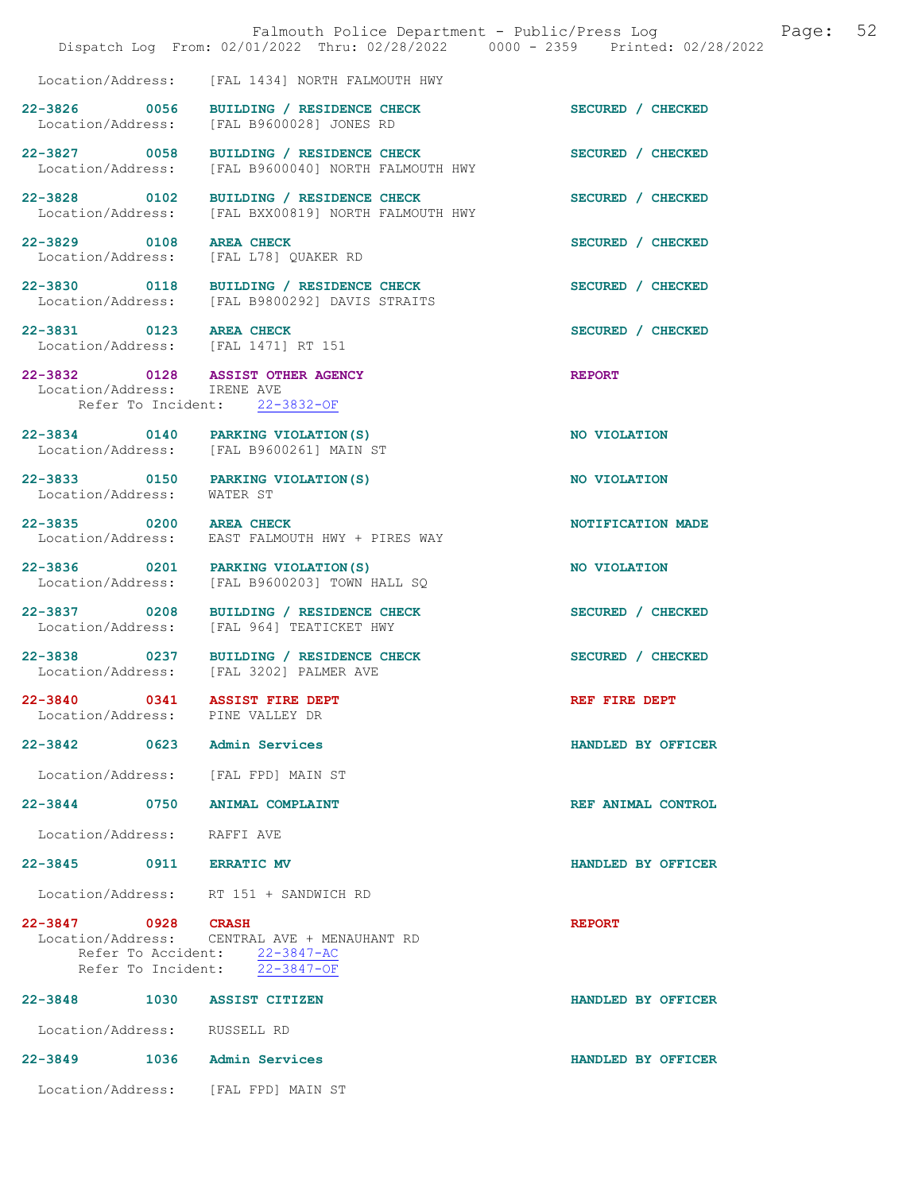|                                                                | Falmouth Police Department - Public/Press Log Fage: 52<br>Dispatch Log From: 02/01/2022 Thru: 02/28/2022 0000 - 2359 Printed: 02/28/2022 |                    |  |
|----------------------------------------------------------------|------------------------------------------------------------------------------------------------------------------------------------------|--------------------|--|
|                                                                | Location/Address: [FAL 1434] NORTH FALMOUTH HWY                                                                                          |                    |  |
| 22-3826 0056                                                   | BUILDING / RESIDENCE CHECK<br>Location/Address: [FAL B9600028] JONES RD                                                                  | SECURED / CHECKED  |  |
| Location/Address:                                              | 22-3827 0058 BUILDING / RESIDENCE CHECK<br>[FAL B9600040] NORTH FALMOUTH HWY                                                             | SECURED / CHECKED  |  |
| 22-3828 0102<br>Location/Address:                              | BUILDING / RESIDENCE CHECK<br>[FAL BXX00819] NORTH FALMOUTH HWY                                                                          | SECURED / CHECKED  |  |
| 22-3829 0108 AREA CHECK<br>Location/Address:                   | [FAL L78] QUAKER RD                                                                                                                      | SECURED / CHECKED  |  |
|                                                                | 22-3830 0118 BUILDING / RESIDENCE CHECK<br>Location/Address: [FAL B9800292] DAVIS STRAITS                                                | SECURED / CHECKED  |  |
| 22-3831 0123 AREA CHECK<br>Location/Address: [FAL 1471] RT 151 |                                                                                                                                          | SECURED / CHECKED  |  |
| Location/Address: IRENE AVE                                    | 22-3832 0128 ASSIST OTHER AGENCY<br>Refer To Incident: 22-3832-OF                                                                        | <b>REPORT</b>      |  |
|                                                                | 22-3834 0140 PARKING VIOLATION (S)<br>Location/Address: [FAL B9600261] MAIN ST                                                           | NO VIOLATION       |  |
| Location/Address:                                              | 22-3833 0150 PARKING VIOLATION(S)<br>WATER ST                                                                                            | NO VIOLATION       |  |
| 22-3835 0200 AREA CHECK                                        | Location/Address: EAST FALMOUTH HWY + PIRES WAY                                                                                          | NOTIFICATION MADE  |  |
| Location/Address:                                              | 22-3836 0201 PARKING VIOLATION(S)<br>[FAL B9600203] TOWN HALL SQ                                                                         | NO VIOLATION       |  |
|                                                                | 22-3837 0208 BUILDING / RESIDENCE CHECK<br>Location/Address: [FAL 964] TEATICKET HWY                                                     | SECURED / CHECKED  |  |
|                                                                | 22-3838 0237 BUILDING / RESIDENCE CHECK<br>Location/Address: [FAL 3202] PALMER AVE                                                       | SECURED / CHECKED  |  |
| $22 - 3840$<br>Location/Address: PINE VALLEY DR                | 0341 ASSIST FIRE DEPT                                                                                                                    | REF FIRE DEPT      |  |
| 22-3842 0623 Admin Services                                    |                                                                                                                                          | HANDLED BY OFFICER |  |
| Location/Address: [FAL FPD] MAIN ST                            |                                                                                                                                          |                    |  |
| 22-3844 0750 ANIMAL COMPLAINT                                  |                                                                                                                                          | REF ANIMAL CONTROL |  |
| Location/Address: RAFFI AVE                                    |                                                                                                                                          |                    |  |
| 22-3845 0911 ERRATIC MV                                        |                                                                                                                                          | HANDLED BY OFFICER |  |
|                                                                | Location/Address: RT 151 + SANDWICH RD                                                                                                   |                    |  |
| 22-3847 0928 CRASH<br>Refer To Incident:                       | Location/Address: CENTRAL AVE + MENAUHANT RD<br>Refer To Accident: 22-3847-AC<br>22-3847-OF                                              | <b>REPORT</b>      |  |
| 22-3848 1030 ASSIST CITIZEN                                    |                                                                                                                                          | HANDLED BY OFFICER |  |
| Location/Address: RUSSELL RD                                   |                                                                                                                                          |                    |  |
| $22 - 3849$                                                    | 1036 Admin Services                                                                                                                      | HANDLED BY OFFICER |  |
| Location/Address: [FAL FPD] MAIN ST                            |                                                                                                                                          |                    |  |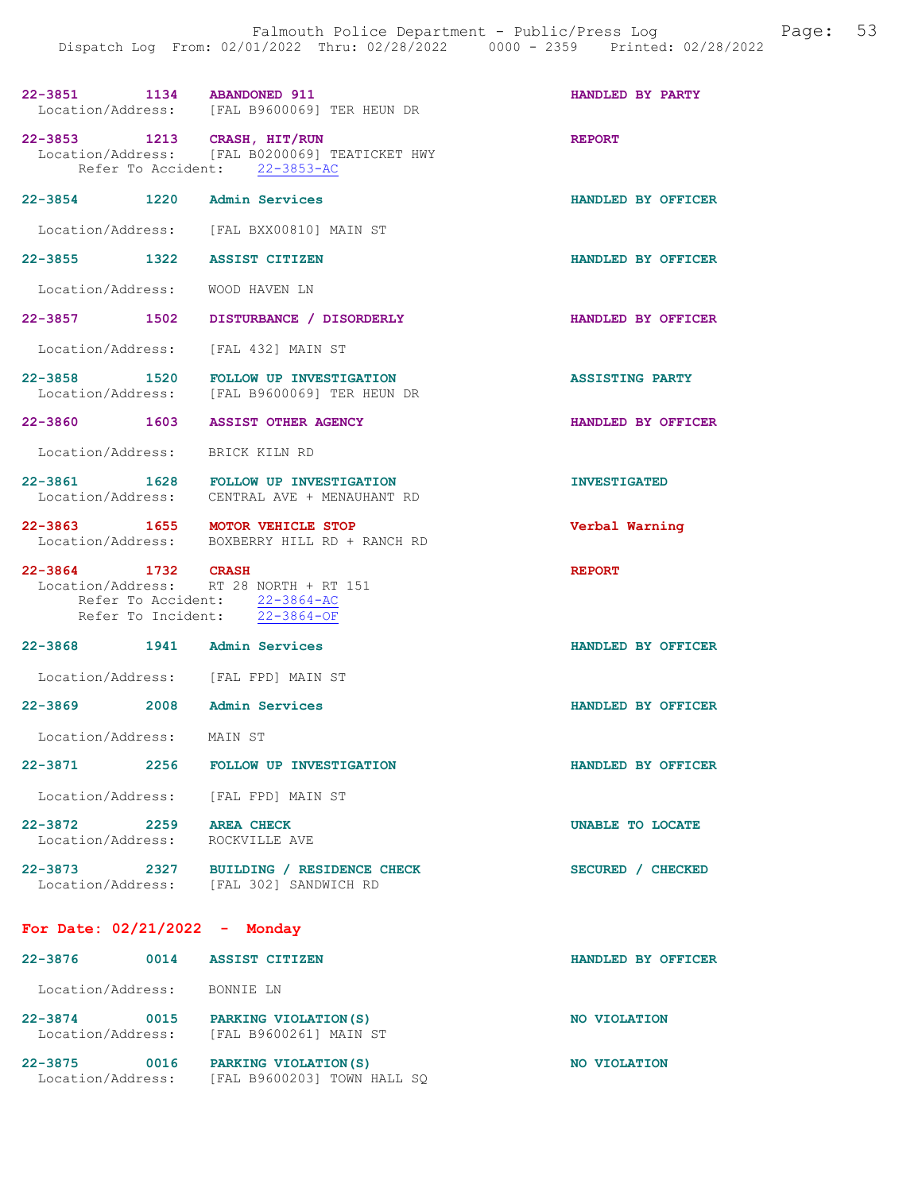| 22-3851 1134 ABANDONED 911                   | Location/Address: [FAL B9600069] TER HEUN DR                                                             | HANDLED BY PARTY       |
|----------------------------------------------|----------------------------------------------------------------------------------------------------------|------------------------|
| 22-3853 1213 CRASH, HIT/RUN                  | Location/Address: [FAL B0200069] TEATICKET HWY<br>Refer To Accident: 22-3853-AC                          | <b>REPORT</b>          |
| 22-3854 1220                                 | Admin Services                                                                                           | HANDLED BY OFFICER     |
|                                              | Location/Address: [FAL BXX00810] MAIN ST                                                                 |                        |
| 22-3855 1322                                 | <b>ASSIST CITIZEN</b>                                                                                    | HANDLED BY OFFICER     |
| Location/Address:                            | WOOD HAVEN LN                                                                                            |                        |
|                                              | 22-3857 1502 DISTURBANCE / DISORDERLY                                                                    | HANDLED BY OFFICER     |
|                                              | Location/Address: [FAL 432] MAIN ST                                                                      |                        |
| Location/Address:                            | 22-3858 1520 FOLLOW UP INVESTIGATION<br>[FAL B9600069] TER HEUN DR                                       | <b>ASSISTING PARTY</b> |
| 22-3860 1603                                 | <b>ASSIST OTHER AGENCY</b>                                                                               | HANDLED BY OFFICER     |
| Location/Address: BRICK KILN RD              |                                                                                                          |                        |
| $22 - 3861$                                  | 1628 FOLLOW UP INVESTIGATION<br>Location/Address: CENTRAL AVE + MENAUHANT RD                             | <b>INVESTIGATED</b>    |
| 22-3863 1655 MOTOR VEHICLE STOP              |                                                                                                          | Verbal Warning         |
|                                              | Location/Address: BOXBERRY HILL RD + RANCH RD                                                            |                        |
| 22-3864 1732 CRASH                           | Location/Address: RT 28 NORTH + RT 151<br>Refer To Accident: 22-3864-AC<br>Refer To Incident: 22-3864-OF | <b>REPORT</b>          |
| 22-3868                                      | 1941 Admin Services                                                                                      | HANDLED BY OFFICER     |
|                                              | Location/Address: [FAL FPD] MAIN ST                                                                      |                        |
| 22-3869 2008 Admin Services                  |                                                                                                          | HANDLED BY OFFICER     |
| Location/Address:                            | MAIN ST                                                                                                  |                        |
| 22-3871<br>2256                              | FOLLOW UP INVESTIGATION                                                                                  | HANDLED BY OFFICER     |
|                                              | Location/Address: [FAL FPD] MAIN ST                                                                      |                        |
| 22-3872 2259 AREA CHECK<br>Location/Address: | ROCKVILLE AVE                                                                                            | UNABLE TO LOCATE       |
| 22-3873                                      | 2327 BUILDING / RESIDENCE CHECK<br>Location/Address: [FAL 302] SANDWICH RD                               | SECURED / CHECKED      |

# 22-3876 0014 ASSIST CITIZEN HANDLED BY OFFICER

| Location/Address:                |      | BONNIE LN                                            |              |
|----------------------------------|------|------------------------------------------------------|--------------|
| $22 - 3874$<br>Location/Address: | 0015 | PARKING VIOLATION (S)<br>[FAL B9600261] MAIN ST      | NO VIOLATION |
| $22 - 3875$<br>Location/Address: | 0016 | PARKING VIOLATION (S)<br>[FAL B9600203] TOWN HALL SO | NO VIOLATION |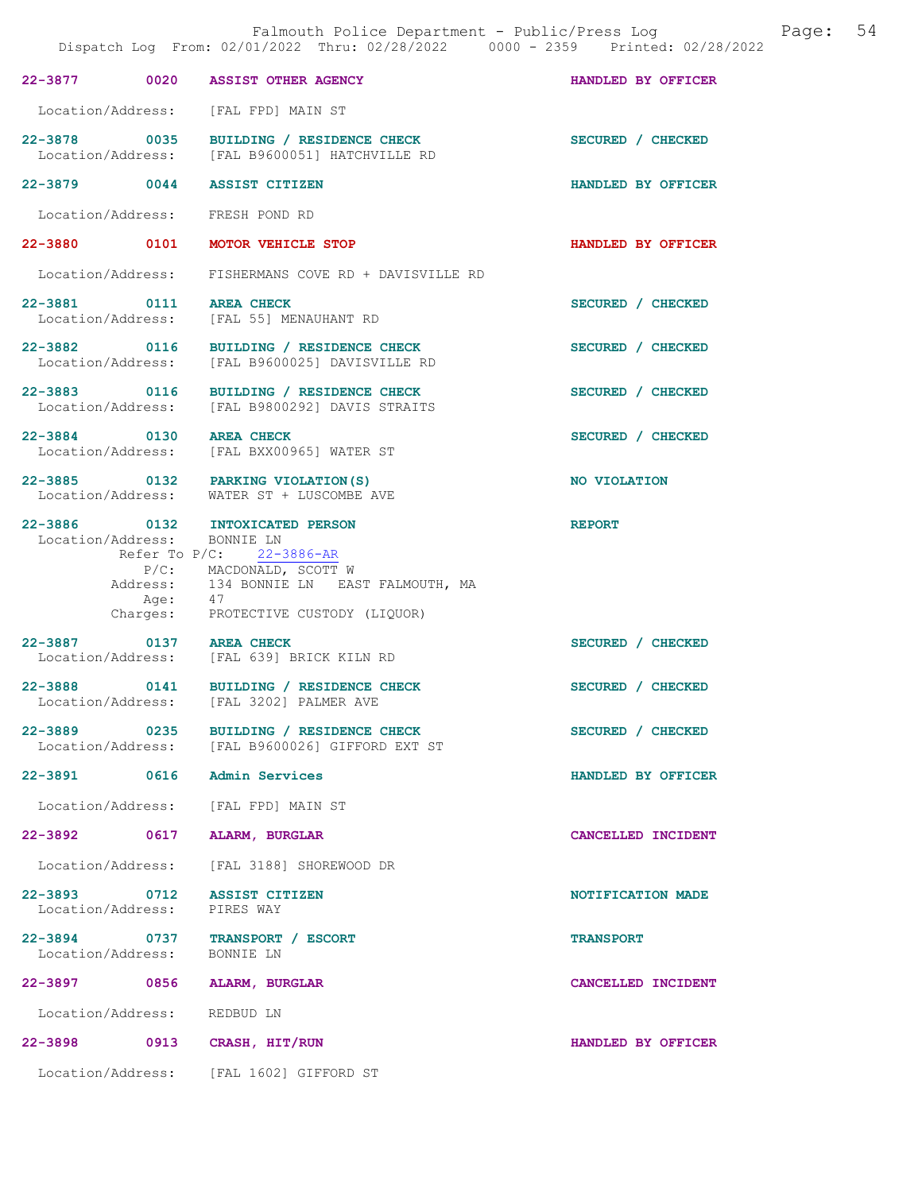|                   |                   | Falmouth Police Department - Public/Press Log<br>Dispatch Log From: 02/01/2022 Thru: 02/28/2022 0000 - 2359 Printed: 02/28/2022                                                                                         |                    | Page: | 54 |
|-------------------|-------------------|-------------------------------------------------------------------------------------------------------------------------------------------------------------------------------------------------------------------------|--------------------|-------|----|
|                   |                   | 22-3877 0020 ASSIST OTHER AGENCY                                                                                                                                                                                        | HANDLED BY OFFICER |       |    |
|                   |                   | Location/Address: [FAL FPD] MAIN ST                                                                                                                                                                                     |                    |       |    |
|                   |                   | 22-3878 0035 BUILDING / RESIDENCE CHECK<br>Location/Address: [FAL B9600051] HATCHVILLE RD                                                                                                                               | SECURED / CHECKED  |       |    |
|                   |                   | 22-3879 0044 ASSIST CITIZEN                                                                                                                                                                                             | HANDLED BY OFFICER |       |    |
|                   |                   | Location/Address: FRESH POND RD                                                                                                                                                                                         |                    |       |    |
|                   |                   | 22-3880 0101 MOTOR VEHICLE STOP                                                                                                                                                                                         | HANDLED BY OFFICER |       |    |
|                   |                   | Location/Address: FISHERMANS COVE RD + DAVISVILLE RD                                                                                                                                                                    |                    |       |    |
|                   |                   | 22-3881 0111 AREA CHECK<br>Location/Address: [FAL 55] MENAUHANT RD                                                                                                                                                      | SECURED / CHECKED  |       |    |
|                   |                   | 22-3882 0116 BUILDING / RESIDENCE CHECK<br>Location/Address: [FAL B9600025] DAVISVILLE RD                                                                                                                               | SECURED / CHECKED  |       |    |
|                   |                   | 22-3883 0116 BUILDING / RESIDENCE CHECK<br>Location/Address: [FAL B9800292] DAVIS STRAITS                                                                                                                               | SECURED / CHECKED  |       |    |
|                   |                   | 22-3884 0130 AREA CHECK<br>Location/Address: [FAL BXX00965] WATER ST                                                                                                                                                    | SECURED / CHECKED  |       |    |
|                   |                   | 22-3885 0132 PARKING VIOLATION (S)<br>Location/Address: WATER ST + LUSCOMBE AVE                                                                                                                                         | NO VIOLATION       |       |    |
|                   |                   | 22-3886 0132 INTOXICATED PERSON<br>Location/Address: BONNIE LN<br>Refer To $P/C$ : 22-3886-AR<br>P/C: MACDONALD, SCOTT W<br>Address: 134 BONNIE LN EAST FALMOUTH, MA<br>Age: 47<br>Charges: PROTECTIVE CUSTODY (LIQUOR) | <b>REPORT</b>      |       |    |
|                   |                   | 22-3887 0137 AREA CHECK<br>Location/Address: [FAL 639] BRICK KILN RD                                                                                                                                                    | SECURED / CHECKED  |       |    |
| Location/Address: |                   | 22-3888 0141 BUILDING / RESIDENCE CHECK<br>[FAL 3202] PALMER AVE                                                                                                                                                        | SECURED / CHECKED  |       |    |
| 22-3889 0235      |                   | BUILDING / RESIDENCE CHECK<br>Location/Address: [FAL B9600026] GIFFORD EXT ST                                                                                                                                           | SECURED / CHECKED  |       |    |
| 22-3891 0616      |                   | Admin Services                                                                                                                                                                                                          | HANDLED BY OFFICER |       |    |
| Location/Address: |                   | [FAL FPD] MAIN ST                                                                                                                                                                                                       |                    |       |    |
| 22-3892 0617      |                   | <b>ALARM, BURGLAR</b>                                                                                                                                                                                                   | CANCELLED INCIDENT |       |    |
| Location/Address: |                   | [FAL 3188] SHOREWOOD DR                                                                                                                                                                                                 |                    |       |    |
| 22–3893 0712      | Location/Address: | <b>ASSIST CITIZEN</b><br>PIRES WAY                                                                                                                                                                                      | NOTIFICATION MADE  |       |    |
| 22-3894 0737      | Location/Address: | TRANSPORT / ESCORT<br>BONNIE LN                                                                                                                                                                                         | <b>TRANSPORT</b>   |       |    |
| 22-3897 0856      |                   | ALARM, BURGLAR                                                                                                                                                                                                          | CANCELLED INCIDENT |       |    |
| Location/Address: |                   | REDBUD LN                                                                                                                                                                                                               |                    |       |    |
| 22-3898           | 0913              | CRASH, HIT/RUN                                                                                                                                                                                                          | HANDLED BY OFFICER |       |    |
|                   |                   | Location/Address: [FAL 1602] GIFFORD ST                                                                                                                                                                                 |                    |       |    |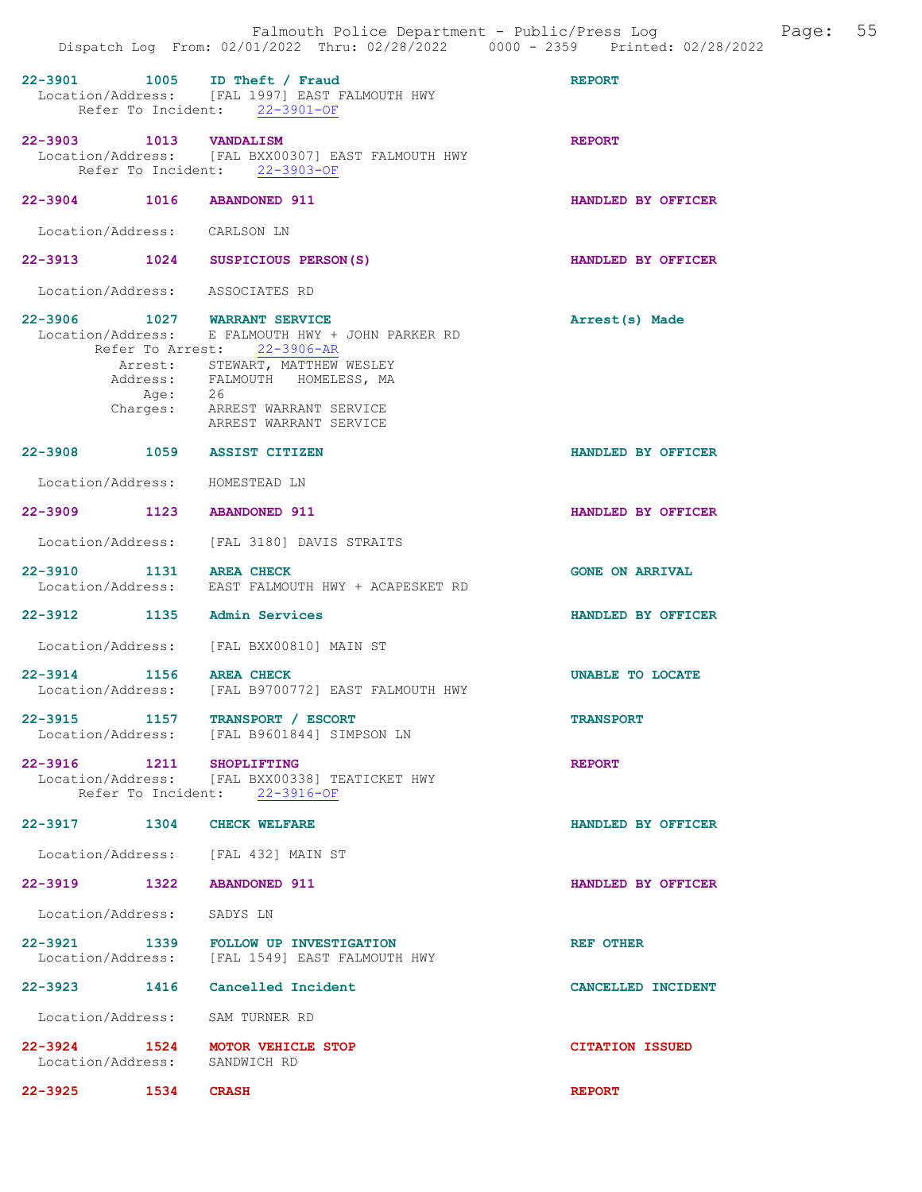|                                 | Dispatch Log From: 02/01/2022 Thru: 02/28/2022 0000 - 2359 Printed: 02/28/2022                                                                                                                                                | Falmouth Police Department - Public/Press Log Fage: 55 |  |
|---------------------------------|-------------------------------------------------------------------------------------------------------------------------------------------------------------------------------------------------------------------------------|--------------------------------------------------------|--|
|                                 | 22-3901 1005 ID Theft / Fraud<br>Location/Address: [FAL 1997] EAST FALMOUTH HWY<br>Refer To Incident: 22-3901-OF                                                                                                              | <b>REPORT</b>                                          |  |
| 22-3903 1013 VANDALISM          | Location/Address: [FAL BXX00307] EAST FALMOUTH HWY<br>Refer To Incident: 22-3903-OF                                                                                                                                           | <b>REPORT</b>                                          |  |
| 22-3904 1016 ABANDONED 911      |                                                                                                                                                                                                                               | HANDLED BY OFFICER                                     |  |
| Location/Address: CARLSON LN    |                                                                                                                                                                                                                               |                                                        |  |
|                                 | 22-3913 1024 SUSPICIOUS PERSON(S)                                                                                                                                                                                             | HANDLED BY OFFICER                                     |  |
| Location/Address: ASSOCIATES RD |                                                                                                                                                                                                                               |                                                        |  |
| 22-3906 1027 WARRANT SERVICE    | Location/Address: E FALMOUTH HWY + JOHN PARKER RD<br>Refer To Arrest: 22-3906-AR<br>Arrest: STEWART, MATTHEW WESLEY<br>Address: FALMOUTH HOMELESS, MA<br>Age: 26<br>Charges: ARREST WARRANT SERVICE<br>ARREST WARRANT SERVICE | Arrest(s) Made                                         |  |
| 22-3908 1059 ASSIST CITIZEN     |                                                                                                                                                                                                                               | HANDLED BY OFFICER                                     |  |
| Location/Address: HOMESTEAD LN  |                                                                                                                                                                                                                               |                                                        |  |
| 22-3909 1123 ABANDONED 911      |                                                                                                                                                                                                                               | HANDLED BY OFFICER                                     |  |
|                                 | Location/Address: [FAL 3180] DAVIS STRAITS                                                                                                                                                                                    |                                                        |  |
| 22-3910 1131 AREA CHECK         | Location/Address: EAST FALMOUTH HWY + ACAPESKET RD                                                                                                                                                                            | <b>GONE ON ARRIVAL</b>                                 |  |
| 22-3912 1135 Admin Services     |                                                                                                                                                                                                                               | HANDLED BY OFFICER                                     |  |
|                                 | Location/Address: [FAL BXX00810] MAIN ST                                                                                                                                                                                      |                                                        |  |
| 22-3914 1156 AREA CHECK         | Location/Address: [FAL B9700772] EAST FALMOUTH HWY                                                                                                                                                                            | UNABLE TO LOCATE                                       |  |
|                                 | 22-3915 1157 TRANSPORT / ESCORT<br>Location/Address: [FAL B9601844] SIMPSON LN                                                                                                                                                | <b>TRANSPORT</b>                                       |  |
| 22-3916 1211 SHOPLIFTING        | Location/Address: [FAL BXX00338] TEATICKET HWY<br>Refer To Incident: 22-3916-OF                                                                                                                                               | <b>REPORT</b>                                          |  |
| 22-3917 1304 CHECK WELFARE      |                                                                                                                                                                                                                               | HANDLED BY OFFICER                                     |  |
|                                 | Location/Address: [FAL 432] MAIN ST                                                                                                                                                                                           |                                                        |  |
| 22-3919 1322 ABANDONED 911      |                                                                                                                                                                                                                               | HANDLED BY OFFICER                                     |  |
| Location/Address: SADYS LN      |                                                                                                                                                                                                                               |                                                        |  |
|                                 | 22-3921 1339 FOLLOW UP INVESTIGATION<br>Location/Address: [FAL 1549] EAST FALMOUTH HWY                                                                                                                                        | REF OTHER                                              |  |
|                                 | 22-3923 1416 Cancelled Incident                                                                                                                                                                                               | CANCELLED INCIDENT                                     |  |
| Location/Address: SAM TURNER RD |                                                                                                                                                                                                                               |                                                        |  |
| Location/Address: SANDWICH RD   | 22-3924 1524 MOTOR VEHICLE STOP                                                                                                                                                                                               | <b>CITATION ISSUED</b>                                 |  |
| 22-3925<br><b>1534 CRASH</b>    |                                                                                                                                                                                                                               | <b>REPORT</b>                                          |  |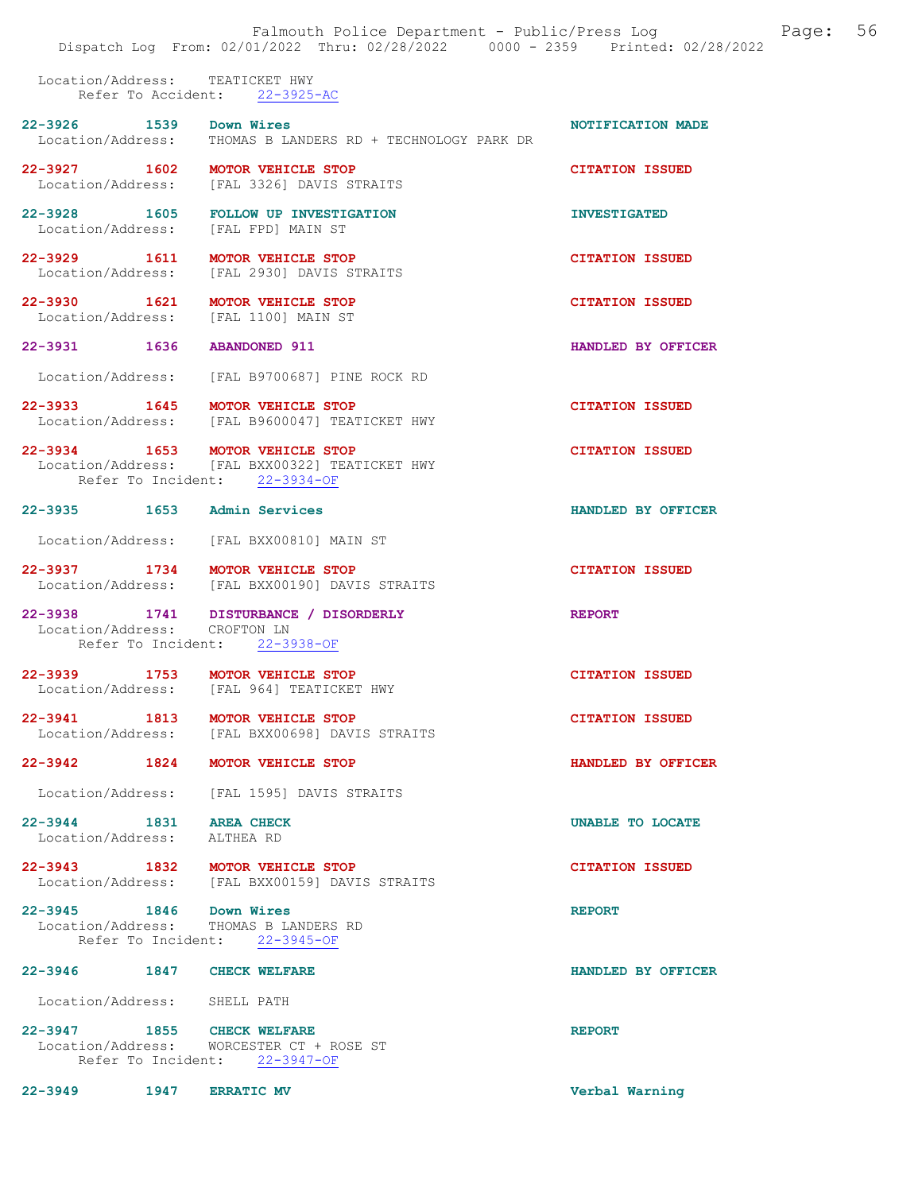Location/Address: TEATICKET HWY Refer To Accident: 22-3925-AC

| 22-3926 1539                                         | Down Wires<br>Location/Address: THOMAS B LANDERS RD + TECHNOLOGY PARK DR        | NOTIFICATION MADE       |
|------------------------------------------------------|---------------------------------------------------------------------------------|-------------------------|
|                                                      | 22-3927 1602 MOTOR VEHICLE STOP<br>Location/Address: [FAL 3326] DAVIS STRAITS   | <b>CITATION ISSUED</b>  |
| Location/Address: [FAL FPD] MAIN ST                  | 22-3928 1605 FOLLOW UP INVESTIGATION                                            | <b>INVESTIGATED</b>     |
| 22-3929 1611 MOTOR VEHICLE STOP                      | Location/Address: [FAL 2930] DAVIS STRAITS                                      | <b>CITATION ISSUED</b>  |
| 22-3930 1621<br>Location/Address: [FAL 1100] MAIN ST | MOTOR VEHICLE STOP                                                              | <b>CITATION ISSUED</b>  |
| 22-3931 1636 ABANDONED 911                           |                                                                                 | HANDLED BY OFFICER      |
|                                                      | Location/Address: [FAL B9700687] PINE ROCK RD                                   |                         |
| 22-3933 1645 MOTOR VEHICLE STOP                      | Location/Address: [FAL B9600047] TEATICKET HWY                                  | <b>CITATION ISSUED</b>  |
| 22-3934 1653 MOTOR VEHICLE STOP                      | Location/Address: [FAL BXX00322] TEATICKET HWY<br>Refer To Incident: 22-3934-OF | <b>CITATION ISSUED</b>  |
| 22-3935 1653 Admin Services                          |                                                                                 | HANDLED BY OFFICER      |
|                                                      | Location/Address: [FAL BXX00810] MAIN ST                                        |                         |
| 22-3937 1734 MOTOR VEHICLE STOP                      | Location/Address: [FAL BXX00190] DAVIS STRAITS                                  | <b>CITATION ISSUED</b>  |
| Location/Address: CROFTON LN                         | 22-3938 1741 DISTURBANCE / DISORDERLY<br>Refer To Incident: 22-3938-OF          | <b>REPORT</b>           |
|                                                      | 22-3939 1753 MOTOR VEHICLE STOP<br>Location/Address: [FAL 964] TEATICKET HWY    | <b>CITATION ISSUED</b>  |
| 22-3941 1813 MOTOR VEHICLE STOP                      | Location/Address: [FAL BXX00698] DAVIS STRAITS                                  | <b>CITATION ISSUED</b>  |
| 22-3942 1824 MOTOR VEHICLE STOP                      |                                                                                 | HANDLED BY OFFICER      |
|                                                      | Location/Address: [FAL 1595] DAVIS STRAITS                                      |                         |
| $22 - 3944$<br>Location/Address: ALTHEA RD           | 1831 AREA CHECK                                                                 | <b>UNABLE TO LOCATE</b> |
| 22-3943 1832 MOTOR VEHICLE STOP                      | Location/Address: [FAL BXX00159] DAVIS STRAITS                                  | <b>CITATION ISSUED</b>  |
| 22-3945 1846 Down Wires                              | Location/Address: THOMAS B LANDERS RD<br>Refer To Incident: 22-3945-OF          | <b>REPORT</b>           |
| 22-3946 1847 CHECK WELFARE                           |                                                                                 | HANDLED BY OFFICER      |
| Location/Address: SHELL PATH                         |                                                                                 |                         |
| 22-3947 1855 CHECK WELFARE                           | Location/Address: WORCESTER CT + ROSE ST<br>Refer To Incident: 22-3947-OF       | <b>REPORT</b>           |
| 22-3949 1947 ERRATIC MV                              |                                                                                 | Verbal Warning          |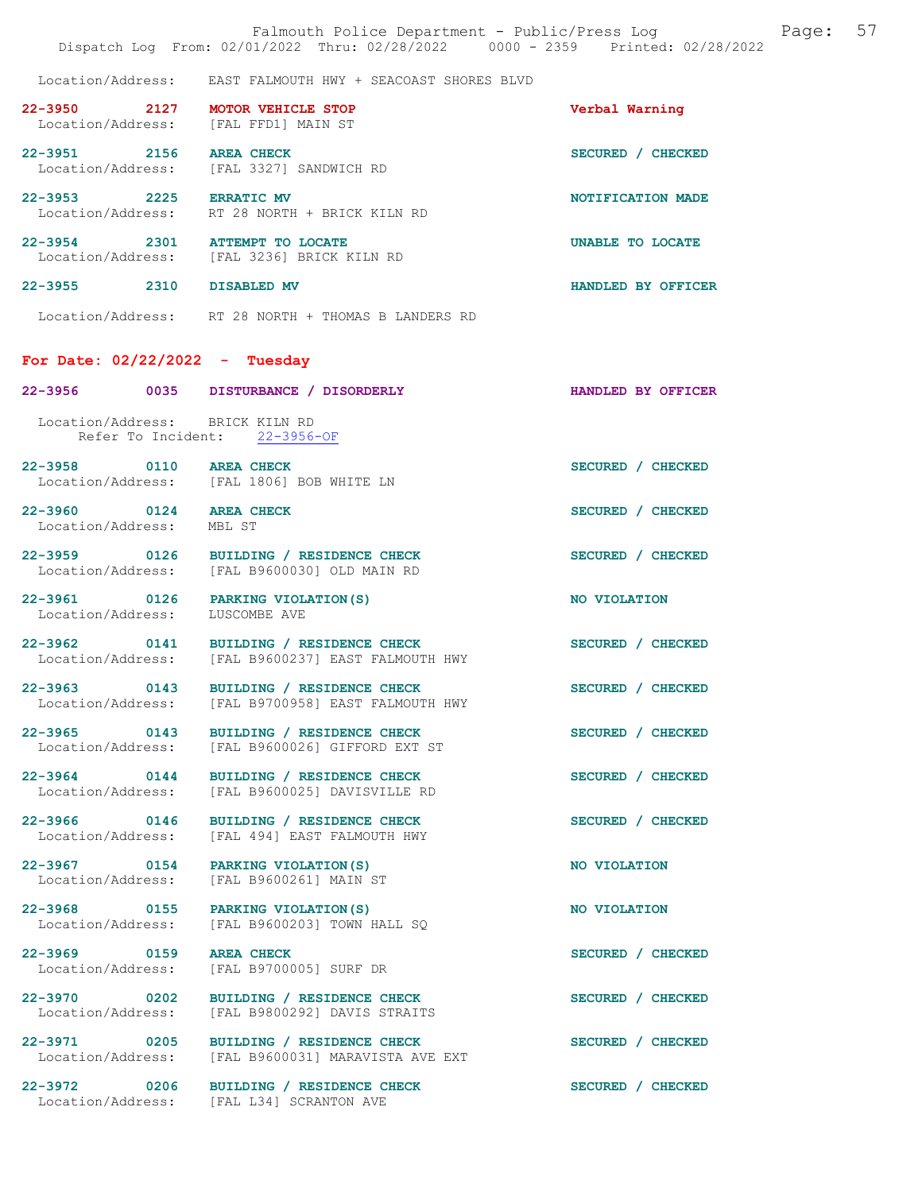Location/Address: EAST FALMOUTH HWY + SEACOAST SHORES BLVD

| $22 - 3950$<br>2127<br>Location/Address: | <b>MOTOR VEHICLE STOP</b><br>[FAL FFD1] MAIN ST  | Verbal Warning                   |
|------------------------------------------|--------------------------------------------------|----------------------------------|
| $22 - 3951$<br>2156<br>Location/Address: | <b>AREA CHECK</b><br>FRL 33271 SANDWICH RD       | <b>SECURED</b><br><b>CHECKED</b> |
| $22 - 3953$<br>2225<br>Location/Address: | <b>ERRATIC MV</b><br>RT 28 NORTH + BRICK KILN RD | NOTIFICATION MADE                |
| $22 - 3954$<br>2301<br>Location/Address: | ATTEMPT TO LOCATE<br>FRAL 32361 BRICK KILN RD    | UNABLE TO LOCATE                 |
| $22 - 3955$<br>2310                      | DISABLED MV                                      | HANDLED BY OFFICER               |

Location/Address: RT 28 NORTH + THOMAS B LANDERS RD

#### For Date: 02/22/2022 - Tuesday

| 22–3956                                                 | 0035 DISTURBANCE / DISORDERLY                                     | HANDLED BY OFFICER |
|---------------------------------------------------------|-------------------------------------------------------------------|--------------------|
| Location/Address: BRICK KILN RD                         | Refer To Incident: 22-3956-OF                                     |                    |
| 22-3958 0110 AREA CHECK                                 | Location/Address: [FAL 1806] BOB WHITE LN                         | SECURED / CHECKED  |
| 22-3960 0124 AREA CHECK<br>Location/Address:            | MBL ST                                                            | SECURED / CHECKED  |
| 22-3959 0126<br>Location/Address:                       | BUILDING / RESIDENCE CHECK<br>[FAL B9600030] OLD MAIN RD          | SECURED / CHECKED  |
| 22-3961 0126<br>Location/Address:                       | PARKING VIOLATION (S)<br>LUSCOMBE AVE                             | NO VIOLATION       |
| 22-3962 0141<br>Location/Address:                       | BUILDING / RESIDENCE CHECK<br>[FAL B9600237] EAST FALMOUTH HWY    | SECURED / CHECKED  |
| 22-3963 0143<br>Location/Address:                       | BUILDING / RESIDENCE CHECK<br>[FAL B9700958] EAST FALMOUTH HWY    | SECURED / CHECKED  |
| 22-3965 0143<br>Location/Address:                       | BUILDING / RESIDENCE CHECK<br>[FAL B9600026] GIFFORD EXT ST       | SECURED / CHECKED  |
| 22-3964 0144<br>Location/Address:                       | BUILDING / RESIDENCE CHECK<br>[FAL B9600025] DAVISVILLE RD        | SECURED / CHECKED  |
| 22-3966 0146<br>Location/Address:                       | BUILDING / RESIDENCE CHECK<br>[FAL 494] EAST FALMOUTH HWY         | SECURED / CHECKED  |
| 22-3967 0154 PARKING VIOLATION (S)<br>Location/Address: | [FAL B9600261] MAIN ST                                            | NO VIOLATION       |
| 22-3968 0155 PARKING VIOLATION (S)                      | Location/Address: [FAL B9600203] TOWN HALL SQ                     | NO VIOLATION       |
| $22 - 3969$<br>0159<br>Location/Address:                | <b>AREA CHECK</b><br>[FAL B9700005] SURF DR                       | SECURED / CHECKED  |
| $\sim$ 0202<br>$22 - 3970$<br>Location/Address:         | <b>BUILDING / RESIDENCE CHECK</b><br>[FAL B9800292] DAVIS STRAITS | SECURED / CHECKED  |
| 22-3971 0205<br>Location/Address:                       | BUILDING / RESIDENCE CHECK<br>[FAL B9600031] MARAVISTA AVE EXT    | SECURED / CHECKED  |
| 22-3972 0206<br>Location/Address:                       | BUILDING / RESIDENCE CHECK<br>[FAL L34] SCRANTON AVE              | SECURED / CHECKED  |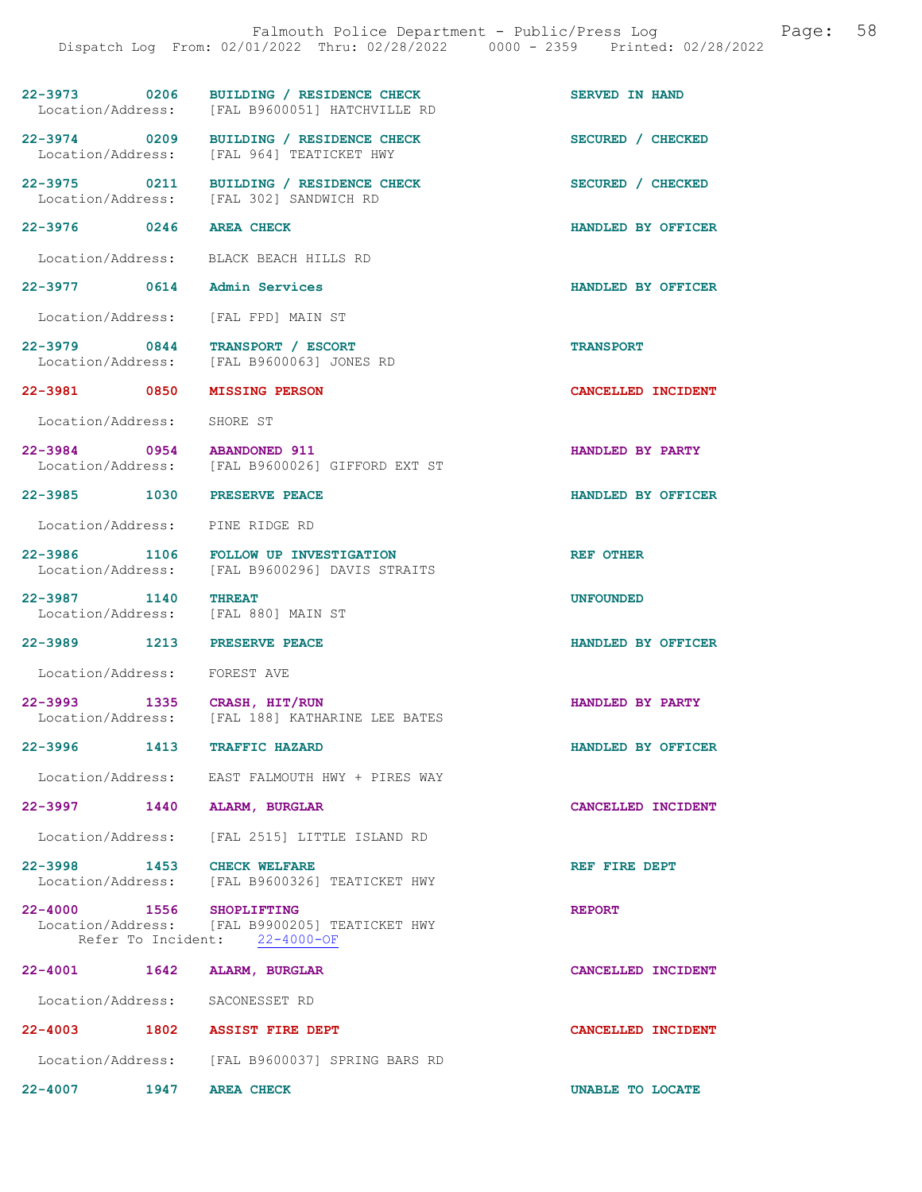|                                  | Dispatch Log From: 02/01/2022 Thru: 02/28/2022 0000 - 2359 Printed: 02/28/2022            | Falmouth Police Department - Public/Press Log | Page: | 58 |
|----------------------------------|-------------------------------------------------------------------------------------------|-----------------------------------------------|-------|----|
|                                  | 22-3973 0206 BUILDING / RESIDENCE CHECK<br>Location/Address: [FAL B9600051] HATCHVILLE RD | <b>SERVED IN HAND</b>                         |       |    |
|                                  | 22-3974 0209 BUILDING / RESIDENCE CHECK<br>Location/Address: [FAL 964] TEATICKET HWY      | SECURED / CHECKED                             |       |    |
|                                  | 22-3975 0211 BUILDING / RESIDENCE CHECK<br>Location/Address: [FAL 302] SANDWICH RD        | SECURED / CHECKED                             |       |    |
| 22-3976 0246 AREA CHECK          |                                                                                           | HANDLED BY OFFICER                            |       |    |
|                                  | Location/Address: BLACK BEACH HILLS RD                                                    |                                               |       |    |
|                                  | 22-3977 0614 Admin Services                                                               | HANDLED BY OFFICER                            |       |    |
|                                  | Location/Address: [FAL FPD] MAIN ST                                                       |                                               |       |    |
|                                  | 22-3979 0844 TRANSPORT / ESCORT<br>Location/Address: [FAL B9600063] JONES RD              | <b>TRANSPORT</b>                              |       |    |
|                                  | 22-3981 0850 MISSING PERSON                                                               | CANCELLED INCIDENT                            |       |    |
| Location/Address: SHORE ST       |                                                                                           |                                               |       |    |
|                                  | 22-3984 0954 ABANDONED 911<br>Location/Address: [FAL B9600026] GIFFORD EXT ST             | HANDLED BY PARTY                              |       |    |
|                                  | 22-3985 1030 PRESERVE PEACE                                                               | HANDLED BY OFFICER                            |       |    |
|                                  | Location/Address: PINE RIDGE RD                                                           |                                               |       |    |
|                                  | 22-3986 1106 FOLLOW UP INVESTIGATION<br>Location/Address: [FAL B9600296] DAVIS STRAITS    | <b>REF OTHER</b>                              |       |    |
| 22-3987 1140                     | <b>THREAT</b><br>Location/Address: [FAL 880] MAIN ST                                      | <b>UNFOUNDED</b>                              |       |    |
|                                  | 22-3989 1213 PRESERVE PEACE                                                               | HANDLED BY OFFICER                            |       |    |
| Location/Address: FOREST AVE     |                                                                                           |                                               |       |    |
| $22 - 3993$<br>Location/Address: | 1335 CRASH, HIT/RUN<br>[FAL 188] KATHARINE LEE BATES                                      | HANDLED BY PARTY                              |       |    |
|                                  | 22-3996 1413 TRAFFIC HAZARD                                                               | HANDLED BY OFFICER                            |       |    |
|                                  | Location/Address: EAST FALMOUTH HWY + PIRES WAY                                           |                                               |       |    |
|                                  | 22-3997 1440 ALARM, BURGLAR                                                               | CANCELLED INCIDENT                            |       |    |
| Location/Address:                | [FAL 2515] LITTLE ISLAND RD                                                               |                                               |       |    |
|                                  | 22-3998 1453 CHECK WELFARE<br>Location/Address: [FAL B9600326] TEATICKET HWY              | REF FIRE DEPT                                 |       |    |
| 22-4000 1556 SHOPLIFTING         | Location/Address: [FAL B9900205] TEATICKET HWY<br>Refer To Incident: 22-4000-OF           | <b>REPORT</b>                                 |       |    |
| 22-4001 1642                     | <b>ALARM, BURGLAR</b>                                                                     | CANCELLED INCIDENT                            |       |    |
|                                  | Location/Address: SACONESSET RD                                                           |                                               |       |    |
|                                  | 22-4003 1802 ASSIST FIRE DEPT                                                             | CANCELLED INCIDENT                            |       |    |
|                                  | Location/Address: [FAL B9600037] SPRING BARS RD                                           |                                               |       |    |
| $22 - 4007$                      | 1947 AREA CHECK                                                                           | UNABLE TO LOCATE                              |       |    |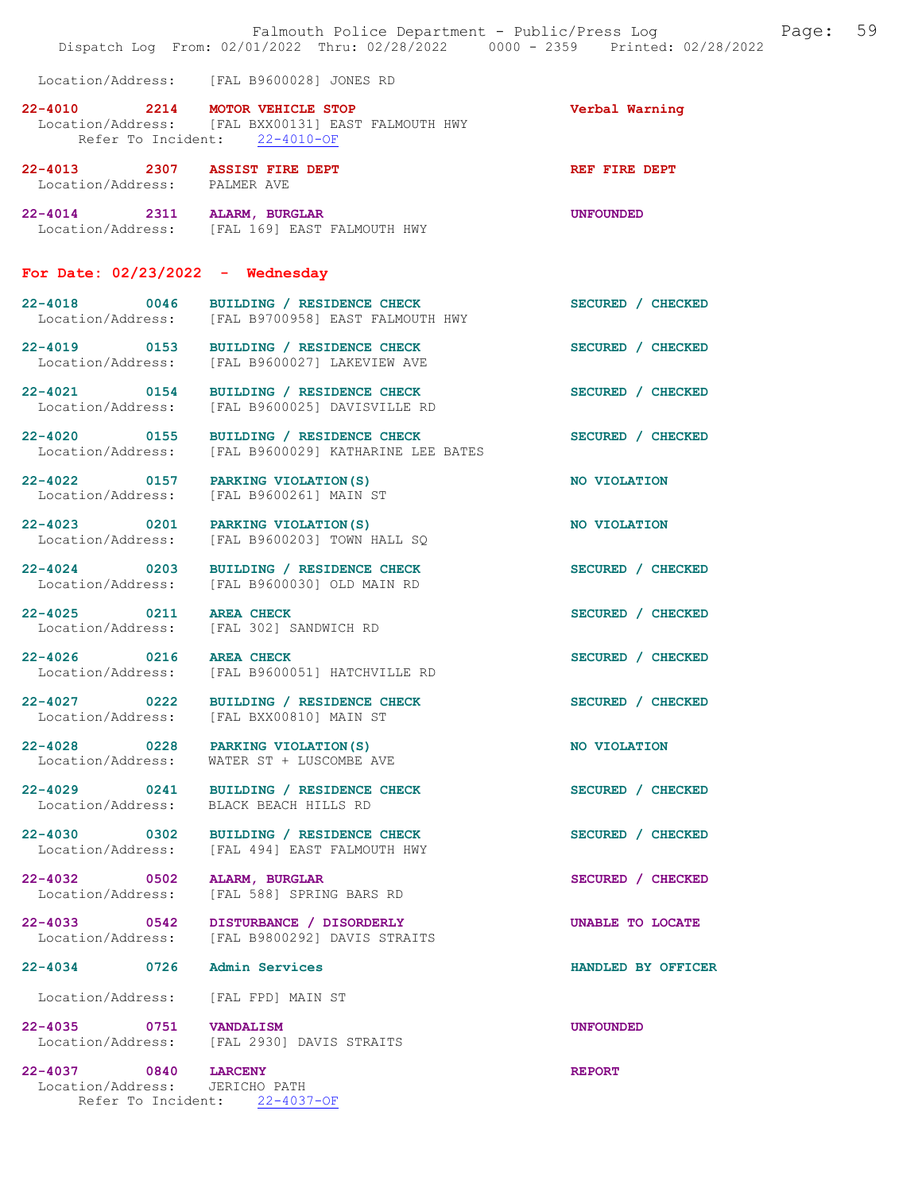|                                                               | Dispatch Log From: 02/01/2022 Thru: 02/28/2022 0000 - 2359 Printed: 02/28/2022                | Falmouth Police Department - Public/Press Log Fage: 59 |
|---------------------------------------------------------------|-----------------------------------------------------------------------------------------------|--------------------------------------------------------|
|                                                               | Location/Address: [FAL B9600028] JONES RD                                                     |                                                        |
| 22-4010 2214 MOTOR VEHICLE STOP                               | Location/Address: [FAL BXX00131] EAST FALMOUTH HWY<br>Refer To Incident: 22-4010-OF           | Verbal Warning                                         |
| 22-4013 2307 ASSIST FIRE DEPT<br>Location/Address: PALMER AVE |                                                                                               | REF FIRE DEPT                                          |
| 22-4014 2311 ALARM, BURGLAR                                   | Location/Address: [FAL 169] EAST FALMOUTH HWY                                                 | <b>UNFOUNDED</b>                                       |
| For Date: $02/23/2022 -$ Wednesday                            |                                                                                               |                                                        |
|                                                               | 22-4018 0046 BUILDING / RESIDENCE CHECK<br>Location/Address: [FAL B9700958] EAST FALMOUTH HWY | SECURED / CHECKED                                      |
| 22-4019 0153                                                  | BUILDING / RESIDENCE CHECK<br>Location/Address: [FAL B9600027] LAKEVIEW AVE                   | SECURED / CHECKED                                      |
|                                                               | 22-4021 0154 BUILDING / RESIDENCE CHECK<br>Location/Address: [FAL B9600025] DAVISVILLE RD     | SECURED / CHECKED                                      |
| 22-4020 0155                                                  | BUILDING / RESIDENCE CHECK<br>Location/Address: [FAL B9600029] KATHARINE LEE BATES            | SECURED / CHECKED                                      |
|                                                               | 22-4022 0157 PARKING VIOLATION (S)<br>Location/Address: [FAL B9600261] MAIN ST                | NO VIOLATION                                           |
| 22-4023 0201<br>Location/Address:                             | PARKING VIOLATION (S)<br>[FAL B9600203] TOWN HALL SQ                                          | NO VIOLATION                                           |
| 22-4024 0203                                                  | BUILDING / RESIDENCE CHECK<br>Location/Address: [FAL B9600030] OLD MAIN RD                    | SECURED / CHECKED                                      |
| 22-4025 0211 AREA CHECK                                       | Location/Address: [FAL 302] SANDWICH RD                                                       | SECURED / CHECKED                                      |
| 22-4026 0216 AREA CHECK                                       | Location/Address: [FAL B9600051] HATCHVILLE RD                                                | SECURED / CHECKED                                      |
| 22-4027 0222                                                  | BUILDING / RESIDENCE CHECK<br>Location/Address: [FAL BXX00810] MAIN ST                        | SECURED / CHECKED                                      |
| 22-4028 0228 PARKING VIOLATION (S)<br>Location/Address:       | WATER ST + LUSCOMBE AVE                                                                       | NO VIOLATION                                           |
| Location/Address:                                             | 22-4029 0241 BUILDING / RESIDENCE CHECK<br>BLACK BEACH HILLS RD                               | SECURED / CHECKED                                      |
|                                                               | 22-4030 0302 BUILDING / RESIDENCE CHECK<br>Location/Address: [FAL 494] EAST FALMOUTH HWY      | SECURED / CHECKED                                      |
| 22-4032 0502 ALARM, BURGLAR<br>Location/Address:              | [FAL 588] SPRING BARS RD                                                                      | SECURED / CHECKED                                      |
|                                                               | 22-4033 0542 DISTURBANCE / DISORDERLY<br>Location/Address: [FAL B9800292] DAVIS STRAITS       | UNABLE TO LOCATE                                       |
| 22-4034 0726 Admin Services                                   |                                                                                               | HANDLED BY OFFICER                                     |
| Location/Address: [FAL FPD] MAIN ST                           |                                                                                               |                                                        |
| 22-4035 0751 VANDALISM                                        | Location/Address: [FAL 2930] DAVIS STRAITS                                                    | <b>UNFOUNDED</b>                                       |
| 22-4037 0840 LARCENY<br>Location/Address: JERICHO PATH        | Refer To Incident: 22-4037-OF                                                                 | <b>REPORT</b>                                          |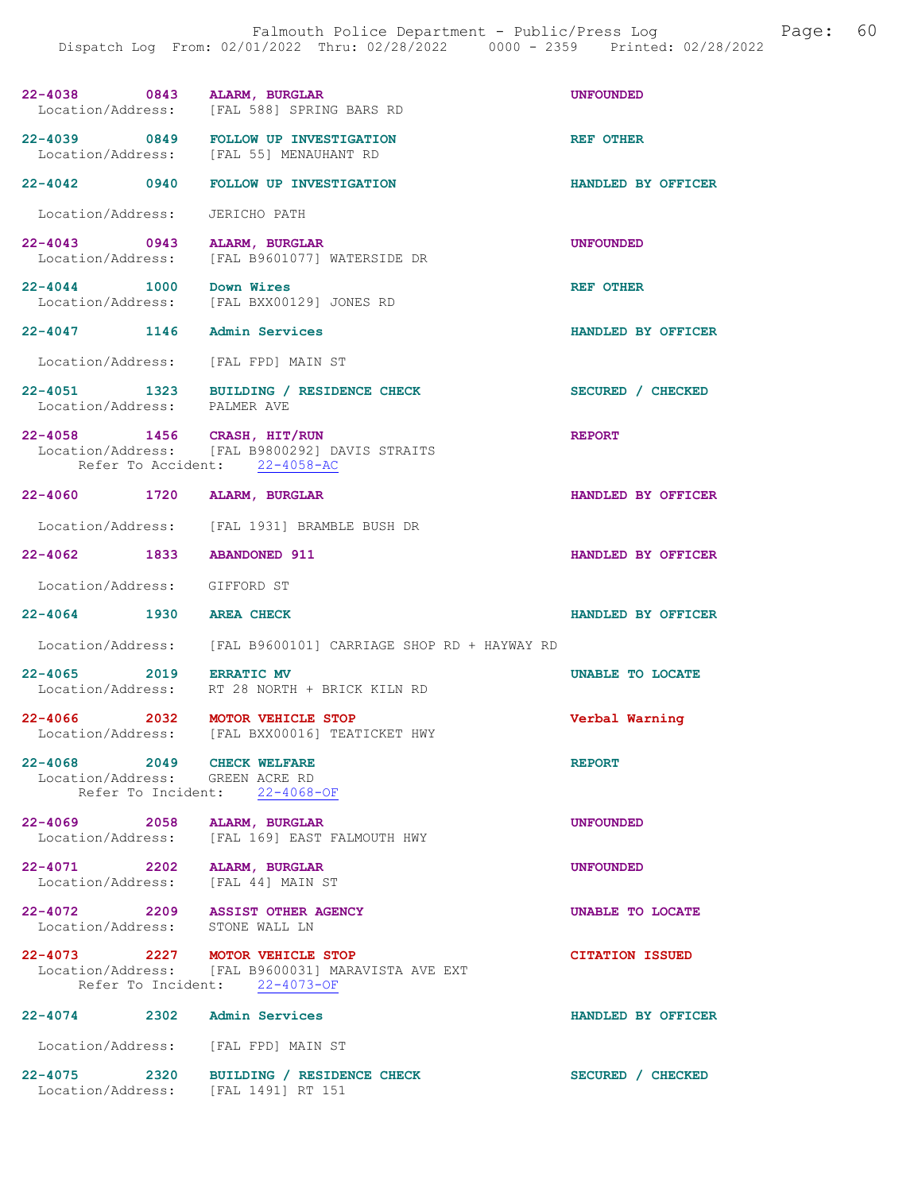|                                 | 22-4038 0843 ALARM, BURGLAR<br>Location/Address: [FAL 588] SPRING BARS RD                                              | <b>UNFOUNDED</b>       |
|---------------------------------|------------------------------------------------------------------------------------------------------------------------|------------------------|
|                                 | 22-4039 0849 FOLLOW UP INVESTIGATION<br>Location/Address: [FAL 55] MENAUHANT RD                                        | <b>REF OTHER</b>       |
|                                 | 22-4042 0940 FOLLOW UP INVESTIGATION                                                                                   | HANDLED BY OFFICER     |
| Location/Address: JERICHO PATH  |                                                                                                                        |                        |
|                                 | 22-4043 0943 ALARM, BURGLAR<br>Location/Address: [FAL B9601077] WATERSIDE DR                                           | <b>UNFOUNDED</b>       |
| 22-4044 1000 Down Wires         | Location/Address: [FAL BXX00129] JONES RD                                                                              | REF OTHER              |
|                                 | 22-4047 1146 Admin Services                                                                                            | HANDLED BY OFFICER     |
|                                 | Location/Address: [FAL FPD] MAIN ST                                                                                    |                        |
|                                 | 22-4051 1323 BUILDING / RESIDENCE CHECK<br>Location/Address: PALMER AVE                                                | SECURED / CHECKED      |
|                                 | 22-4058 1456 CRASH, HIT/RUN<br>Location/Address: [FAL B9800292] DAVIS STRAITS<br>Refer To Accident: 22-4058-AC         | <b>REPORT</b>          |
|                                 | 22-4060 1720 ALARM, BURGLAR                                                                                            | HANDLED BY OFFICER     |
|                                 | Location/Address: [FAL 1931] BRAMBLE BUSH DR                                                                           |                        |
| 22-4062 1833 ABANDONED 911      |                                                                                                                        | HANDLED BY OFFICER     |
| Location/Address: GIFFORD ST    |                                                                                                                        |                        |
| 22-4064 1930                    | <b>AREA CHECK</b>                                                                                                      | HANDLED BY OFFICER     |
|                                 | Location/Address: [FAL B9600101] CARRIAGE SHOP RD + HAYWAY RD                                                          |                        |
| 22-4065 2019 ERRATIC MV         | Location/Address: RT 28 NORTH + BRICK KILN RD                                                                          | UNABLE TO LOCATE       |
|                                 | 22-4066 2032 MOTOR VEHICLE STOP<br>Location/Address: [FAL BXX00016] TEATICKET HWY                                      | Verbal Warning         |
| 22-4068 2049 CHECK WELFARE      | Location/Address: GREEN ACRE RD<br>Refer To Incident: 22-4068-OF                                                       | <b>REPORT</b>          |
|                                 | 22-4069 2058 ALARM, BURGLAR<br>Location/Address: [FAL 169] EAST FALMOUTH HWY                                           | <b>UNFOUNDED</b>       |
| 22-4071 2202 ALARM, BURGLAR     | Location/Address: [FAL 44] MAIN ST                                                                                     | <b>UNFOUNDED</b>       |
| Location/Address: STONE WALL LN | 22-4072 2209 ASSIST OTHER AGENCY                                                                                       | UNABLE TO LOCATE       |
|                                 | 22-4073 2227 MOTOR VEHICLE STOP<br>Location/Address: [FAL B9600031] MARAVISTA AVE EXT<br>Refer To Incident: 22-4073-OF | <b>CITATION ISSUED</b> |
| 22-4074 2302 Admin Services     |                                                                                                                        | HANDLED BY OFFICER     |
|                                 | Location/Address: [FAL FPD] MAIN ST                                                                                    |                        |
|                                 | 22-4075 2320 BUILDING / RESIDENCE CHECK                                                                                | SECURED / CHECKED      |

Location/Address: [FAL 1491] RT 151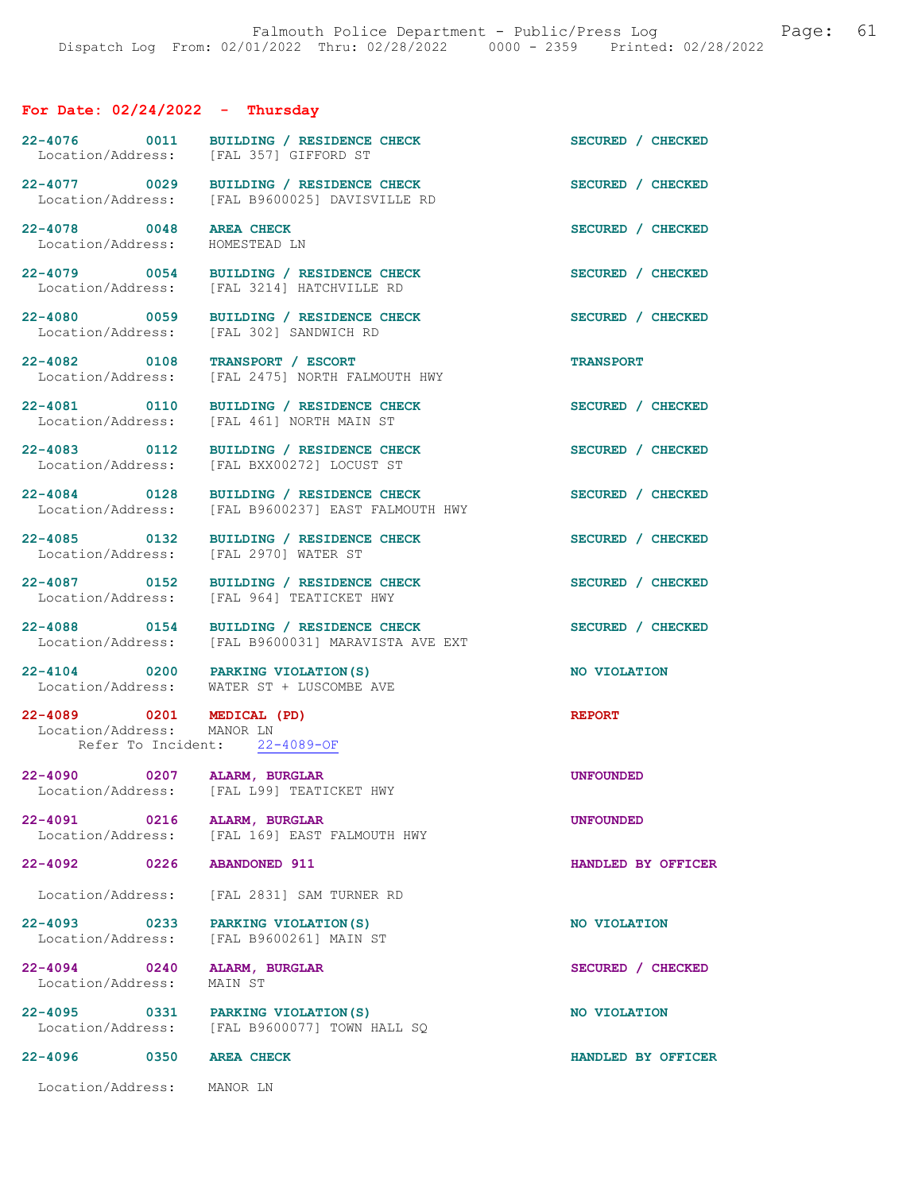#### For Date: 02/24/2022 - Thursday

22-4076 0011 BUILDING / RESIDENCE CHECK SECURED / CHECKED Location/Address: [FAL 357] GIFFORD ST

22-4077 0029 BUILDING / RESIDENCE CHECK SECURED / CHECKED Location/Address: [FAL B9600025] DAVISVILLE RD

22-4078 0048 AREA CHECK SECURED / CHECKED Location/Address: HOMESTEAD LN Location/Address:

22-4079 0054 BUILDING / RESIDENCE CHECK SECURED / CHECKED Location/Address: [FAL 3214] HATCHVILLE RD

22-4082 0108 TRANSPORT / ESCORT<br>
Location/Address: [FAL 2475] NORTH FALMOUTH HWY

22-4081 0110 BUILDING / RESIDENCE CHECK SECURED / CHECKED Location/Address: [FAL 461] NORTH MAIN ST

Location/Address:

22-4089 0201 MEDICAL (PD) REPORT Location/Address: MANOR LN Location/Address: Refer To Incident: 22-4089-OF

22-4090 0207 ALARM, BURGLAR UNE CONSIDER UNFOUNDED<br>
Location/Address: [FAL L99] TEATICKET HWY

Location/Address:

22-4094 0240 ALARM, BURGLAR SECURED / CHECKED Location/Address: MAIN ST

22-4095 0331 PARKING VIOLATION(S) NO VIOLATION Location/Address: [FAL B9600077] TOWN HALL SQ

22-4080 0059 BUILDING / RESIDENCE CHECK SECURED / CHECKED Location/Address: [FAL 302] SANDWICH RD

[FAL 2475] NORTH FALMOUTH HWY

[FAL 461] NORTH MAIN ST

[FAL 357] GIFFORD ST

22-4083 0112 BUILDING / RESIDENCE CHECK SECURED / CHECKED Location/Address: [FAL BXX00272] LOCUST ST

22-4084 0128 BUILDING / RESIDENCE CHECK<br>
Location/Address: [FAL B9600237] EAST FALMOUTH HWY [FAL B9600237] EAST FALMOUTH HWY

22-4085 0132 BUILDING / RESIDENCE CHECK SECURED / CHECKED Location/Address: [FAL 2970] WATER ST

22-4087 0152 BUILDING / RESIDENCE CHECK<br>
Location/Address: [FAL 964] TEATICKET HWY [FAL 964] TEATICKET HWY

22-4088 0154 BUILDING / RESIDENCE CHECK SECURED / CHECKED Location/Address: [FAL B9600031] MARAVISTA AVE EXT

22-4104 0200 PARKING VIOLATION(S) NO VIOLATION Location/Address: WATER ST + LUSCOMBE AVE

Location/Address: [FAL L99] TEATICKET HWY

22-4091 0216 ALARM, BURGLAR DRIGHT HWY Location/Address: [FAL 169] EAST FALMOUTH HWY [FAL 169] EAST FALMOUTH HWY

22-4092 0226 ABANDONED 911 HANDLED BY OFFICER

Location/Address: [FAL 2831] SAM TURNER RD

22-4093 0233 PARKING VIOLATION(S) NO VIOLATION Location/Address: [FAL B9600261] MAIN ST

22-4096 0350 AREA CHECK HANDLED BY OFFICER

Location/Address: MANOR LN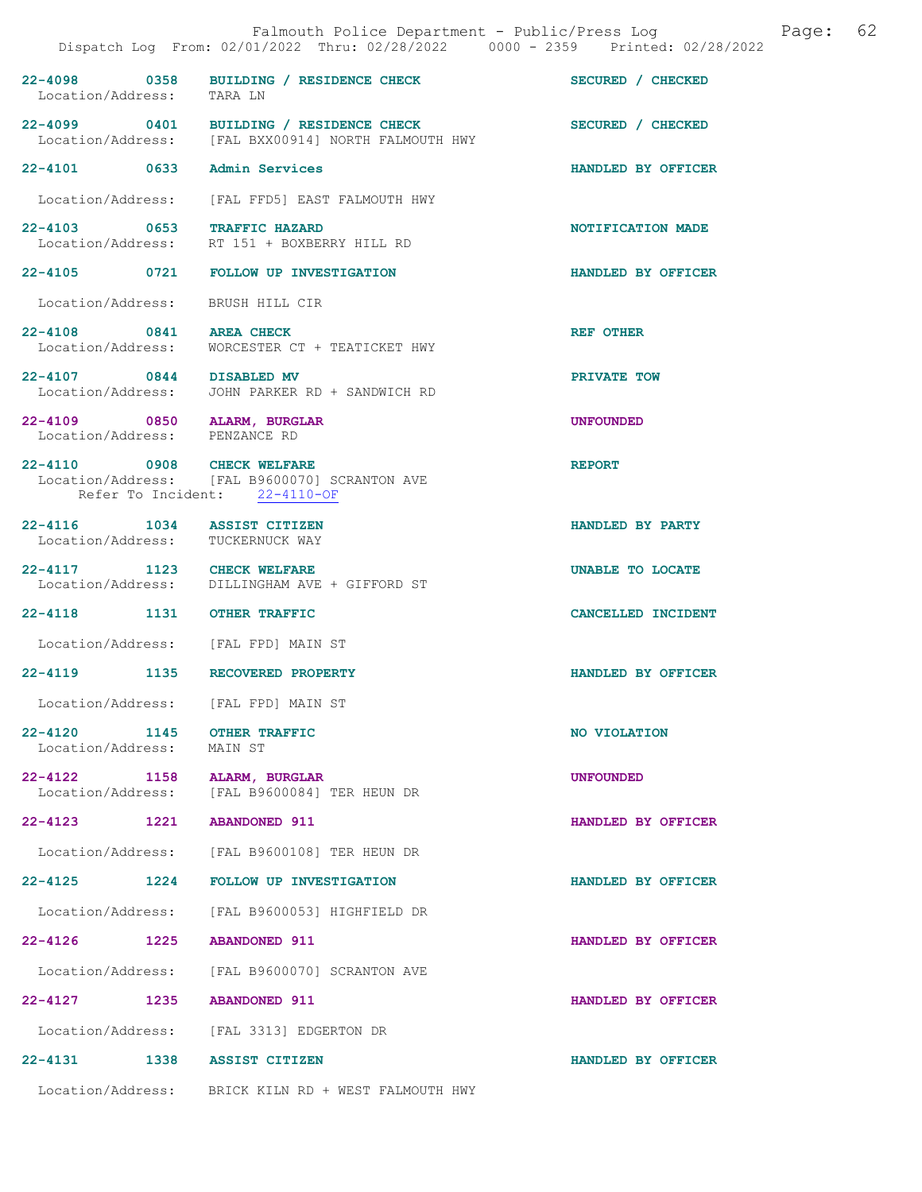|                                                                 | Falmouth Police Department - Public/Press Log Sage:<br>Dispatch Log From: 02/01/2022 Thru: 02/28/2022 0000 - 2359 Printed: 02/28/2022 | 62                 |
|-----------------------------------------------------------------|---------------------------------------------------------------------------------------------------------------------------------------|--------------------|
| Location/Address: TARA LN                                       | 22-4098 0358 BUILDING / RESIDENCE CHECK SECURED / CHECKED                                                                             |                    |
|                                                                 | 22-4099 0401 BUILDING / RESIDENCE CHECK<br>Location/Address: [FAL BXX00914] NORTH FALMOUTH HWY                                        | SECURED / CHECKED  |
| 22-4101 0633 Admin Services                                     |                                                                                                                                       | HANDLED BY OFFICER |
|                                                                 | Location/Address: [FAL FFD5] EAST FALMOUTH HWY                                                                                        |                    |
| 22-4103 0653 TRAFFIC HAZARD                                     | Location/Address: RT 151 + BOXBERRY HILL RD                                                                                           | NOTIFICATION MADE  |
|                                                                 | 22-4105 0721 FOLLOW UP INVESTIGATION                                                                                                  | HANDLED BY OFFICER |
| Location/Address: BRUSH HILL CIR                                |                                                                                                                                       |                    |
|                                                                 | 22-4108 0841 AREA CHECK<br>Location/Address: WORCESTER CT + TEATICKET HWY                                                             | <b>REF OTHER</b>   |
| 22-4107 0844 DISABLED MV                                        | Location/Address: JOHN PARKER RD + SANDWICH RD                                                                                        | PRIVATE TOW        |
| Location/Address: PENZANCE RD                                   | 22-4109 0850 ALARM, BURGLAR                                                                                                           | <b>UNFOUNDED</b>   |
| 22-4110 0908 CHECK WELFARE                                      | Location/Address: [FAL B9600070] SCRANTON AVE<br>Refer To Incident: 22-4110-OF                                                        | <b>REPORT</b>      |
| 22-4116 1034 ASSIST CITIZEN<br>Location/Address: TUCKERNUCK WAY |                                                                                                                                       | HANDLED BY PARTY   |
| 22-4117 1123 CHECK WELFARE                                      | Location/Address: DILLINGHAM AVE + GIFFORD ST                                                                                         | UNABLE TO LOCATE   |
| 22-4118 1131 OTHER TRAFFIC                                      |                                                                                                                                       | CANCELLED INCIDENT |
|                                                                 | Location/Address: [FAL FPD] MAIN ST                                                                                                   |                    |
|                                                                 | 22-4119 1135 RECOVERED PROPERTY                                                                                                       | HANDLED BY OFFICER |
| Location/Address:                                               | [FAL FPD] MAIN ST                                                                                                                     |                    |
| $22 - 4120$<br>Location/Address:                                | 1145 OTHER TRAFFIC<br>MAIN ST                                                                                                         | NO VIOLATION       |
| 22-4122 1158 ALARM, BURGLAR<br>Location/Address:                | [FAL B9600084] TER HEUN DR                                                                                                            | <b>UNFOUNDED</b>   |
| 22-4123 1221 ABANDONED 911                                      |                                                                                                                                       | HANDLED BY OFFICER |
|                                                                 | Location/Address: [FAL B9600108] TER HEUN DR                                                                                          |                    |
|                                                                 | 22-4125 1224 FOLLOW UP INVESTIGATION                                                                                                  | HANDLED BY OFFICER |
|                                                                 | Location/Address: [FAL B9600053] HIGHFIELD DR                                                                                         |                    |
| 22–4126 1225                                                    | <b>ABANDONED 911</b>                                                                                                                  | HANDLED BY OFFICER |
|                                                                 | Location/Address: [FAL B9600070] SCRANTON AVE                                                                                         |                    |
| 22-4127 1235 ABANDONED 911                                      |                                                                                                                                       | HANDLED BY OFFICER |
|                                                                 | Location/Address: [FAL 3313] EDGERTON DR                                                                                              |                    |
| 22-4131 1338 ASSIST CITIZEN                                     |                                                                                                                                       | HANDLED BY OFFICER |
|                                                                 | Location/Address: BRICK KILN RD + WEST FALMOUTH HWY                                                                                   |                    |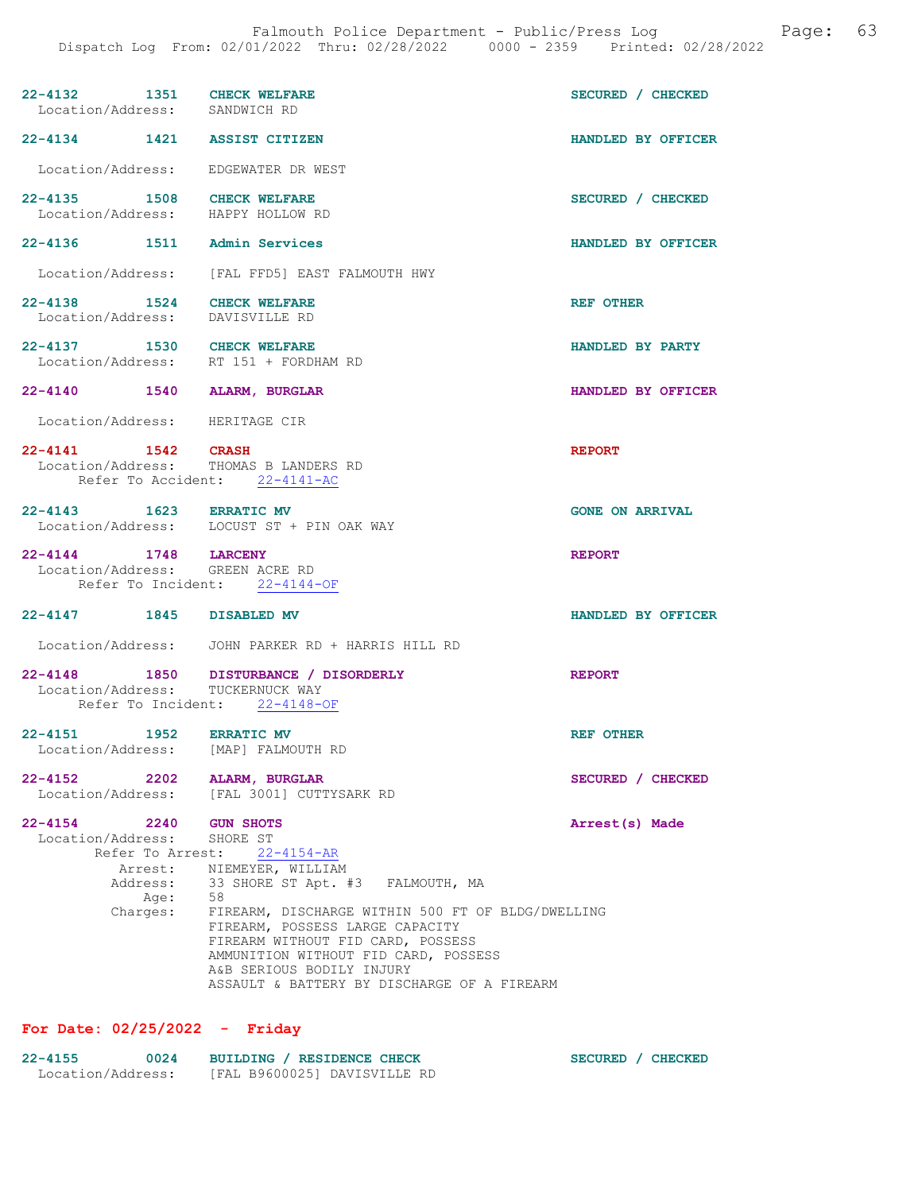| 22-4132 1351 CHECK WELFARE<br>Location/Address: SANDWICH RD                      |                                                                                                                                                                                                                                                                                                                                                                                   | SECURED / CHECKED      |
|----------------------------------------------------------------------------------|-----------------------------------------------------------------------------------------------------------------------------------------------------------------------------------------------------------------------------------------------------------------------------------------------------------------------------------------------------------------------------------|------------------------|
| 22-4134 1421 ASSIST CITIZEN                                                      |                                                                                                                                                                                                                                                                                                                                                                                   | HANDLED BY OFFICER     |
| Location/Address: EDGEWATER DR WEST                                              |                                                                                                                                                                                                                                                                                                                                                                                   |                        |
| 22-4135 1508<br>Location/Address: HAPPY HOLLOW RD                                | <b>CHECK WELFARE</b>                                                                                                                                                                                                                                                                                                                                                              | SECURED / CHECKED      |
| 22-4136 1511 Admin Services                                                      |                                                                                                                                                                                                                                                                                                                                                                                   | HANDLED BY OFFICER     |
|                                                                                  | Location/Address: [FAL FFD5] EAST FALMOUTH HWY                                                                                                                                                                                                                                                                                                                                    |                        |
| 22-4138 1524 CHECK WELFARE<br>Location/Address: DAVISVILLE RD                    |                                                                                                                                                                                                                                                                                                                                                                                   | REF OTHER              |
| 22-4137 1530 CHECK WELFARE                                                       | Location/Address: RT 151 + FORDHAM RD                                                                                                                                                                                                                                                                                                                                             | HANDLED BY PARTY       |
| 22-4140 1540 ALARM, BURGLAR                                                      |                                                                                                                                                                                                                                                                                                                                                                                   | HANDLED BY OFFICER     |
| Location/Address: HERITAGE CIR                                                   |                                                                                                                                                                                                                                                                                                                                                                                   |                        |
| 22-4141 1542 CRASH                                                               | Location/Address: THOMAS B LANDERS RD<br>Refer To Accident: 22-4141-AC                                                                                                                                                                                                                                                                                                            | <b>REPORT</b>          |
| 22-4143 1623 ERRATIC MV                                                          | Location/Address: LOCUST ST + PIN OAK WAY                                                                                                                                                                                                                                                                                                                                         | <b>GONE ON ARRIVAL</b> |
| 22-4144 1748 LARCENY<br>Location/Address: GREEN ACRE RD                          | Refer To Incident: 22-4144-OF                                                                                                                                                                                                                                                                                                                                                     | <b>REPORT</b>          |
| 22-4147 1845 DISABLED MV                                                         |                                                                                                                                                                                                                                                                                                                                                                                   | HANDLED BY OFFICER     |
|                                                                                  | Location/Address: JOHN PARKER RD + HARRIS HILL RD                                                                                                                                                                                                                                                                                                                                 |                        |
| Location/Address: TUCKERNUCK WAY                                                 | 22-4148 1850 DISTURBANCE / DISORDERLY<br>Refer To Incident: 22-4148-OF                                                                                                                                                                                                                                                                                                            | <b>REPORT</b>          |
| 22-4151<br>Location/Address:                                                     | 1952 ERRATIC MV<br>[MAP] FALMOUTH RD                                                                                                                                                                                                                                                                                                                                              | <b>REF OTHER</b>       |
| $22 - 4152$<br>2202<br>Location/Address:                                         | ALARM, BURGLAR<br>[FAL 3001] CUTTYSARK RD                                                                                                                                                                                                                                                                                                                                         | SECURED / CHECKED      |
| $22 - 4154$<br>2240<br>Location/Address:<br>Refer To Arrest:<br>Age:<br>Charges: | <b>GUN SHOTS</b><br>SHORE ST<br>$22 - 4154 - AR$<br>Arrest: NIEMEYER, WILLIAM<br>Address: 33 SHORE ST Apt. #3 FALMOUTH, MA<br>58<br>FIREARM, DISCHARGE WITHIN 500 FT OF BLDG/DWELLING<br>FIREARM, POSSESS LARGE CAPACITY<br>FIREARM WITHOUT FID CARD, POSSESS<br>AMMUNITION WITHOUT FID CARD, POSSESS<br>A&B SERIOUS BODILY INJURY<br>ASSAULT & BATTERY BY DISCHARGE OF A FIREARM | Arrest(s) Made         |

# For Date: 02/25/2022 - Friday

| $22 - 4155$       | 0024 | BUILDING / RESIDENCE CHECK   |  |
|-------------------|------|------------------------------|--|
| Location/Address: |      | [FAL B9600025] DAVISVILLE RD |  |

SECURED / CHECKED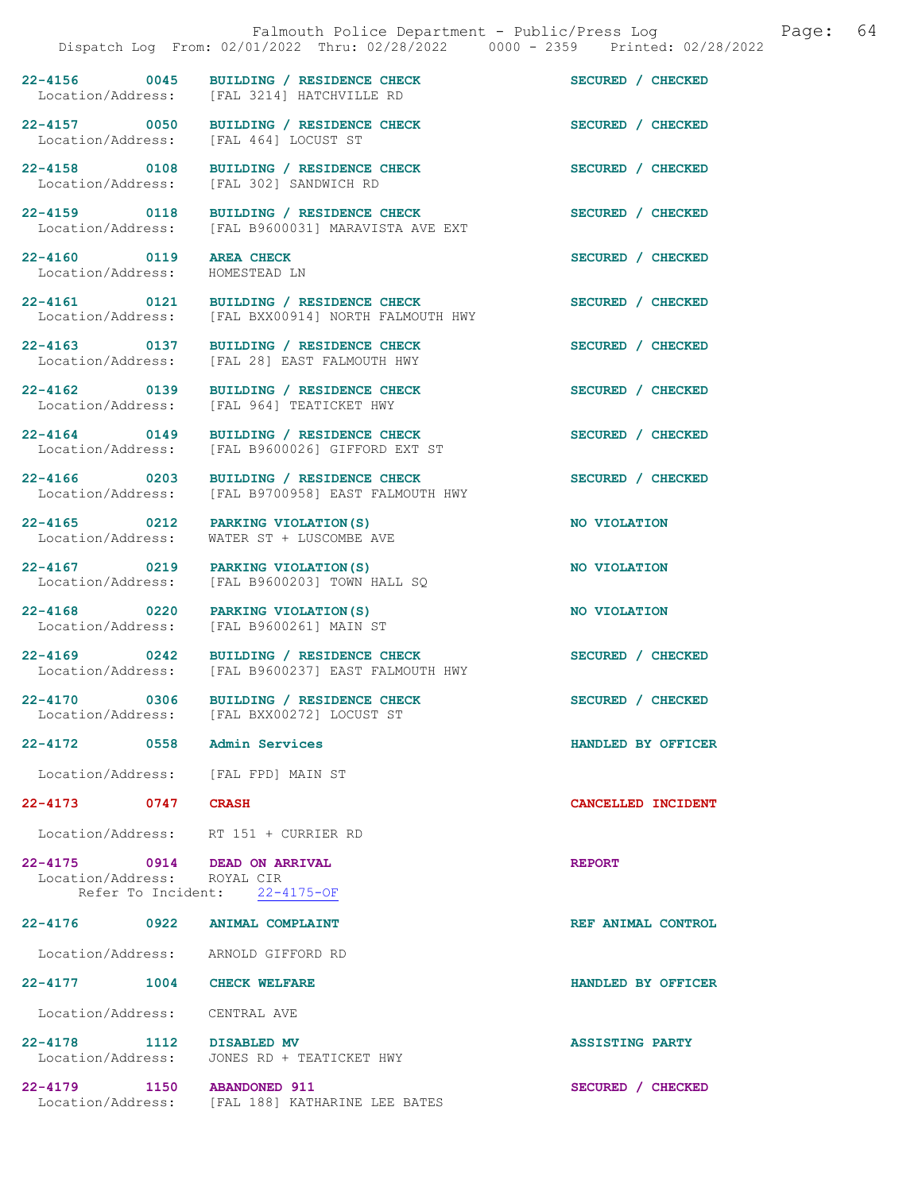| Falmouth Police Department - Public/Press Log<br>Dispatch Log From: 02/01/2022 Thru: 02/28/2022 0000 - 2359 Printed: 02/28/2022 |  |                                                                                                | Page:                  | 64 |  |
|---------------------------------------------------------------------------------------------------------------------------------|--|------------------------------------------------------------------------------------------------|------------------------|----|--|
|                                                                                                                                 |  | 22-4156 0045 BUILDING / RESIDENCE CHECK<br>Location/Address: [FAL 3214] HATCHVILLE RD          | SECURED / CHECKED      |    |  |
|                                                                                                                                 |  | 22-4157 0050 BUILDING / RESIDENCE CHECK<br>Location/Address: [FAL 464] LOCUST ST               | SECURED / CHECKED      |    |  |
|                                                                                                                                 |  | 22-4158 0108 BUILDING / RESIDENCE CHECK<br>Location/Address: [FAL 302] SANDWICH RD             | SECURED / CHECKED      |    |  |
| 22-4159 0118                                                                                                                    |  | BUILDING / RESIDENCE CHECK<br>Location/Address: [FAL B9600031] MARAVISTA AVE EXT               | SECURED / CHECKED      |    |  |
| 22-4160 0119<br>Location/Address:                                                                                               |  | <b>AREA CHECK</b><br>HOMESTEAD LN                                                              | SECURED / CHECKED      |    |  |
|                                                                                                                                 |  | 22-4161 0121 BUILDING / RESIDENCE CHECK<br>Location/Address: [FAL BXX00914] NORTH FALMOUTH HWY | SECURED / CHECKED      |    |  |
|                                                                                                                                 |  | 22-4163 0137 BUILDING / RESIDENCE CHECK<br>Location/Address: [FAL 28] EAST FALMOUTH HWY        | SECURED / CHECKED      |    |  |
|                                                                                                                                 |  | 22-4162 0139 BUILDING / RESIDENCE CHECK<br>Location/Address: [FAL 964] TEATICKET HWY           | SECURED / CHECKED      |    |  |
| 22-4164 0149                                                                                                                    |  | BUILDING / RESIDENCE CHECK<br>Location/Address: [FAL B9600026] GIFFORD EXT ST                  | SECURED / CHECKED      |    |  |
| 22-4166 0203<br>Location/Address:                                                                                               |  | BUILDING / RESIDENCE CHECK<br>[FAL B9700958] EAST FALMOUTH HWY                                 | SECURED / CHECKED      |    |  |
| 22-4165 0212<br>Location/Address:                                                                                               |  | PARKING VIOLATION (S)<br>WATER ST + LUSCOMBE AVE                                               | NO VIOLATION           |    |  |
| 22-4167 0219<br>Location/Address:                                                                                               |  | PARKING VIOLATION (S)<br>[FAL B9600203] TOWN HALL SQ                                           | NO VIOLATION           |    |  |
|                                                                                                                                 |  | 22-4168 0220 PARKING VIOLATION (S)<br>Location/Address: [FAL B9600261] MAIN ST                 | NO VIOLATION           |    |  |
|                                                                                                                                 |  | 22-4169 0242 BUILDING / RESIDENCE CHECK<br>Location/Address: [FAL B9600237] EAST FALMOUTH HWY  | SECURED / CHECKED      |    |  |
|                                                                                                                                 |  | 22-4170 0306 BUILDING / RESIDENCE CHECK<br>Location/Address: [FAL BXX00272] LOCUST ST          | SECURED / CHECKED      |    |  |
| 22-4172 0558 Admin Services                                                                                                     |  |                                                                                                | HANDLED BY OFFICER     |    |  |
|                                                                                                                                 |  | Location/Address: [FAL FPD] MAIN ST                                                            |                        |    |  |
| 22-4173 0747 CRASH                                                                                                              |  |                                                                                                | CANCELLED INCIDENT     |    |  |
|                                                                                                                                 |  | Location/Address: RT 151 + CURRIER RD                                                          |                        |    |  |
| Location/Address: ROYAL CIR                                                                                                     |  | 22-4175 0914 DEAD ON ARRIVAL<br>Refer To Incident: 22-4175-OF                                  | <b>REPORT</b>          |    |  |
|                                                                                                                                 |  | 22-4176 0922 ANIMAL COMPLAINT                                                                  | REF ANIMAL CONTROL     |    |  |
|                                                                                                                                 |  | Location/Address: ARNOLD GIFFORD RD                                                            |                        |    |  |
| 22-4177 1004 CHECK WELFARE                                                                                                      |  |                                                                                                | HANDLED BY OFFICER     |    |  |
| Location/Address: CENTRAL AVE                                                                                                   |  |                                                                                                |                        |    |  |
| 22-4178 1112 DISABLED MV                                                                                                        |  | Location/Address: JONES RD + TEATICKET HWY                                                     | <b>ASSISTING PARTY</b> |    |  |
| 22-4179 1150 ABANDONED 911                                                                                                      |  |                                                                                                | SECURED / CHECKED      |    |  |

Location/Address: [FAL 188] KATHARINE LEE BATES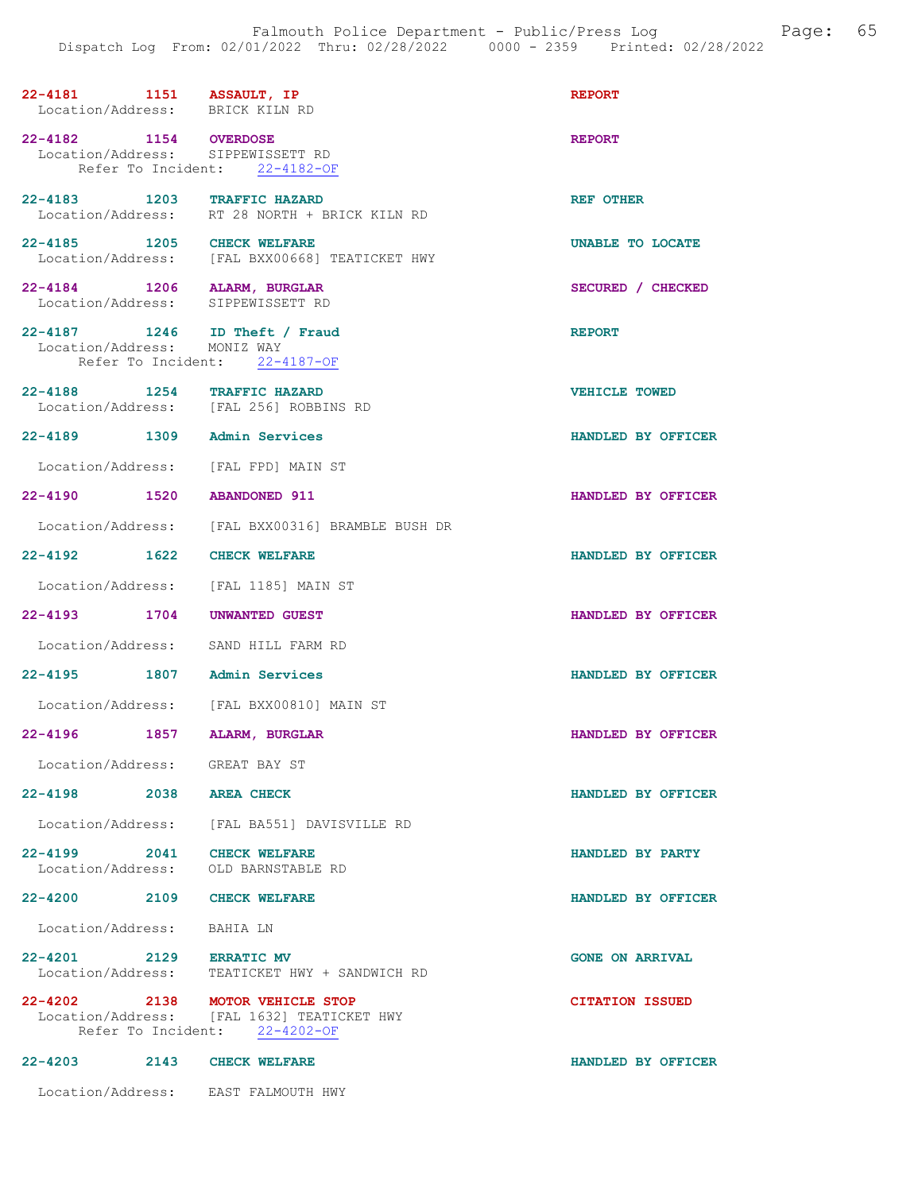| 22-4181 1151 ASSAULT, IP<br>Location/Address: BRICK KILN RD       |                                                                                                          | <b>REPORT</b>          |
|-------------------------------------------------------------------|----------------------------------------------------------------------------------------------------------|------------------------|
| 22-4182 1154 OVERDOSE<br>Location/Address: SIPPEWISSETT RD        | Refer To Incident: 22-4182-OF                                                                            | <b>REPORT</b>          |
|                                                                   | 22-4183 1203 TRAFFIC HAZARD<br>Location/Address: RT 28 NORTH + BRICK KILN RD                             | REF OTHER              |
| 22-4185 1205 CHECK WELFARE                                        | Location/Address: [FAL BXX00668] TEATICKET HWY                                                           | UNABLE TO LOCATE       |
| 22-4184 1206 ALARM, BURGLAR<br>Location/Address: SIPPEWISSETT RD  |                                                                                                          | SECURED / CHECKED      |
| 22-4187 1246 ID Theft / Fraud<br>Location/Address: MONIZ WAY      | Refer To Incident: 22-4187-OF                                                                            | <b>REPORT</b>          |
| 22-4188 1254 TRAFFIC HAZARD                                       | Location/Address: [FAL 256] ROBBINS RD                                                                   | <b>VEHICLE TOWED</b>   |
| 22-4189 1309 Admin Services                                       |                                                                                                          | HANDLED BY OFFICER     |
| Location/Address: [FAL FPD] MAIN ST                               |                                                                                                          |                        |
| 22-4190 1520 ABANDONED 911                                        |                                                                                                          | HANDLED BY OFFICER     |
|                                                                   | Location/Address: [FAL BXX00316] BRAMBLE BUSH DR                                                         |                        |
| 22-4192 1622 CHECK WELFARE                                        |                                                                                                          | HANDLED BY OFFICER     |
|                                                                   | Location/Address: [FAL 1185] MAIN ST                                                                     |                        |
| 22-4193 1704 UNWANTED GUEST                                       |                                                                                                          | HANDLED BY OFFICER     |
| Location/Address: SAND HILL FARM RD                               |                                                                                                          |                        |
| 22-4195 1807 Admin Services                                       |                                                                                                          | HANDLED BY OFFICER     |
|                                                                   | Location/Address: [FAL BXX00810] MAIN ST                                                                 |                        |
| $22 - 4196$<br>1857                                               | <b>ALARM, BURGLAR</b>                                                                                    | HANDLED BY OFFICER     |
| Location/Address: GREAT BAY ST                                    |                                                                                                          |                        |
| $22 - 4198$                                                       | 2038 AREA CHECK                                                                                          | HANDLED BY OFFICER     |
|                                                                   | Location/Address: [FAL BA551] DAVISVILLE RD                                                              |                        |
| 22-4199 2041 CHECK WELFARE<br>Location/Address: OLD BARNSTABLE RD |                                                                                                          | HANDLED BY PARTY       |
| 22-4200 2109 CHECK WELFARE                                        |                                                                                                          | HANDLED BY OFFICER     |
| Location/Address: BAHIA LN                                        |                                                                                                          |                        |
| 22-4201 2129 ERRATIC MV                                           | Location/Address: TEATICKET HWY + SANDWICH RD                                                            | <b>GONE ON ARRIVAL</b> |
| 22-4202 2138                                                      | <b>MOTOR VEHICLE STOP</b><br>Location/Address: [FAL 1632] TEATICKET HWY<br>Refer To Incident: 22-4202-OF | <b>CITATION ISSUED</b> |
| 22-4203 2143 CHECK WELFARE                                        |                                                                                                          | HANDLED BY OFFICER     |
| Location/Address: EAST FALMOUTH HWY                               |                                                                                                          |                        |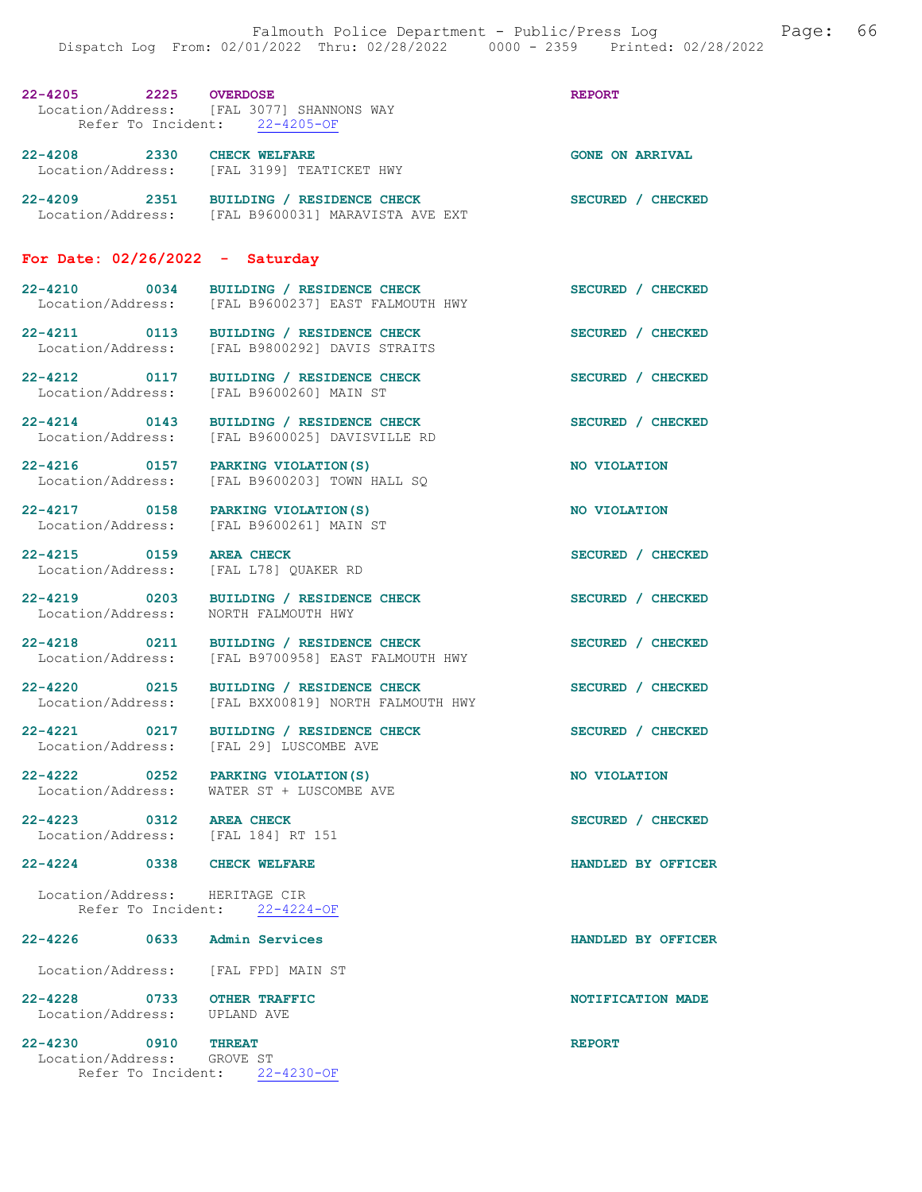| 22-4205 2225 OVERDOSE                                            | Location/Address: [FAL 3077] SHANNONS WAY<br>Refer To Incident: 22-4205-OF                    | <b>REPORT</b>          |
|------------------------------------------------------------------|-----------------------------------------------------------------------------------------------|------------------------|
| 22-4208 2330 CHECK WELFARE                                       | Location/Address: [FAL 3199] TEATICKET HWY                                                    | <b>GONE ON ARRIVAL</b> |
|                                                                  | 22-4209 2351 BUILDING / RESIDENCE CHECK<br>Location/Address: [FAL B9600031] MARAVISTA AVE EXT | SECURED / CHECKED      |
| For Date: $02/26/2022 -$ Saturday                                |                                                                                               |                        |
|                                                                  | 22-4210 0034 BUILDING / RESIDENCE CHECK<br>Location/Address: [FAL B9600237] EAST FALMOUTH HWY | SECURED / CHECKED      |
|                                                                  | 22-4211 0113 BUILDING / RESIDENCE CHECK<br>Location/Address: [FAL B9800292] DAVIS STRAITS     | SECURED / CHECKED      |
|                                                                  | 22-4212 0117 BUILDING / RESIDENCE CHECK<br>Location/Address: [FAL B9600260] MAIN ST           | SECURED / CHECKED      |
| $22 - 4214$ 0143                                                 | BUILDING / RESIDENCE CHECK<br>Location/Address: [FAL B9600025] DAVISVILLE RD                  | SECURED / CHECKED      |
| 22-4216 0157 PARKING VIOLATION (S)                               | Location/Address: [FAL B9600203] TOWN HALL SQ                                                 | NO VIOLATION           |
| 22-4217 0158 PARKING VIOLATION (S)                               | Location/Address: [FAL B9600261] MAIN ST                                                      | NO VIOLATION           |
| 22-4215 0159 AREA CHECK<br>Location/Address: [FAL L78] OUAKER RD |                                                                                               | SECURED / CHECKED      |

22-4219 0203 BUILDING / RESIDENCE CHECK SECURED / CHECKED Location/Address: NORTH FALMOUTH HWY

22-4218 0211 BUILDING / RESIDENCE CHECK SECURED / CHECKED Location/Address: [FAL B9700958] EAST FALMOUTH HWY

22-4220 0215 BUILDING / RESIDENCE CHECK SECURED / CHECKED Location/Address: [FAL BXX00819] NORTH FALMOUTH HWY

22-4221 0217 BUILDING / RESIDENCE CHECK SECURED / CHECKED Location/Address: [FAL 29] LUSCOMBE AVE

22-4222 0252 PARKING VIOLATION(S) NO VIOLATION Location/Address: WATER ST + LUSCOMBE AVE

22-4223 0312 AREA CHECK SECURED / CHECKED Location/Address: [FAL 184] RT 151

22-4224 0338 CHECK WELFARE HANDLED BY OFFICER

 Location/Address: HERITAGE CIR Refer To Incident: 22-4224-OF

22-4226 0633 Admin Services HANDLED BY OFFICER Location/Address: [FAL FPD] MAIN ST 22-4228 0733 OTHER TRAFFIC NOTIFICATION MADE Location/Address: UPLAND AVE

Location/Address:

22-4230 0910 THREAT REPORT Location/Address: GROVE ST Location/Address: Refer To Incident: 22-4230-OF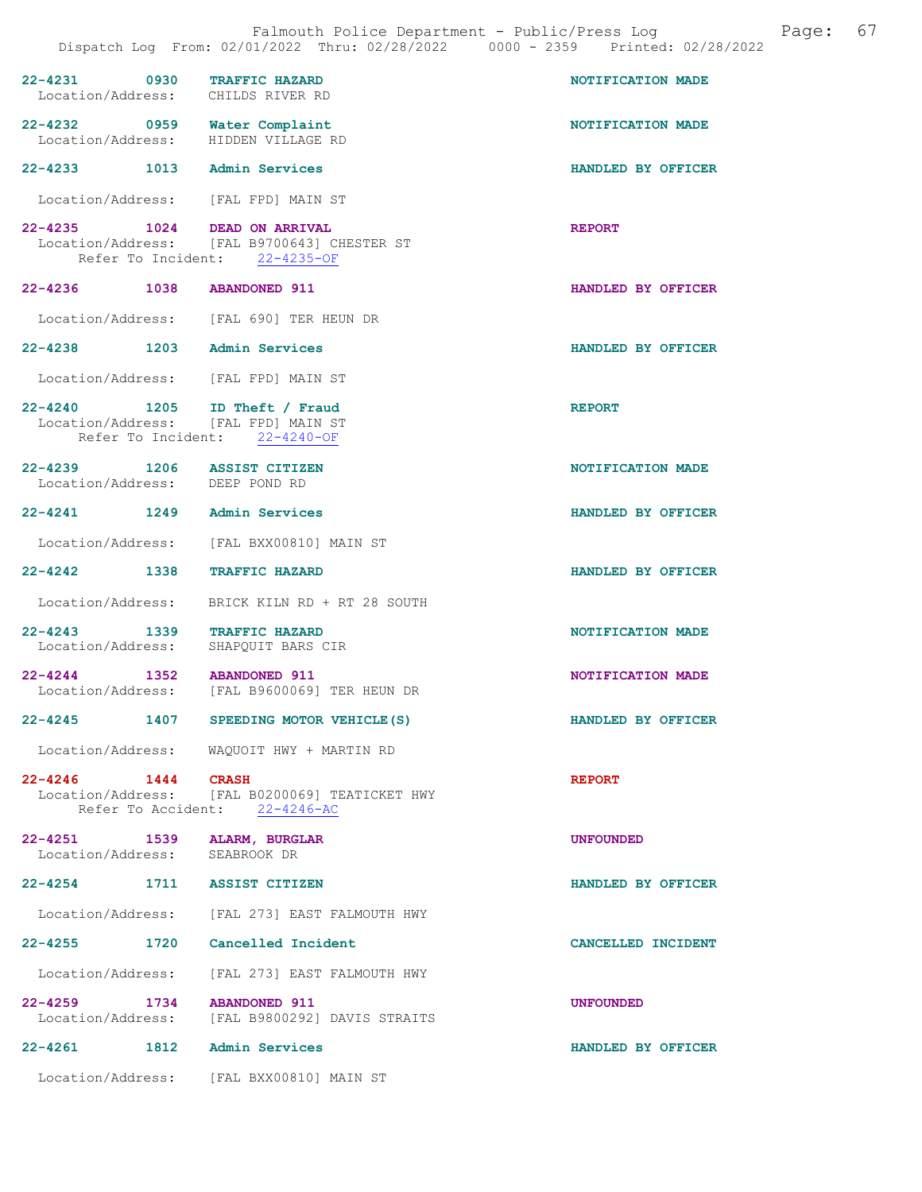| 22-4231 0930 TRAFFIC HAZARD                                   | Location/Address: CHILDS RIVER RD                                                                     | NOTIFICATION MADE  |
|---------------------------------------------------------------|-------------------------------------------------------------------------------------------------------|--------------------|
| 22-4232 0959 Water Complaint                                  | Location/Address: HIDDEN VILLAGE RD                                                                   | NOTIFICATION MADE  |
| 22-4233 1013 Admin Services                                   |                                                                                                       | HANDLED BY OFFICER |
|                                                               | Location/Address: [FAL FPD] MAIN ST                                                                   |                    |
| 22-4235 1024 DEAD ON ARRIVAL                                  | Location/Address: [FAL B9700643] CHESTER ST<br>Refer To Incident: 22-4235-OF                          | <b>REPORT</b>      |
| 22-4236 1038 ABANDONED 911                                    |                                                                                                       | HANDLED BY OFFICER |
|                                                               | Location/Address: [FAL 690] TER HEUN DR                                                               |                    |
| 22-4238 1203 Admin Services                                   |                                                                                                       | HANDLED BY OFFICER |
|                                                               | Location/Address: [FAL FPD] MAIN ST                                                                   |                    |
|                                                               | 22-4240 1205 ID Theft / Fraud<br>Location/Address: [FAL FPD] MAIN ST<br>Refer To Incident: 22-4240-OF | <b>REPORT</b>      |
| 22-4239 1206 ASSIST CITIZEN<br>Location/Address: DEEP POND RD |                                                                                                       | NOTIFICATION MADE  |
| 22-4241 1249 Admin Services                                   |                                                                                                       | HANDLED BY OFFICER |
|                                                               | Location/Address: [FAL BXX00810] MAIN ST                                                              |                    |
| 22-4242 1338 TRAFFIC HAZARD                                   |                                                                                                       | HANDLED BY OFFICER |
|                                                               | Location/Address: BRICK KILN RD + RT 28 SOUTH                                                         |                    |
|                                                               | 22-4243 1339 TRAFFIC HAZARD<br>Location/Address: SHAPQUIT BARS CIR                                    | NOTIFICATION MADE  |
| $22 - 4244$ 1352                                              | <b>ABANDONED 911</b><br>Location/Address: [FAL B9600069] TER HEUN DR                                  | NOTIFICATION MADE  |
| $22 - 4245$<br>1407                                           | SPEEDING MOTOR VEHICLE (S)                                                                            | HANDLED BY OFFICER |
|                                                               | Location/Address: WAQUOIT HWY + MARTIN RD                                                             |                    |
| 22-4246 1444 CRASH                                            | Location/Address: [FAL B0200069] TEATICKET HWY<br>Refer To Accident: 22-4246-AC                       | <b>REPORT</b>      |
| 22-4251 1539 ALARM, BURGLAR<br>Location/Address: SEABROOK DR  |                                                                                                       | <b>UNFOUNDED</b>   |
| 22-4254 1711 ASSIST CITIZEN                                   |                                                                                                       | HANDLED BY OFFICER |
|                                                               | Location/Address: [FAL 273] EAST FALMOUTH HWY                                                         |                    |
|                                                               | 22-4255 1720 Cancelled Incident                                                                       | CANCELLED INCIDENT |
|                                                               | Location/Address: [FAL 273] EAST FALMOUTH HWY                                                         |                    |
| 22-4259 1734 ABANDONED 911                                    | Location/Address: [FAL B9800292] DAVIS STRAITS                                                        | <b>UNFOUNDED</b>   |
| 22-4261 1812 Admin Services                                   |                                                                                                       | HANDLED BY OFFICER |
|                                                               | Location/Address: [FAL BXX00810] MAIN ST                                                              |                    |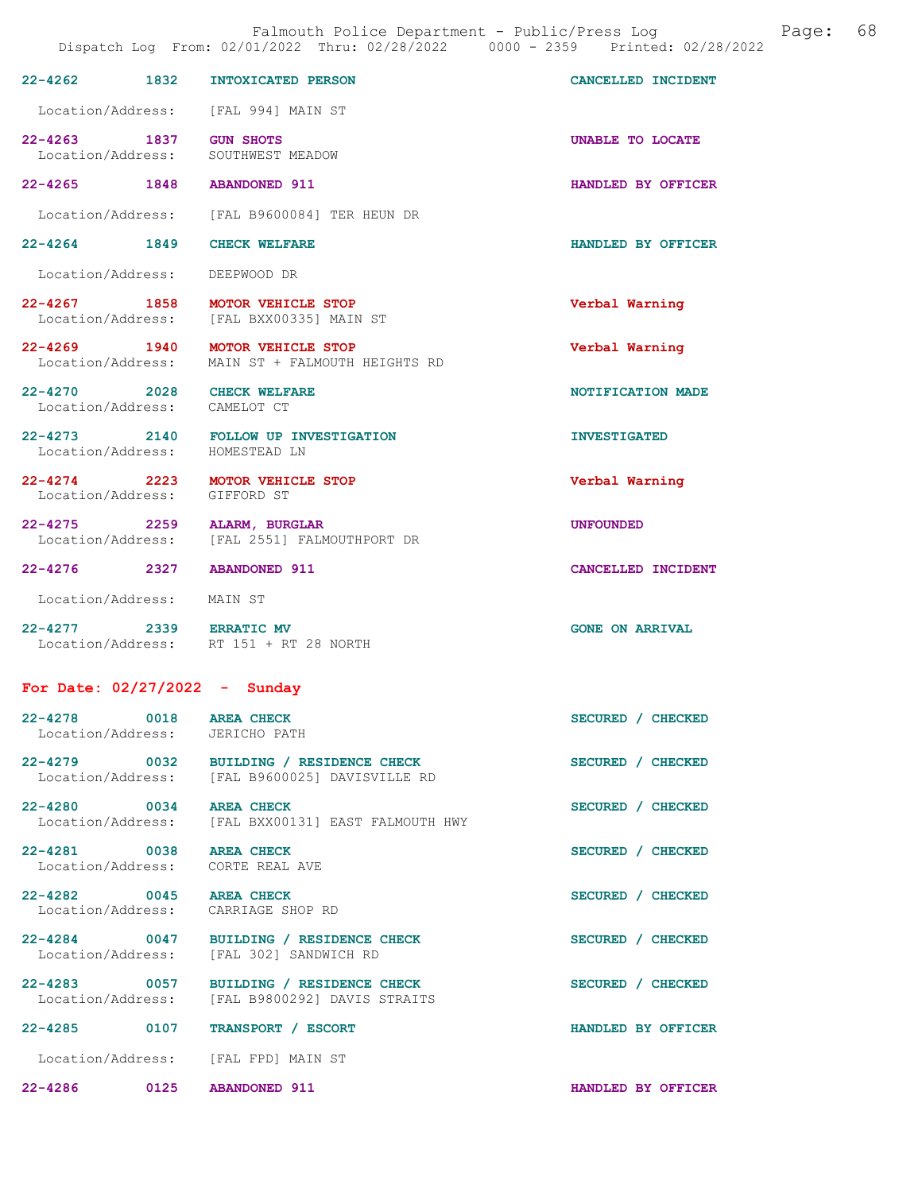|                                                            | Dispatch Log From: 02/01/2022 Thru: 02/28/2022 0000 - 2359 Printed: 02/28/2022            |                        |  |  |  |  |
|------------------------------------------------------------|-------------------------------------------------------------------------------------------|------------------------|--|--|--|--|
| $22 - 4262$<br>1832                                        | <b>INTOXICATED PERSON</b>                                                                 | CANCELLED INCIDENT     |  |  |  |  |
|                                                            | Location/Address: [FAL 994] MAIN ST                                                       |                        |  |  |  |  |
| 22-4263 1837                                               | <b>GUN SHOTS</b><br>Location/Address: SOUTHWEST MEADOW                                    | UNABLE TO LOCATE       |  |  |  |  |
| 22-4265 1848                                               | <b>ABANDONED 911</b>                                                                      | HANDLED BY OFFICER     |  |  |  |  |
|                                                            | Location/Address: [FAL B9600084] TER HEUN DR                                              |                        |  |  |  |  |
| 22-4264 1849                                               | <b>CHECK WELFARE</b>                                                                      | HANDLED BY OFFICER     |  |  |  |  |
| Location/Address: DEEPWOOD DR                              |                                                                                           |                        |  |  |  |  |
|                                                            | 22-4267 1858 MOTOR VEHICLE STOP<br>Location/Address: [FAL BXX00335] MAIN ST               | Verbal Warning         |  |  |  |  |
|                                                            | 22-4269 1940 MOTOR VEHICLE STOP<br>Location/Address: MAIN ST + FALMOUTH HEIGHTS RD        | Verbal Warning         |  |  |  |  |
| 22-4270 2028 CHECK WELFARE<br>Location/Address: CAMELOT CT |                                                                                           | NOTIFICATION MADE      |  |  |  |  |
| Location/Address: HOMESTEAD LN                             | 22-4273 2140 FOLLOW UP INVESTIGATION                                                      | <b>INVESTIGATED</b>    |  |  |  |  |
| Location/Address: GIFFORD ST                               | 22-4274 2223 MOTOR VEHICLE STOP                                                           | Verbal Warning         |  |  |  |  |
| 22-4275 2259 ALARM, BURGLAR                                | Location/Address: [FAL 2551] FALMOUTHPORT DR                                              | <b>UNFOUNDED</b>       |  |  |  |  |
| 22-4276 2327                                               | <b>ABANDONED 911</b>                                                                      | CANCELLED INCIDENT     |  |  |  |  |
| Location/Address: MAIN ST                                  |                                                                                           |                        |  |  |  |  |
| 22-4277 2339 ERRATIC MV                                    | Location/Address: RT 151 + RT 28 NORTH                                                    | <b>GONE ON ARRIVAL</b> |  |  |  |  |
| For Date: $02/27/2022 -$ Sunday                            |                                                                                           |                        |  |  |  |  |
| 22-4278 0018 AREA CHECK<br>Location/Address: JERICHO PATH  |                                                                                           | SECURED / CHECKED      |  |  |  |  |
|                                                            | 22-4279 0032 BUILDING / RESIDENCE CHECK<br>Location/Address: [FAL B9600025] DAVISVILLE RD | SECURED / CHECKED      |  |  |  |  |
| 22-4280 0034<br>Location/Address:                          | <b>AREA CHECK</b><br>[FAL BXX00131] EAST FALMOUTH HWY                                     | SECURED / CHECKED      |  |  |  |  |
| 22-4281 0038<br>Location/Address:                          | <b>AREA CHECK</b><br>CORTE REAL AVE                                                       | SECURED / CHECKED      |  |  |  |  |
| 22-4282 0045                                               | <b>AREA CHECK</b><br>Location/Address: CARRIAGE SHOP RD                                   | SECURED / CHECKED      |  |  |  |  |
| 22-4284 0047                                               | BUILDING / RESIDENCE CHECK<br>Location/Address: [FAL 302] SANDWICH RD                     | SECURED / CHECKED      |  |  |  |  |
| 22-4283 0057                                               | BUILDING / RESIDENCE CHECK<br>Location/Address: [FAL B9800292] DAVIS STRAITS              | SECURED / CHECKED      |  |  |  |  |
| 22-4285 0107                                               | TRANSPORT / ESCORT                                                                        | HANDLED BY OFFICER     |  |  |  |  |
|                                                            | Location/Address: [FAL FPD] MAIN ST                                                       |                        |  |  |  |  |
| 22-4286 0125                                               | <b>ABANDONED 911</b>                                                                      | HANDLED BY OFFICER     |  |  |  |  |

Falmouth Police Department - Public/Press Log and Page: 68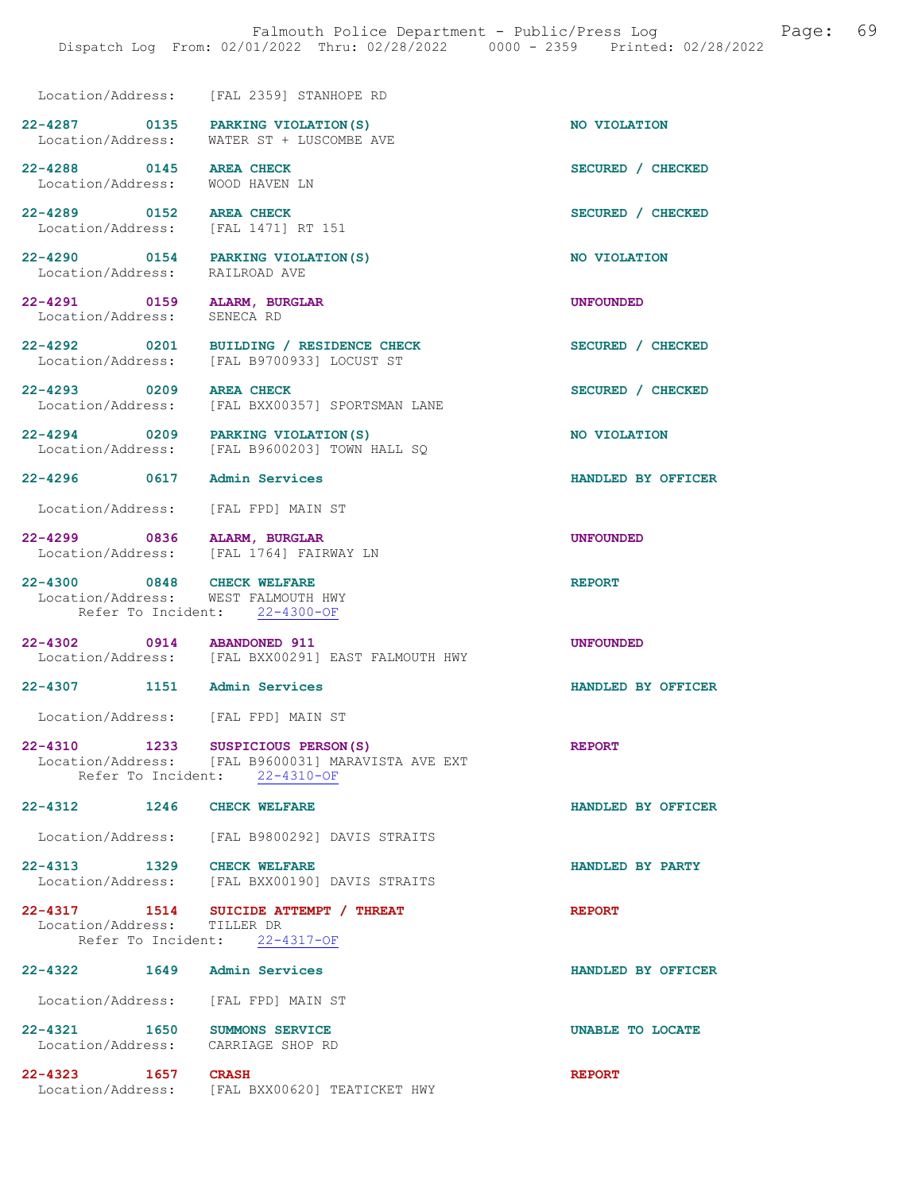Location/Address: [FAL 2359] STANHOPE RD

22-4287 0135 PARKING VIOLATION(S) NO VIOLATION<br>Location/Address: WATER ST + LUSCOMBE AVE WATER ST + LUSCOMBE AVE

22-4288 0145 AREA CHECK SECURED / CHECKED<br>
Location/Address: WOOD HAVEN LN Location/Address:

22-4289 0152 AREA CHECK SECURED / CHECKED Location/Address: [FAL 1471] RT 151

22-4290 0154 PARKING VIOLATION(S) NO VIOLATION<br>
Location/Address: RAILROAD AVE Location/Address:

22-4291 0159 ALARM, BURGLAR UNFOUNDED Location/Address: SENECA RD

22-4292 0201 BUILDING / RESIDENCE CHECK SECURED / CHECKED Location/Address: [FAL B9700933] LOCUST ST

22-4293 0209 AREA CHECK SECURED / CHECKED Location/Address: [FAL BXX00357] SPORTSMAN LANE

22-4294 0209 PARKING VIOLATION(S) NO VIOLATION Location/Address: [FAL B9600203] TOWN HALL SQ

22-4296 0617 Admin Services HANDLED BY OFFICER

Location/Address: [FAL FPD] MAIN ST

22-4299 0836 ALARM, BURGLAR UNE UNFOUNDED<br>Location/Address: [FAL 1764] FAIRWAY LN [FAL 1764] FAIRWAY LN

22-4300 0848 CHECK WELFARE <br>Location/Address: WEST FALMOUTH HWY WEST FALMOUTH HWY Refer To Incident: 22-4300-OF

22-4302 0914 ABANDONED 911<br>
Location/Address: [FAL BXX00291] EAST FALMOUTH HWY [FAL BXX00291] EAST FALMOUTH HWY

22-4307 1151 Admin Services HANDLED BY OFFICER

Location/Address: [FAL FPD] MAIN ST

22-4310 1233 SUSPICIOUS PERSON(S) REPORT Location/Address: [FAL B9600031] MARAVISTA AVE EXT Location/Address: [FAL B9600031] M<br>Refer To Incident: 22-4310-OF

22-4312 1246 CHECK WELFARE **HANDLED BY OFFICER** 

Location/Address: [FAL B9800292] DAVIS STRAITS

22-4313 1329 CHECK WELFARE **HANDLED BY PARTY**<br>Location/Address: [FAL BXX00190] DAVIS STRAITS Location/Address: [FAL BXX00190] DAVIS STRAITS

22-4317 1514 SUICIDE ATTEMPT / THREAT Location/Address: TILLER DR Location/Address: Refer To Incident: 22-4317-OF

22-4322 1649 Admin Services HANDLED BY OFFICER Location/Address: [FAL FPD] MAIN ST 22-4321 1650 SUMMONS SERVICE 22-4321 UNABLE TO LOCATE Location/Address: CARRIAGE SHOP RD

22-4323 1657 CRASH REPORT Location/Address: [FAL BXX00620] TEATICKET HWY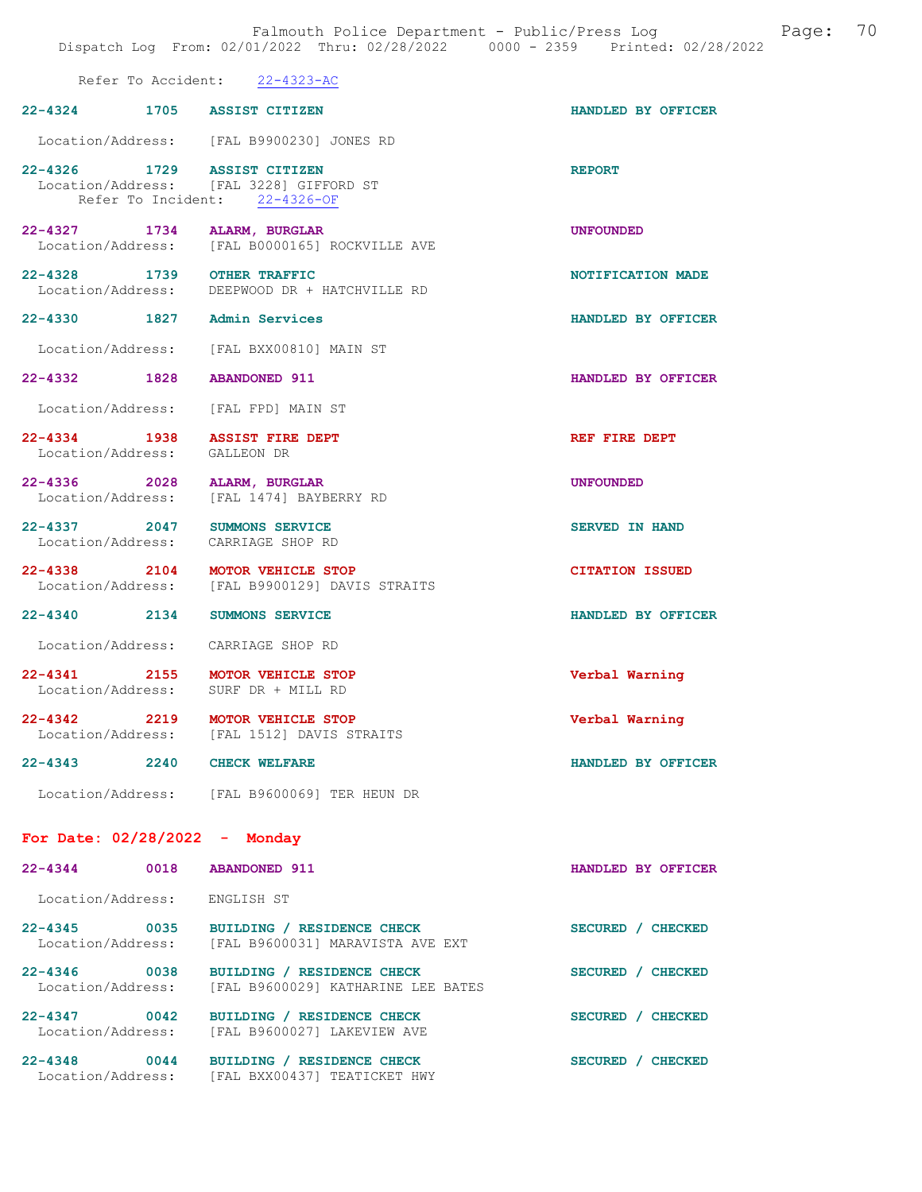|                                                                                                         |            | Falmouth Police Department - Public/Press Log<br>Dispatch Log From: 02/01/2022 Thru: 02/28/2022 0000 - 2359 Printed: 02/28/2022 |                        | Page: | 70 |
|---------------------------------------------------------------------------------------------------------|------------|---------------------------------------------------------------------------------------------------------------------------------|------------------------|-------|----|
|                                                                                                         |            | Refer To Accident: 22-4323-AC                                                                                                   |                        |       |    |
| 22-4324 1705 ASSIST CITIZEN                                                                             |            |                                                                                                                                 | HANDLED BY OFFICER     |       |    |
|                                                                                                         |            | Location/Address: [FAL B9900230] JONES RD                                                                                       |                        |       |    |
| 22-4326 1729 ASSIST CITIZEN<br>Location/Address: [FAL 3228] GIFFORD ST<br>Refer To Incident: 22-4326-OF |            |                                                                                                                                 | <b>REPORT</b>          |       |    |
| 22–4327 1734                                                                                            |            | ALARM, BURGLAR<br>Location/Address: [FAL B0000165] ROCKVILLE AVE                                                                | <b>UNFOUNDED</b>       |       |    |
| 22-4328 1739 OTHER TRAFFIC                                                                              |            | Location/Address: DEEPWOOD DR + HATCHVILLE RD                                                                                   | NOTIFICATION MADE      |       |    |
| 22-4330 1827 Admin Services                                                                             |            |                                                                                                                                 | HANDLED BY OFFICER     |       |    |
| Location/Address:                                                                                       |            | [FAL BXX00810] MAIN ST                                                                                                          |                        |       |    |
| 22-4332 1828 ABANDONED 911                                                                              |            |                                                                                                                                 | HANDLED BY OFFICER     |       |    |
| Location/Address:                                                                                       |            | [FAL FPD] MAIN ST                                                                                                               |                        |       |    |
| 22-4334 1938 ASSIST FIRE DEPT<br>Location/Address:                                                      | GALLEON DR |                                                                                                                                 | REF FIRE DEPT          |       |    |
| 22-4336 2028 ALARM, BURGLAR<br>Location/Address: [FAL 1474] BAYBERRY RD                                 |            |                                                                                                                                 | <b>UNFOUNDED</b>       |       |    |
| 22-4337 2047 SUMMONS SERVICE<br>Location/Address: CARRIAGE SHOP RD                                      |            |                                                                                                                                 | <b>SERVED IN HAND</b>  |       |    |
| 22-4338 2104 MOTOR VEHICLE STOP<br>Location/Address:                                                    |            | [FAL B9900129] DAVIS STRAITS                                                                                                    | <b>CITATION ISSUED</b> |       |    |
| 22-4340 2134                                                                                            |            | <b>SUMMONS SERVICE</b>                                                                                                          | HANDLED BY OFFICER     |       |    |
| Location/Address:                                                                                       |            | CARRIAGE SHOP RD                                                                                                                |                        |       |    |
| 22-4341 2155 MOTOR VEHICLE STOP<br>Location/Address:                                                    |            | SURF DR + MILL RD                                                                                                               | Verbal Warning         |       |    |
| 22-4342 2219 MOTOR VEHICLE STOP                                                                         |            | Location/Address: [FAL 1512] DAVIS STRAITS                                                                                      | Verbal Warning         |       |    |
| 22-4343 2240 CHECK WELFARE                                                                              |            |                                                                                                                                 | HANDLED BY OFFICER     |       |    |
|                                                                                                         |            | Location/Address: [FAL B9600069] TER HEUN DR                                                                                    |                        |       |    |
| For Date: $02/28/2022 -$ Monday                                                                         |            |                                                                                                                                 |                        |       |    |
| 22-4344 0018                                                                                            |            | <b>ABANDONED 911</b>                                                                                                            | HANDLED BY OFFICER     |       |    |
| Location/Address:                                                                                       | ENGLISH ST |                                                                                                                                 |                        |       |    |
| 22-4345 0035<br>Location/Address:                                                                       |            | BUILDING / RESIDENCE CHECK<br>[FAL B9600031] MARAVISTA AVE EXT                                                                  | SECURED / CHECKED      |       |    |
| 22-4346 0038<br>Location/Address:                                                                       |            | BUILDING / RESIDENCE CHECK<br>[FAL B9600029] KATHARINE LEE BATES                                                                | SECURED / CHECKED      |       |    |
| $22 - 4347$ 0042<br>Location/Address:                                                                   |            | BUILDING / RESIDENCE CHECK<br>[FAL B9600027] LAKEVIEW AVE                                                                       | SECURED / CHECKED      |       |    |
| $22 - 4348$ 0044                                                                                        |            | BUILDING / RESIDENCE CHECK<br>Location/Address: [FAL BXX00437] TEATICKET HWY                                                    | SECURED / CHECKED      |       |    |